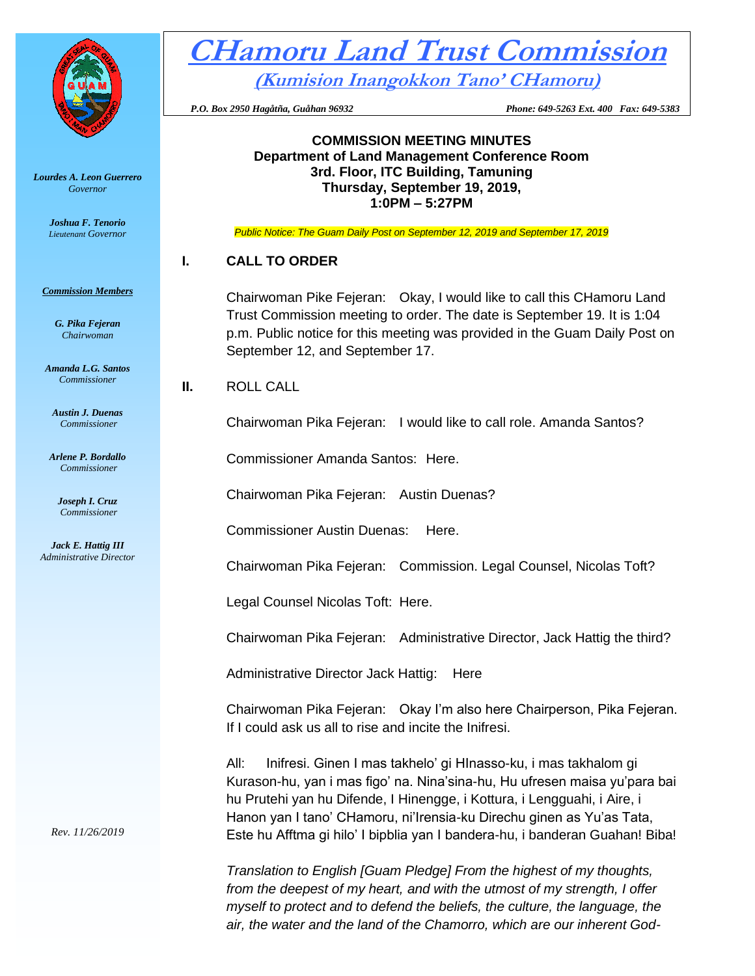

*Lourdes A. Leon Guerrero Governor* 

> *Joshua F. Tenorio Lieutenant Governor*

*Commission Members*

*G. Pika Fejeran Chairwoman*

*Amanda L.G. Santos Commissioner*

*Austin J. Duenas Commissioner*

*Arlene P. Bordallo Commissioner*

> *Joseph I. Cruz Commissioner*

*Jack E. Hattig III Administrative Director*

*Rev. 11/26/2019*

**CHamoru Land Trust Commission (Kumision Inangokkon Tano' CHamoru)**

 *P.O. Box 2950 Hagåtña, Guåhan 96932 Phone: 649-5263 Ext. 400 Fax: 649-5383*

**COMMISSION MEETING MINUTES Department of Land Management Conference Room 3rd. Floor, ITC Building, Tamuning Thursday, September 19, 2019, 1:0PM – 5:27PM**

*Public Notice: The Guam Daily Post on September 12, 2019 and September 17, 2019*

## **I. CALL TO ORDER**

Chairwoman Pike Fejeran: Okay, I would like to call this CHamoru Land Trust Commission meeting to order. The date is September 19. It is 1:04 p.m. Public notice for this meeting was provided in the Guam Daily Post on September 12, and September 17.

**II.** ROLL CALL

Chairwoman Pika Fejeran: I would like to call role. Amanda Santos?

Commissioner Amanda Santos: Here.

Chairwoman Pika Fejeran: Austin Duenas?

Commissioner Austin Duenas: Here.

Chairwoman Pika Fejeran: Commission. Legal Counsel, Nicolas Toft?

Legal Counsel Nicolas Toft: Here.

Chairwoman Pika Fejeran: Administrative Director, Jack Hattig the third?

Administrative Director Jack Hattig: Here

Chairwoman Pika Fejeran: Okay I'm also here Chairperson, Pika Fejeran. If I could ask us all to rise and incite the Inifresi.

All: Inifresi. Ginen I mas takhelo' gi HInasso-ku, i mas takhalom gi Kurason-hu, yan i mas figo' na. Nina'sina-hu, Hu ufresen maisa yu'para bai hu Prutehi yan hu Difende, I Hinengge, i Kottura, i Lengguahi, i Aire, i Hanon yan I tano' CHamoru, ni'Irensia-ku Direchu ginen as Yu'as Tata, Este hu Afftma gi hilo' I bipblia yan I bandera-hu, i banderan Guahan! Biba!

*Translation to English [Guam Pledge] From the highest of my thoughts, from the deepest of my heart, and with the utmost of my strength, I offer myself to protect and to defend the beliefs, the culture, the language, the air, the water and the land of the Chamorro, which are our inherent God-*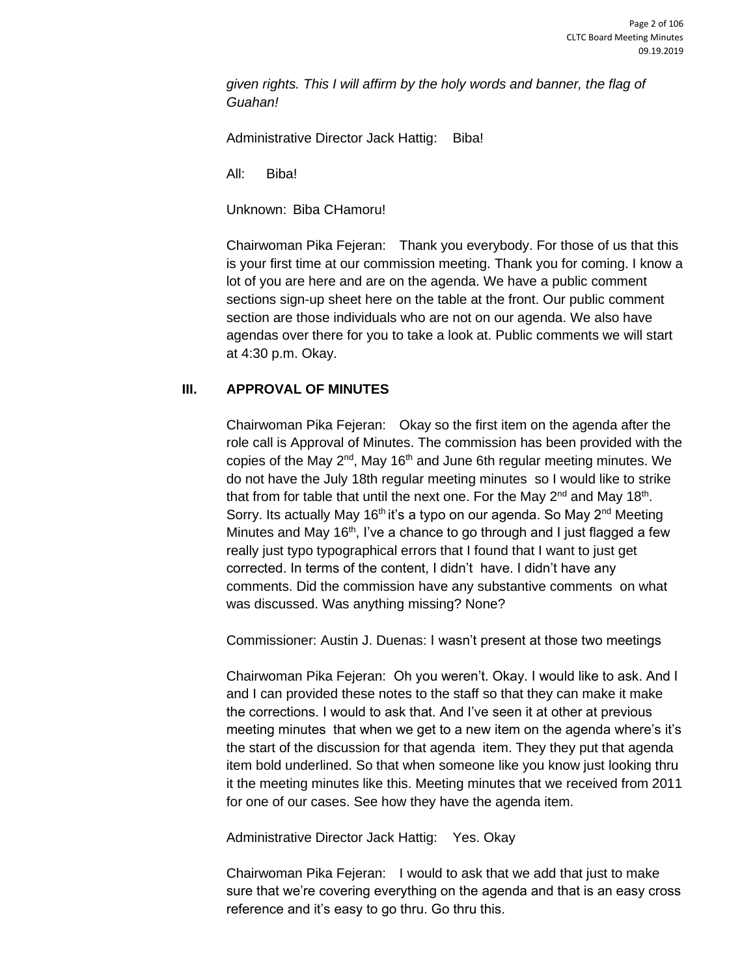*given rights. This I will affirm by the holy words and banner, the flag of Guahan!*

Administrative Director Jack Hattig: Biba!

All: Biba!

Unknown: Biba CHamoru!

Chairwoman Pika Fejeran: Thank you everybody. For those of us that this is your first time at our commission meeting. Thank you for coming. I know a lot of you are here and are on the agenda. We have a public comment sections sign-up sheet here on the table at the front. Our public comment section are those individuals who are not on our agenda. We also have agendas over there for you to take a look at. Public comments we will start at 4:30 p.m. Okay.

# **III. APPROVAL OF MINUTES**

Chairwoman Pika Fejeran: Okay so the first item on the agenda after the role call is Approval of Minutes. The commission has been provided with the copies of the May  $2^{nd}$ , May 16<sup>th</sup> and June 6th regular meeting minutes. We do not have the July 18th regular meeting minutes so I would like to strike that from for table that until the next one. For the May  $2^{nd}$  and May 18<sup>th</sup>. Sorry. Its actually May 16<sup>th</sup> it's a typo on our agenda. So May 2<sup>nd</sup> Meeting Minutes and May 16<sup>th</sup>, I've a chance to go through and I just flagged a few really just typo typographical errors that I found that I want to just get corrected. In terms of the content, I didn't have. I didn't have any comments. Did the commission have any substantive comments on what was discussed. Was anything missing? None?

Commissioner: Austin J. Duenas: I wasn't present at those two meetings

Chairwoman Pika Fejeran: Oh you weren't. Okay. I would like to ask. And I and I can provided these notes to the staff so that they can make it make the corrections. I would to ask that. And I've seen it at other at previous meeting minutes that when we get to a new item on the agenda where's it's the start of the discussion for that agenda item. They they put that agenda item bold underlined. So that when someone like you know just looking thru it the meeting minutes like this. Meeting minutes that we received from 2011 for one of our cases. See how they have the agenda item.

Administrative Director Jack Hattig: Yes. Okay

Chairwoman Pika Fejeran: I would to ask that we add that just to make sure that we're covering everything on the agenda and that is an easy cross reference and it's easy to go thru. Go thru this.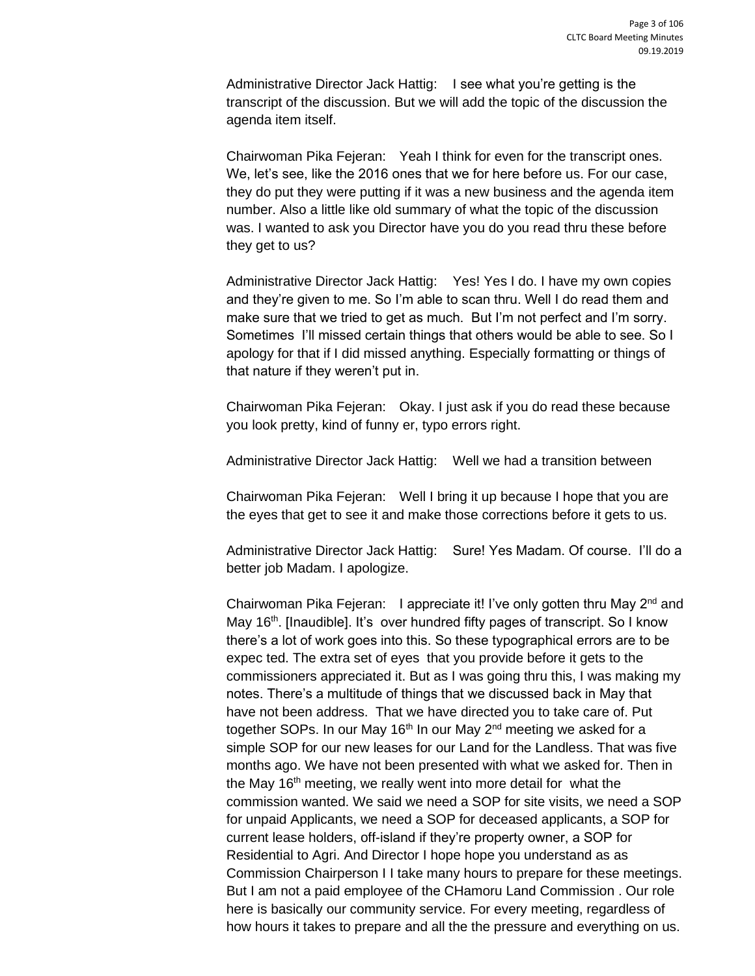Administrative Director Jack Hattig: I see what you're getting is the transcript of the discussion. But we will add the topic of the discussion the agenda item itself.

Chairwoman Pika Fejeran: Yeah I think for even for the transcript ones. We, let's see, like the 2016 ones that we for here before us. For our case, they do put they were putting if it was a new business and the agenda item number. Also a little like old summary of what the topic of the discussion was. I wanted to ask you Director have you do you read thru these before they get to us?

Administrative Director Jack Hattig: Yes! Yes I do. I have my own copies and they're given to me. So I'm able to scan thru. Well I do read them and make sure that we tried to get as much. But I'm not perfect and I'm sorry. Sometimes I'll missed certain things that others would be able to see. So I apology for that if I did missed anything. Especially formatting or things of that nature if they weren't put in.

Chairwoman Pika Fejeran: Okay. I just ask if you do read these because you look pretty, kind of funny er, typo errors right.

Administrative Director Jack Hattig: Well we had a transition between

Chairwoman Pika Fejeran: Well I bring it up because I hope that you are the eyes that get to see it and make those corrections before it gets to us.

Administrative Director Jack Hattig: Sure! Yes Madam. Of course. I'll do a better job Madam. I apologize.

Chairwoman Pika Fejeran: I appreciate it! I've only gotten thru May 2<sup>nd</sup> and May 16<sup>th</sup>. [Inaudible]. It's over hundred fifty pages of transcript. So I know there's a lot of work goes into this. So these typographical errors are to be expec ted. The extra set of eyes that you provide before it gets to the commissioners appreciated it. But as I was going thru this, I was making my notes. There's a multitude of things that we discussed back in May that have not been address. That we have directed you to take care of. Put together SOPs. In our May 16<sup>th</sup> In our May  $2<sup>nd</sup>$  meeting we asked for a simple SOP for our new leases for our Land for the Landless. That was five months ago. We have not been presented with what we asked for. Then in the May 16<sup>th</sup> meeting, we really went into more detail for what the commission wanted. We said we need a SOP for site visits, we need a SOP for unpaid Applicants, we need a SOP for deceased applicants, a SOP for current lease holders, off-island if they're property owner, a SOP for Residential to Agri. And Director I hope hope you understand as as Commission Chairperson I I take many hours to prepare for these meetings. But I am not a paid employee of the CHamoru Land Commission . Our role here is basically our community service. For every meeting, regardless of how hours it takes to prepare and all the the pressure and everything on us.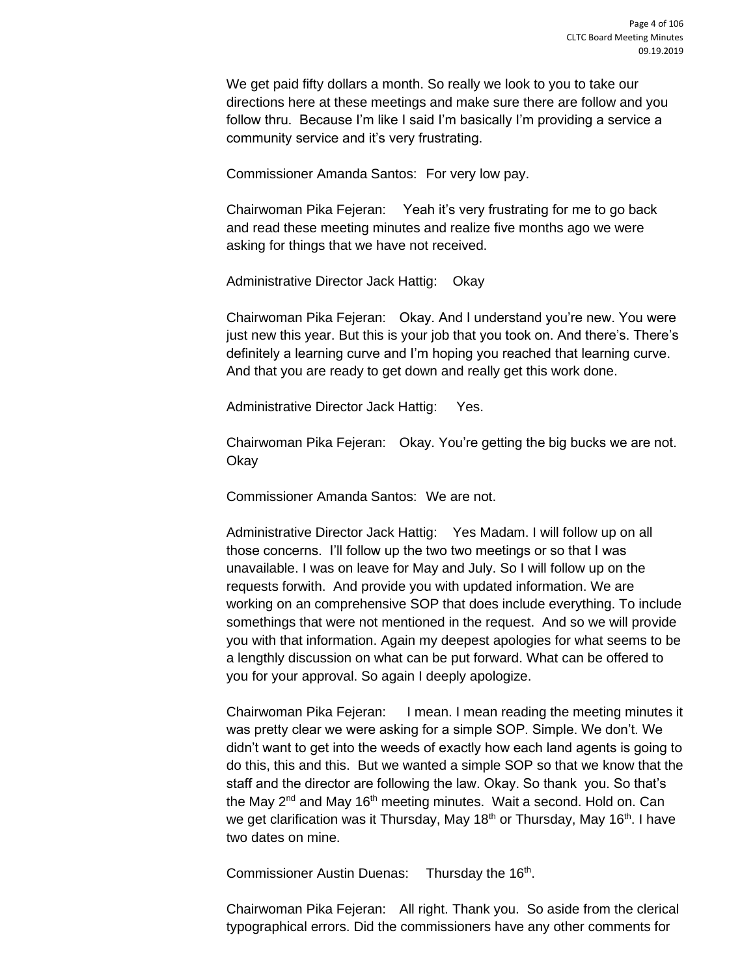We get paid fifty dollars a month. So really we look to you to take our directions here at these meetings and make sure there are follow and you follow thru. Because I'm like I said I'm basically I'm providing a service a community service and it's very frustrating.

Commissioner Amanda Santos: For very low pay.

Chairwoman Pika Fejeran: Yeah it's very frustrating for me to go back and read these meeting minutes and realize five months ago we were asking for things that we have not received.

Administrative Director Jack Hattig: Okay

Chairwoman Pika Fejeran: Okay. And I understand you're new. You were just new this year. But this is your job that you took on. And there's. There's definitely a learning curve and I'm hoping you reached that learning curve. And that you are ready to get down and really get this work done.

Administrative Director Jack Hattig: Yes.

Chairwoman Pika Fejeran: Okay. You're getting the big bucks we are not. Okay

Commissioner Amanda Santos: We are not.

Administrative Director Jack Hattig: Yes Madam. I will follow up on all those concerns. I'll follow up the two two meetings or so that I was unavailable. I was on leave for May and July. So I will follow up on the requests forwith. And provide you with updated information. We are working on an comprehensive SOP that does include everything. To include somethings that were not mentioned in the request. And so we will provide you with that information. Again my deepest apologies for what seems to be a lengthly discussion on what can be put forward. What can be offered to you for your approval. So again I deeply apologize.

Chairwoman Pika Fejeran: I mean. I mean reading the meeting minutes it was pretty clear we were asking for a simple SOP. Simple. We don't. We didn't want to get into the weeds of exactly how each land agents is going to do this, this and this. But we wanted a simple SOP so that we know that the staff and the director are following the law. Okay. So thank you. So that's the May 2<sup>nd</sup> and May 16<sup>th</sup> meeting minutes. Wait a second. Hold on. Can we get clarification was it Thursday, May 18<sup>th</sup> or Thursday, May 16<sup>th</sup>. I have two dates on mine.

Commissioner Austin Duenas: Thursday the 16<sup>th</sup>.

Chairwoman Pika Fejeran: All right. Thank you. So aside from the clerical typographical errors. Did the commissioners have any other comments for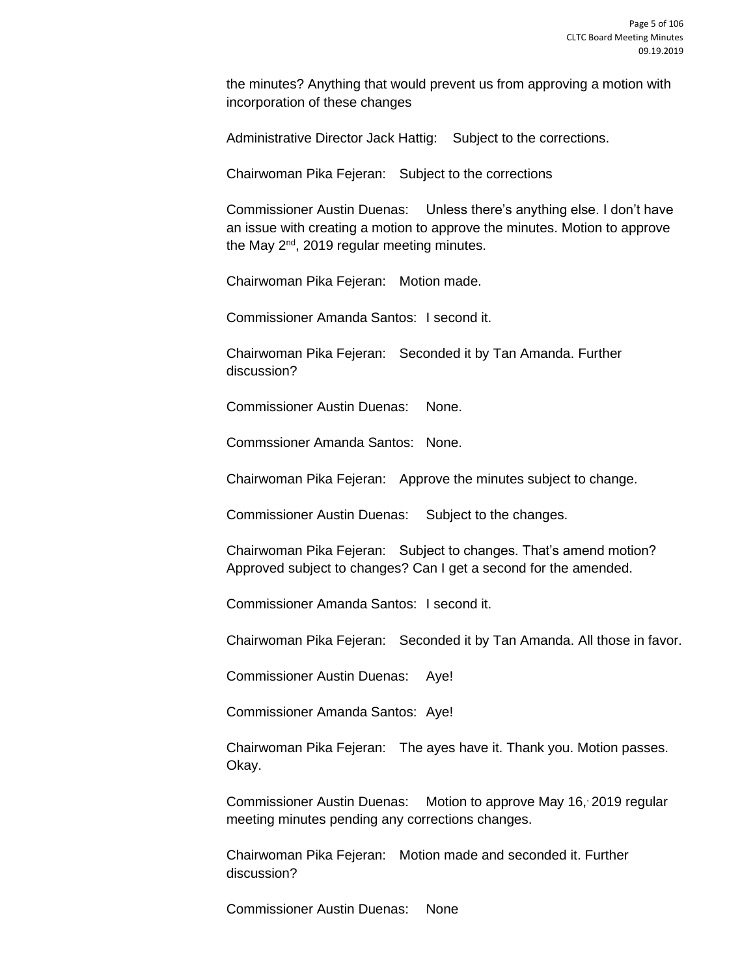the minutes? Anything that would prevent us from approving a motion with incorporation of these changes

Administrative Director Jack Hattig: Subject to the corrections.

Chairwoman Pika Fejeran: Subject to the corrections

Commissioner Austin Duenas: Unless there's anything else. I don't have an issue with creating a motion to approve the minutes. Motion to approve the May  $2^{nd}$ , 2019 regular meeting minutes.

Chairwoman Pika Fejeran: Motion made.

Commissioner Amanda Santos: I second it.

Chairwoman Pika Fejeran: Seconded it by Tan Amanda. Further discussion?

Commissioner Austin Duenas: None.

Commssioner Amanda Santos: None.

Chairwoman Pika Fejeran: Approve the minutes subject to change.

Commissioner Austin Duenas: Subject to the changes.

Chairwoman Pika Fejeran: Subject to changes. That's amend motion? Approved subject to changes? Can I get a second for the amended.

Commissioner Amanda Santos: I second it.

Chairwoman Pika Fejeran: Seconded it by Tan Amanda. All those in favor.

Commissioner Austin Duenas: Aye!

Commissioner Amanda Santos: Aye!

Chairwoman Pika Fejeran: The ayes have it. Thank you. Motion passes. Okay.

Commissioner Austin Duenas: Motion to approve May 16, 2019 regular meeting minutes pending any corrections changes.

Chairwoman Pika Fejeran: Motion made and seconded it. Further discussion?

Commissioner Austin Duenas: None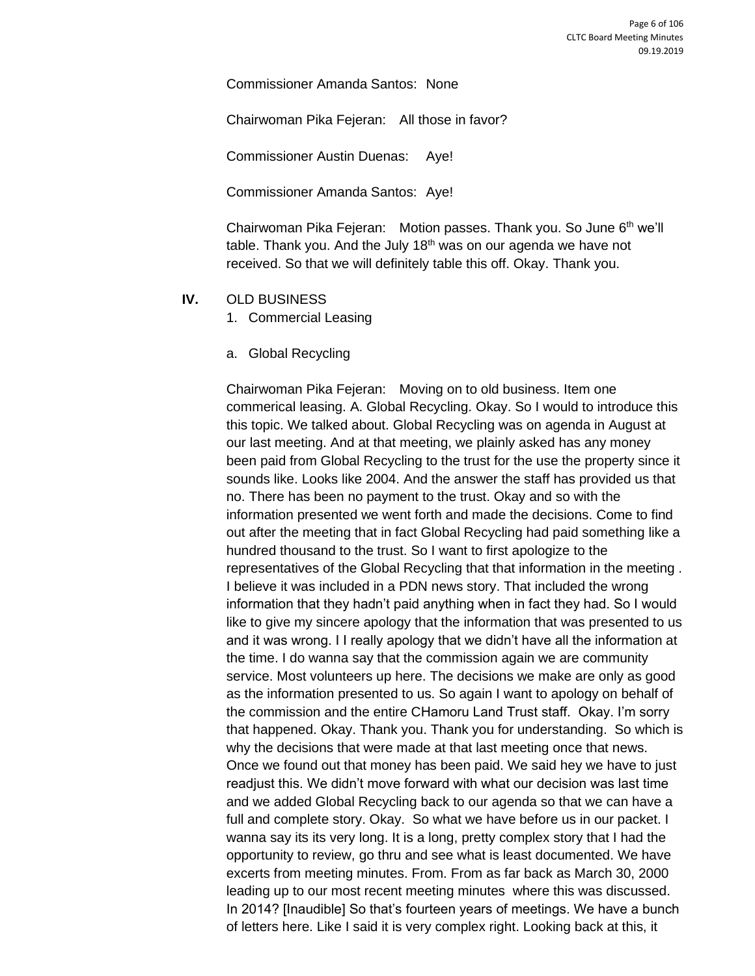Commissioner Amanda Santos: None

Chairwoman Pika Fejeran: All those in favor?

Commissioner Austin Duenas: Aye!

Commissioner Amanda Santos: Aye!

Chairwoman Pika Fejeran: Motion passes. Thank you. So June 6<sup>th</sup> we'll table. Thank you. And the July 18<sup>th</sup> was on our agenda we have not received. So that we will definitely table this off. Okay. Thank you.

- **IV.** OLD BUSINESS
	- 1. Commercial Leasing
	- a. Global Recycling

Chairwoman Pika Fejeran: Moving on to old business. Item one commerical leasing. A. Global Recycling. Okay. So I would to introduce this this topic. We talked about. Global Recycling was on agenda in August at our last meeting. And at that meeting, we plainly asked has any money been paid from Global Recycling to the trust for the use the property since it sounds like. Looks like 2004. And the answer the staff has provided us that no. There has been no payment to the trust. Okay and so with the information presented we went forth and made the decisions. Come to find out after the meeting that in fact Global Recycling had paid something like a hundred thousand to the trust. So I want to first apologize to the representatives of the Global Recycling that that information in the meeting . I believe it was included in a PDN news story. That included the wrong information that they hadn't paid anything when in fact they had. So I would like to give my sincere apology that the information that was presented to us and it was wrong. I I really apology that we didn't have all the information at the time. I do wanna say that the commission again we are community service. Most volunteers up here. The decisions we make are only as good as the information presented to us. So again I want to apology on behalf of the commission and the entire CHamoru Land Trust staff. Okay. I'm sorry that happened. Okay. Thank you. Thank you for understanding. So which is why the decisions that were made at that last meeting once that news. Once we found out that money has been paid. We said hey we have to just readjust this. We didn't move forward with what our decision was last time and we added Global Recycling back to our agenda so that we can have a full and complete story. Okay. So what we have before us in our packet. I wanna say its its very long. It is a long, pretty complex story that I had the opportunity to review, go thru and see what is least documented. We have excerts from meeting minutes. From. From as far back as March 30, 2000 leading up to our most recent meeting minutes where this was discussed. In 2014? [Inaudible] So that's fourteen years of meetings. We have a bunch of letters here. Like I said it is very complex right. Looking back at this, it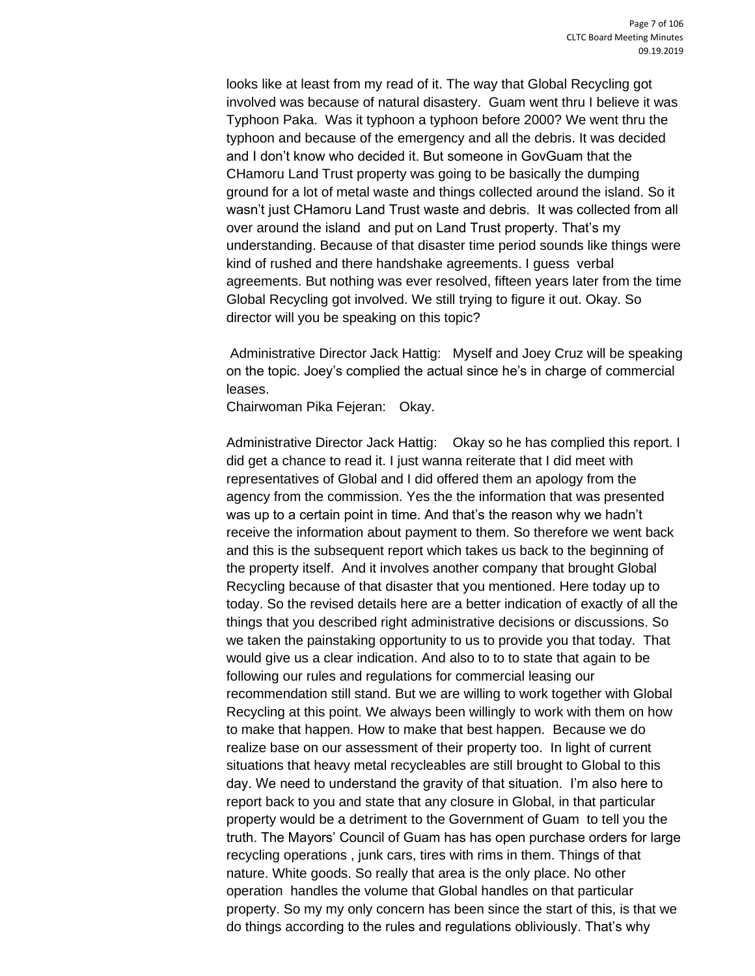looks like at least from my read of it. The way that Global Recycling got involved was because of natural disastery. Guam went thru I believe it was Typhoon Paka. Was it typhoon a typhoon before 2000? We went thru the typhoon and because of the emergency and all the debris. It was decided and I don't know who decided it. But someone in GovGuam that the CHamoru Land Trust property was going to be basically the dumping ground for a lot of metal waste and things collected around the island. So it wasn't just CHamoru Land Trust waste and debris. It was collected from all over around the island and put on Land Trust property. That's my understanding. Because of that disaster time period sounds like things were kind of rushed and there handshake agreements. I guess verbal agreements. But nothing was ever resolved, fifteen years later from the time Global Recycling got involved. We still trying to figure it out. Okay. So director will you be speaking on this topic?

Administrative Director Jack Hattig: Myself and Joey Cruz will be speaking on the topic. Joey's complied the actual since he's in charge of commercial leases.

Chairwoman Pika Fejeran: Okay.

Administrative Director Jack Hattig: Okay so he has complied this report. I did get a chance to read it. I just wanna reiterate that I did meet with representatives of Global and I did offered them an apology from the agency from the commission. Yes the the information that was presented was up to a certain point in time. And that's the reason why we hadn't receive the information about payment to them. So therefore we went back and this is the subsequent report which takes us back to the beginning of the property itself. And it involves another company that brought Global Recycling because of that disaster that you mentioned. Here today up to today. So the revised details here are a better indication of exactly of all the things that you described right administrative decisions or discussions. So we taken the painstaking opportunity to us to provide you that today. That would give us a clear indication. And also to to to state that again to be following our rules and regulations for commercial leasing our recommendation still stand. But we are willing to work together with Global Recycling at this point. We always been willingly to work with them on how to make that happen. How to make that best happen. Because we do realize base on our assessment of their property too. In light of current situations that heavy metal recycleables are still brought to Global to this day. We need to understand the gravity of that situation. I'm also here to report back to you and state that any closure in Global, in that particular property would be a detriment to the Government of Guam to tell you the truth. The Mayors' Council of Guam has has open purchase orders for large recycling operations , junk cars, tires with rims in them. Things of that nature. White goods. So really that area is the only place. No other operation handles the volume that Global handles on that particular property. So my my only concern has been since the start of this, is that we do things according to the rules and regulations obliviously. That's why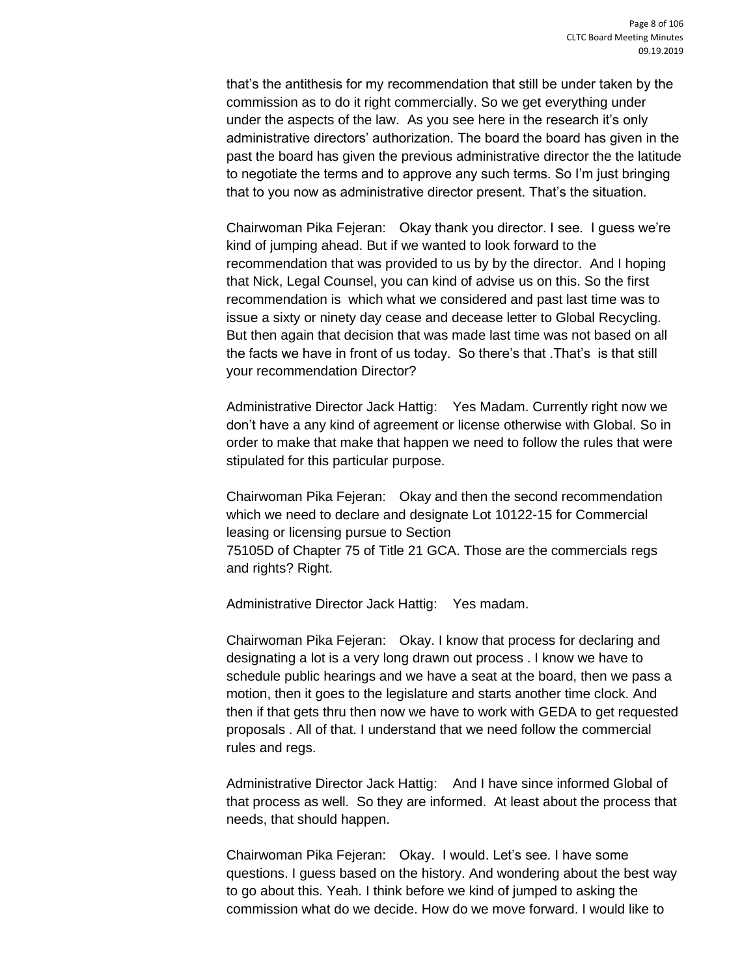that's the antithesis for my recommendation that still be under taken by the commission as to do it right commercially. So we get everything under under the aspects of the law. As you see here in the research it's only administrative directors' authorization. The board the board has given in the past the board has given the previous administrative director the the latitude to negotiate the terms and to approve any such terms. So I'm just bringing that to you now as administrative director present. That's the situation.

Chairwoman Pika Fejeran: Okay thank you director. I see. I guess we're kind of jumping ahead. But if we wanted to look forward to the recommendation that was provided to us by by the director. And I hoping that Nick, Legal Counsel, you can kind of advise us on this. So the first recommendation is which what we considered and past last time was to issue a sixty or ninety day cease and decease letter to Global Recycling. But then again that decision that was made last time was not based on all the facts we have in front of us today. So there's that .That's is that still your recommendation Director?

Administrative Director Jack Hattig: Yes Madam. Currently right now we don't have a any kind of agreement or license otherwise with Global. So in order to make that make that happen we need to follow the rules that were stipulated for this particular purpose.

Chairwoman Pika Fejeran: Okay and then the second recommendation which we need to declare and designate Lot 10122-15 for Commercial leasing or licensing pursue to Section 75105D of Chapter 75 of Title 21 GCA. Those are the commercials regs and rights? Right.

Administrative Director Jack Hattig: Yes madam.

Chairwoman Pika Fejeran: Okay. I know that process for declaring and designating a lot is a very long drawn out process . I know we have to schedule public hearings and we have a seat at the board, then we pass a motion, then it goes to the legislature and starts another time clock. And then if that gets thru then now we have to work with GEDA to get requested proposals . All of that. I understand that we need follow the commercial rules and regs.

Administrative Director Jack Hattig: And I have since informed Global of that process as well. So they are informed. At least about the process that needs, that should happen.

Chairwoman Pika Fejeran: Okay. I would. Let's see. I have some questions. I guess based on the history. And wondering about the best way to go about this. Yeah. I think before we kind of jumped to asking the commission what do we decide. How do we move forward. I would like to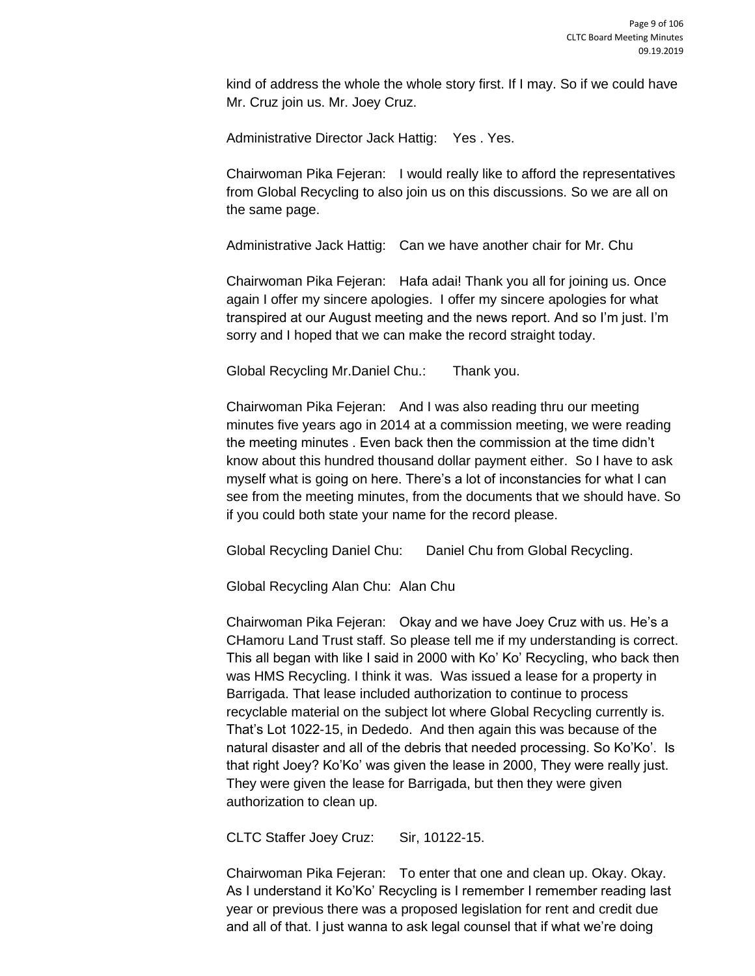kind of address the whole the whole story first. If I may. So if we could have Mr. Cruz join us. Mr. Joey Cruz.

Administrative Director Jack Hattig: Yes . Yes.

Chairwoman Pika Fejeran: I would really like to afford the representatives from Global Recycling to also join us on this discussions. So we are all on the same page.

Administrative Jack Hattig: Can we have another chair for Mr. Chu

Chairwoman Pika Fejeran: Hafa adai! Thank you all for joining us. Once again I offer my sincere apologies. I offer my sincere apologies for what transpired at our August meeting and the news report. And so I'm just. I'm sorry and I hoped that we can make the record straight today.

Global Recycling Mr.Daniel Chu.: Thank you.

Chairwoman Pika Fejeran: And I was also reading thru our meeting minutes five years ago in 2014 at a commission meeting, we were reading the meeting minutes . Even back then the commission at the time didn't know about this hundred thousand dollar payment either. So I have to ask myself what is going on here. There's a lot of inconstancies for what I can see from the meeting minutes, from the documents that we should have. So if you could both state your name for the record please.

Global Recycling Daniel Chu: Daniel Chu from Global Recycling.

Global Recycling Alan Chu: Alan Chu

Chairwoman Pika Fejeran: Okay and we have Joey Cruz with us. He's a CHamoru Land Trust staff. So please tell me if my understanding is correct. This all began with like I said in 2000 with Ko' Ko' Recycling, who back then was HMS Recycling. I think it was. Was issued a lease for a property in Barrigada. That lease included authorization to continue to process recyclable material on the subject lot where Global Recycling currently is. That's Lot 1022-15, in Dededo. And then again this was because of the natural disaster and all of the debris that needed processing. So Ko'Ko'. Is that right Joey? Ko'Ko' was given the lease in 2000, They were really just. They were given the lease for Barrigada, but then they were given authorization to clean up.

CLTC Staffer Joey Cruz: Sir, 10122-15.

Chairwoman Pika Fejeran: To enter that one and clean up. Okay. Okay. As I understand it Ko'Ko' Recycling is I remember I remember reading last year or previous there was a proposed legislation for rent and credit due and all of that. I just wanna to ask legal counsel that if what we're doing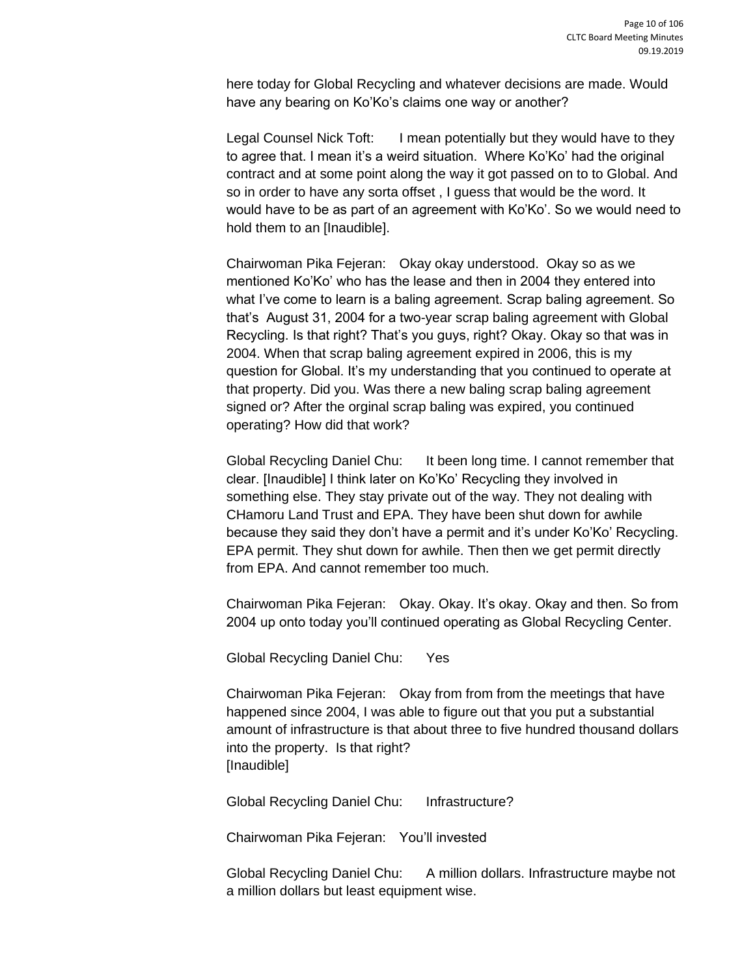here today for Global Recycling and whatever decisions are made. Would have any bearing on Ko'Ko's claims one way or another?

Legal Counsel Nick Toft: I mean potentially but they would have to they to agree that. I mean it's a weird situation. Where Ko'Ko' had the original contract and at some point along the way it got passed on to to Global. And so in order to have any sorta offset , I guess that would be the word. It would have to be as part of an agreement with Ko'Ko'. So we would need to hold them to an [Inaudible].

Chairwoman Pika Fejeran: Okay okay understood. Okay so as we mentioned Ko'Ko' who has the lease and then in 2004 they entered into what I've come to learn is a baling agreement. Scrap baling agreement. So that's August 31, 2004 for a two-year scrap baling agreement with Global Recycling. Is that right? That's you guys, right? Okay. Okay so that was in 2004. When that scrap baling agreement expired in 2006, this is my question for Global. It's my understanding that you continued to operate at that property. Did you. Was there a new baling scrap baling agreement signed or? After the orginal scrap baling was expired, you continued operating? How did that work?

Global Recycling Daniel Chu: It been long time. I cannot remember that clear. [Inaudible] I think later on Ko'Ko' Recycling they involved in something else. They stay private out of the way. They not dealing with CHamoru Land Trust and EPA. They have been shut down for awhile because they said they don't have a permit and it's under Ko'Ko' Recycling. EPA permit. They shut down for awhile. Then then we get permit directly from EPA. And cannot remember too much.

Chairwoman Pika Fejeran: Okay. Okay. It's okay. Okay and then. So from 2004 up onto today you'll continued operating as Global Recycling Center.

Global Recycling Daniel Chu: Yes

Chairwoman Pika Fejeran: Okay from from from the meetings that have happened since 2004, I was able to figure out that you put a substantial amount of infrastructure is that about three to five hundred thousand dollars into the property. Is that right? [Inaudible]

Global Recycling Daniel Chu: Infrastructure?

Chairwoman Pika Fejeran: You'll invested

Global Recycling Daniel Chu: A million dollars. Infrastructure maybe not a million dollars but least equipment wise.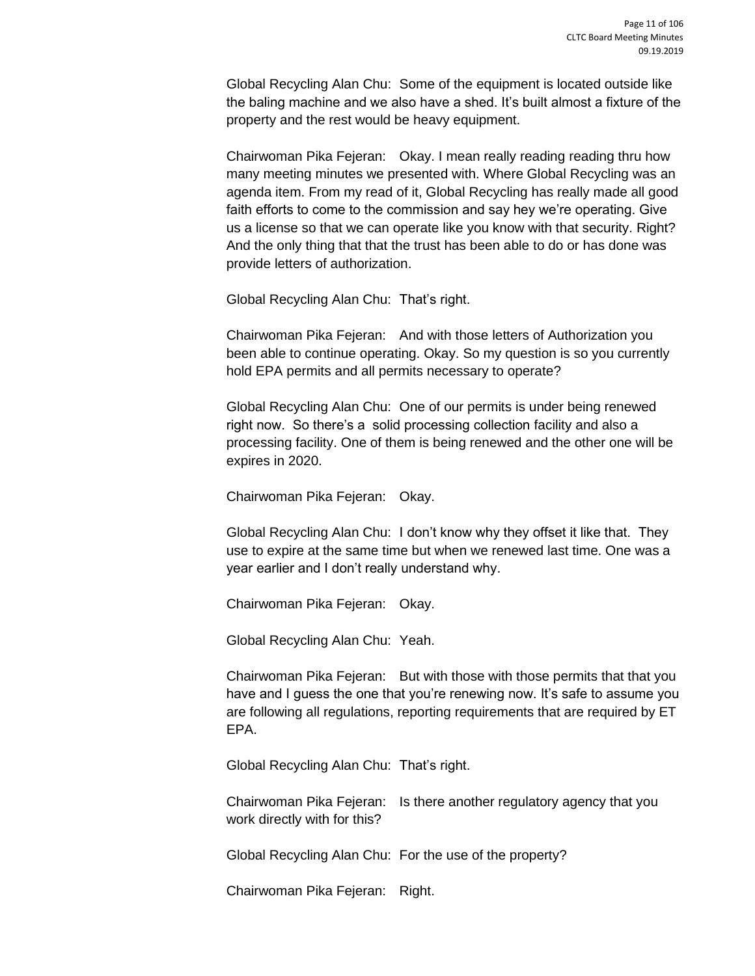Global Recycling Alan Chu: Some of the equipment is located outside like the baling machine and we also have a shed. It's built almost a fixture of the property and the rest would be heavy equipment.

Chairwoman Pika Fejeran: Okay. I mean really reading reading thru how many meeting minutes we presented with. Where Global Recycling was an agenda item. From my read of it, Global Recycling has really made all good faith efforts to come to the commission and say hey we're operating. Give us a license so that we can operate like you know with that security. Right? And the only thing that that the trust has been able to do or has done was provide letters of authorization.

Global Recycling Alan Chu: That's right.

Chairwoman Pika Fejeran: And with those letters of Authorization you been able to continue operating. Okay. So my question is so you currently hold EPA permits and all permits necessary to operate?

Global Recycling Alan Chu: One of our permits is under being renewed right now. So there's a solid processing collection facility and also a processing facility. One of them is being renewed and the other one will be expires in 2020.

Chairwoman Pika Fejeran: Okay.

Global Recycling Alan Chu: I don't know why they offset it like that. They use to expire at the same time but when we renewed last time. One was a year earlier and I don't really understand why.

Chairwoman Pika Fejeran: Okay.

Global Recycling Alan Chu: Yeah.

Chairwoman Pika Fejeran: But with those with those permits that that you have and I guess the one that you're renewing now. It's safe to assume you are following all regulations, reporting requirements that are required by ET EPA.

Global Recycling Alan Chu: That's right.

Chairwoman Pika Fejeran: Is there another regulatory agency that you work directly with for this?

Global Recycling Alan Chu: For the use of the property?

Chairwoman Pika Fejeran: Right.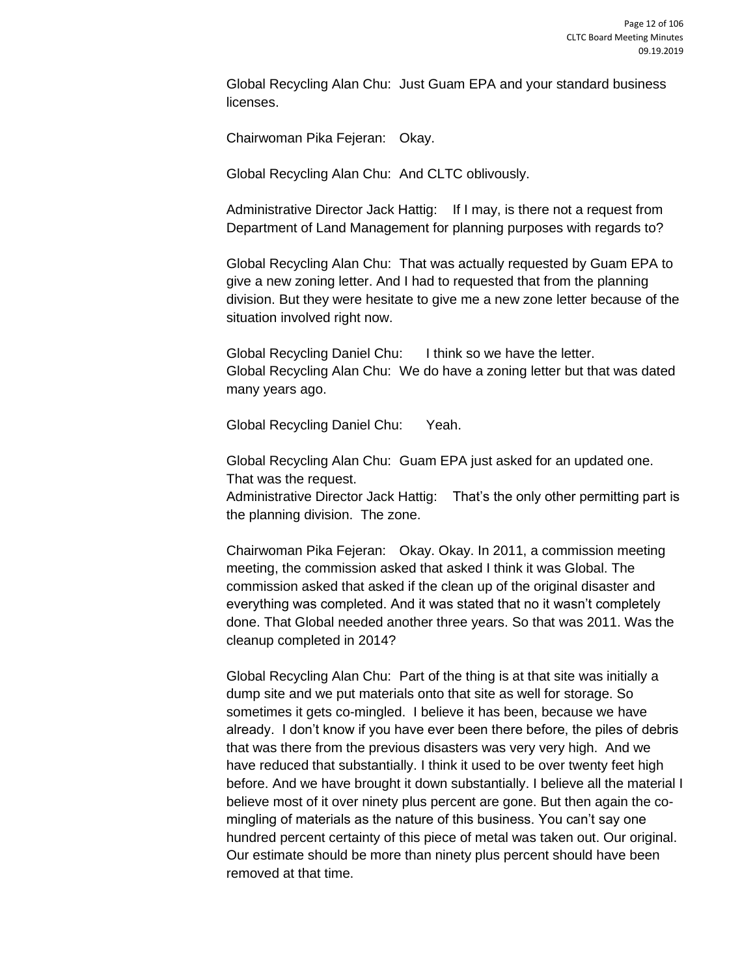Global Recycling Alan Chu: Just Guam EPA and your standard business licenses.

Chairwoman Pika Fejeran: Okay.

Global Recycling Alan Chu: And CLTC oblivously.

Administrative Director Jack Hattig: If I may, is there not a request from Department of Land Management for planning purposes with regards to?

Global Recycling Alan Chu: That was actually requested by Guam EPA to give a new zoning letter. And I had to requested that from the planning division. But they were hesitate to give me a new zone letter because of the situation involved right now.

Global Recycling Daniel Chu: I think so we have the letter. Global Recycling Alan Chu: We do have a zoning letter but that was dated many years ago.

Global Recycling Daniel Chu: Yeah.

Global Recycling Alan Chu: Guam EPA just asked for an updated one. That was the request.

Administrative Director Jack Hattig: That's the only other permitting part is the planning division. The zone.

Chairwoman Pika Fejeran: Okay. Okay. In 2011, a commission meeting meeting, the commission asked that asked I think it was Global. The commission asked that asked if the clean up of the original disaster and everything was completed. And it was stated that no it wasn't completely done. That Global needed another three years. So that was 2011. Was the cleanup completed in 2014?

Global Recycling Alan Chu: Part of the thing is at that site was initially a dump site and we put materials onto that site as well for storage. So sometimes it gets co-mingled. I believe it has been, because we have already. I don't know if you have ever been there before, the piles of debris that was there from the previous disasters was very very high. And we have reduced that substantially. I think it used to be over twenty feet high before. And we have brought it down substantially. I believe all the material I believe most of it over ninety plus percent are gone. But then again the comingling of materials as the nature of this business. You can't say one hundred percent certainty of this piece of metal was taken out. Our original. Our estimate should be more than ninety plus percent should have been removed at that time.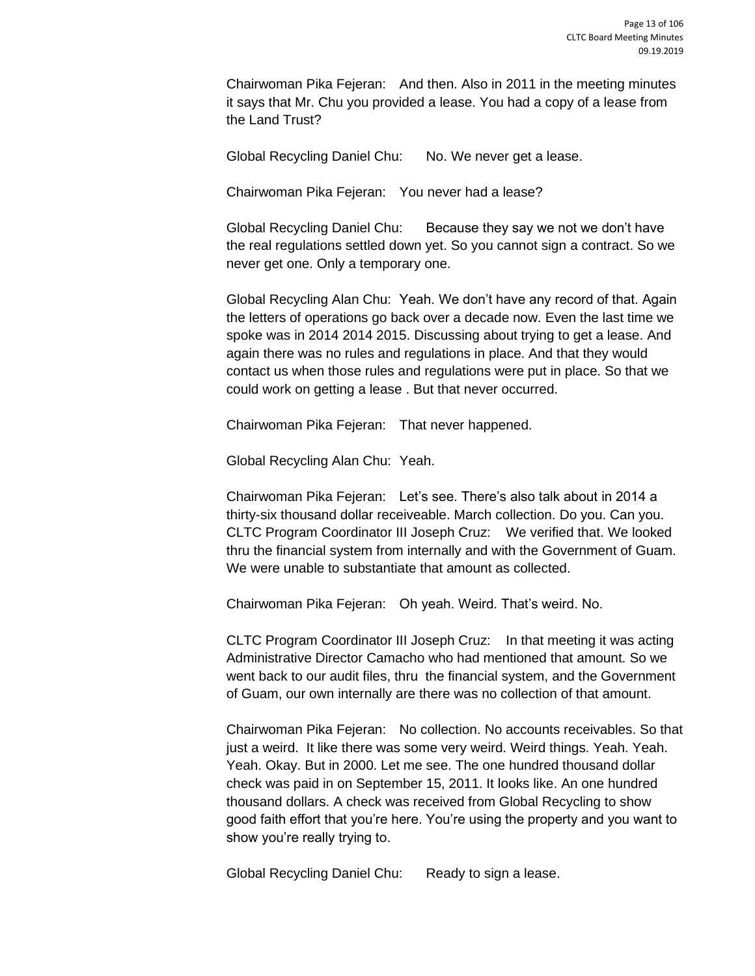Chairwoman Pika Fejeran: And then. Also in 2011 in the meeting minutes it says that Mr. Chu you provided a lease. You had a copy of a lease from the Land Trust?

Global Recycling Daniel Chu: No. We never get a lease.

Chairwoman Pika Fejeran: You never had a lease?

Global Recycling Daniel Chu: Because they say we not we don't have the real regulations settled down yet. So you cannot sign a contract. So we never get one. Only a temporary one.

Global Recycling Alan Chu: Yeah. We don't have any record of that. Again the letters of operations go back over a decade now. Even the last time we spoke was in 2014 2014 2015. Discussing about trying to get a lease. And again there was no rules and regulations in place. And that they would contact us when those rules and regulations were put in place. So that we could work on getting a lease . But that never occurred.

Chairwoman Pika Fejeran: That never happened.

Global Recycling Alan Chu: Yeah.

Chairwoman Pika Fejeran: Let's see. There's also talk about in 2014 a thirty-six thousand dollar receiveable. March collection. Do you. Can you. CLTC Program Coordinator III Joseph Cruz: We verified that. We looked thru the financial system from internally and with the Government of Guam. We were unable to substantiate that amount as collected.

Chairwoman Pika Fejeran: Oh yeah. Weird. That's weird. No.

CLTC Program Coordinator III Joseph Cruz: In that meeting it was acting Administrative Director Camacho who had mentioned that amount. So we went back to our audit files, thru the financial system, and the Government of Guam, our own internally are there was no collection of that amount.

Chairwoman Pika Fejeran: No collection. No accounts receivables. So that just a weird. It like there was some very weird. Weird things. Yeah. Yeah. Yeah. Okay. But in 2000. Let me see. The one hundred thousand dollar check was paid in on September 15, 2011. It looks like. An one hundred thousand dollars. A check was received from Global Recycling to show good faith effort that you're here. You're using the property and you want to show you're really trying to.

Global Recycling Daniel Chu: Ready to sign a lease.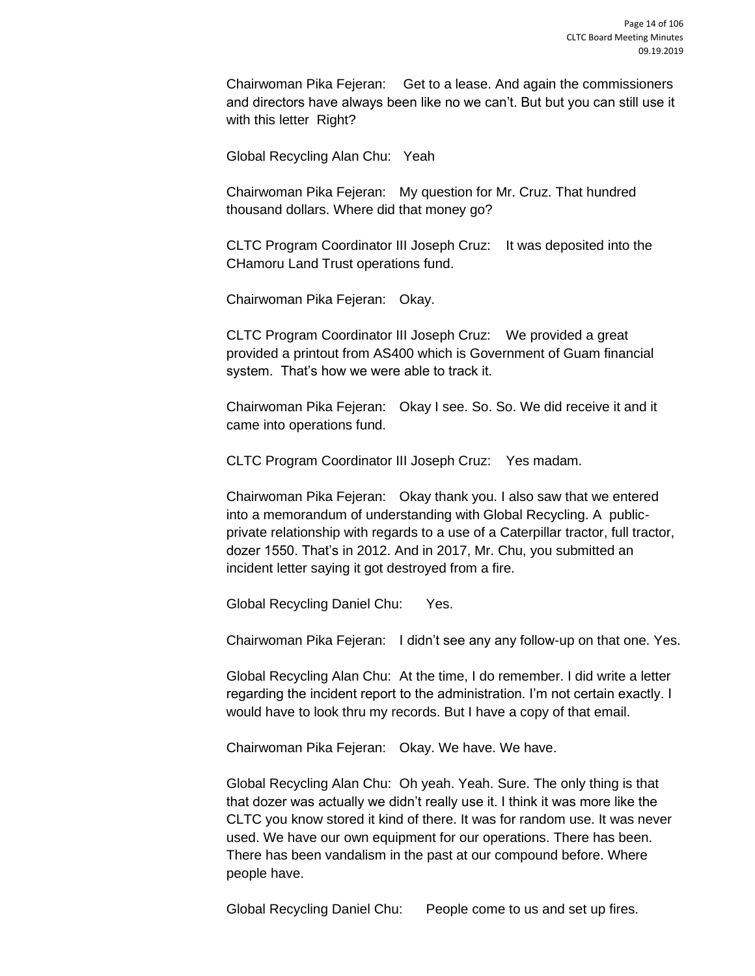Chairwoman Pika Fejeran: Get to a lease. And again the commissioners and directors have always been like no we can't. But but you can still use it with this letter Right?

Global Recycling Alan Chu: Yeah

Chairwoman Pika Fejeran: My question for Mr. Cruz. That hundred thousand dollars. Where did that money go?

CLTC Program Coordinator III Joseph Cruz: It was deposited into the CHamoru Land Trust operations fund.

Chairwoman Pika Fejeran: Okay.

CLTC Program Coordinator III Joseph Cruz: We provided a great provided a printout from AS400 which is Government of Guam financial system. That's how we were able to track it.

Chairwoman Pika Fejeran: Okay I see. So. So. We did receive it and it came into operations fund.

CLTC Program Coordinator III Joseph Cruz: Yes madam.

Chairwoman Pika Fejeran: Okay thank you. I also saw that we entered into a memorandum of understanding with Global Recycling. A publicprivate relationship with regards to a use of a Caterpillar tractor, full tractor, dozer 1550. That's in 2012. And in 2017, Mr. Chu, you submitted an incident letter saying it got destroyed from a fire.

Global Recycling Daniel Chu: Yes.

Chairwoman Pika Fejeran: I didn't see any any follow-up on that one. Yes.

Global Recycling Alan Chu: At the time, I do remember. I did write a letter regarding the incident report to the administration. I'm not certain exactly. I would have to look thru my records. But I have a copy of that email.

Chairwoman Pika Fejeran: Okay. We have. We have.

Global Recycling Alan Chu: Oh yeah. Yeah. Sure. The only thing is that that dozer was actually we didn't really use it. I think it was more like the CLTC you know stored it kind of there. It was for random use. It was never used. We have our own equipment for our operations. There has been. There has been vandalism in the past at our compound before. Where people have.

Global Recycling Daniel Chu: People come to us and set up fires.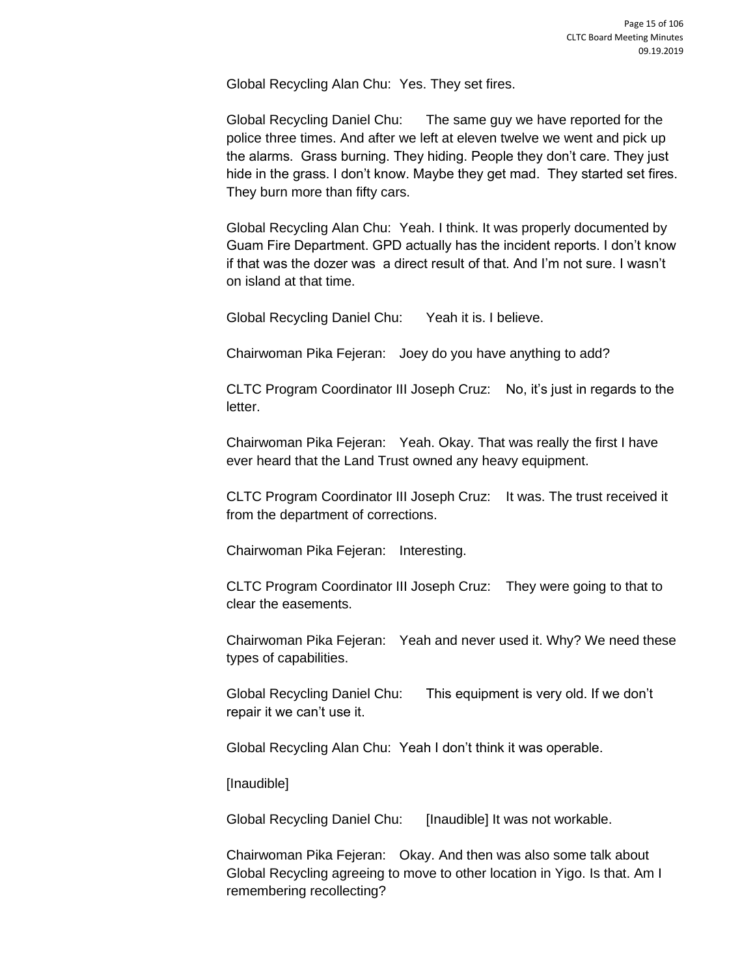Global Recycling Alan Chu: Yes. They set fires.

Global Recycling Daniel Chu: The same guy we have reported for the police three times. And after we left at eleven twelve we went and pick up the alarms. Grass burning. They hiding. People they don't care. They just hide in the grass. I don't know. Maybe they get mad. They started set fires. They burn more than fifty cars.

Global Recycling Alan Chu: Yeah. I think. It was properly documented by Guam Fire Department. GPD actually has the incident reports. I don't know if that was the dozer was a direct result of that. And I'm not sure. I wasn't on island at that time.

Global Recycling Daniel Chu: Yeah it is. I believe.

Chairwoman Pika Fejeran: Joey do you have anything to add?

CLTC Program Coordinator III Joseph Cruz: No, it's just in regards to the letter.

Chairwoman Pika Fejeran: Yeah. Okay. That was really the first I have ever heard that the Land Trust owned any heavy equipment.

CLTC Program Coordinator III Joseph Cruz: It was. The trust received it from the department of corrections.

Chairwoman Pika Fejeran: Interesting.

CLTC Program Coordinator III Joseph Cruz: They were going to that to clear the easements.

Chairwoman Pika Fejeran: Yeah and never used it. Why? We need these types of capabilities.

Global Recycling Daniel Chu: This equipment is very old. If we don't repair it we can't use it.

Global Recycling Alan Chu: Yeah I don't think it was operable.

[Inaudible]

Global Recycling Daniel Chu: [Inaudible] It was not workable.

Chairwoman Pika Fejeran: Okay. And then was also some talk about Global Recycling agreeing to move to other location in Yigo. Is that. Am I remembering recollecting?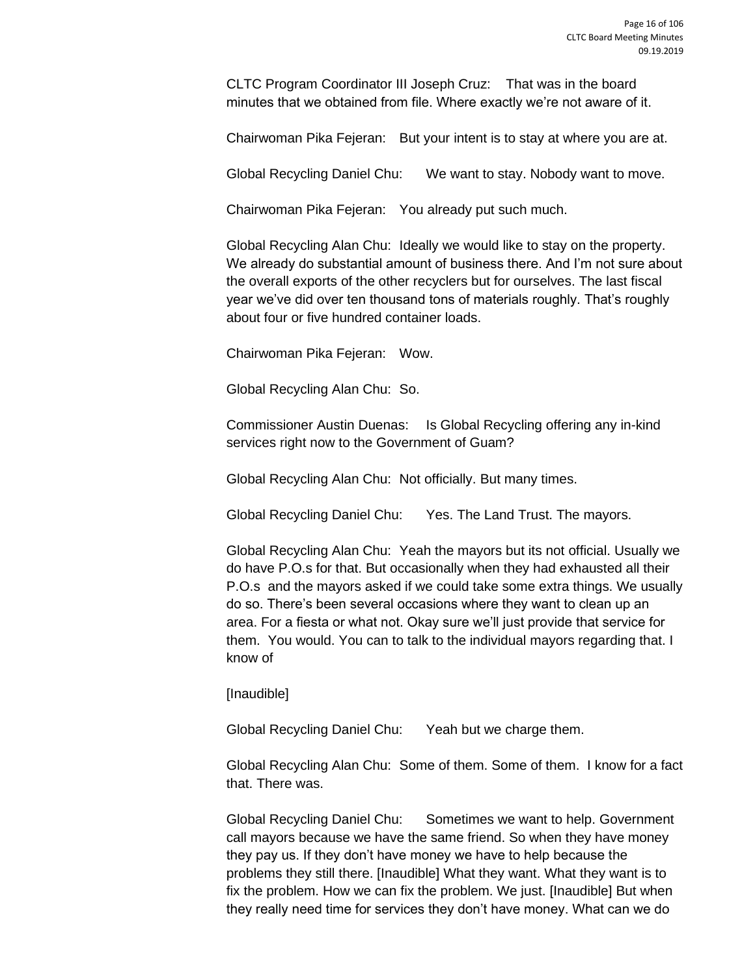CLTC Program Coordinator III Joseph Cruz: That was in the board minutes that we obtained from file. Where exactly we're not aware of it.

Chairwoman Pika Fejeran: But your intent is to stay at where you are at.

Global Recycling Daniel Chu: We want to stay. Nobody want to move.

Chairwoman Pika Fejeran: You already put such much.

Global Recycling Alan Chu: Ideally we would like to stay on the property. We already do substantial amount of business there. And I'm not sure about the overall exports of the other recyclers but for ourselves. The last fiscal year we've did over ten thousand tons of materials roughly. That's roughly about four or five hundred container loads.

Chairwoman Pika Fejeran: Wow.

Global Recycling Alan Chu: So.

Commissioner Austin Duenas: Is Global Recycling offering any in-kind services right now to the Government of Guam?

Global Recycling Alan Chu: Not officially. But many times.

Global Recycling Daniel Chu: Yes. The Land Trust. The mayors.

Global Recycling Alan Chu: Yeah the mayors but its not official. Usually we do have P.O.s for that. But occasionally when they had exhausted all their P.O.s and the mayors asked if we could take some extra things. We usually do so. There's been several occasions where they want to clean up an area. For a fiesta or what not. Okay sure we'll just provide that service for them. You would. You can to talk to the individual mayors regarding that. I know of

[Inaudible]

Global Recycling Daniel Chu: Yeah but we charge them.

Global Recycling Alan Chu: Some of them. Some of them. I know for a fact that. There was.

Global Recycling Daniel Chu: Sometimes we want to help. Government call mayors because we have the same friend. So when they have money they pay us. If they don't have money we have to help because the problems they still there. [Inaudible] What they want. What they want is to fix the problem. How we can fix the problem. We just. [Inaudible] But when they really need time for services they don't have money. What can we do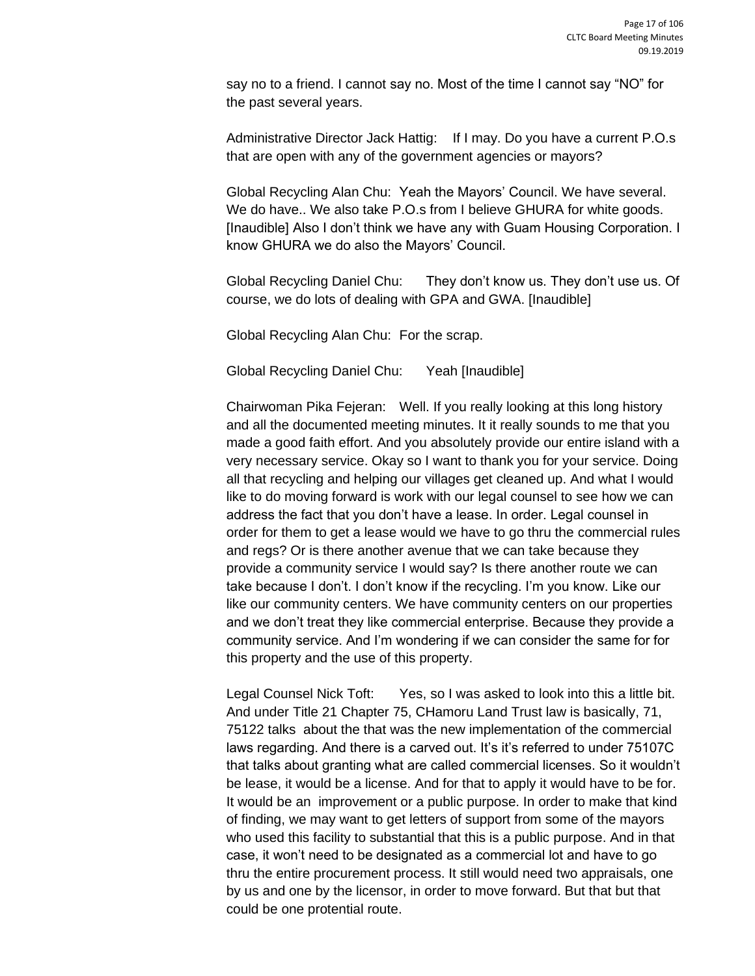say no to a friend. I cannot say no. Most of the time I cannot say "NO" for the past several years.

Administrative Director Jack Hattig: If I may. Do you have a current P.O.s that are open with any of the government agencies or mayors?

Global Recycling Alan Chu: Yeah the Mayors' Council. We have several. We do have.. We also take P.O.s from I believe GHURA for white goods. [Inaudible] Also I don't think we have any with Guam Housing Corporation. I know GHURA we do also the Mayors' Council.

Global Recycling Daniel Chu: They don't know us. They don't use us. Of course, we do lots of dealing with GPA and GWA. [Inaudible]

Global Recycling Alan Chu: For the scrap.

Global Recycling Daniel Chu: Yeah [Inaudible]

Chairwoman Pika Fejeran: Well. If you really looking at this long history and all the documented meeting minutes. It it really sounds to me that you made a good faith effort. And you absolutely provide our entire island with a very necessary service. Okay so I want to thank you for your service. Doing all that recycling and helping our villages get cleaned up. And what I would like to do moving forward is work with our legal counsel to see how we can address the fact that you don't have a lease. In order. Legal counsel in order for them to get a lease would we have to go thru the commercial rules and regs? Or is there another avenue that we can take because they provide a community service I would say? Is there another route we can take because I don't. I don't know if the recycling. I'm you know. Like our like our community centers. We have community centers on our properties and we don't treat they like commercial enterprise. Because they provide a community service. And I'm wondering if we can consider the same for for this property and the use of this property.

Legal Counsel Nick Toft: Yes, so I was asked to look into this a little bit. And under Title 21 Chapter 75, CHamoru Land Trust law is basically, 71, 75122 talks about the that was the new implementation of the commercial laws regarding. And there is a carved out. It's it's referred to under 75107C that talks about granting what are called commercial licenses. So it wouldn't be lease, it would be a license. And for that to apply it would have to be for. It would be an improvement or a public purpose. In order to make that kind of finding, we may want to get letters of support from some of the mayors who used this facility to substantial that this is a public purpose. And in that case, it won't need to be designated as a commercial lot and have to go thru the entire procurement process. It still would need two appraisals, one by us and one by the licensor, in order to move forward. But that but that could be one protential route.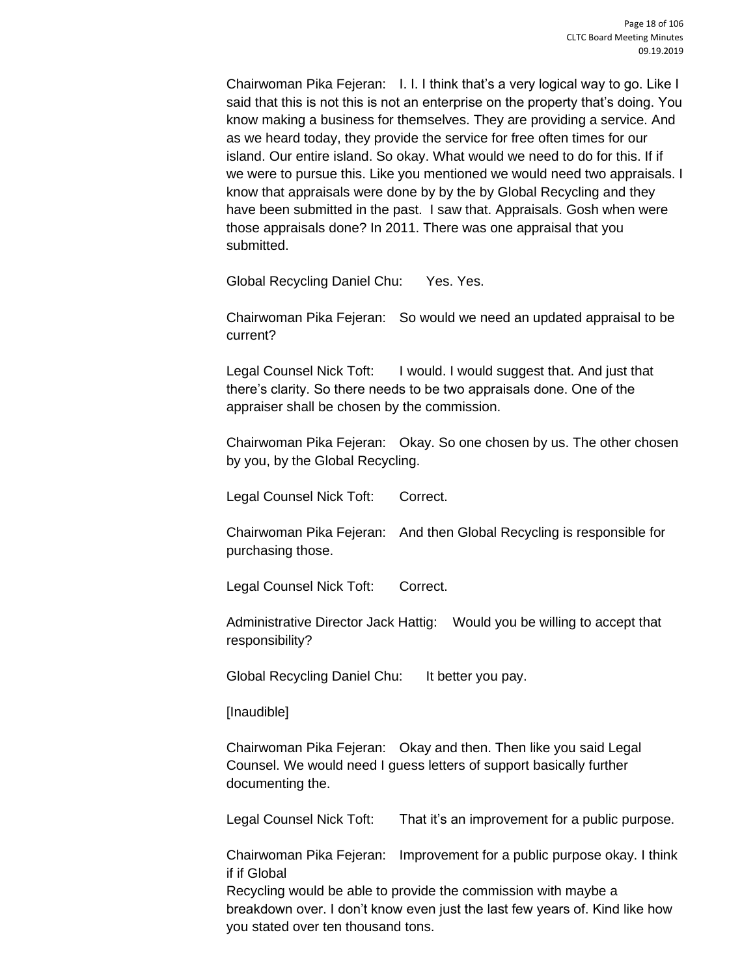Chairwoman Pika Fejeran: I. I. I think that's a very logical way to go. Like I said that this is not this is not an enterprise on the property that's doing. You know making a business for themselves. They are providing a service. And as we heard today, they provide the service for free often times for our island. Our entire island. So okay. What would we need to do for this. If if we were to pursue this. Like you mentioned we would need two appraisals. I know that appraisals were done by by the by Global Recycling and they have been submitted in the past. I saw that. Appraisals. Gosh when were those appraisals done? In 2011. There was one appraisal that you submitted.

Global Recycling Daniel Chu: Yes. Yes.

Chairwoman Pika Fejeran: So would we need an updated appraisal to be current?

Legal Counsel Nick Toft: I would. I would suggest that. And just that there's clarity. So there needs to be two appraisals done. One of the appraiser shall be chosen by the commission.

Chairwoman Pika Fejeran: Okay. So one chosen by us. The other chosen by you, by the Global Recycling.

Legal Counsel Nick Toft: Correct.

Chairwoman Pika Fejeran: And then Global Recycling is responsible for purchasing those.

Legal Counsel Nick Toft: Correct.

Administrative Director Jack Hattig: Would you be willing to accept that responsibility?

Global Recycling Daniel Chu: It better you pay.

[Inaudible]

Chairwoman Pika Fejeran: Okay and then. Then like you said Legal Counsel. We would need I guess letters of support basically further documenting the.

Legal Counsel Nick Toft: That it's an improvement for a public purpose.

Chairwoman Pika Fejeran: Improvement for a public purpose okay. I think if if Global

Recycling would be able to provide the commission with maybe a breakdown over. I don't know even just the last few years of. Kind like how you stated over ten thousand tons.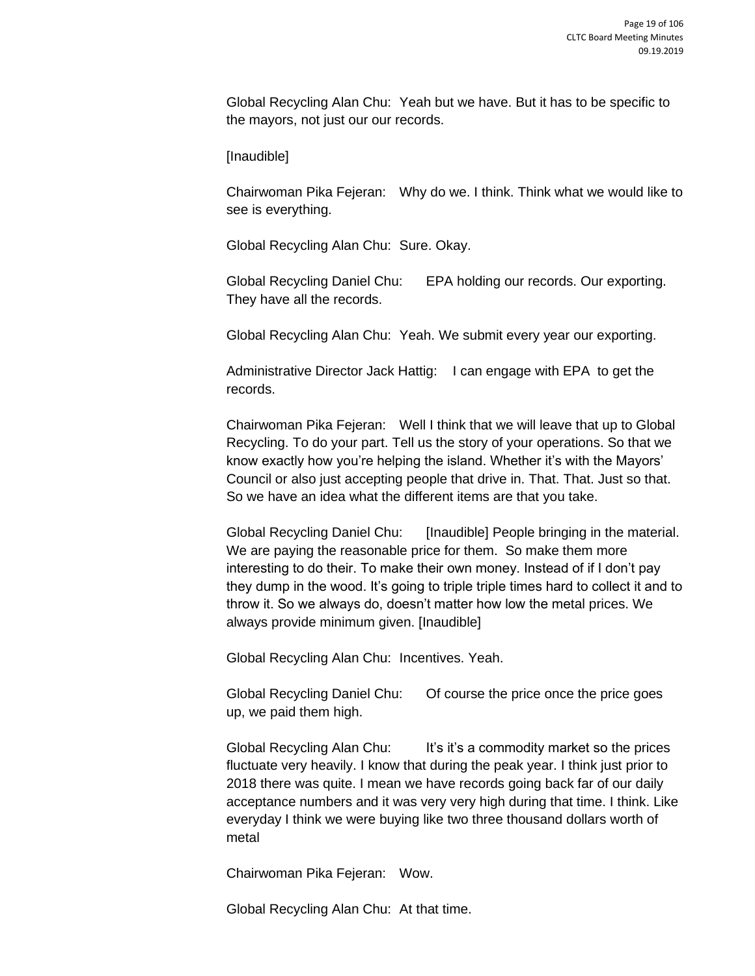Global Recycling Alan Chu: Yeah but we have. But it has to be specific to the mayors, not just our our records.

[Inaudible]

Chairwoman Pika Fejeran: Why do we. I think. Think what we would like to see is everything.

Global Recycling Alan Chu: Sure. Okay.

Global Recycling Daniel Chu: EPA holding our records. Our exporting. They have all the records.

Global Recycling Alan Chu: Yeah. We submit every year our exporting.

Administrative Director Jack Hattig: I can engage with EPA to get the records.

Chairwoman Pika Fejeran: Well I think that we will leave that up to Global Recycling. To do your part. Tell us the story of your operations. So that we know exactly how you're helping the island. Whether it's with the Mayors' Council or also just accepting people that drive in. That. That. Just so that. So we have an idea what the different items are that you take.

Global Recycling Daniel Chu: [Inaudible] People bringing in the material. We are paying the reasonable price for them. So make them more interesting to do their. To make their own money. Instead of if I don't pay they dump in the wood. It's going to triple triple times hard to collect it and to throw it. So we always do, doesn't matter how low the metal prices. We always provide minimum given. [Inaudible]

Global Recycling Alan Chu: Incentives. Yeah.

Global Recycling Daniel Chu: Of course the price once the price goes up, we paid them high.

Global Recycling Alan Chu: It's it's a commodity market so the prices fluctuate very heavily. I know that during the peak year. I think just prior to 2018 there was quite. I mean we have records going back far of our daily acceptance numbers and it was very very high during that time. I think. Like everyday I think we were buying like two three thousand dollars worth of metal

Chairwoman Pika Fejeran: Wow.

Global Recycling Alan Chu: At that time.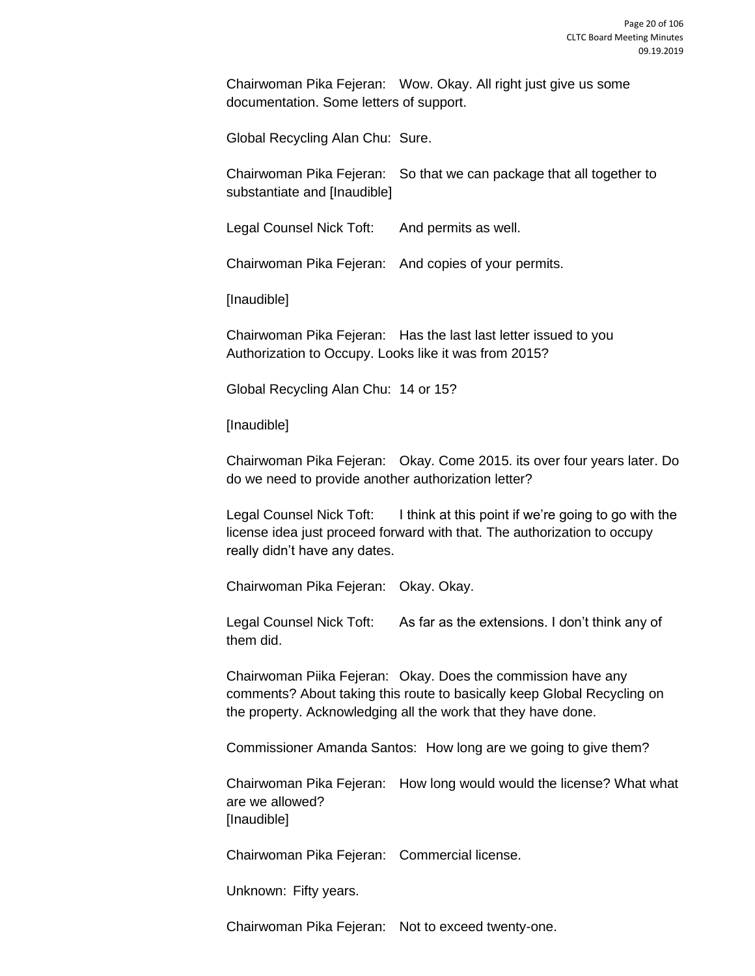Chairwoman Pika Fejeran: Wow. Okay. All right just give us some documentation. Some letters of support.

Global Recycling Alan Chu: Sure.

Chairwoman Pika Fejeran: So that we can package that all together to substantiate and [Inaudible]

Legal Counsel Nick Toft: And permits as well.

Chairwoman Pika Fejeran: And copies of your permits.

[Inaudible]

Chairwoman Pika Fejeran: Has the last last letter issued to you Authorization to Occupy. Looks like it was from 2015?

Global Recycling Alan Chu: 14 or 15?

[Inaudible]

Chairwoman Pika Fejeran: Okay. Come 2015. its over four years later. Do do we need to provide another authorization letter?

Legal Counsel Nick Toft: I think at this point if we're going to go with the license idea just proceed forward with that. The authorization to occupy really didn't have any dates.

Chairwoman Pika Fejeran: Okay. Okay.

Legal Counsel Nick Toft: As far as the extensions. I don't think any of them did.

Chairwoman Piika Fejeran: Okay. Does the commission have any comments? About taking this route to basically keep Global Recycling on the property. Acknowledging all the work that they have done.

Commissioner Amanda Santos: How long are we going to give them?

Chairwoman Pika Fejeran: How long would would the license? What what are we allowed? [Inaudible]

Chairwoman Pika Fejeran: Commercial license.

Unknown: Fifty years.

Chairwoman Pika Fejeran: Not to exceed twenty-one.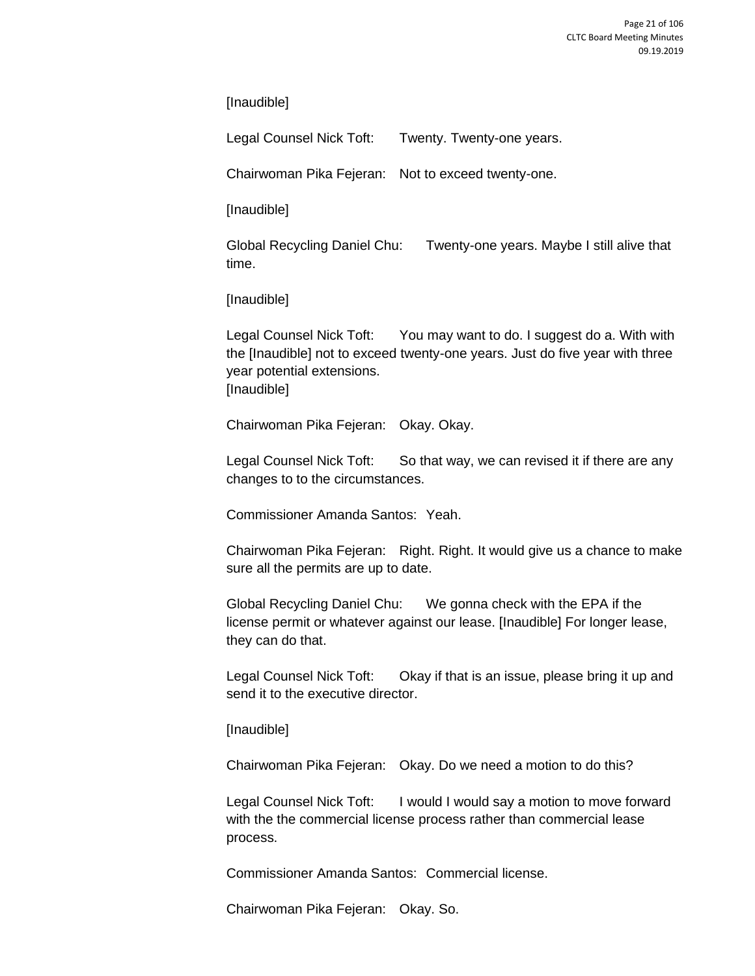[Inaudible]

Legal Counsel Nick Toft: Twenty. Twenty-one years.

Chairwoman Pika Fejeran: Not to exceed twenty-one.

[Inaudible]

Global Recycling Daniel Chu: Twenty-one years. Maybe I still alive that time.

[Inaudible]

Legal Counsel Nick Toft: You may want to do. I suggest do a. With with the [Inaudible] not to exceed twenty-one years. Just do five year with three year potential extensions. [Inaudible]

Chairwoman Pika Fejeran: Okay. Okay.

Legal Counsel Nick Toft: So that way, we can revised it if there are any changes to to the circumstances.

Commissioner Amanda Santos: Yeah.

Chairwoman Pika Fejeran: Right. Right. It would give us a chance to make sure all the permits are up to date.

Global Recycling Daniel Chu: We gonna check with the EPA if the license permit or whatever against our lease. [Inaudible] For longer lease, they can do that.

Legal Counsel Nick Toft: Ckay if that is an issue, please bring it up and send it to the executive director.

[Inaudible]

Chairwoman Pika Fejeran: Okay. Do we need a motion to do this?

Legal Counsel Nick Toft: I would I would say a motion to move forward with the the commercial license process rather than commercial lease process.

Commissioner Amanda Santos: Commercial license.

Chairwoman Pika Fejeran: Okay. So.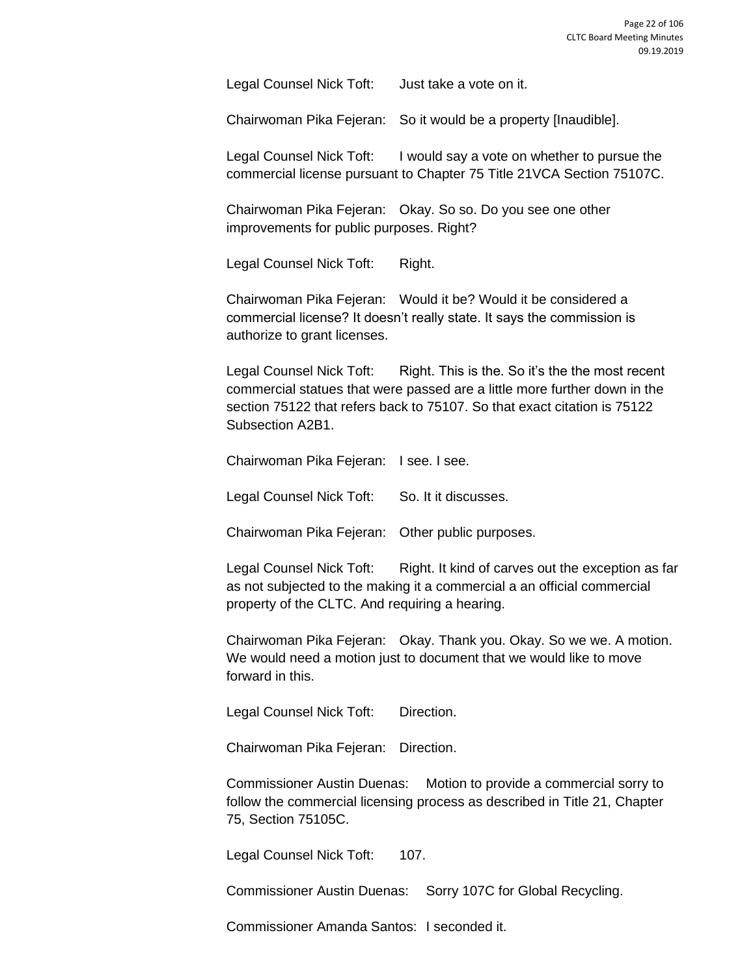Legal Counsel Nick Toft: Just take a vote on it.

Chairwoman Pika Fejeran: So it would be a property [Inaudible].

Legal Counsel Nick Toft: I would say a vote on whether to pursue the commercial license pursuant to Chapter 75 Title 21VCA Section 75107C.

Chairwoman Pika Fejeran: Okay. So so. Do you see one other improvements for public purposes. Right?

Legal Counsel Nick Toft: Right.

Chairwoman Pika Fejeran: Would it be? Would it be considered a commercial license? It doesn't really state. It says the commission is authorize to grant licenses.

Legal Counsel Nick Toft: Right. This is the. So it's the the most recent commercial statues that were passed are a little more further down in the section 75122 that refers back to 75107. So that exact citation is 75122 Subsection A2B1.

Chairwoman Pika Fejeran: I see. I see.

Legal Counsel Nick Toft: So. It it discusses.

Chairwoman Pika Fejeran: Other public purposes.

Legal Counsel Nick Toft: Right. It kind of carves out the exception as far as not subjected to the making it a commercial a an official commercial property of the CLTC. And requiring a hearing.

Chairwoman Pika Fejeran: Okay. Thank you. Okay. So we we. A motion. We would need a motion just to document that we would like to move forward in this.

Legal Counsel Nick Toft: Direction.

Chairwoman Pika Fejeran: Direction.

Commissioner Austin Duenas: Motion to provide a commercial sorry to follow the commercial licensing process as described in Title 21, Chapter 75, Section 75105C.

Legal Counsel Nick Toft: 107.

Commissioner Austin Duenas: Sorry 107C for Global Recycling.

Commissioner Amanda Santos: I seconded it.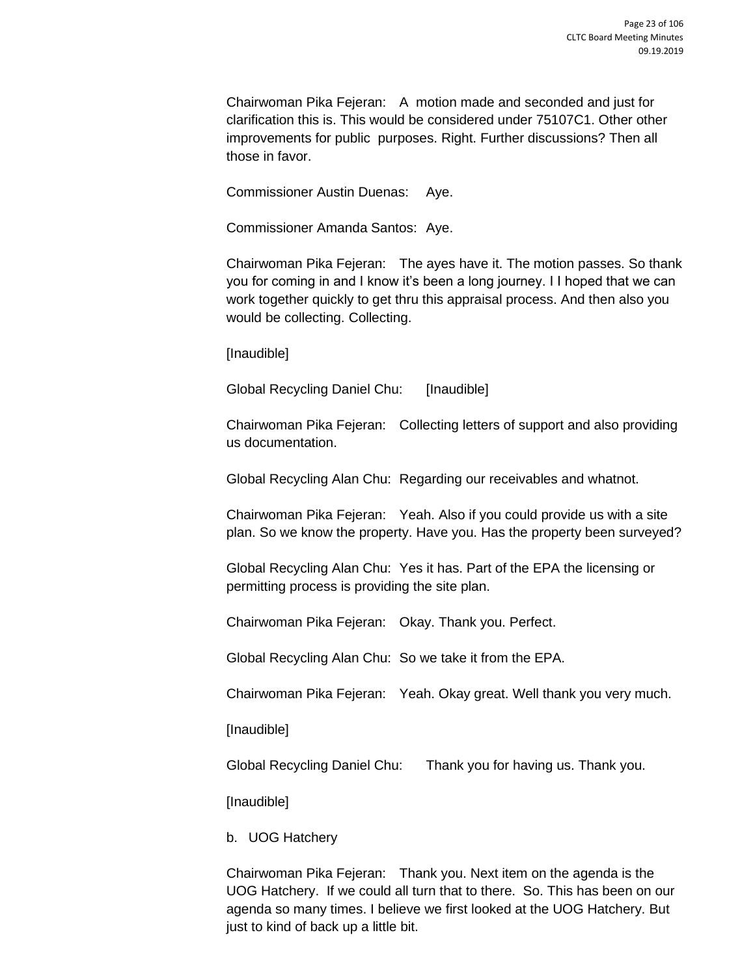Chairwoman Pika Fejeran: A motion made and seconded and just for clarification this is. This would be considered under 75107C1. Other other improvements for public purposes. Right. Further discussions? Then all those in favor.

Commissioner Austin Duenas: Aye.

Commissioner Amanda Santos: Aye.

Chairwoman Pika Fejeran: The ayes have it. The motion passes. So thank you for coming in and I know it's been a long journey. I I hoped that we can work together quickly to get thru this appraisal process. And then also you would be collecting. Collecting.

[Inaudible]

Global Recycling Daniel Chu: [Inaudible]

Chairwoman Pika Fejeran: Collecting letters of support and also providing us documentation.

Global Recycling Alan Chu: Regarding our receivables and whatnot.

Chairwoman Pika Fejeran: Yeah. Also if you could provide us with a site plan. So we know the property. Have you. Has the property been surveyed?

Global Recycling Alan Chu: Yes it has. Part of the EPA the licensing or permitting process is providing the site plan.

Chairwoman Pika Fejeran: Okay. Thank you. Perfect.

Global Recycling Alan Chu: So we take it from the EPA.

Chairwoman Pika Fejeran: Yeah. Okay great. Well thank you very much.

[Inaudible]

Global Recycling Daniel Chu: Thank you for having us. Thank you.

[Inaudible]

b. UOG Hatchery

Chairwoman Pika Fejeran: Thank you. Next item on the agenda is the UOG Hatchery. If we could all turn that to there. So. This has been on our agenda so many times. I believe we first looked at the UOG Hatchery. But just to kind of back up a little bit.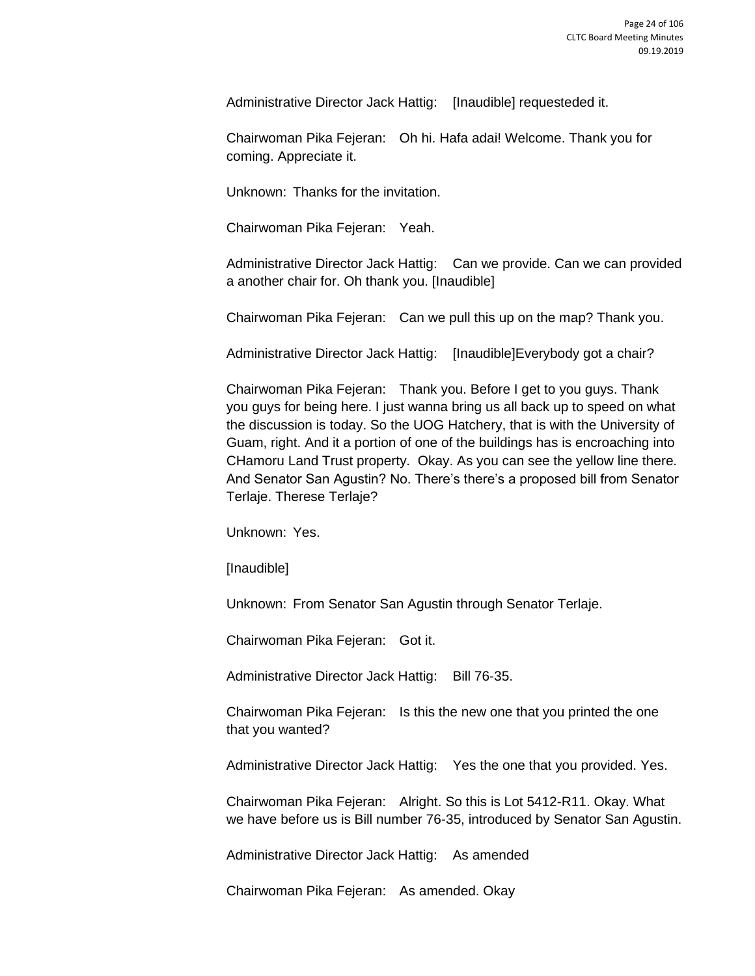Administrative Director Jack Hattig: [Inaudible] requesteded it.

Chairwoman Pika Fejeran: Oh hi. Hafa adai! Welcome. Thank you for coming. Appreciate it.

Unknown: Thanks for the invitation.

Chairwoman Pika Fejeran: Yeah.

Administrative Director Jack Hattig: Can we provide. Can we can provided a another chair for. Oh thank you. [Inaudible]

Chairwoman Pika Fejeran: Can we pull this up on the map? Thank you.

Administrative Director Jack Hattig: [Inaudible]Everybody got a chair?

Chairwoman Pika Fejeran: Thank you. Before I get to you guys. Thank you guys for being here. I just wanna bring us all back up to speed on what the discussion is today. So the UOG Hatchery, that is with the University of Guam, right. And it a portion of one of the buildings has is encroaching into CHamoru Land Trust property. Okay. As you can see the yellow line there. And Senator San Agustin? No. There's there's a proposed bill from Senator Terlaje. Therese Terlaje?

Unknown: Yes.

[Inaudible]

Unknown: From Senator San Agustin through Senator Terlaje.

Chairwoman Pika Fejeran: Got it.

Administrative Director Jack Hattig: Bill 76-35.

Chairwoman Pika Fejeran: Is this the new one that you printed the one that you wanted?

Administrative Director Jack Hattig: Yes the one that you provided. Yes.

Chairwoman Pika Fejeran: Alright. So this is Lot 5412-R11. Okay. What we have before us is Bill number 76-35, introduced by Senator San Agustin.

Administrative Director Jack Hattig: As amended

Chairwoman Pika Fejeran: As amended. Okay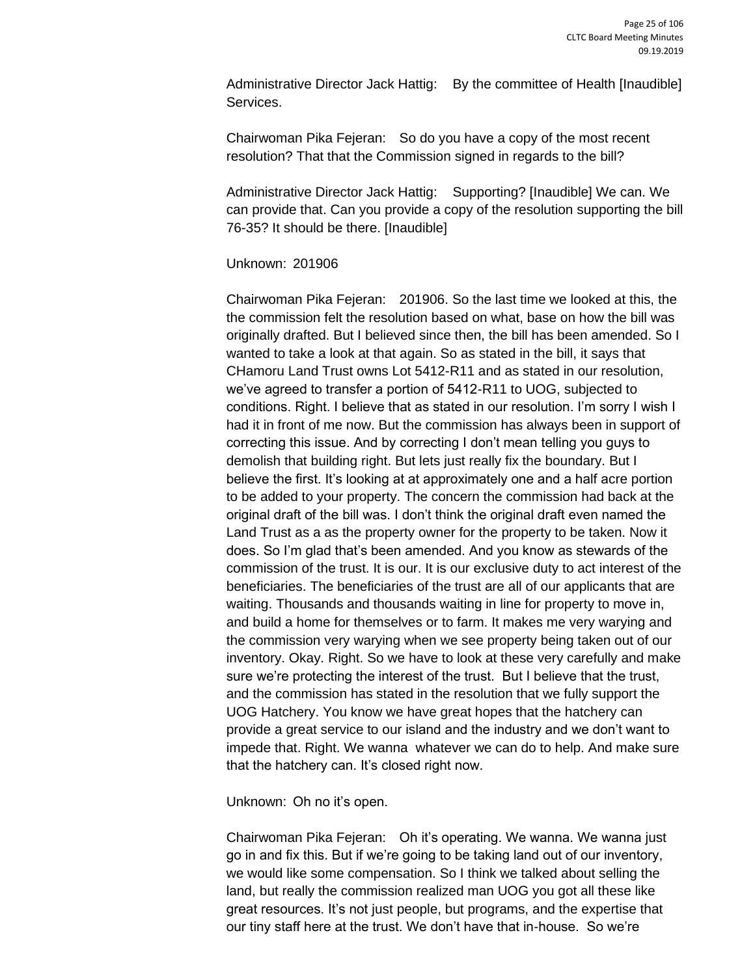Administrative Director Jack Hattig: By the committee of Health [Inaudible] Services.

Chairwoman Pika Fejeran: So do you have a copy of the most recent resolution? That that the Commission signed in regards to the bill?

Administrative Director Jack Hattig: Supporting? [Inaudible] We can. We can provide that. Can you provide a copy of the resolution supporting the bill 76-35? It should be there. [Inaudible]

#### Unknown: 201906

Chairwoman Pika Fejeran: 201906. So the last time we looked at this, the the commission felt the resolution based on what, base on how the bill was originally drafted. But I believed since then, the bill has been amended. So I wanted to take a look at that again. So as stated in the bill, it says that CHamoru Land Trust owns Lot 5412-R11 and as stated in our resolution, we've agreed to transfer a portion of 5412-R11 to UOG, subjected to conditions. Right. I believe that as stated in our resolution. I'm sorry I wish I had it in front of me now. But the commission has always been in support of correcting this issue. And by correcting I don't mean telling you guys to demolish that building right. But lets just really fix the boundary. But I believe the first. It's looking at at approximately one and a half acre portion to be added to your property. The concern the commission had back at the original draft of the bill was. I don't think the original draft even named the Land Trust as a as the property owner for the property to be taken. Now it does. So I'm glad that's been amended. And you know as stewards of the commission of the trust. It is our. It is our exclusive duty to act interest of the beneficiaries. The beneficiaries of the trust are all of our applicants that are waiting. Thousands and thousands waiting in line for property to move in, and build a home for themselves or to farm. It makes me very warying and the commission very warying when we see property being taken out of our inventory. Okay. Right. So we have to look at these very carefully and make sure we're protecting the interest of the trust. But I believe that the trust, and the commission has stated in the resolution that we fully support the UOG Hatchery. You know we have great hopes that the hatchery can provide a great service to our island and the industry and we don't want to impede that. Right. We wanna whatever we can do to help. And make sure that the hatchery can. It's closed right now.

Unknown: Oh no it's open.

Chairwoman Pika Fejeran: Oh it's operating. We wanna. We wanna just go in and fix this. But if we're going to be taking land out of our inventory, we would like some compensation. So I think we talked about selling the land, but really the commission realized man UOG you got all these like great resources. It's not just people, but programs, and the expertise that our tiny staff here at the trust. We don't have that in-house. So we're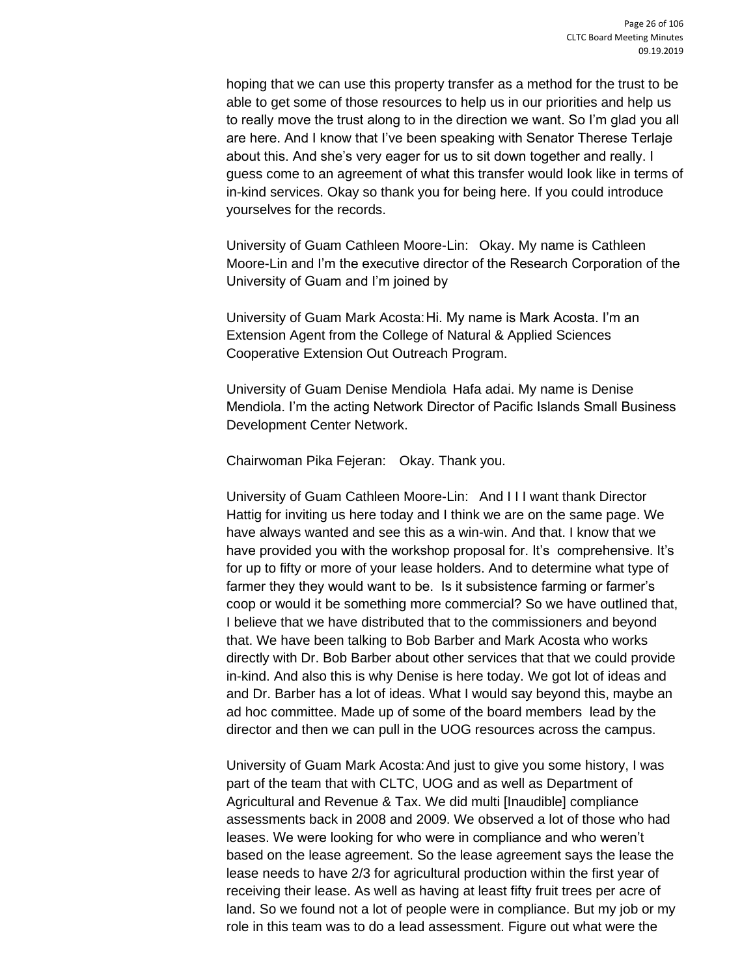hoping that we can use this property transfer as a method for the trust to be able to get some of those resources to help us in our priorities and help us to really move the trust along to in the direction we want. So I'm glad you all are here. And I know that I've been speaking with Senator Therese Terlaje about this. And she's very eager for us to sit down together and really. I guess come to an agreement of what this transfer would look like in terms of in-kind services. Okay so thank you for being here. If you could introduce yourselves for the records.

University of Guam Cathleen Moore-Lin: Okay. My name is Cathleen Moore-Lin and I'm the executive director of the Research Corporation of the University of Guam and I'm joined by

University of Guam Mark Acosta:Hi. My name is Mark Acosta. I'm an Extension Agent from the College of Natural & Applied Sciences Cooperative Extension Out Outreach Program.

University of Guam Denise Mendiola Hafa adai. My name is Denise Mendiola. I'm the acting Network Director of Pacific Islands Small Business Development Center Network.

Chairwoman Pika Fejeran: Okay. Thank you.

University of Guam Cathleen Moore-Lin: And I I I want thank Director Hattig for inviting us here today and I think we are on the same page. We have always wanted and see this as a win-win. And that. I know that we have provided you with the workshop proposal for. It's comprehensive. It's for up to fifty or more of your lease holders. And to determine what type of farmer they they would want to be. Is it subsistence farming or farmer's coop or would it be something more commercial? So we have outlined that, I believe that we have distributed that to the commissioners and beyond that. We have been talking to Bob Barber and Mark Acosta who works directly with Dr. Bob Barber about other services that that we could provide in-kind. And also this is why Denise is here today. We got lot of ideas and and Dr. Barber has a lot of ideas. What I would say beyond this, maybe an ad hoc committee. Made up of some of the board members lead by the director and then we can pull in the UOG resources across the campus.

University of Guam Mark Acosta:And just to give you some history, I was part of the team that with CLTC, UOG and as well as Department of Agricultural and Revenue & Tax. We did multi [Inaudible] compliance assessments back in 2008 and 2009. We observed a lot of those who had leases. We were looking for who were in compliance and who weren't based on the lease agreement. So the lease agreement says the lease the lease needs to have 2/3 for agricultural production within the first year of receiving their lease. As well as having at least fifty fruit trees per acre of land. So we found not a lot of people were in compliance. But my job or my role in this team was to do a lead assessment. Figure out what were the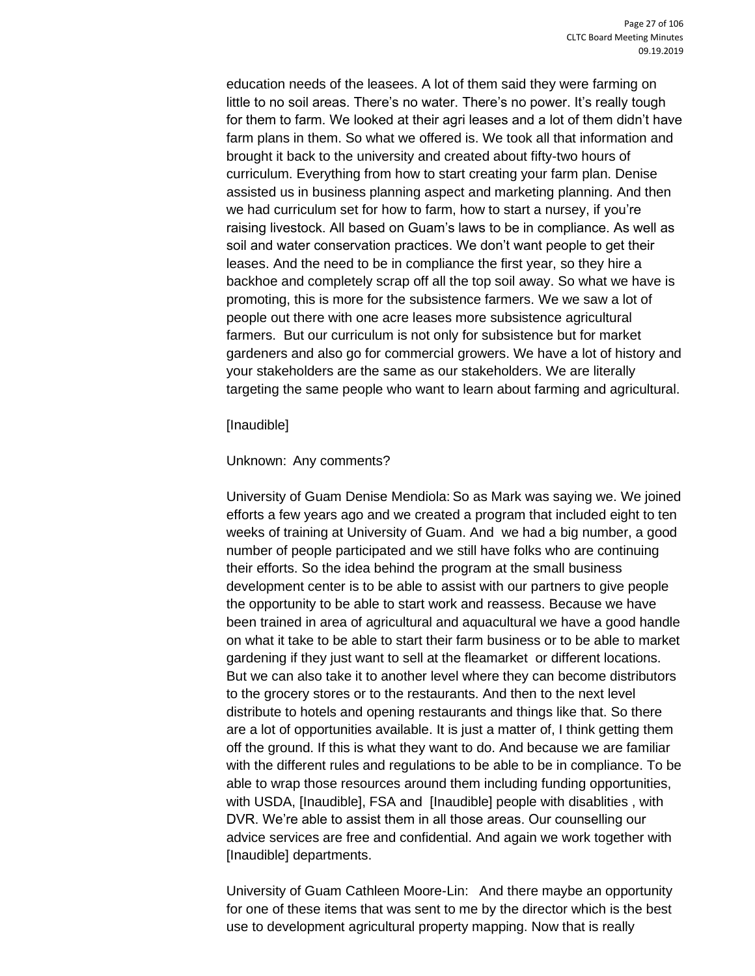education needs of the leasees. A lot of them said they were farming on little to no soil areas. There's no water. There's no power. It's really tough for them to farm. We looked at their agri leases and a lot of them didn't have farm plans in them. So what we offered is. We took all that information and brought it back to the university and created about fifty-two hours of curriculum. Everything from how to start creating your farm plan. Denise assisted us in business planning aspect and marketing planning. And then we had curriculum set for how to farm, how to start a nursey, if you're raising livestock. All based on Guam's laws to be in compliance. As well as soil and water conservation practices. We don't want people to get their leases. And the need to be in compliance the first year, so they hire a backhoe and completely scrap off all the top soil away. So what we have is promoting, this is more for the subsistence farmers. We we saw a lot of people out there with one acre leases more subsistence agricultural farmers. But our curriculum is not only for subsistence but for market gardeners and also go for commercial growers. We have a lot of history and your stakeholders are the same as our stakeholders. We are literally targeting the same people who want to learn about farming and agricultural.

#### [Inaudible]

### Unknown: Any comments?

University of Guam Denise Mendiola: So as Mark was saying we. We joined efforts a few years ago and we created a program that included eight to ten weeks of training at University of Guam. And we had a big number, a good number of people participated and we still have folks who are continuing their efforts. So the idea behind the program at the small business development center is to be able to assist with our partners to give people the opportunity to be able to start work and reassess. Because we have been trained in area of agricultural and aquacultural we have a good handle on what it take to be able to start their farm business or to be able to market gardening if they just want to sell at the fleamarket or different locations. But we can also take it to another level where they can become distributors to the grocery stores or to the restaurants. And then to the next level distribute to hotels and opening restaurants and things like that. So there are a lot of opportunities available. It is just a matter of, I think getting them off the ground. If this is what they want to do. And because we are familiar with the different rules and regulations to be able to be in compliance. To be able to wrap those resources around them including funding opportunities, with USDA, [Inaudible], FSA and [Inaudible] people with disablities, with DVR. We're able to assist them in all those areas. Our counselling our advice services are free and confidential. And again we work together with [Inaudible] departments.

University of Guam Cathleen Moore-Lin: And there maybe an opportunity for one of these items that was sent to me by the director which is the best use to development agricultural property mapping. Now that is really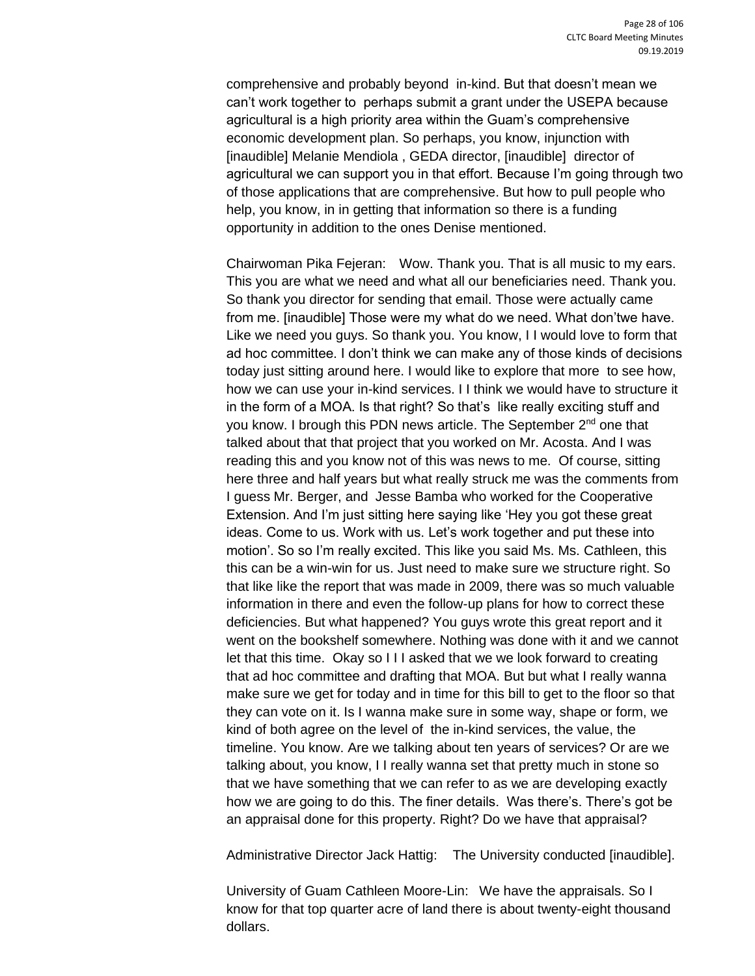comprehensive and probably beyond in-kind. But that doesn't mean we can't work together to perhaps submit a grant under the USEPA because agricultural is a high priority area within the Guam's comprehensive economic development plan. So perhaps, you know, injunction with [inaudible] Melanie Mendiola , GEDA director, [inaudible] director of agricultural we can support you in that effort. Because I'm going through two of those applications that are comprehensive. But how to pull people who help, you know, in in getting that information so there is a funding opportunity in addition to the ones Denise mentioned.

Chairwoman Pika Fejeran: Wow. Thank you. That is all music to my ears. This you are what we need and what all our beneficiaries need. Thank you. So thank you director for sending that email. Those were actually came from me. [inaudible] Those were my what do we need. What don'twe have. Like we need you guys. So thank you. You know, I I would love to form that ad hoc committee. I don't think we can make any of those kinds of decisions today just sitting around here. I would like to explore that more to see how, how we can use your in-kind services. I I think we would have to structure it in the form of a MOA. Is that right? So that's like really exciting stuff and you know. I brough this PDN news article. The September 2<sup>nd</sup> one that talked about that that project that you worked on Mr. Acosta. And I was reading this and you know not of this was news to me. Of course, sitting here three and half years but what really struck me was the comments from I guess Mr. Berger, and Jesse Bamba who worked for the Cooperative Extension. And I'm just sitting here saying like 'Hey you got these great ideas. Come to us. Work with us. Let's work together and put these into motion'. So so I'm really excited. This like you said Ms. Ms. Cathleen, this this can be a win-win for us. Just need to make sure we structure right. So that like like the report that was made in 2009, there was so much valuable information in there and even the follow-up plans for how to correct these deficiencies. But what happened? You guys wrote this great report and it went on the bookshelf somewhere. Nothing was done with it and we cannot let that this time. Okay so I I I asked that we we look forward to creating that ad hoc committee and drafting that MOA. But but what I really wanna make sure we get for today and in time for this bill to get to the floor so that they can vote on it. Is I wanna make sure in some way, shape or form, we kind of both agree on the level of the in-kind services, the value, the timeline. You know. Are we talking about ten years of services? Or are we talking about, you know, I I really wanna set that pretty much in stone so that we have something that we can refer to as we are developing exactly how we are going to do this. The finer details. Was there's. There's got be an appraisal done for this property. Right? Do we have that appraisal?

Administrative Director Jack Hattig: The University conducted [inaudible].

University of Guam Cathleen Moore-Lin: We have the appraisals. So I know for that top quarter acre of land there is about twenty-eight thousand dollars.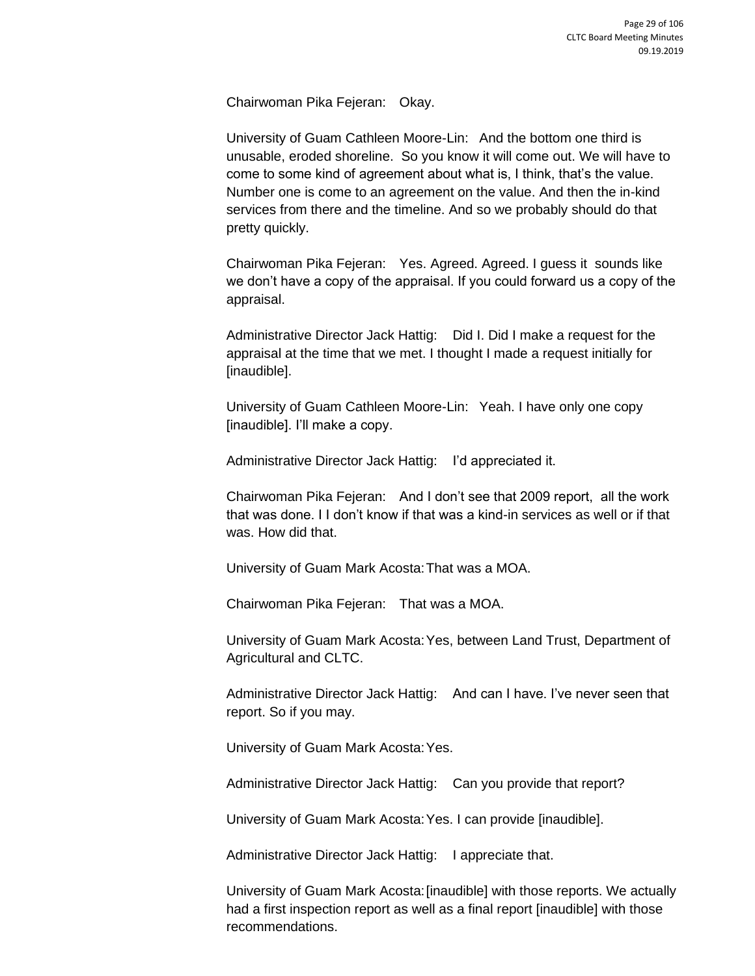Chairwoman Pika Fejeran: Okay.

University of Guam Cathleen Moore-Lin: And the bottom one third is unusable, eroded shoreline. So you know it will come out. We will have to come to some kind of agreement about what is, I think, that's the value. Number one is come to an agreement on the value. And then the in-kind services from there and the timeline. And so we probably should do that pretty quickly.

Chairwoman Pika Fejeran: Yes. Agreed. Agreed. I guess it sounds like we don't have a copy of the appraisal. If you could forward us a copy of the appraisal.

Administrative Director Jack Hattig: Did I. Did I make a request for the appraisal at the time that we met. I thought I made a request initially for [inaudible].

University of Guam Cathleen Moore-Lin: Yeah. I have only one copy [inaudible]. I'll make a copy.

Administrative Director Jack Hattig: I'd appreciated it.

Chairwoman Pika Fejeran: And I don't see that 2009 report, all the work that was done. I I don't know if that was a kind-in services as well or if that was. How did that.

University of Guam Mark Acosta:That was a MOA.

Chairwoman Pika Fejeran: That was a MOA.

University of Guam Mark Acosta:Yes, between Land Trust, Department of Agricultural and CLTC.

Administrative Director Jack Hattig: And can I have. I've never seen that report. So if you may.

University of Guam Mark Acosta:Yes.

Administrative Director Jack Hattig: Can you provide that report?

University of Guam Mark Acosta:Yes. I can provide [inaudible].

Administrative Director Jack Hattig: I appreciate that.

University of Guam Mark Acosta:[inaudible] with those reports. We actually had a first inspection report as well as a final report [inaudible] with those recommendations.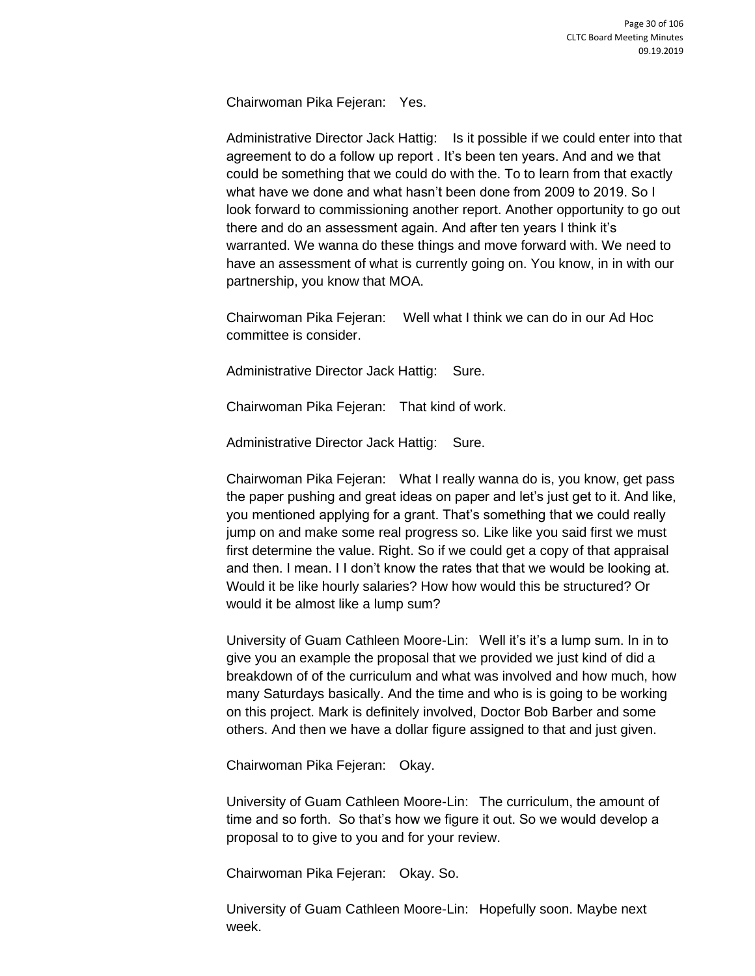Chairwoman Pika Fejeran: Yes.

Administrative Director Jack Hattig: Is it possible if we could enter into that agreement to do a follow up report . It's been ten years. And and we that could be something that we could do with the. To to learn from that exactly what have we done and what hasn't been done from 2009 to 2019. So I look forward to commissioning another report. Another opportunity to go out there and do an assessment again. And after ten years I think it's warranted. We wanna do these things and move forward with. We need to have an assessment of what is currently going on. You know, in in with our partnership, you know that MOA.

Chairwoman Pika Fejeran: Well what I think we can do in our Ad Hoc committee is consider.

Administrative Director Jack Hattig: Sure.

Chairwoman Pika Fejeran: That kind of work.

Administrative Director Jack Hattig: Sure.

Chairwoman Pika Fejeran: What I really wanna do is, you know, get pass the paper pushing and great ideas on paper and let's just get to it. And like, you mentioned applying for a grant. That's something that we could really jump on and make some real progress so. Like like you said first we must first determine the value. Right. So if we could get a copy of that appraisal and then. I mean. I I don't know the rates that that we would be looking at. Would it be like hourly salaries? How how would this be structured? Or would it be almost like a lump sum?

University of Guam Cathleen Moore-Lin: Well it's it's a lump sum. In in to give you an example the proposal that we provided we just kind of did a breakdown of of the curriculum and what was involved and how much, how many Saturdays basically. And the time and who is is going to be working on this project. Mark is definitely involved, Doctor Bob Barber and some others. And then we have a dollar figure assigned to that and just given.

Chairwoman Pika Fejeran: Okay.

University of Guam Cathleen Moore-Lin: The curriculum, the amount of time and so forth. So that's how we figure it out. So we would develop a proposal to to give to you and for your review.

Chairwoman Pika Fejeran: Okay. So.

University of Guam Cathleen Moore-Lin: Hopefully soon. Maybe next week.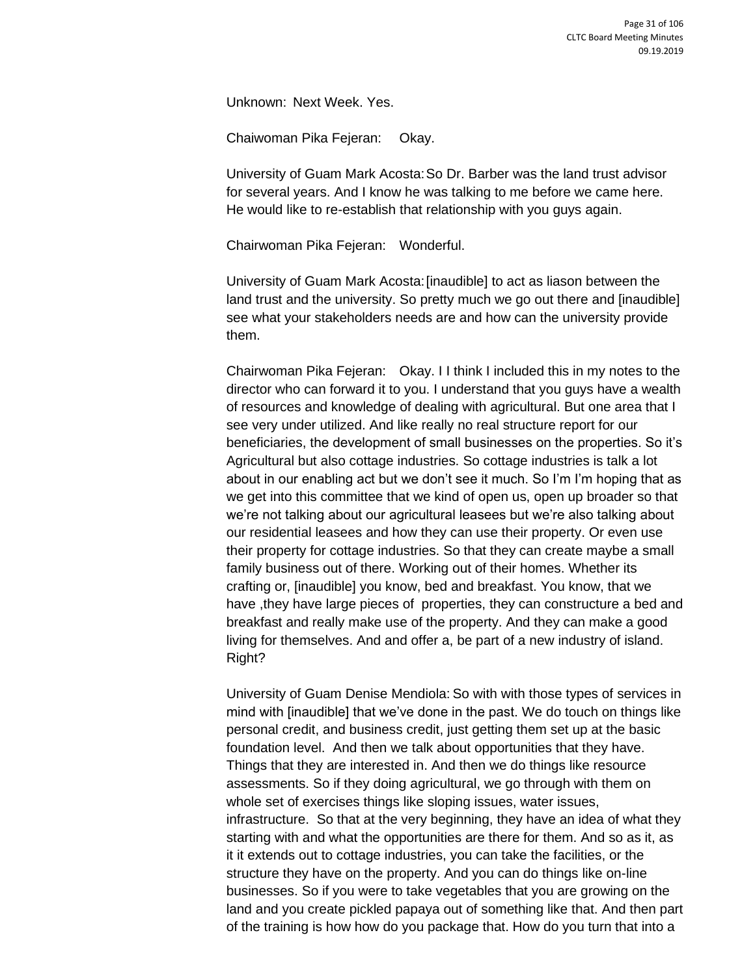Unknown: Next Week. Yes.

Chaiwoman Pika Fejeran: Okay.

University of Guam Mark Acosta:So Dr. Barber was the land trust advisor for several years. And I know he was talking to me before we came here. He would like to re-establish that relationship with you guys again.

Chairwoman Pika Fejeran: Wonderful.

University of Guam Mark Acosta:[inaudible] to act as liason between the land trust and the university. So pretty much we go out there and [inaudible] see what your stakeholders needs are and how can the university provide them.

Chairwoman Pika Fejeran: Okay. I I think I included this in my notes to the director who can forward it to you. I understand that you guys have a wealth of resources and knowledge of dealing with agricultural. But one area that I see very under utilized. And like really no real structure report for our beneficiaries, the development of small businesses on the properties. So it's Agricultural but also cottage industries. So cottage industries is talk a lot about in our enabling act but we don't see it much. So I'm I'm hoping that as we get into this committee that we kind of open us, open up broader so that we're not talking about our agricultural leasees but we're also talking about our residential leasees and how they can use their property. Or even use their property for cottage industries. So that they can create maybe a small family business out of there. Working out of their homes. Whether its crafting or, [inaudible] you know, bed and breakfast. You know, that we have ,they have large pieces of properties, they can constructure a bed and breakfast and really make use of the property. And they can make a good living for themselves. And and offer a, be part of a new industry of island. Right?

University of Guam Denise Mendiola: So with with those types of services in mind with [inaudible] that we've done in the past. We do touch on things like personal credit, and business credit, just getting them set up at the basic foundation level. And then we talk about opportunities that they have. Things that they are interested in. And then we do things like resource assessments. So if they doing agricultural, we go through with them on whole set of exercises things like sloping issues, water issues, infrastructure. So that at the very beginning, they have an idea of what they starting with and what the opportunities are there for them. And so as it, as it it extends out to cottage industries, you can take the facilities, or the structure they have on the property. And you can do things like on-line businesses. So if you were to take vegetables that you are growing on the land and you create pickled papaya out of something like that. And then part of the training is how how do you package that. How do you turn that into a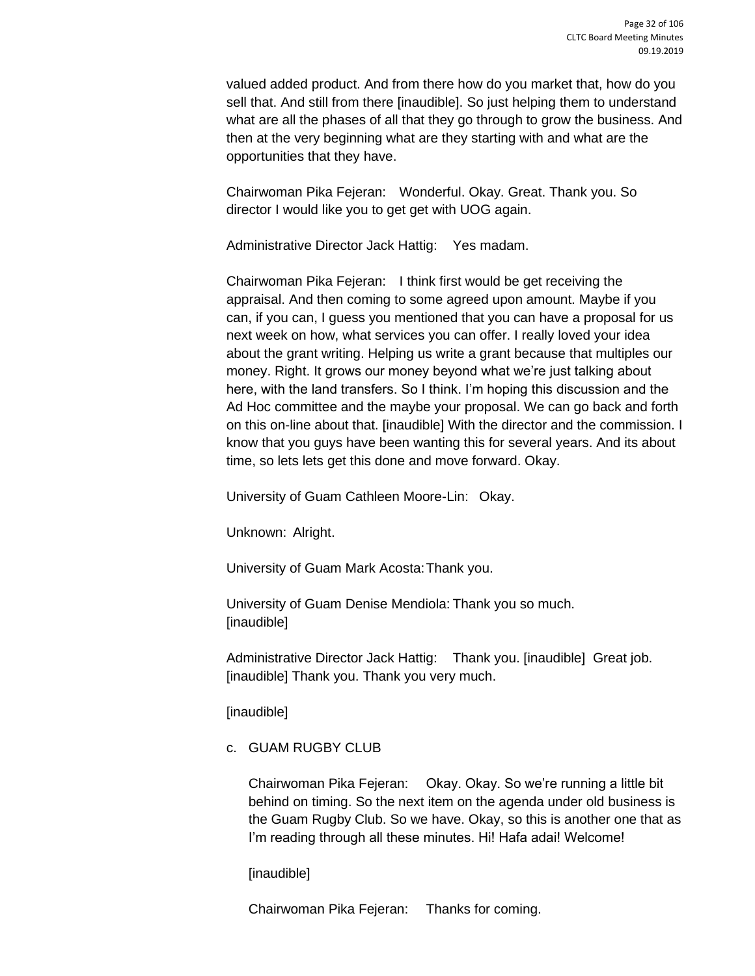valued added product. And from there how do you market that, how do you sell that. And still from there [inaudible]. So just helping them to understand what are all the phases of all that they go through to grow the business. And then at the very beginning what are they starting with and what are the opportunities that they have.

Chairwoman Pika Fejeran: Wonderful. Okay. Great. Thank you. So director I would like you to get get with UOG again.

Administrative Director Jack Hattig: Yes madam.

Chairwoman Pika Fejeran: I think first would be get receiving the appraisal. And then coming to some agreed upon amount. Maybe if you can, if you can, I guess you mentioned that you can have a proposal for us next week on how, what services you can offer. I really loved your idea about the grant writing. Helping us write a grant because that multiples our money. Right. It grows our money beyond what we're just talking about here, with the land transfers. So I think. I'm hoping this discussion and the Ad Hoc committee and the maybe your proposal. We can go back and forth on this on-line about that. [inaudible] With the director and the commission. I know that you guys have been wanting this for several years. And its about time, so lets lets get this done and move forward. Okay.

University of Guam Cathleen Moore-Lin: Okay.

Unknown: Alright.

University of Guam Mark Acosta:Thank you.

University of Guam Denise Mendiola: Thank you so much. [inaudible]

Administrative Director Jack Hattig: Thank you. [inaudible] Great job. [inaudible] Thank you. Thank you very much.

[inaudible]

c. GUAM RUGBY CLUB

Chairwoman Pika Fejeran: Okay. Okay. So we're running a little bit behind on timing. So the next item on the agenda under old business is the Guam Rugby Club. So we have. Okay, so this is another one that as I'm reading through all these minutes. Hi! Hafa adai! Welcome!

[inaudible]

Chairwoman Pika Fejeran: Thanks for coming.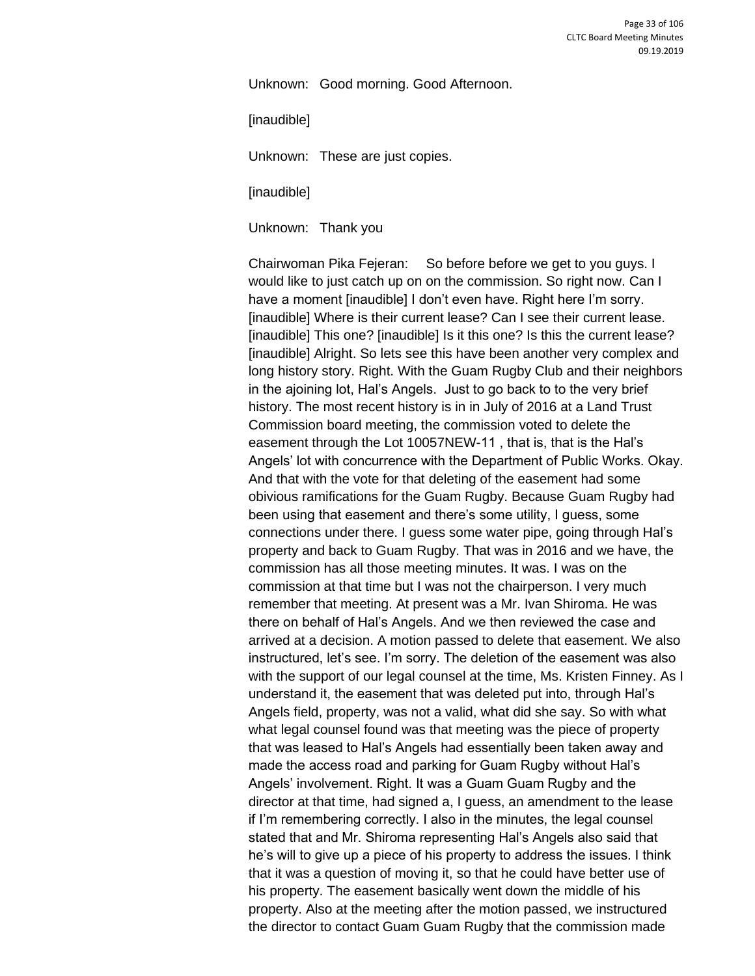Unknown: Good morning. Good Afternoon.

[inaudible]

Unknown: These are just copies.

[inaudible]

Unknown: Thank you

Chairwoman Pika Fejeran: So before before we get to you guys. I would like to just catch up on on the commission. So right now. Can I have a moment [inaudible] I don't even have. Right here I'm sorry. [inaudible] Where is their current lease? Can I see their current lease. [inaudible] This one? [inaudible] Is it this one? Is this the current lease? [inaudible] Alright. So lets see this have been another very complex and long history story. Right. With the Guam Rugby Club and their neighbors in the ajoining lot, Hal's Angels. Just to go back to to the very brief history. The most recent history is in in July of 2016 at a Land Trust Commission board meeting, the commission voted to delete the easement through the Lot 10057NEW-11 , that is, that is the Hal's Angels' lot with concurrence with the Department of Public Works. Okay. And that with the vote for that deleting of the easement had some obivious ramifications for the Guam Rugby. Because Guam Rugby had been using that easement and there's some utility, I guess, some connections under there. I guess some water pipe, going through Hal's property and back to Guam Rugby. That was in 2016 and we have, the commission has all those meeting minutes. It was. I was on the commission at that time but I was not the chairperson. I very much remember that meeting. At present was a Mr. Ivan Shiroma. He was there on behalf of Hal's Angels. And we then reviewed the case and arrived at a decision. A motion passed to delete that easement. We also instructured, let's see. I'm sorry. The deletion of the easement was also with the support of our legal counsel at the time, Ms. Kristen Finney. As I understand it, the easement that was deleted put into, through Hal's Angels field, property, was not a valid, what did she say. So with what what legal counsel found was that meeting was the piece of property that was leased to Hal's Angels had essentially been taken away and made the access road and parking for Guam Rugby without Hal's Angels' involvement. Right. It was a Guam Guam Rugby and the director at that time, had signed a, I guess, an amendment to the lease if I'm remembering correctly. I also in the minutes, the legal counsel stated that and Mr. Shiroma representing Hal's Angels also said that he's will to give up a piece of his property to address the issues. I think that it was a question of moving it, so that he could have better use of his property. The easement basically went down the middle of his property. Also at the meeting after the motion passed, we instructured the director to contact Guam Guam Rugby that the commission made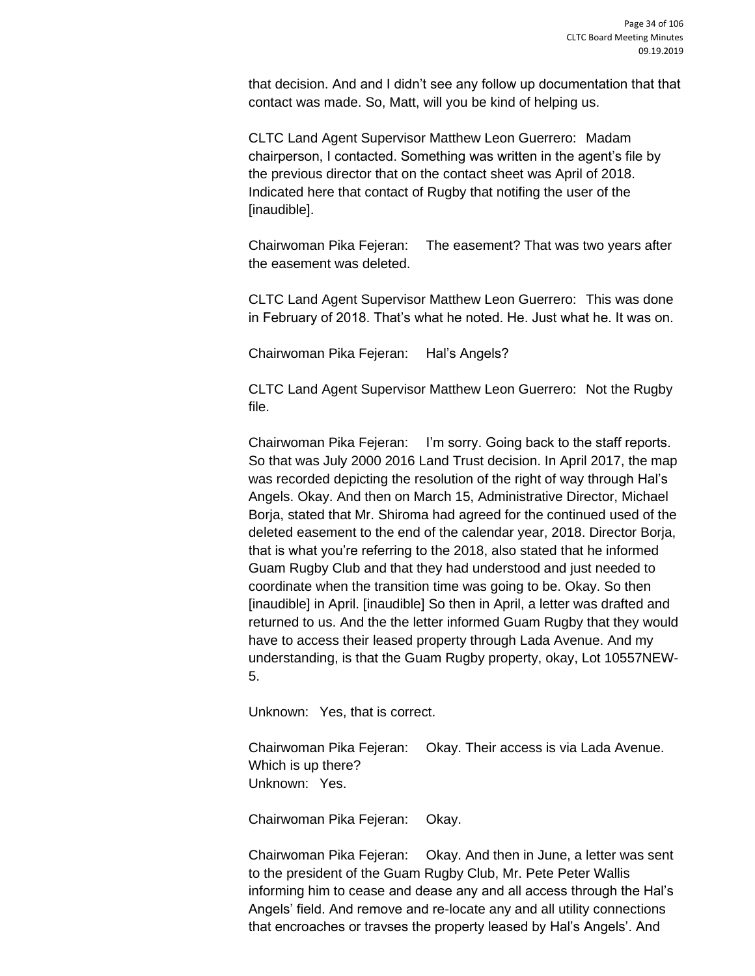that decision. And and I didn't see any follow up documentation that that contact was made. So, Matt, will you be kind of helping us.

CLTC Land Agent Supervisor Matthew Leon Guerrero: Madam chairperson, I contacted. Something was written in the agent's file by the previous director that on the contact sheet was April of 2018. Indicated here that contact of Rugby that notifing the user of the [inaudible].

Chairwoman Pika Fejeran: The easement? That was two years after the easement was deleted.

CLTC Land Agent Supervisor Matthew Leon Guerrero: This was done in February of 2018. That's what he noted. He. Just what he. It was on.

Chairwoman Pika Fejeran: Hal's Angels?

CLTC Land Agent Supervisor Matthew Leon Guerrero: Not the Rugby file.

Chairwoman Pika Fejeran: I'm sorry. Going back to the staff reports. So that was July 2000 2016 Land Trust decision. In April 2017, the map was recorded depicting the resolution of the right of way through Hal's Angels. Okay. And then on March 15, Administrative Director, Michael Borja, stated that Mr. Shiroma had agreed for the continued used of the deleted easement to the end of the calendar year, 2018. Director Borja, that is what you're referring to the 2018, also stated that he informed Guam Rugby Club and that they had understood and just needed to coordinate when the transition time was going to be. Okay. So then [inaudible] in April. [inaudible] So then in April, a letter was drafted and returned to us. And the the letter informed Guam Rugby that they would have to access their leased property through Lada Avenue. And my understanding, is that the Guam Rugby property, okay, Lot 10557NEW-5.

Unknown: Yes, that is correct.

Chairwoman Pika Fejeran: Okay. Their access is via Lada Avenue. Which is up there? Unknown: Yes.

Chairwoman Pika Fejeran: Okay.

Chairwoman Pika Fejeran: Okay. And then in June, a letter was sent to the president of the Guam Rugby Club, Mr. Pete Peter Wallis informing him to cease and dease any and all access through the Hal's Angels' field. And remove and re-locate any and all utility connections that encroaches or travses the property leased by Hal's Angels'. And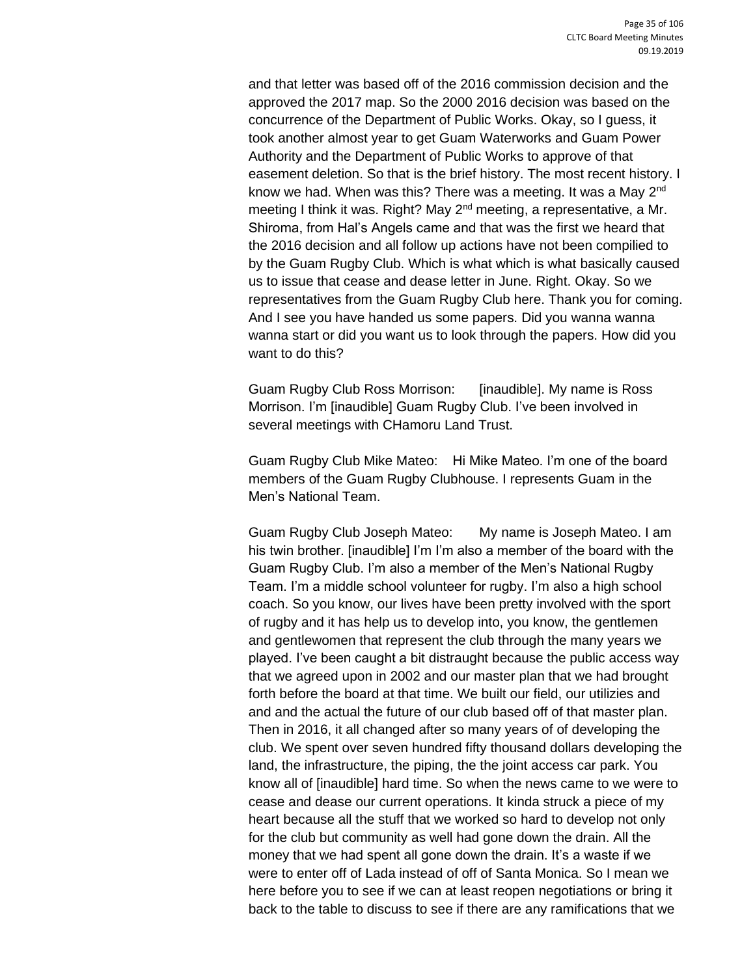and that letter was based off of the 2016 commission decision and the approved the 2017 map. So the 2000 2016 decision was based on the concurrence of the Department of Public Works. Okay, so I guess, it took another almost year to get Guam Waterworks and Guam Power Authority and the Department of Public Works to approve of that easement deletion. So that is the brief history. The most recent history. I know we had. When was this? There was a meeting. It was a May 2nd meeting I think it was. Right? May 2<sup>nd</sup> meeting, a representative, a Mr. Shiroma, from Hal's Angels came and that was the first we heard that the 2016 decision and all follow up actions have not been compilied to by the Guam Rugby Club. Which is what which is what basically caused us to issue that cease and dease letter in June. Right. Okay. So we representatives from the Guam Rugby Club here. Thank you for coming. And I see you have handed us some papers. Did you wanna wanna wanna start or did you want us to look through the papers. How did you want to do this?

Guam Rugby Club Ross Morrison: [inaudible]. My name is Ross Morrison. I'm [inaudible] Guam Rugby Club. I've been involved in several meetings with CHamoru Land Trust.

Guam Rugby Club Mike Mateo: Hi Mike Mateo. I'm one of the board members of the Guam Rugby Clubhouse. I represents Guam in the Men's National Team.

Guam Rugby Club Joseph Mateo: My name is Joseph Mateo. I am his twin brother. [inaudible] I'm I'm also a member of the board with the Guam Rugby Club. I'm also a member of the Men's National Rugby Team. I'm a middle school volunteer for rugby. I'm also a high school coach. So you know, our lives have been pretty involved with the sport of rugby and it has help us to develop into, you know, the gentlemen and gentlewomen that represent the club through the many years we played. I've been caught a bit distraught because the public access way that we agreed upon in 2002 and our master plan that we had brought forth before the board at that time. We built our field, our utilizies and and and the actual the future of our club based off of that master plan. Then in 2016, it all changed after so many years of of developing the club. We spent over seven hundred fifty thousand dollars developing the land, the infrastructure, the piping, the the joint access car park. You know all of [inaudible] hard time. So when the news came to we were to cease and dease our current operations. It kinda struck a piece of my heart because all the stuff that we worked so hard to develop not only for the club but community as well had gone down the drain. All the money that we had spent all gone down the drain. It's a waste if we were to enter off of Lada instead of off of Santa Monica. So I mean we here before you to see if we can at least reopen negotiations or bring it back to the table to discuss to see if there are any ramifications that we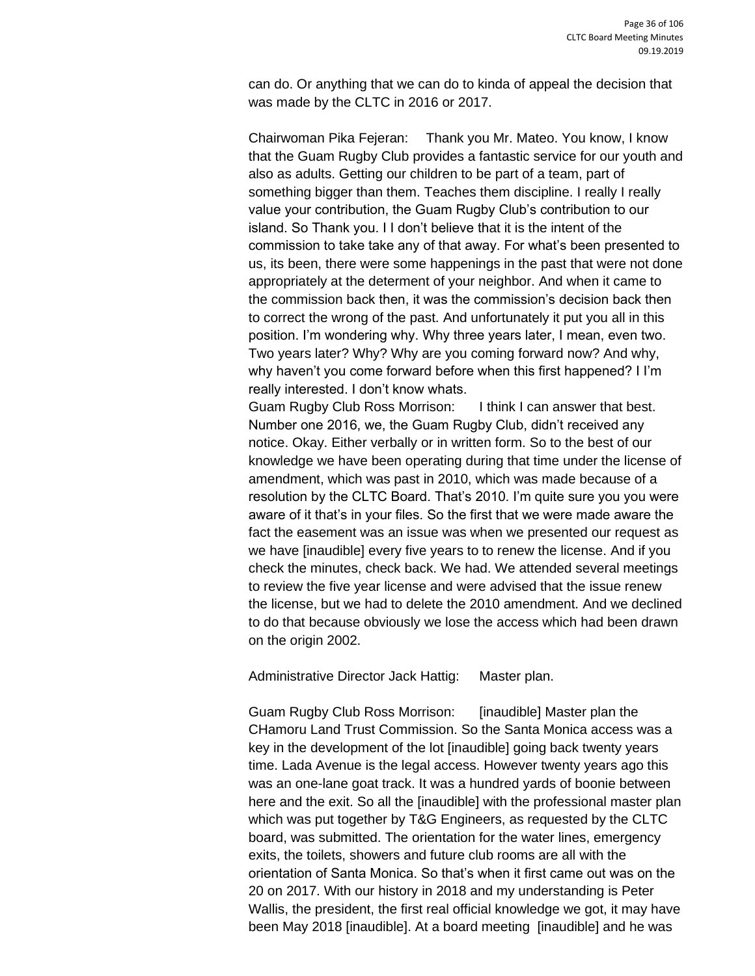can do. Or anything that we can do to kinda of appeal the decision that was made by the CLTC in 2016 or 2017.

Chairwoman Pika Fejeran: Thank you Mr. Mateo. You know, I know that the Guam Rugby Club provides a fantastic service for our youth and also as adults. Getting our children to be part of a team, part of something bigger than them. Teaches them discipline. I really I really value your contribution, the Guam Rugby Club's contribution to our island. So Thank you. I I don't believe that it is the intent of the commission to take take any of that away. For what's been presented to us, its been, there were some happenings in the past that were not done appropriately at the determent of your neighbor. And when it came to the commission back then, it was the commission's decision back then to correct the wrong of the past. And unfortunately it put you all in this position. I'm wondering why. Why three years later, I mean, even two. Two years later? Why? Why are you coming forward now? And why, why haven't you come forward before when this first happened? I I'm really interested. I don't know whats.

Guam Rugby Club Ross Morrison: I think I can answer that best. Number one 2016, we, the Guam Rugby Club, didn't received any notice. Okay. Either verbally or in written form. So to the best of our knowledge we have been operating during that time under the license of amendment, which was past in 2010, which was made because of a resolution by the CLTC Board. That's 2010. I'm quite sure you you were aware of it that's in your files. So the first that we were made aware the fact the easement was an issue was when we presented our request as we have [inaudible] every five years to to renew the license. And if you check the minutes, check back. We had. We attended several meetings to review the five year license and were advised that the issue renew the license, but we had to delete the 2010 amendment. And we declined to do that because obviously we lose the access which had been drawn on the origin 2002.

Administrative Director Jack Hattig: Master plan.

Guam Rugby Club Ross Morrison: [inaudible] Master plan the CHamoru Land Trust Commission. So the Santa Monica access was a key in the development of the lot [inaudible] going back twenty years time. Lada Avenue is the legal access. However twenty years ago this was an one-lane goat track. It was a hundred yards of boonie between here and the exit. So all the [inaudible] with the professional master plan which was put together by T&G Engineers, as requested by the CLTC board, was submitted. The orientation for the water lines, emergency exits, the toilets, showers and future club rooms are all with the orientation of Santa Monica. So that's when it first came out was on the 20 on 2017. With our history in 2018 and my understanding is Peter Wallis, the president, the first real official knowledge we got, it may have been May 2018 [inaudible]. At a board meeting [inaudible] and he was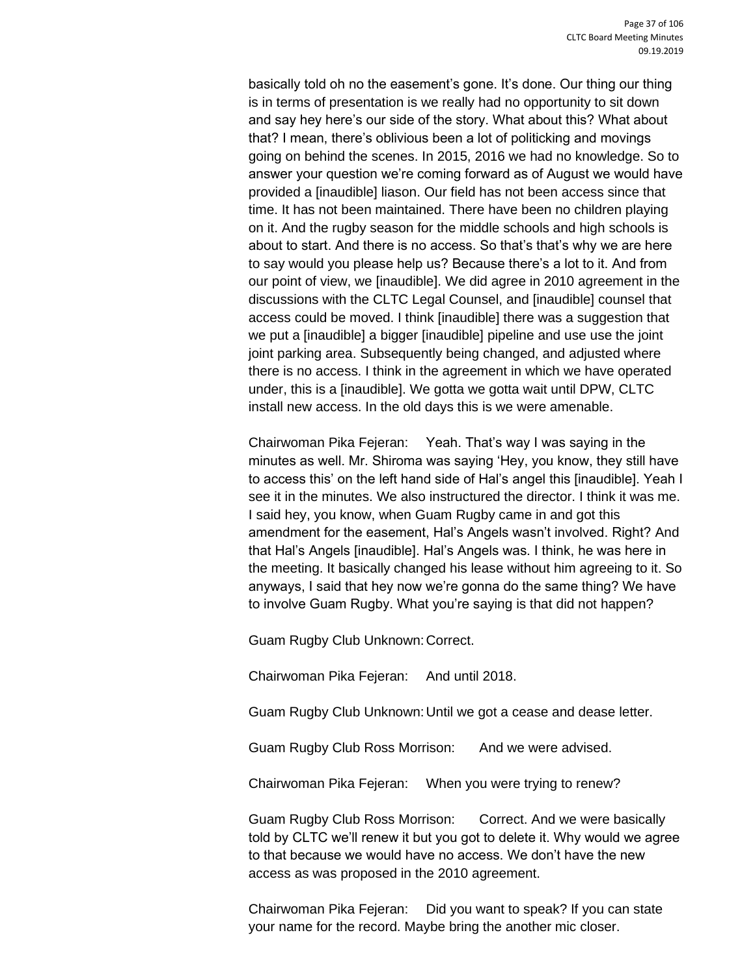basically told oh no the easement's gone. It's done. Our thing our thing is in terms of presentation is we really had no opportunity to sit down and say hey here's our side of the story. What about this? What about that? I mean, there's oblivious been a lot of politicking and movings going on behind the scenes. In 2015, 2016 we had no knowledge. So to answer your question we're coming forward as of August we would have provided a [inaudible] liason. Our field has not been access since that time. It has not been maintained. There have been no children playing on it. And the rugby season for the middle schools and high schools is about to start. And there is no access. So that's that's why we are here to say would you please help us? Because there's a lot to it. And from our point of view, we [inaudible]. We did agree in 2010 agreement in the discussions with the CLTC Legal Counsel, and [inaudible] counsel that access could be moved. I think [inaudible] there was a suggestion that we put a [inaudible] a bigger [inaudible] pipeline and use use the joint joint parking area. Subsequently being changed, and adjusted where there is no access. I think in the agreement in which we have operated under, this is a [inaudible]. We gotta we gotta wait until DPW, CLTC install new access. In the old days this is we were amenable.

Chairwoman Pika Fejeran: Yeah. That's way I was saying in the minutes as well. Mr. Shiroma was saying 'Hey, you know, they still have to access this' on the left hand side of Hal's angel this [inaudible]. Yeah I see it in the minutes. We also instructured the director. I think it was me. I said hey, you know, when Guam Rugby came in and got this amendment for the easement, Hal's Angels wasn't involved. Right? And that Hal's Angels [inaudible]. Hal's Angels was. I think, he was here in the meeting. It basically changed his lease without him agreeing to it. So anyways, I said that hey now we're gonna do the same thing? We have to involve Guam Rugby. What you're saying is that did not happen?

Guam Rugby Club Unknown:Correct.

Chairwoman Pika Fejeran: And until 2018.

Guam Rugby Club Unknown:Until we got a cease and dease letter.

Guam Rugby Club Ross Morrison: And we were advised.

Chairwoman Pika Fejeran: When you were trying to renew?

Guam Rugby Club Ross Morrison: Correct. And we were basically told by CLTC we'll renew it but you got to delete it. Why would we agree to that because we would have no access. We don't have the new access as was proposed in the 2010 agreement.

Chairwoman Pika Fejeran: Did you want to speak? If you can state your name for the record. Maybe bring the another mic closer.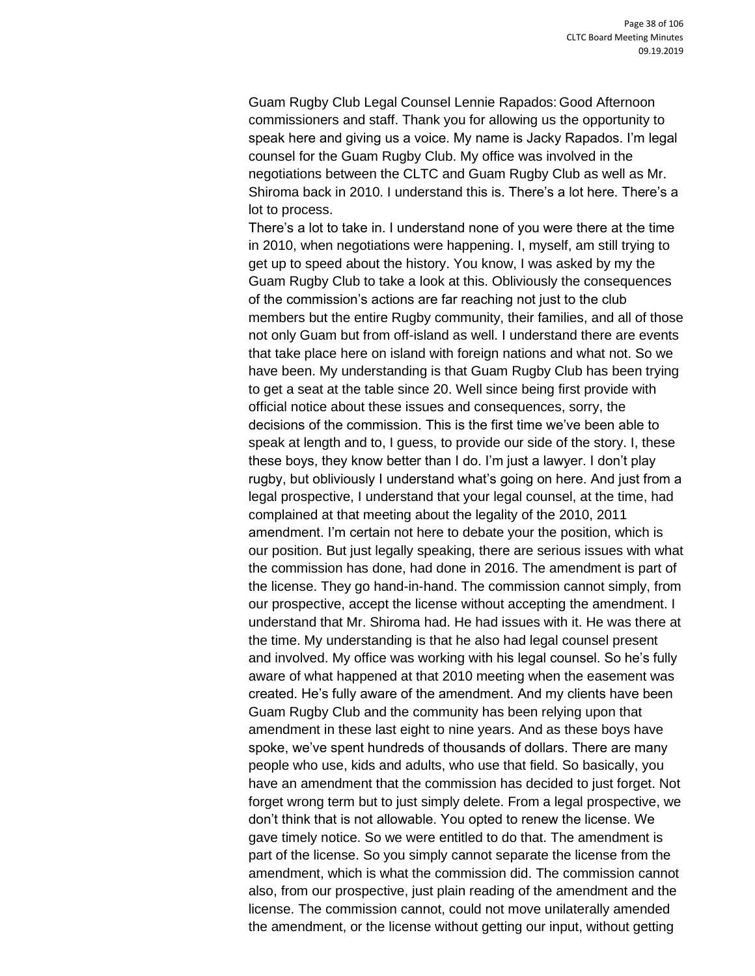Guam Rugby Club Legal Counsel Lennie Rapados: Good Afternoon commissioners and staff. Thank you for allowing us the opportunity to speak here and giving us a voice. My name is Jacky Rapados. I'm legal counsel for the Guam Rugby Club. My office was involved in the negotiations between the CLTC and Guam Rugby Club as well as Mr. Shiroma back in 2010. I understand this is. There's a lot here. There's a lot to process.

There's a lot to take in. I understand none of you were there at the time in 2010, when negotiations were happening. I, myself, am still trying to get up to speed about the history. You know, I was asked by my the Guam Rugby Club to take a look at this. Obliviously the consequences of the commission's actions are far reaching not just to the club members but the entire Rugby community, their families, and all of those not only Guam but from off-island as well. I understand there are events that take place here on island with foreign nations and what not. So we have been. My understanding is that Guam Rugby Club has been trying to get a seat at the table since 20. Well since being first provide with official notice about these issues and consequences, sorry, the decisions of the commission. This is the first time we've been able to speak at length and to, I guess, to provide our side of the story. I, these these boys, they know better than I do. I'm just a lawyer. I don't play rugby, but obliviously I understand what's going on here. And just from a legal prospective, I understand that your legal counsel, at the time, had complained at that meeting about the legality of the 2010, 2011 amendment. I'm certain not here to debate your the position, which is our position. But just legally speaking, there are serious issues with what the commission has done, had done in 2016. The amendment is part of the license. They go hand-in-hand. The commission cannot simply, from our prospective, accept the license without accepting the amendment. I understand that Mr. Shiroma had. He had issues with it. He was there at the time. My understanding is that he also had legal counsel present and involved. My office was working with his legal counsel. So he's fully aware of what happened at that 2010 meeting when the easement was created. He's fully aware of the amendment. And my clients have been Guam Rugby Club and the community has been relying upon that amendment in these last eight to nine years. And as these boys have spoke, we've spent hundreds of thousands of dollars. There are many people who use, kids and adults, who use that field. So basically, you have an amendment that the commission has decided to just forget. Not forget wrong term but to just simply delete. From a legal prospective, we don't think that is not allowable. You opted to renew the license. We gave timely notice. So we were entitled to do that. The amendment is part of the license. So you simply cannot separate the license from the amendment, which is what the commission did. The commission cannot also, from our prospective, just plain reading of the amendment and the license. The commission cannot, could not move unilaterally amended the amendment, or the license without getting our input, without getting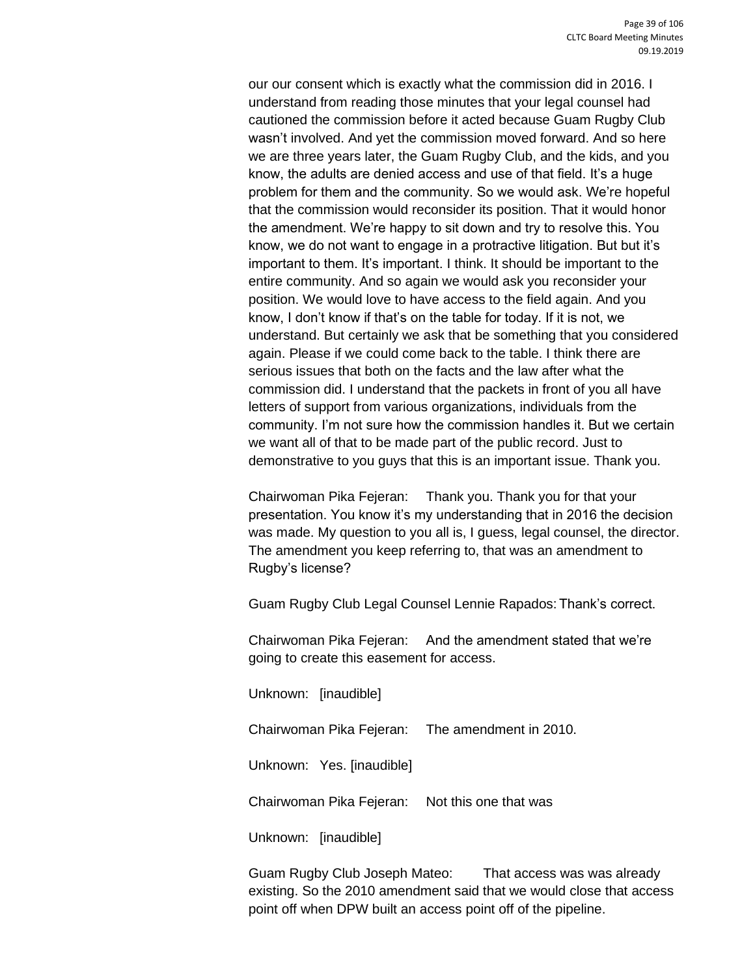our our consent which is exactly what the commission did in 2016. I understand from reading those minutes that your legal counsel had cautioned the commission before it acted because Guam Rugby Club wasn't involved. And yet the commission moved forward. And so here we are three years later, the Guam Rugby Club, and the kids, and you know, the adults are denied access and use of that field. It's a huge problem for them and the community. So we would ask. We're hopeful that the commission would reconsider its position. That it would honor the amendment. We're happy to sit down and try to resolve this. You know, we do not want to engage in a protractive litigation. But but it's important to them. It's important. I think. It should be important to the entire community. And so again we would ask you reconsider your position. We would love to have access to the field again. And you know, I don't know if that's on the table for today. If it is not, we understand. But certainly we ask that be something that you considered again. Please if we could come back to the table. I think there are serious issues that both on the facts and the law after what the commission did. I understand that the packets in front of you all have letters of support from various organizations, individuals from the community. I'm not sure how the commission handles it. But we certain we want all of that to be made part of the public record. Just to demonstrative to you guys that this is an important issue. Thank you.

Chairwoman Pika Fejeran: Thank you. Thank you for that your presentation. You know it's my understanding that in 2016 the decision was made. My question to you all is, I guess, legal counsel, the director. The amendment you keep referring to, that was an amendment to Rugby's license?

Guam Rugby Club Legal Counsel Lennie Rapados: Thank's correct.

Chairwoman Pika Fejeran: And the amendment stated that we're going to create this easement for access.

Unknown: [inaudible]

Chairwoman Pika Fejeran: The amendment in 2010.

Unknown: Yes. [inaudible]

Chairwoman Pika Fejeran: Not this one that was

Unknown: [inaudible]

Guam Rugby Club Joseph Mateo: That access was was already existing. So the 2010 amendment said that we would close that access point off when DPW built an access point off of the pipeline.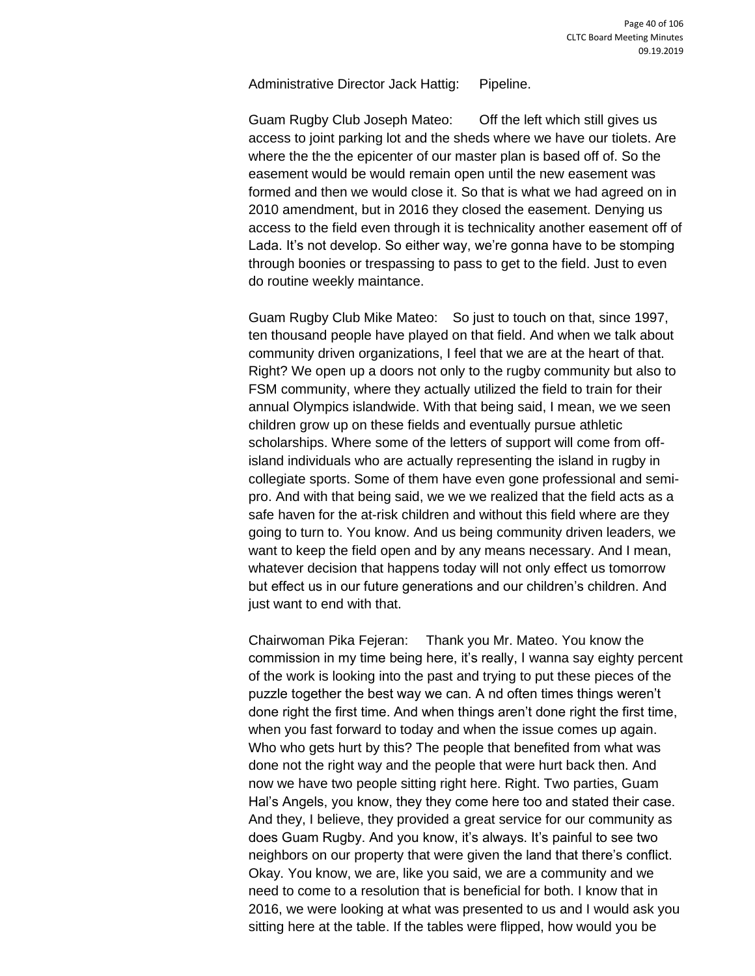Administrative Director Jack Hattig: Pipeline.

Guam Rugby Club Joseph Mateo: Off the left which still gives us access to joint parking lot and the sheds where we have our tiolets. Are where the the the epicenter of our master plan is based off of. So the easement would be would remain open until the new easement was formed and then we would close it. So that is what we had agreed on in 2010 amendment, but in 2016 they closed the easement. Denying us access to the field even through it is technicality another easement off of Lada. It's not develop. So either way, we're gonna have to be stomping through boonies or trespassing to pass to get to the field. Just to even do routine weekly maintance.

Guam Rugby Club Mike Mateo: So just to touch on that, since 1997, ten thousand people have played on that field. And when we talk about community driven organizations, I feel that we are at the heart of that. Right? We open up a doors not only to the rugby community but also to FSM community, where they actually utilized the field to train for their annual Olympics islandwide. With that being said, I mean, we we seen children grow up on these fields and eventually pursue athletic scholarships. Where some of the letters of support will come from offisland individuals who are actually representing the island in rugby in collegiate sports. Some of them have even gone professional and semipro. And with that being said, we we we realized that the field acts as a safe haven for the at-risk children and without this field where are they going to turn to. You know. And us being community driven leaders, we want to keep the field open and by any means necessary. And I mean, whatever decision that happens today will not only effect us tomorrow but effect us in our future generations and our children's children. And just want to end with that.

Chairwoman Pika Fejeran: Thank you Mr. Mateo. You know the commission in my time being here, it's really, I wanna say eighty percent of the work is looking into the past and trying to put these pieces of the puzzle together the best way we can. A nd often times things weren't done right the first time. And when things aren't done right the first time, when you fast forward to today and when the issue comes up again. Who who gets hurt by this? The people that benefited from what was done not the right way and the people that were hurt back then. And now we have two people sitting right here. Right. Two parties, Guam Hal's Angels, you know, they they come here too and stated their case. And they, I believe, they provided a great service for our community as does Guam Rugby. And you know, it's always. It's painful to see two neighbors on our property that were given the land that there's conflict. Okay. You know, we are, like you said, we are a community and we need to come to a resolution that is beneficial for both. I know that in 2016, we were looking at what was presented to us and I would ask you sitting here at the table. If the tables were flipped, how would you be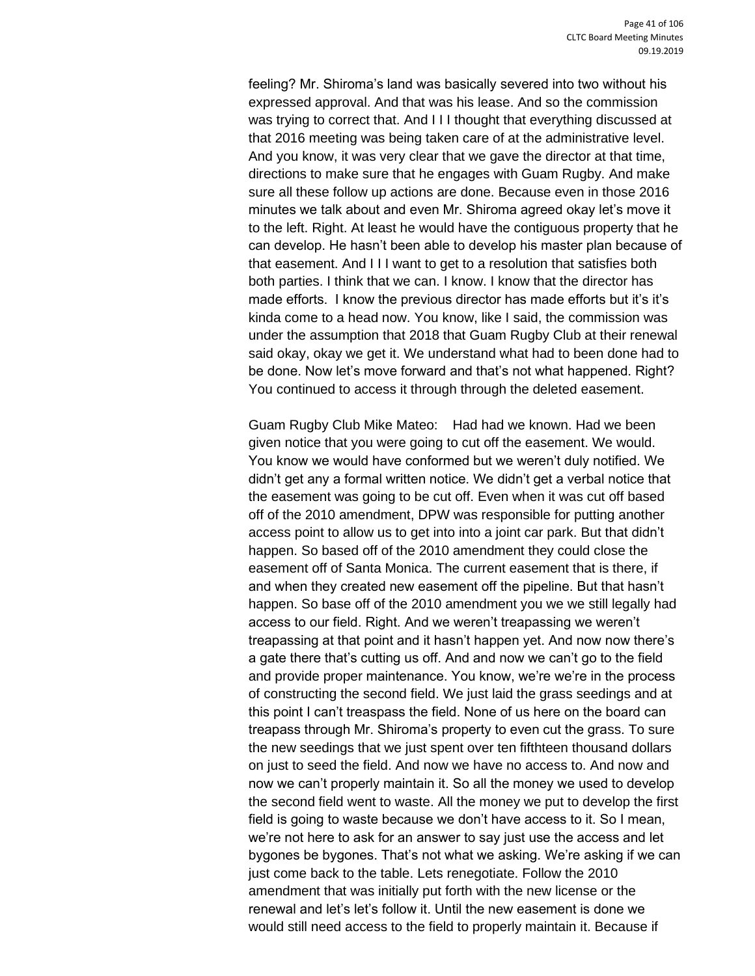feeling? Mr. Shiroma's land was basically severed into two without his expressed approval. And that was his lease. And so the commission was trying to correct that. And I I I thought that everything discussed at that 2016 meeting was being taken care of at the administrative level. And you know, it was very clear that we gave the director at that time, directions to make sure that he engages with Guam Rugby. And make sure all these follow up actions are done. Because even in those 2016 minutes we talk about and even Mr. Shiroma agreed okay let's move it to the left. Right. At least he would have the contiguous property that he can develop. He hasn't been able to develop his master plan because of that easement. And I I I want to get to a resolution that satisfies both both parties. I think that we can. I know. I know that the director has made efforts. I know the previous director has made efforts but it's it's kinda come to a head now. You know, like I said, the commission was under the assumption that 2018 that Guam Rugby Club at their renewal said okay, okay we get it. We understand what had to been done had to be done. Now let's move forward and that's not what happened. Right? You continued to access it through through the deleted easement.

Guam Rugby Club Mike Mateo: Had had we known. Had we been given notice that you were going to cut off the easement. We would. You know we would have conformed but we weren't duly notified. We didn't get any a formal written notice. We didn't get a verbal notice that the easement was going to be cut off. Even when it was cut off based off of the 2010 amendment, DPW was responsible for putting another access point to allow us to get into into a joint car park. But that didn't happen. So based off of the 2010 amendment they could close the easement off of Santa Monica. The current easement that is there, if and when they created new easement off the pipeline. But that hasn't happen. So base off of the 2010 amendment you we we still legally had access to our field. Right. And we weren't treapassing we weren't treapassing at that point and it hasn't happen yet. And now now there's a gate there that's cutting us off. And and now we can't go to the field and provide proper maintenance. You know, we're we're in the process of constructing the second field. We just laid the grass seedings and at this point I can't treaspass the field. None of us here on the board can treapass through Mr. Shiroma's property to even cut the grass. To sure the new seedings that we just spent over ten fifthteen thousand dollars on just to seed the field. And now we have no access to. And now and now we can't properly maintain it. So all the money we used to develop the second field went to waste. All the money we put to develop the first field is going to waste because we don't have access to it. So I mean, we're not here to ask for an answer to say just use the access and let bygones be bygones. That's not what we asking. We're asking if we can just come back to the table. Lets renegotiate. Follow the 2010 amendment that was initially put forth with the new license or the renewal and let's let's follow it. Until the new easement is done we would still need access to the field to properly maintain it. Because if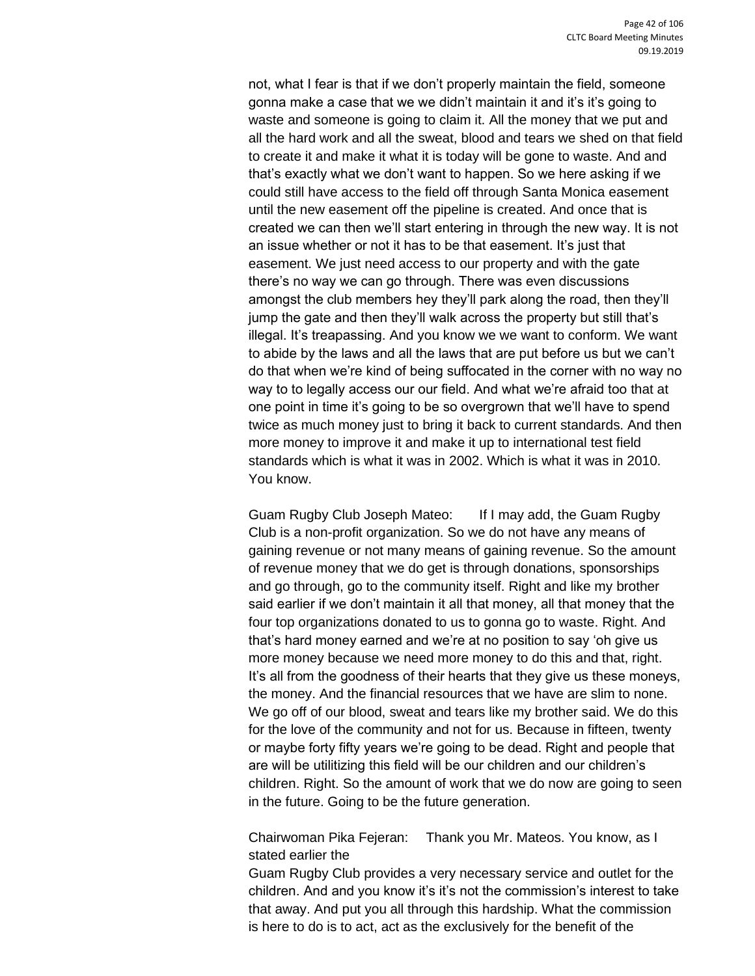not, what I fear is that if we don't properly maintain the field, someone gonna make a case that we we didn't maintain it and it's it's going to waste and someone is going to claim it. All the money that we put and all the hard work and all the sweat, blood and tears we shed on that field to create it and make it what it is today will be gone to waste. And and that's exactly what we don't want to happen. So we here asking if we could still have access to the field off through Santa Monica easement until the new easement off the pipeline is created. And once that is created we can then we'll start entering in through the new way. It is not an issue whether or not it has to be that easement. It's just that easement. We just need access to our property and with the gate there's no way we can go through. There was even discussions amongst the club members hey they'll park along the road, then they'll jump the gate and then they'll walk across the property but still that's illegal. It's treapassing. And you know we we want to conform. We want to abide by the laws and all the laws that are put before us but we can't do that when we're kind of being suffocated in the corner with no way no way to to legally access our our field. And what we're afraid too that at one point in time it's going to be so overgrown that we'll have to spend twice as much money just to bring it back to current standards. And then more money to improve it and make it up to international test field standards which is what it was in 2002. Which is what it was in 2010. You know.

Guam Rugby Club Joseph Mateo: If I may add, the Guam Rugby Club is a non-profit organization. So we do not have any means of gaining revenue or not many means of gaining revenue. So the amount of revenue money that we do get is through donations, sponsorships and go through, go to the community itself. Right and like my brother said earlier if we don't maintain it all that money, all that money that the four top organizations donated to us to gonna go to waste. Right. And that's hard money earned and we're at no position to say 'oh give us more money because we need more money to do this and that, right. It's all from the goodness of their hearts that they give us these moneys, the money. And the financial resources that we have are slim to none. We go off of our blood, sweat and tears like my brother said. We do this for the love of the community and not for us. Because in fifteen, twenty or maybe forty fifty years we're going to be dead. Right and people that are will be utilitizing this field will be our children and our children's children. Right. So the amount of work that we do now are going to seen in the future. Going to be the future generation.

Chairwoman Pika Fejeran: Thank you Mr. Mateos. You know, as I stated earlier the

Guam Rugby Club provides a very necessary service and outlet for the children. And and you know it's it's not the commission's interest to take that away. And put you all through this hardship. What the commission is here to do is to act, act as the exclusively for the benefit of the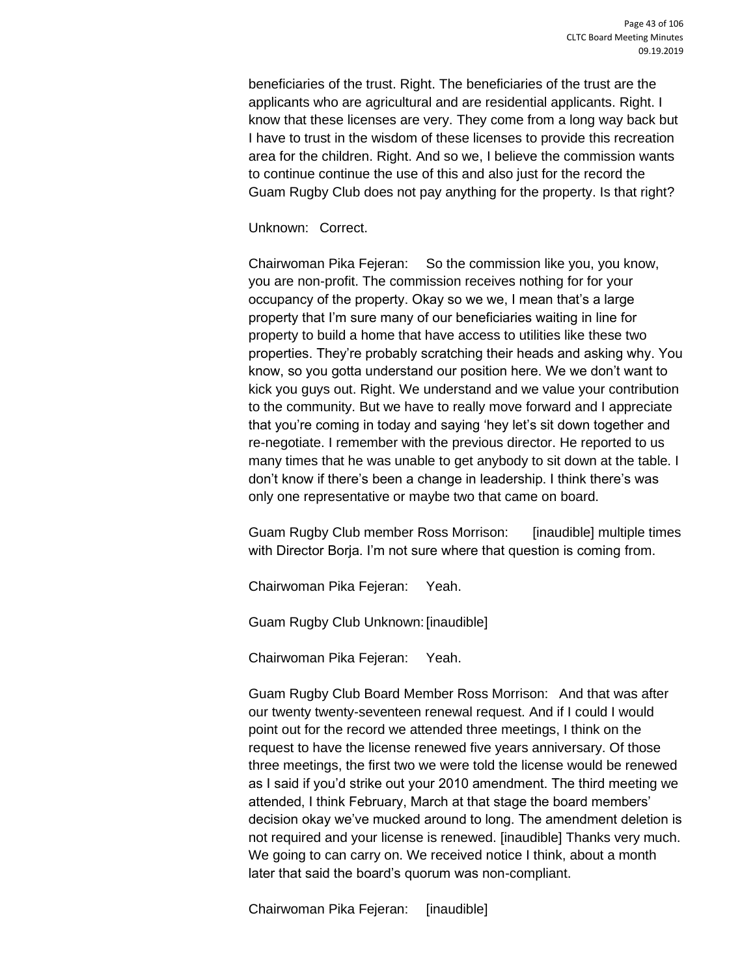beneficiaries of the trust. Right. The beneficiaries of the trust are the applicants who are agricultural and are residential applicants. Right. I know that these licenses are very. They come from a long way back but I have to trust in the wisdom of these licenses to provide this recreation area for the children. Right. And so we, I believe the commission wants to continue continue the use of this and also just for the record the Guam Rugby Club does not pay anything for the property. Is that right?

Unknown: Correct.

Chairwoman Pika Fejeran: So the commission like you, you know, you are non-profit. The commission receives nothing for for your occupancy of the property. Okay so we we, I mean that's a large property that I'm sure many of our beneficiaries waiting in line for property to build a home that have access to utilities like these two properties. They're probably scratching their heads and asking why. You know, so you gotta understand our position here. We we don't want to kick you guys out. Right. We understand and we value your contribution to the community. But we have to really move forward and I appreciate that you're coming in today and saying 'hey let's sit down together and re-negotiate. I remember with the previous director. He reported to us many times that he was unable to get anybody to sit down at the table. I don't know if there's been a change in leadership. I think there's was only one representative or maybe two that came on board.

Guam Rugby Club member Ross Morrison: [inaudible] multiple times with Director Borja. I'm not sure where that question is coming from.

Chairwoman Pika Fejeran: Yeah.

Guam Rugby Club Unknown:[inaudible]

Chairwoman Pika Fejeran: Yeah.

Guam Rugby Club Board Member Ross Morrison: And that was after our twenty twenty-seventeen renewal request. And if I could I would point out for the record we attended three meetings, I think on the request to have the license renewed five years anniversary. Of those three meetings, the first two we were told the license would be renewed as I said if you'd strike out your 2010 amendment. The third meeting we attended, I think February, March at that stage the board members' decision okay we've mucked around to long. The amendment deletion is not required and your license is renewed. [inaudible] Thanks very much. We going to can carry on. We received notice I think, about a month later that said the board's quorum was non-compliant.

Chairwoman Pika Fejeran: [inaudible]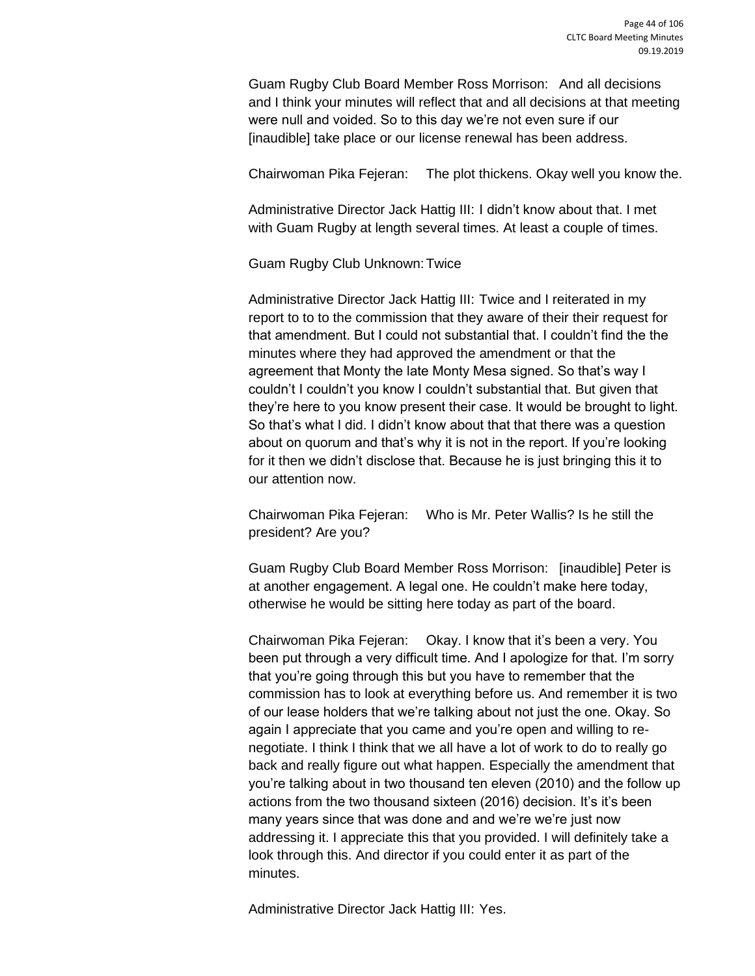Guam Rugby Club Board Member Ross Morrison: And all decisions and I think your minutes will reflect that and all decisions at that meeting were null and voided. So to this day we're not even sure if our [inaudible] take place or our license renewal has been address.

Chairwoman Pika Fejeran: The plot thickens. Okay well you know the.

Administrative Director Jack Hattig III: I didn't know about that. I met with Guam Rugby at length several times. At least a couple of times.

Guam Rugby Club Unknown:Twice

Administrative Director Jack Hattig III: Twice and I reiterated in my report to to to the commission that they aware of their their request for that amendment. But I could not substantial that. I couldn't find the the minutes where they had approved the amendment or that the agreement that Monty the late Monty Mesa signed. So that's way I couldn't I couldn't you know I couldn't substantial that. But given that they're here to you know present their case. It would be brought to light. So that's what I did. I didn't know about that that there was a question about on quorum and that's why it is not in the report. If you're looking for it then we didn't disclose that. Because he is just bringing this it to our attention now.

Chairwoman Pika Fejeran: Who is Mr. Peter Wallis? Is he still the president? Are you?

Guam Rugby Club Board Member Ross Morrison: [inaudible] Peter is at another engagement. A legal one. He couldn't make here today, otherwise he would be sitting here today as part of the board.

Chairwoman Pika Fejeran: Okay. I know that it's been a very. You been put through a very difficult time. And I apologize for that. I'm sorry that you're going through this but you have to remember that the commission has to look at everything before us. And remember it is two of our lease holders that we're talking about not just the one. Okay. So again I appreciate that you came and you're open and willing to renegotiate. I think I think that we all have a lot of work to do to really go back and really figure out what happen. Especially the amendment that you're talking about in two thousand ten eleven (2010) and the follow up actions from the two thousand sixteen (2016) decision. It's it's been many years since that was done and and we're we're just now addressing it. I appreciate this that you provided. I will definitely take a look through this. And director if you could enter it as part of the minutes.

Administrative Director Jack Hattig III: Yes.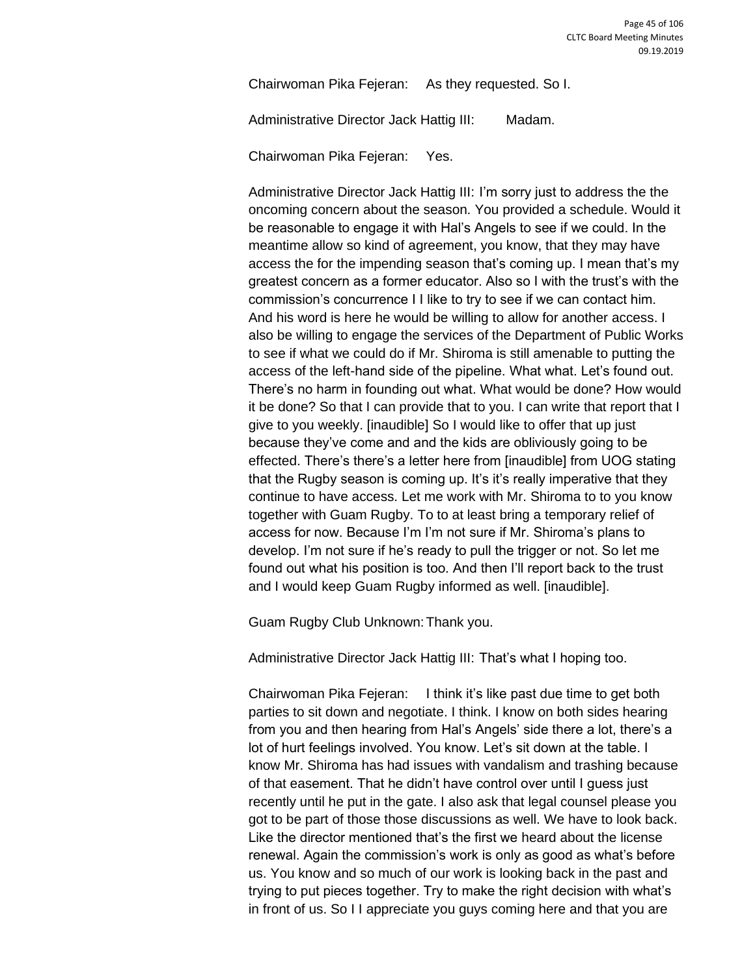Chairwoman Pika Fejeran: As they requested. So I.

Administrative Director Jack Hattig III: Madam.

Chairwoman Pika Fejeran: Yes.

Administrative Director Jack Hattig III: I'm sorry just to address the the oncoming concern about the season. You provided a schedule. Would it be reasonable to engage it with Hal's Angels to see if we could. In the meantime allow so kind of agreement, you know, that they may have access the for the impending season that's coming up. I mean that's my greatest concern as a former educator. Also so I with the trust's with the commission's concurrence I I like to try to see if we can contact him. And his word is here he would be willing to allow for another access. I also be willing to engage the services of the Department of Public Works to see if what we could do if Mr. Shiroma is still amenable to putting the access of the left-hand side of the pipeline. What what. Let's found out. There's no harm in founding out what. What would be done? How would it be done? So that I can provide that to you. I can write that report that I give to you weekly. [inaudible] So I would like to offer that up just because they've come and and the kids are obliviously going to be effected. There's there's a letter here from [inaudible] from UOG stating that the Rugby season is coming up. It's it's really imperative that they continue to have access. Let me work with Mr. Shiroma to to you know together with Guam Rugby. To to at least bring a temporary relief of access for now. Because I'm I'm not sure if Mr. Shiroma's plans to develop. I'm not sure if he's ready to pull the trigger or not. So let me found out what his position is too. And then I'll report back to the trust and I would keep Guam Rugby informed as well. [inaudible].

Guam Rugby Club Unknown:Thank you.

Administrative Director Jack Hattig III: That's what I hoping too.

Chairwoman Pika Fejeran: I think it's like past due time to get both parties to sit down and negotiate. I think. I know on both sides hearing from you and then hearing from Hal's Angels' side there a lot, there's a lot of hurt feelings involved. You know. Let's sit down at the table. I know Mr. Shiroma has had issues with vandalism and trashing because of that easement. That he didn't have control over until I guess just recently until he put in the gate. I also ask that legal counsel please you got to be part of those those discussions as well. We have to look back. Like the director mentioned that's the first we heard about the license renewal. Again the commission's work is only as good as what's before us. You know and so much of our work is looking back in the past and trying to put pieces together. Try to make the right decision with what's in front of us. So I I appreciate you guys coming here and that you are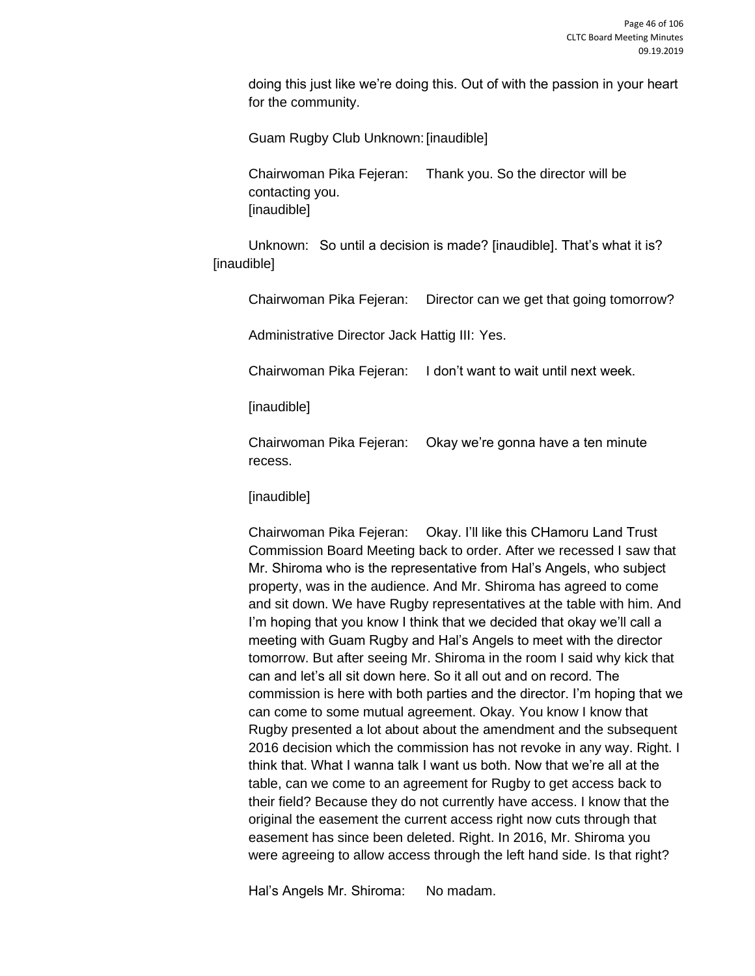doing this just like we're doing this. Out of with the passion in your heart for the community.

Guam Rugby Club Unknown:[inaudible]

Chairwoman Pika Fejeran: Thank you. So the director will be contacting you. [inaudible]

Unknown: So until a decision is made? [inaudible]. That's what it is? [inaudible]

Chairwoman Pika Fejeran: Director can we get that going tomorrow?

Administrative Director Jack Hattig III: Yes.

Chairwoman Pika Fejeran: I don't want to wait until next week.

[inaudible]

Chairwoman Pika Fejeran: Okay we're gonna have a ten minute recess.

[inaudible]

Chairwoman Pika Fejeran: Okay. I'll like this CHamoru Land Trust Commission Board Meeting back to order. After we recessed I saw that Mr. Shiroma who is the representative from Hal's Angels, who subject property, was in the audience. And Mr. Shiroma has agreed to come and sit down. We have Rugby representatives at the table with him. And I'm hoping that you know I think that we decided that okay we'll call a meeting with Guam Rugby and Hal's Angels to meet with the director tomorrow. But after seeing Mr. Shiroma in the room I said why kick that can and let's all sit down here. So it all out and on record. The commission is here with both parties and the director. I'm hoping that we can come to some mutual agreement. Okay. You know I know that Rugby presented a lot about about the amendment and the subsequent 2016 decision which the commission has not revoke in any way. Right. I think that. What I wanna talk I want us both. Now that we're all at the table, can we come to an agreement for Rugby to get access back to their field? Because they do not currently have access. I know that the original the easement the current access right now cuts through that easement has since been deleted. Right. In 2016, Mr. Shiroma you were agreeing to allow access through the left hand side. Is that right?

Hal's Angels Mr. Shiroma: No madam.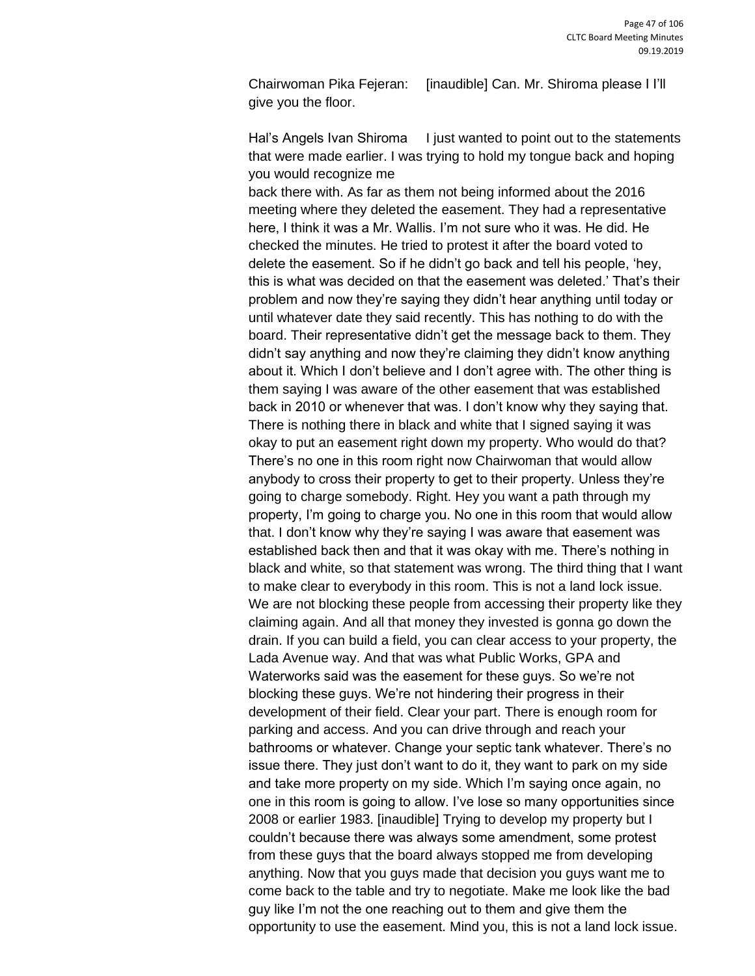Chairwoman Pika Fejeran: [inaudible] Can. Mr. Shiroma please I I'll give you the floor.

Hal's Angels Ivan Shiroma I just wanted to point out to the statements that were made earlier. I was trying to hold my tongue back and hoping you would recognize me

back there with. As far as them not being informed about the 2016 meeting where they deleted the easement. They had a representative here, I think it was a Mr. Wallis. I'm not sure who it was. He did. He checked the minutes. He tried to protest it after the board voted to delete the easement. So if he didn't go back and tell his people, 'hey, this is what was decided on that the easement was deleted.' That's their problem and now they're saying they didn't hear anything until today or until whatever date they said recently. This has nothing to do with the board. Their representative didn't get the message back to them. They didn't say anything and now they're claiming they didn't know anything about it. Which I don't believe and I don't agree with. The other thing is them saying I was aware of the other easement that was established back in 2010 or whenever that was. I don't know why they saying that. There is nothing there in black and white that I signed saying it was okay to put an easement right down my property. Who would do that? There's no one in this room right now Chairwoman that would allow anybody to cross their property to get to their property. Unless they're going to charge somebody. Right. Hey you want a path through my property, I'm going to charge you. No one in this room that would allow that. I don't know why they're saying I was aware that easement was established back then and that it was okay with me. There's nothing in black and white, so that statement was wrong. The third thing that I want to make clear to everybody in this room. This is not a land lock issue. We are not blocking these people from accessing their property like they claiming again. And all that money they invested is gonna go down the drain. If you can build a field, you can clear access to your property, the Lada Avenue way. And that was what Public Works, GPA and Waterworks said was the easement for these guys. So we're not blocking these guys. We're not hindering their progress in their development of their field. Clear your part. There is enough room for parking and access. And you can drive through and reach your bathrooms or whatever. Change your septic tank whatever. There's no issue there. They just don't want to do it, they want to park on my side and take more property on my side. Which I'm saying once again, no one in this room is going to allow. I've lose so many opportunities since 2008 or earlier 1983. [inaudible] Trying to develop my property but I couldn't because there was always some amendment, some protest from these guys that the board always stopped me from developing anything. Now that you guys made that decision you guys want me to come back to the table and try to negotiate. Make me look like the bad guy like I'm not the one reaching out to them and give them the opportunity to use the easement. Mind you, this is not a land lock issue.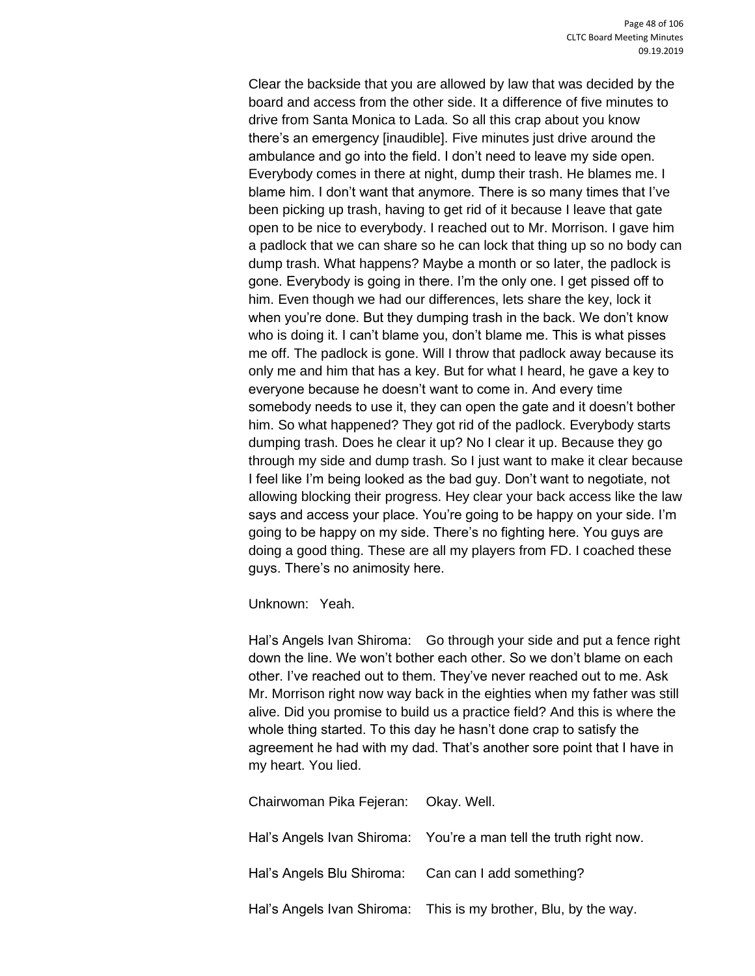Clear the backside that you are allowed by law that was decided by the board and access from the other side. It a difference of five minutes to drive from Santa Monica to Lada. So all this crap about you know there's an emergency [inaudible]. Five minutes just drive around the ambulance and go into the field. I don't need to leave my side open. Everybody comes in there at night, dump their trash. He blames me. I blame him. I don't want that anymore. There is so many times that I've been picking up trash, having to get rid of it because I leave that gate open to be nice to everybody. I reached out to Mr. Morrison. I gave him a padlock that we can share so he can lock that thing up so no body can dump trash. What happens? Maybe a month or so later, the padlock is gone. Everybody is going in there. I'm the only one. I get pissed off to him. Even though we had our differences, lets share the key, lock it when you're done. But they dumping trash in the back. We don't know who is doing it. I can't blame you, don't blame me. This is what pisses me off. The padlock is gone. Will I throw that padlock away because its only me and him that has a key. But for what I heard, he gave a key to everyone because he doesn't want to come in. And every time somebody needs to use it, they can open the gate and it doesn't bother him. So what happened? They got rid of the padlock. Everybody starts dumping trash. Does he clear it up? No I clear it up. Because they go through my side and dump trash. So I just want to make it clear because I feel like I'm being looked as the bad guy. Don't want to negotiate, not allowing blocking their progress. Hey clear your back access like the law says and access your place. You're going to be happy on your side. I'm going to be happy on my side. There's no fighting here. You guys are doing a good thing. These are all my players from FD. I coached these guys. There's no animosity here.

Unknown: Yeah.

Hal's Angels Ivan Shiroma: Go through your side and put a fence right down the line. We won't bother each other. So we don't blame on each other. I've reached out to them. They've never reached out to me. Ask Mr. Morrison right now way back in the eighties when my father was still alive. Did you promise to build us a practice field? And this is where the whole thing started. To this day he hasn't done crap to satisfy the agreement he had with my dad. That's another sore point that I have in my heart. You lied.

| Chairwoman Pika Fejeran: Okay. Well.               |                                                                   |
|----------------------------------------------------|-------------------------------------------------------------------|
|                                                    | Hal's Angels Ivan Shiroma: You're a man tell the truth right now. |
| Hal's Angels Blu Shiroma: Can can I add something? |                                                                   |
|                                                    | Hal's Angels Ivan Shiroma: This is my brother, Blu, by the way.   |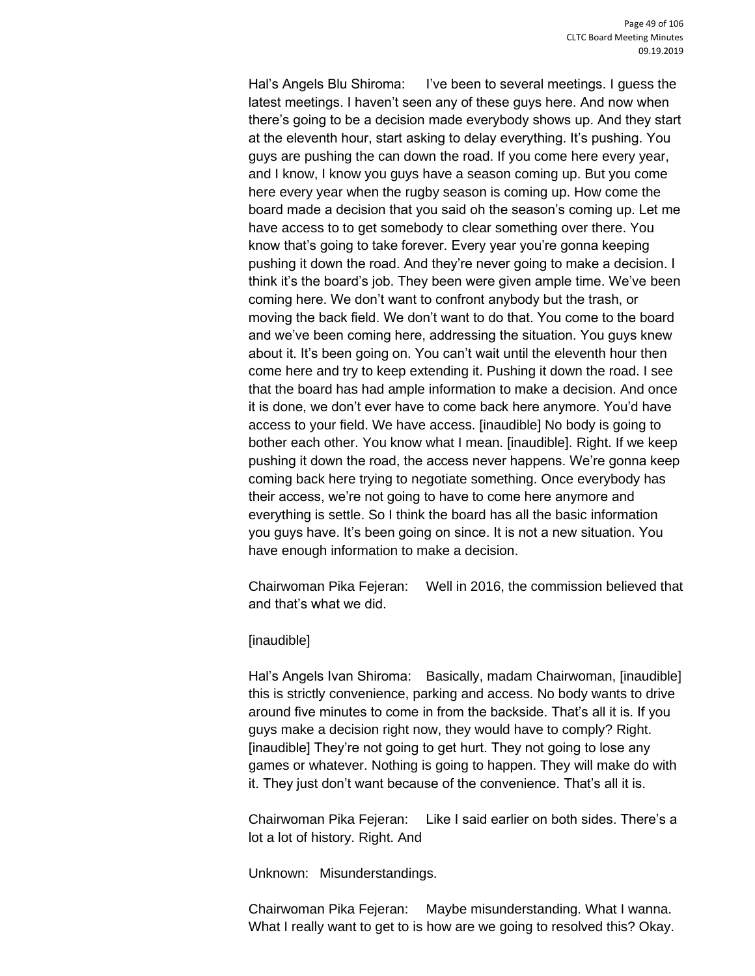Hal's Angels Blu Shiroma: I've been to several meetings. I guess the latest meetings. I haven't seen any of these guys here. And now when there's going to be a decision made everybody shows up. And they start at the eleventh hour, start asking to delay everything. It's pushing. You guys are pushing the can down the road. If you come here every year, and I know, I know you guys have a season coming up. But you come here every year when the rugby season is coming up. How come the board made a decision that you said oh the season's coming up. Let me have access to to get somebody to clear something over there. You know that's going to take forever. Every year you're gonna keeping pushing it down the road. And they're never going to make a decision. I think it's the board's job. They been were given ample time. We've been coming here. We don't want to confront anybody but the trash, or moving the back field. We don't want to do that. You come to the board and we've been coming here, addressing the situation. You guys knew about it. It's been going on. You can't wait until the eleventh hour then come here and try to keep extending it. Pushing it down the road. I see that the board has had ample information to make a decision. And once it is done, we don't ever have to come back here anymore. You'd have access to your field. We have access. [inaudible] No body is going to bother each other. You know what I mean. [inaudible]. Right. If we keep pushing it down the road, the access never happens. We're gonna keep coming back here trying to negotiate something. Once everybody has their access, we're not going to have to come here anymore and everything is settle. So I think the board has all the basic information you guys have. It's been going on since. It is not a new situation. You have enough information to make a decision.

Chairwoman Pika Fejeran: Well in 2016, the commission believed that and that's what we did.

## [inaudible]

Hal's Angels Ivan Shiroma: Basically, madam Chairwoman, [inaudible] this is strictly convenience, parking and access. No body wants to drive around five minutes to come in from the backside. That's all it is. If you guys make a decision right now, they would have to comply? Right. [inaudible] They're not going to get hurt. They not going to lose any games or whatever. Nothing is going to happen. They will make do with it. They just don't want because of the convenience. That's all it is.

Chairwoman Pika Fejeran: Like I said earlier on both sides. There's a lot a lot of history. Right. And

Unknown: Misunderstandings.

Chairwoman Pika Fejeran: Maybe misunderstanding. What I wanna. What I really want to get to is how are we going to resolved this? Okay.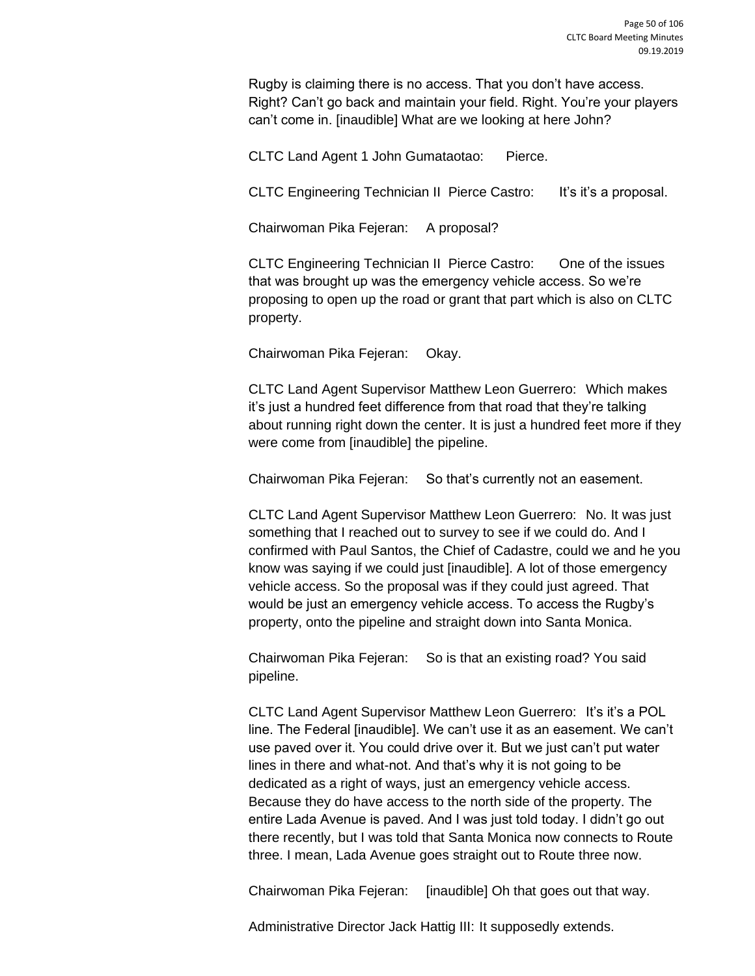Rugby is claiming there is no access. That you don't have access. Right? Can't go back and maintain your field. Right. You're your players can't come in. [inaudible] What are we looking at here John?

CLTC Land Agent 1 John Gumataotao: Pierce.

CLTC Engineering Technician II Pierce Castro: It's it's a proposal.

Chairwoman Pika Fejeran: A proposal?

CLTC Engineering Technician II Pierce Castro: One of the issues that was brought up was the emergency vehicle access. So we're proposing to open up the road or grant that part which is also on CLTC property.

Chairwoman Pika Fejeran: Okay.

CLTC Land Agent Supervisor Matthew Leon Guerrero: Which makes it's just a hundred feet difference from that road that they're talking about running right down the center. It is just a hundred feet more if they were come from [inaudible] the pipeline.

Chairwoman Pika Fejeran: So that's currently not an easement.

CLTC Land Agent Supervisor Matthew Leon Guerrero: No. It was just something that I reached out to survey to see if we could do. And I confirmed with Paul Santos, the Chief of Cadastre, could we and he you know was saying if we could just [inaudible]. A lot of those emergency vehicle access. So the proposal was if they could just agreed. That would be just an emergency vehicle access. To access the Rugby's property, onto the pipeline and straight down into Santa Monica.

Chairwoman Pika Fejeran: So is that an existing road? You said pipeline.

CLTC Land Agent Supervisor Matthew Leon Guerrero: It's it's a POL line. The Federal [inaudible]. We can't use it as an easement. We can't use paved over it. You could drive over it. But we just can't put water lines in there and what-not. And that's why it is not going to be dedicated as a right of ways, just an emergency vehicle access. Because they do have access to the north side of the property. The entire Lada Avenue is paved. And I was just told today. I didn't go out there recently, but I was told that Santa Monica now connects to Route three. I mean, Lada Avenue goes straight out to Route three now.

Chairwoman Pika Fejeran: [inaudible] Oh that goes out that way.

Administrative Director Jack Hattig III: It supposedly extends.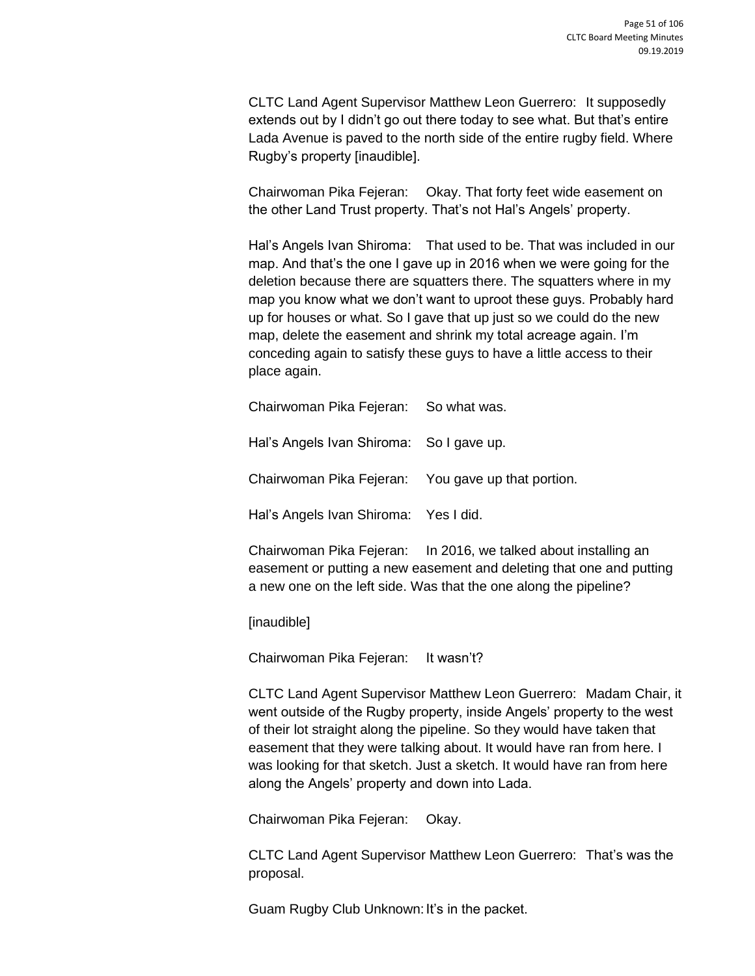CLTC Land Agent Supervisor Matthew Leon Guerrero: It supposedly extends out by I didn't go out there today to see what. But that's entire Lada Avenue is paved to the north side of the entire rugby field. Where Rugby's property [inaudible].

Chairwoman Pika Fejeran: Okay. That forty feet wide easement on the other Land Trust property. That's not Hal's Angels' property.

Hal's Angels Ivan Shiroma: That used to be. That was included in our map. And that's the one I gave up in 2016 when we were going for the deletion because there are squatters there. The squatters where in my map you know what we don't want to uproot these guys. Probably hard up for houses or what. So I gave that up just so we could do the new map, delete the easement and shrink my total acreage again. I'm conceding again to satisfy these guys to have a little access to their place again.

Chairwoman Pika Fejeran: So what was.

Hal's Angels Ivan Shiroma: So I gave up.

Chairwoman Pika Fejeran: You gave up that portion.

Hal's Angels Ivan Shiroma: Yes I did.

Chairwoman Pika Fejeran: In 2016, we talked about installing an easement or putting a new easement and deleting that one and putting a new one on the left side. Was that the one along the pipeline?

[inaudible]

Chairwoman Pika Fejeran: It wasn't?

CLTC Land Agent Supervisor Matthew Leon Guerrero: Madam Chair, it went outside of the Rugby property, inside Angels' property to the west of their lot straight along the pipeline. So they would have taken that easement that they were talking about. It would have ran from here. I was looking for that sketch. Just a sketch. It would have ran from here along the Angels' property and down into Lada.

Chairwoman Pika Fejeran: Okay.

CLTC Land Agent Supervisor Matthew Leon Guerrero: That's was the proposal.

Guam Rugby Club Unknown: It's in the packet.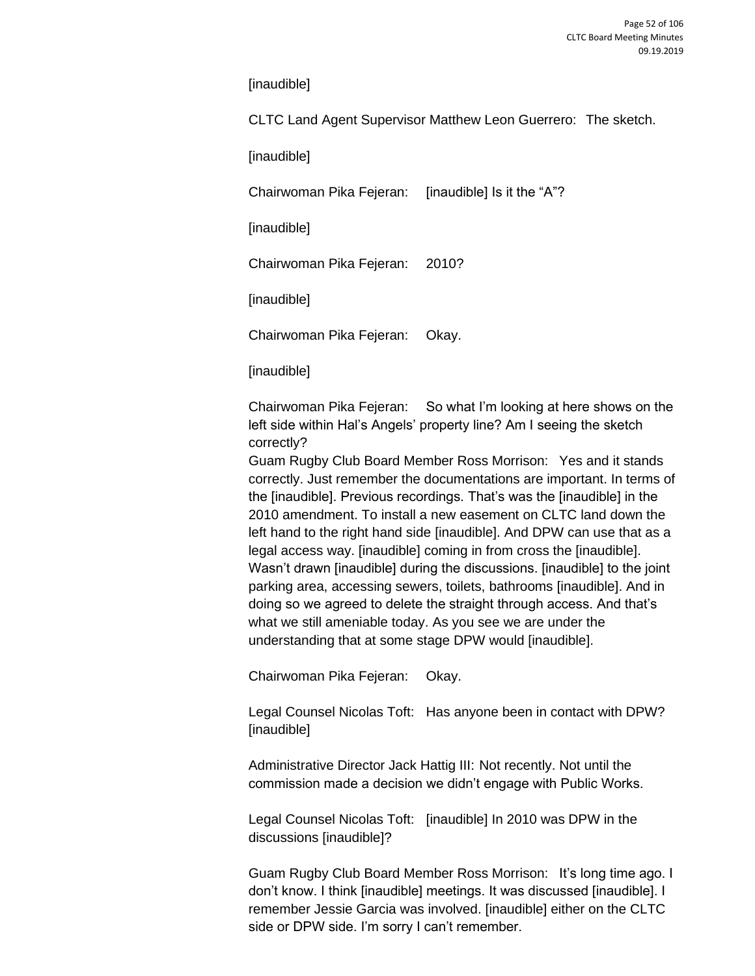[inaudible]

CLTC Land Agent Supervisor Matthew Leon Guerrero: The sketch.

[inaudible]

Chairwoman Pika Fejeran: [inaudible] Is it the "A"?

[inaudible]

Chairwoman Pika Fejeran: 2010?

[inaudible]

Chairwoman Pika Fejeran: Okay.

[inaudible]

Chairwoman Pika Fejeran: So what I'm looking at here shows on the left side within Hal's Angels' property line? Am I seeing the sketch correctly?

Guam Rugby Club Board Member Ross Morrison: Yes and it stands correctly. Just remember the documentations are important. In terms of the [inaudible]. Previous recordings. That's was the [inaudible] in the 2010 amendment. To install a new easement on CLTC land down the left hand to the right hand side [inaudible]. And DPW can use that as a legal access way. [inaudible] coming in from cross the [inaudible]. Wasn't drawn [inaudible] during the discussions. [inaudible] to the joint parking area, accessing sewers, toilets, bathrooms [inaudible]. And in doing so we agreed to delete the straight through access. And that's what we still ameniable today. As you see we are under the understanding that at some stage DPW would [inaudible].

Chairwoman Pika Fejeran: Okay.

Legal Counsel Nicolas Toft: Has anyone been in contact with DPW? [inaudible]

Administrative Director Jack Hattig III: Not recently. Not until the commission made a decision we didn't engage with Public Works.

Legal Counsel Nicolas Toft: [inaudible] In 2010 was DPW in the discussions [inaudible]?

Guam Rugby Club Board Member Ross Morrison: It's long time ago. I don't know. I think [inaudible] meetings. It was discussed [inaudible]. I remember Jessie Garcia was involved. [inaudible] either on the CLTC side or DPW side. I'm sorry I can't remember.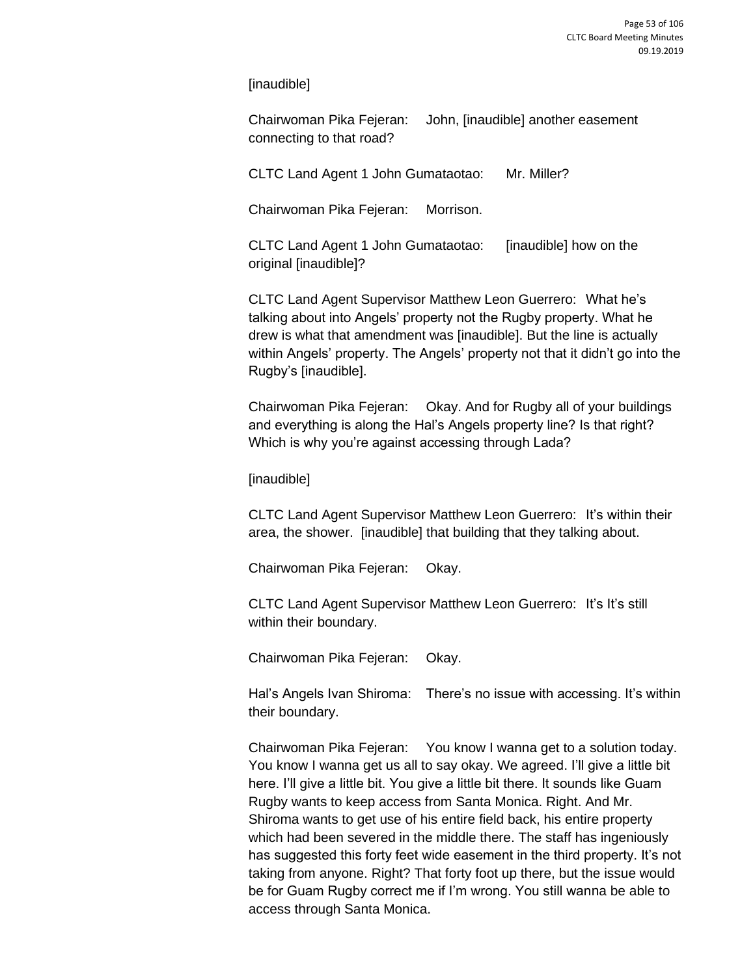[inaudible]

Chairwoman Pika Fejeran: John, [inaudible] another easement connecting to that road?

CLTC Land Agent 1 John Gumataotao: Mr. Miller?

Chairwoman Pika Fejeran: Morrison.

CLTC Land Agent 1 John Gumataotao: [inaudible] how on the original [inaudible]?

CLTC Land Agent Supervisor Matthew Leon Guerrero: What he's talking about into Angels' property not the Rugby property. What he drew is what that amendment was [inaudible]. But the line is actually within Angels' property. The Angels' property not that it didn't go into the Rugby's [inaudible].

Chairwoman Pika Fejeran: Okay. And for Rugby all of your buildings and everything is along the Hal's Angels property line? Is that right? Which is why you're against accessing through Lada?

[inaudible]

CLTC Land Agent Supervisor Matthew Leon Guerrero: It's within their area, the shower. [inaudible] that building that they talking about.

Chairwoman Pika Fejeran: Okay.

CLTC Land Agent Supervisor Matthew Leon Guerrero: It's It's still within their boundary.

Chairwoman Pika Fejeran: Okay.

Hal's Angels Ivan Shiroma: There's no issue with accessing. It's within their boundary.

Chairwoman Pika Fejeran: You know I wanna get to a solution today. You know I wanna get us all to say okay. We agreed. I'll give a little bit here. I'll give a little bit. You give a little bit there. It sounds like Guam Rugby wants to keep access from Santa Monica. Right. And Mr. Shiroma wants to get use of his entire field back, his entire property which had been severed in the middle there. The staff has ingeniously has suggested this forty feet wide easement in the third property. It's not taking from anyone. Right? That forty foot up there, but the issue would be for Guam Rugby correct me if I'm wrong. You still wanna be able to access through Santa Monica.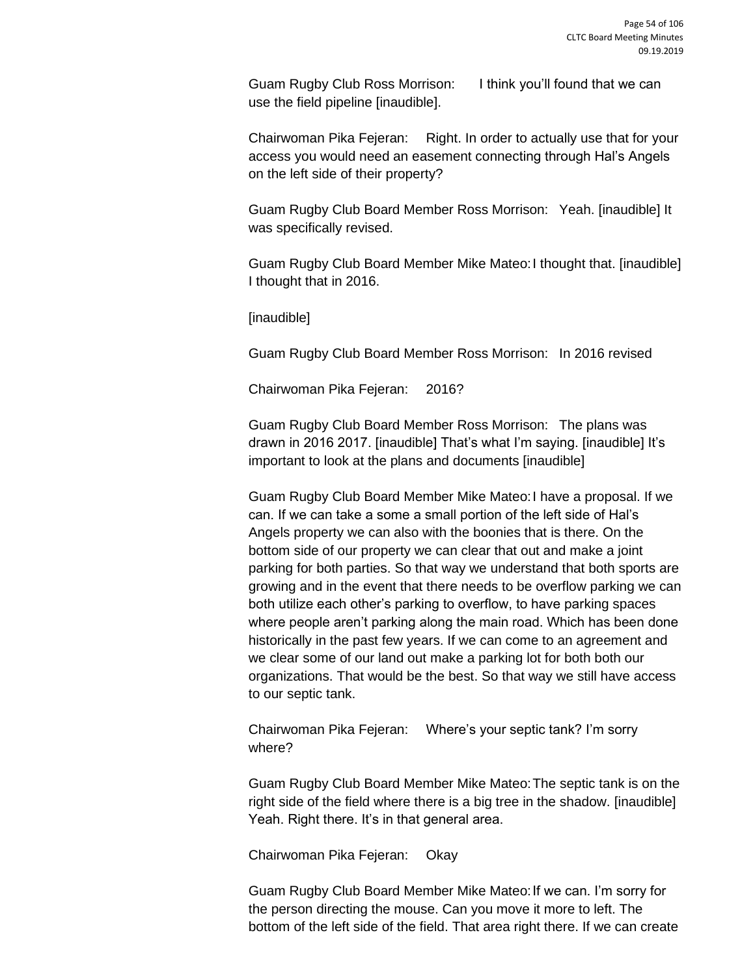Guam Rugby Club Ross Morrison: I think you'll found that we can use the field pipeline [inaudible].

Chairwoman Pika Fejeran: Right. In order to actually use that for your access you would need an easement connecting through Hal's Angels on the left side of their property?

Guam Rugby Club Board Member Ross Morrison: Yeah. [inaudible] It was specifically revised.

Guam Rugby Club Board Member Mike Mateo:I thought that. [inaudible] I thought that in 2016.

[inaudible]

Guam Rugby Club Board Member Ross Morrison: In 2016 revised

Chairwoman Pika Fejeran: 2016?

Guam Rugby Club Board Member Ross Morrison: The plans was drawn in 2016 2017. [inaudible] That's what I'm saying. [inaudible] It's important to look at the plans and documents [inaudible]

Guam Rugby Club Board Member Mike Mateo:I have a proposal. If we can. If we can take a some a small portion of the left side of Hal's Angels property we can also with the boonies that is there. On the bottom side of our property we can clear that out and make a joint parking for both parties. So that way we understand that both sports are growing and in the event that there needs to be overflow parking we can both utilize each other's parking to overflow, to have parking spaces where people aren't parking along the main road. Which has been done historically in the past few years. If we can come to an agreement and we clear some of our land out make a parking lot for both both our organizations. That would be the best. So that way we still have access to our septic tank.

Chairwoman Pika Fejeran: Where's your septic tank? I'm sorry where?

Guam Rugby Club Board Member Mike Mateo:The septic tank is on the right side of the field where there is a big tree in the shadow. [inaudible] Yeah. Right there. It's in that general area.

Chairwoman Pika Fejeran: Okay

Guam Rugby Club Board Member Mike Mateo: If we can. I'm sorry for the person directing the mouse. Can you move it more to left. The bottom of the left side of the field. That area right there. If we can create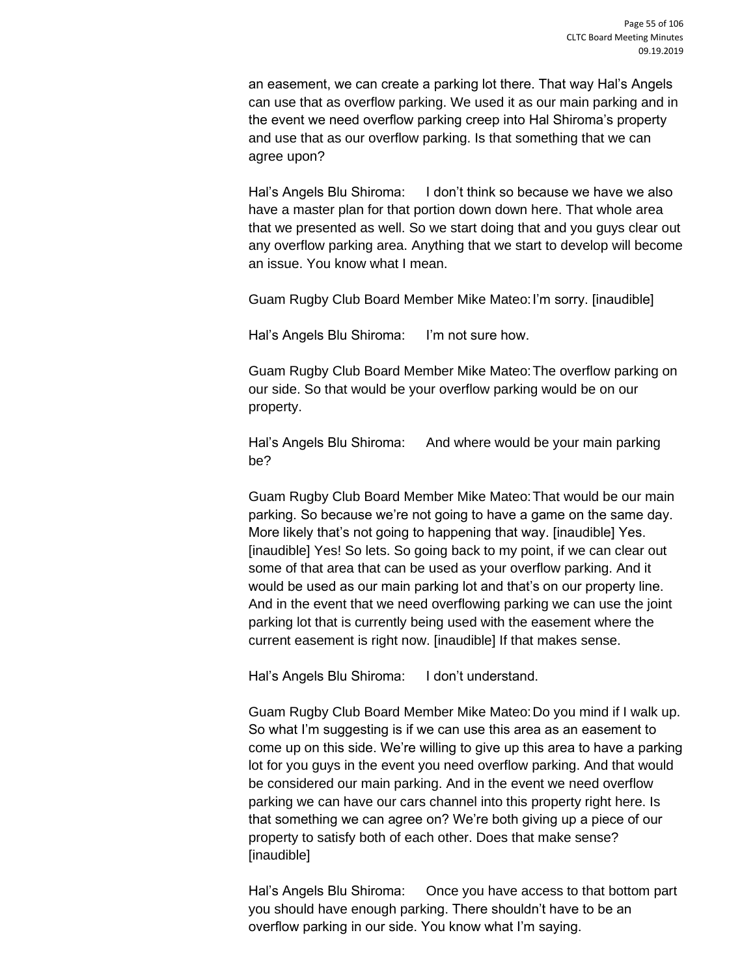an easement, we can create a parking lot there. That way Hal's Angels can use that as overflow parking. We used it as our main parking and in the event we need overflow parking creep into Hal Shiroma's property and use that as our overflow parking. Is that something that we can agree upon?

Hal's Angels Blu Shiroma: I don't think so because we have we also have a master plan for that portion down down here. That whole area that we presented as well. So we start doing that and you guys clear out any overflow parking area. Anything that we start to develop will become an issue. You know what I mean.

Guam Rugby Club Board Member Mike Mateo:I'm sorry. [inaudible]

Hal's Angels Blu Shiroma: I'm not sure how.

Guam Rugby Club Board Member Mike Mateo:The overflow parking on our side. So that would be your overflow parking would be on our property.

Hal's Angels Blu Shiroma: And where would be your main parking be?

Guam Rugby Club Board Member Mike Mateo:That would be our main parking. So because we're not going to have a game on the same day. More likely that's not going to happening that way. [inaudible] Yes. [inaudible] Yes! So lets. So going back to my point, if we can clear out some of that area that can be used as your overflow parking. And it would be used as our main parking lot and that's on our property line. And in the event that we need overflowing parking we can use the joint parking lot that is currently being used with the easement where the current easement is right now. [inaudible] If that makes sense.

Hal's Angels Blu Shiroma: I don't understand.

Guam Rugby Club Board Member Mike Mateo:Do you mind if I walk up. So what I'm suggesting is if we can use this area as an easement to come up on this side. We're willing to give up this area to have a parking lot for you guys in the event you need overflow parking. And that would be considered our main parking. And in the event we need overflow parking we can have our cars channel into this property right here. Is that something we can agree on? We're both giving up a piece of our property to satisfy both of each other. Does that make sense? [inaudible]

Hal's Angels Blu Shiroma: Once you have access to that bottom part you should have enough parking. There shouldn't have to be an overflow parking in our side. You know what I'm saying.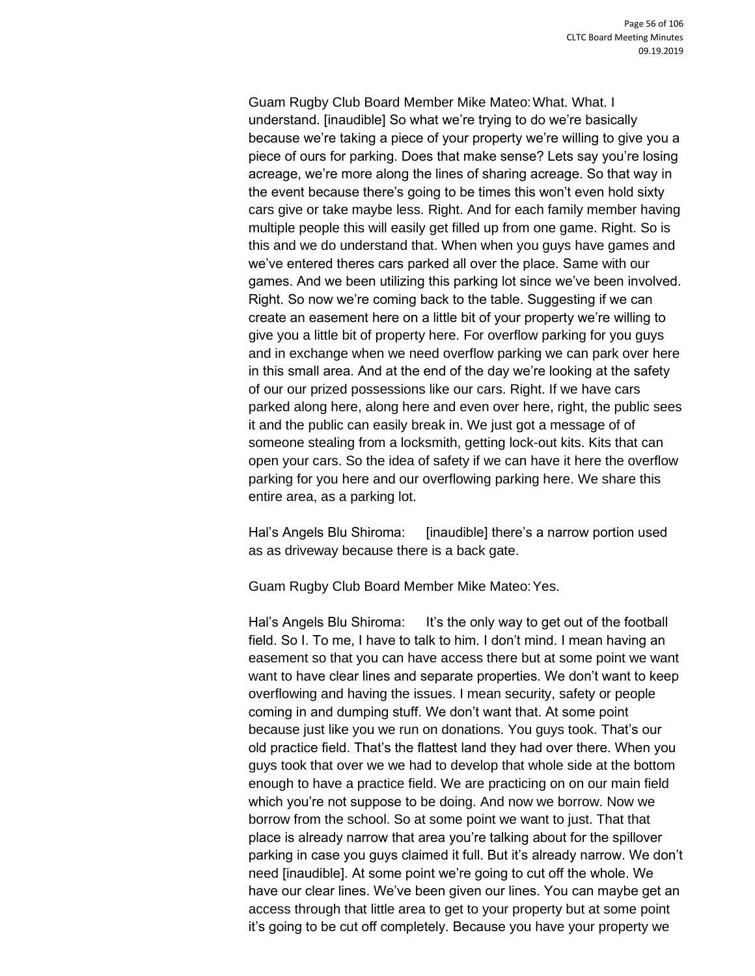Guam Rugby Club Board Member Mike Mateo:What. What. I understand. [inaudible] So what we're trying to do we're basically because we're taking a piece of your property we're willing to give you a piece of ours for parking. Does that make sense? Lets say you're losing acreage, we're more along the lines of sharing acreage. So that way in the event because there's going to be times this won't even hold sixty cars give or take maybe less. Right. And for each family member having multiple people this will easily get filled up from one game. Right. So is this and we do understand that. When when you guys have games and we've entered theres cars parked all over the place. Same with our games. And we been utilizing this parking lot since we've been involved. Right. So now we're coming back to the table. Suggesting if we can create an easement here on a little bit of your property we're willing to give you a little bit of property here. For overflow parking for you guys and in exchange when we need overflow parking we can park over here in this small area. And at the end of the day we're looking at the safety of our our prized possessions like our cars. Right. If we have cars parked along here, along here and even over here, right, the public sees it and the public can easily break in. We just got a message of of someone stealing from a locksmith, getting lock-out kits. Kits that can open your cars. So the idea of safety if we can have it here the overflow parking for you here and our overflowing parking here. We share this entire area, as a parking lot.

Hal's Angels Blu Shiroma: [inaudible] there's a narrow portion used as as driveway because there is a back gate.

Guam Rugby Club Board Member Mike Mateo:Yes.

Hal's Angels Blu Shiroma: It's the only way to get out of the football field. So I. To me, I have to talk to him. I don't mind. I mean having an easement so that you can have access there but at some point we want want to have clear lines and separate properties. We don't want to keep overflowing and having the issues. I mean security, safety or people coming in and dumping stuff. We don't want that. At some point because just like you we run on donations. You guys took. That's our old practice field. That's the flattest land they had over there. When you guys took that over we we had to develop that whole side at the bottom enough to have a practice field. We are practicing on on our main field which you're not suppose to be doing. And now we borrow. Now we borrow from the school. So at some point we want to just. That that place is already narrow that area you're talking about for the spillover parking in case you guys claimed it full. But it's already narrow. We don't need [inaudible]. At some point we're going to cut off the whole. We have our clear lines. We've been given our lines. You can maybe get an access through that little area to get to your property but at some point it's going to be cut off completely. Because you have your property we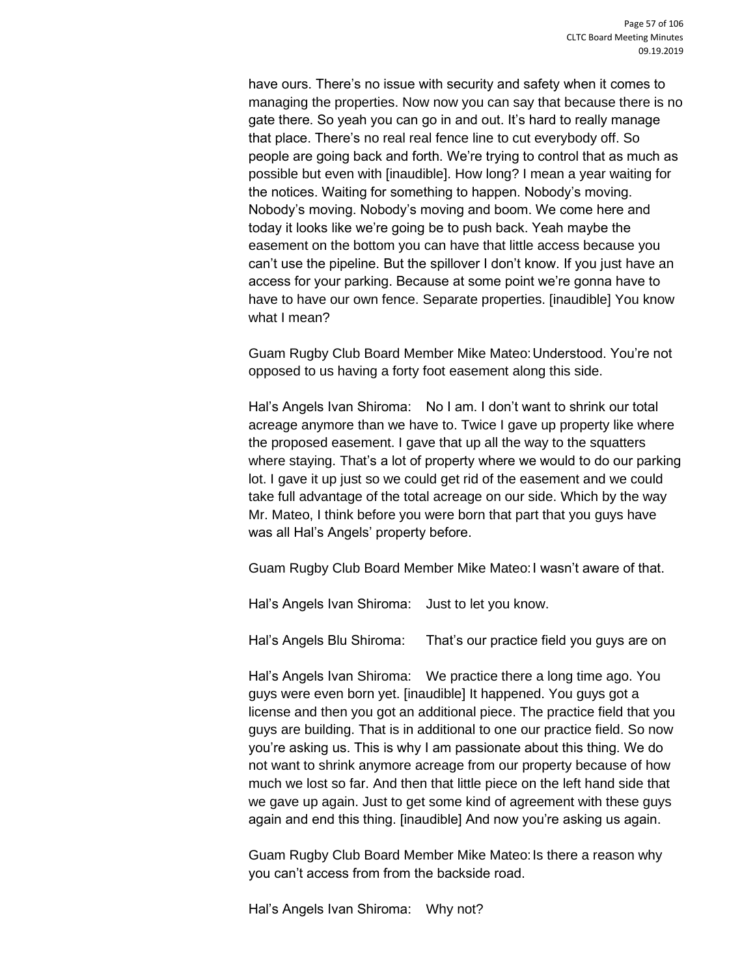have ours. There's no issue with security and safety when it comes to managing the properties. Now now you can say that because there is no gate there. So yeah you can go in and out. It's hard to really manage that place. There's no real real fence line to cut everybody off. So people are going back and forth. We're trying to control that as much as possible but even with [inaudible]. How long? I mean a year waiting for the notices. Waiting for something to happen. Nobody's moving. Nobody's moving. Nobody's moving and boom. We come here and today it looks like we're going be to push back. Yeah maybe the easement on the bottom you can have that little access because you can't use the pipeline. But the spillover I don't know. If you just have an access for your parking. Because at some point we're gonna have to have to have our own fence. Separate properties. [inaudible] You know what I mean?

Guam Rugby Club Board Member Mike Mateo:Understood. You're not opposed to us having a forty foot easement along this side.

Hal's Angels Ivan Shiroma: No I am. I don't want to shrink our total acreage anymore than we have to. Twice I gave up property like where the proposed easement. I gave that up all the way to the squatters where staying. That's a lot of property where we would to do our parking lot. I gave it up just so we could get rid of the easement and we could take full advantage of the total acreage on our side. Which by the way Mr. Mateo, I think before you were born that part that you guys have was all Hal's Angels' property before.

Guam Rugby Club Board Member Mike Mateo:I wasn't aware of that.

Hal's Angels Ivan Shiroma: Just to let you know.

Hal's Angels Blu Shiroma: That's our practice field you guys are on

Hal's Angels Ivan Shiroma: We practice there a long time ago. You guys were even born yet. [inaudible] It happened. You guys got a license and then you got an additional piece. The practice field that you guys are building. That is in additional to one our practice field. So now you're asking us. This is why I am passionate about this thing. We do not want to shrink anymore acreage from our property because of how much we lost so far. And then that little piece on the left hand side that we gave up again. Just to get some kind of agreement with these guys again and end this thing. [inaudible] And now you're asking us again.

Guam Rugby Club Board Member Mike Mateo:Is there a reason why you can't access from from the backside road.

Hal's Angels Ivan Shiroma: Why not?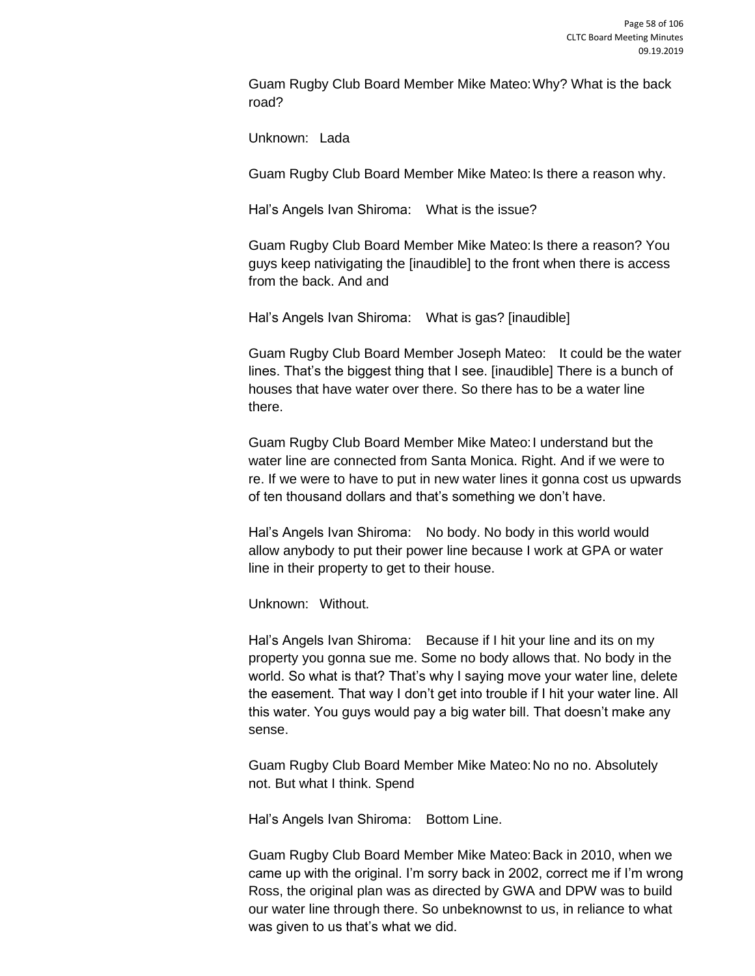Guam Rugby Club Board Member Mike Mateo:Why? What is the back road?

Unknown: Lada

Guam Rugby Club Board Member Mike Mateo: Is there a reason why.

Hal's Angels Ivan Shiroma: What is the issue?

Guam Rugby Club Board Member Mike Mateo:Is there a reason? You guys keep nativigating the [inaudible] to the front when there is access from the back. And and

Hal's Angels Ivan Shiroma: What is gas? [inaudible]

Guam Rugby Club Board Member Joseph Mateo: It could be the water lines. That's the biggest thing that I see. [inaudible] There is a bunch of houses that have water over there. So there has to be a water line there.

Guam Rugby Club Board Member Mike Mateo:I understand but the water line are connected from Santa Monica. Right. And if we were to re. If we were to have to put in new water lines it gonna cost us upwards of ten thousand dollars and that's something we don't have.

Hal's Angels Ivan Shiroma: No body. No body in this world would allow anybody to put their power line because I work at GPA or water line in their property to get to their house.

Unknown: Without.

Hal's Angels Ivan Shiroma: Because if I hit your line and its on my property you gonna sue me. Some no body allows that. No body in the world. So what is that? That's why I saying move your water line, delete the easement. That way I don't get into trouble if I hit your water line. All this water. You guys would pay a big water bill. That doesn't make any sense.

Guam Rugby Club Board Member Mike Mateo:No no no. Absolutely not. But what I think. Spend

Hal's Angels Ivan Shiroma: Bottom Line.

Guam Rugby Club Board Member Mike Mateo:Back in 2010, when we came up with the original. I'm sorry back in 2002, correct me if I'm wrong Ross, the original plan was as directed by GWA and DPW was to build our water line through there. So unbeknownst to us, in reliance to what was given to us that's what we did.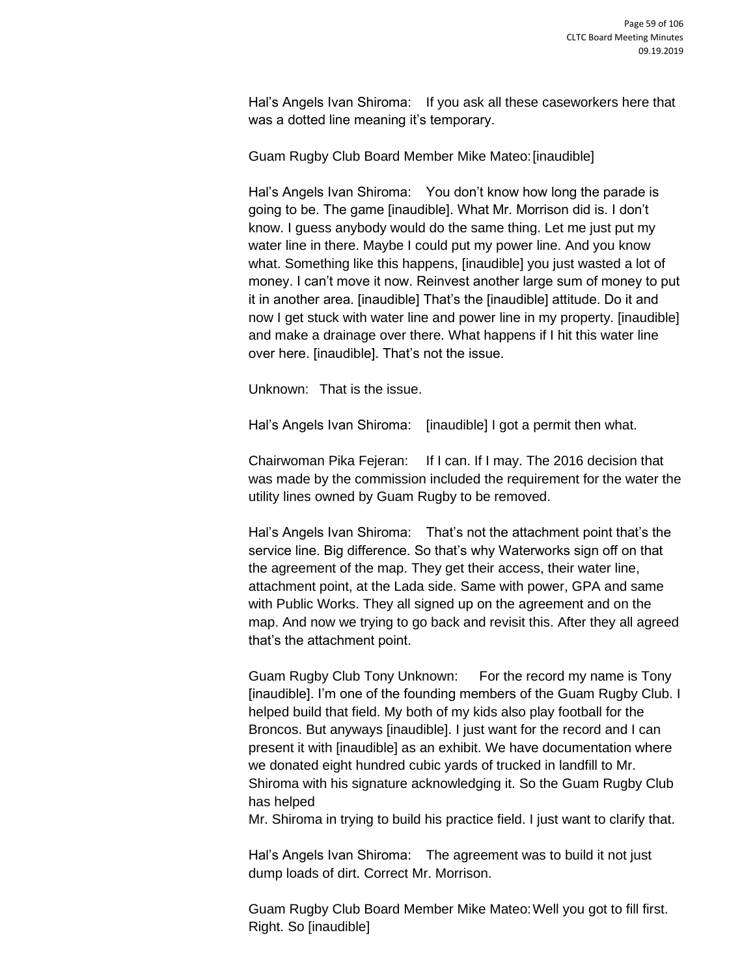Hal's Angels Ivan Shiroma: If you ask all these caseworkers here that was a dotted line meaning it's temporary.

Guam Rugby Club Board Member Mike Mateo:[inaudible]

Hal's Angels Ivan Shiroma: You don't know how long the parade is going to be. The game [inaudible]. What Mr. Morrison did is. I don't know. I guess anybody would do the same thing. Let me just put my water line in there. Maybe I could put my power line. And you know what. Something like this happens, [inaudible] you just wasted a lot of money. I can't move it now. Reinvest another large sum of money to put it in another area. [inaudible] That's the [inaudible] attitude. Do it and now I get stuck with water line and power line in my property. [inaudible] and make a drainage over there. What happens if I hit this water line over here. [inaudible]. That's not the issue.

Unknown: That is the issue.

Hal's Angels Ivan Shiroma: [inaudible] I got a permit then what.

Chairwoman Pika Fejeran: If I can. If I may. The 2016 decision that was made by the commission included the requirement for the water the utility lines owned by Guam Rugby to be removed.

Hal's Angels Ivan Shiroma: That's not the attachment point that's the service line. Big difference. So that's why Waterworks sign off on that the agreement of the map. They get their access, their water line, attachment point, at the Lada side. Same with power, GPA and same with Public Works. They all signed up on the agreement and on the map. And now we trying to go back and revisit this. After they all agreed that's the attachment point.

Guam Rugby Club Tony Unknown: For the record my name is Tony [inaudible]. I'm one of the founding members of the Guam Rugby Club. I helped build that field. My both of my kids also play football for the Broncos. But anyways [inaudible]. I just want for the record and I can present it with [inaudible] as an exhibit. We have documentation where we donated eight hundred cubic yards of trucked in landfill to Mr. Shiroma with his signature acknowledging it. So the Guam Rugby Club has helped

Mr. Shiroma in trying to build his practice field. I just want to clarify that.

Hal's Angels Ivan Shiroma: The agreement was to build it not just dump loads of dirt. Correct Mr. Morrison.

Guam Rugby Club Board Member Mike Mateo:Well you got to fill first. Right. So [inaudible]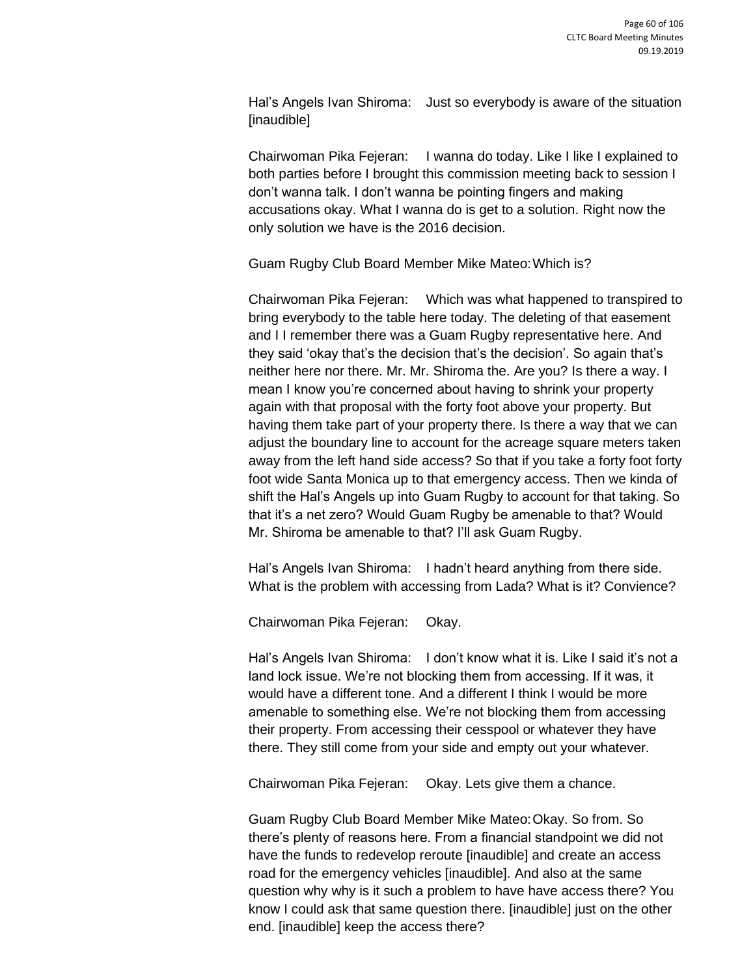Hal's Angels Ivan Shiroma: Just so everybody is aware of the situation [inaudible]

Chairwoman Pika Fejeran: I wanna do today. Like I like I explained to both parties before I brought this commission meeting back to session I don't wanna talk. I don't wanna be pointing fingers and making accusations okay. What I wanna do is get to a solution. Right now the only solution we have is the 2016 decision.

Guam Rugby Club Board Member Mike Mateo:Which is?

Chairwoman Pika Fejeran: Which was what happened to transpired to bring everybody to the table here today. The deleting of that easement and I I remember there was a Guam Rugby representative here. And they said 'okay that's the decision that's the decision'. So again that's neither here nor there. Mr. Mr. Shiroma the. Are you? Is there a way. I mean I know you're concerned about having to shrink your property again with that proposal with the forty foot above your property. But having them take part of your property there. Is there a way that we can adjust the boundary line to account for the acreage square meters taken away from the left hand side access? So that if you take a forty foot forty foot wide Santa Monica up to that emergency access. Then we kinda of shift the Hal's Angels up into Guam Rugby to account for that taking. So that it's a net zero? Would Guam Rugby be amenable to that? Would Mr. Shiroma be amenable to that? I'll ask Guam Rugby.

Hal's Angels Ivan Shiroma: I hadn't heard anything from there side. What is the problem with accessing from Lada? What is it? Convience?

Chairwoman Pika Fejeran: Okay.

Hal's Angels Ivan Shiroma: I don't know what it is. Like I said it's not a land lock issue. We're not blocking them from accessing. If it was, it would have a different tone. And a different I think I would be more amenable to something else. We're not blocking them from accessing their property. From accessing their cesspool or whatever they have there. They still come from your side and empty out your whatever.

Chairwoman Pika Fejeran: Okay. Lets give them a chance.

Guam Rugby Club Board Member Mike Mateo:Okay. So from. So there's plenty of reasons here. From a financial standpoint we did not have the funds to redevelop reroute [inaudible] and create an access road for the emergency vehicles [inaudible]. And also at the same question why why is it such a problem to have have access there? You know I could ask that same question there. [inaudible] just on the other end. [inaudible] keep the access there?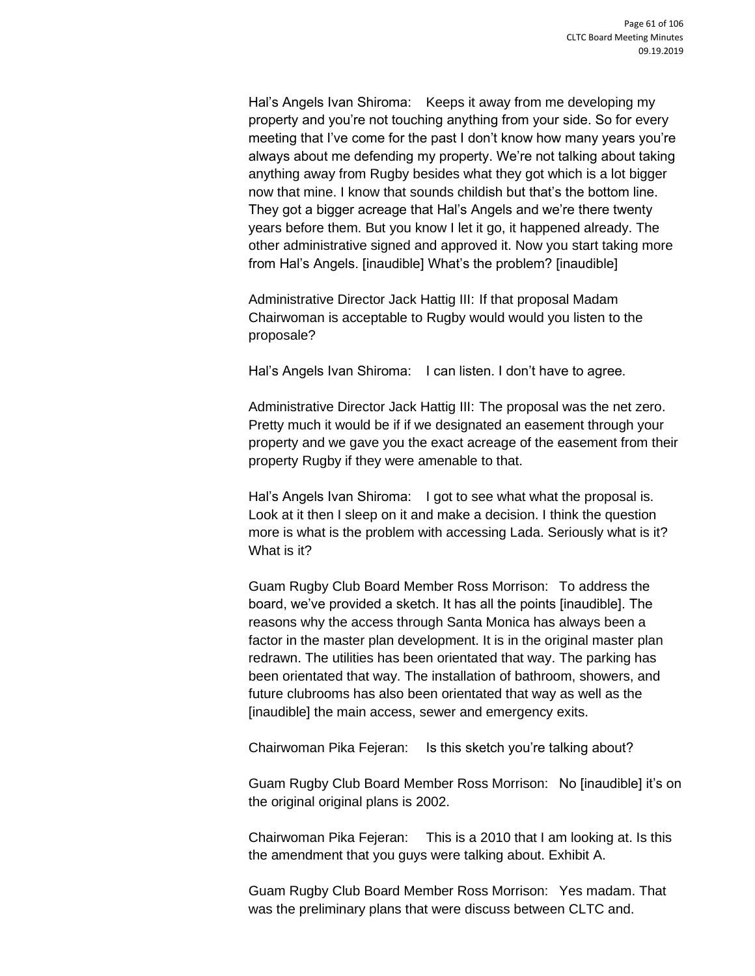Hal's Angels Ivan Shiroma: Keeps it away from me developing my property and you're not touching anything from your side. So for every meeting that I've come for the past I don't know how many years you're always about me defending my property. We're not talking about taking anything away from Rugby besides what they got which is a lot bigger now that mine. I know that sounds childish but that's the bottom line. They got a bigger acreage that Hal's Angels and we're there twenty years before them. But you know I let it go, it happened already. The other administrative signed and approved it. Now you start taking more from Hal's Angels. [inaudible] What's the problem? [inaudible]

Administrative Director Jack Hattig III: If that proposal Madam Chairwoman is acceptable to Rugby would would you listen to the proposale?

Hal's Angels Ivan Shiroma: I can listen. I don't have to agree.

Administrative Director Jack Hattig III: The proposal was the net zero. Pretty much it would be if if we designated an easement through your property and we gave you the exact acreage of the easement from their property Rugby if they were amenable to that.

Hal's Angels Ivan Shiroma: I got to see what what the proposal is. Look at it then I sleep on it and make a decision. I think the question more is what is the problem with accessing Lada. Seriously what is it? What is it?

Guam Rugby Club Board Member Ross Morrison: To address the board, we've provided a sketch. It has all the points [inaudible]. The reasons why the access through Santa Monica has always been a factor in the master plan development. It is in the original master plan redrawn. The utilities has been orientated that way. The parking has been orientated that way. The installation of bathroom, showers, and future clubrooms has also been orientated that way as well as the [inaudible] the main access, sewer and emergency exits.

Chairwoman Pika Fejeran: Is this sketch you're talking about?

Guam Rugby Club Board Member Ross Morrison: No [inaudible] it's on the original original plans is 2002.

Chairwoman Pika Fejeran: This is a 2010 that I am looking at. Is this the amendment that you guys were talking about. Exhibit A.

Guam Rugby Club Board Member Ross Morrison: Yes madam. That was the preliminary plans that were discuss between CLTC and.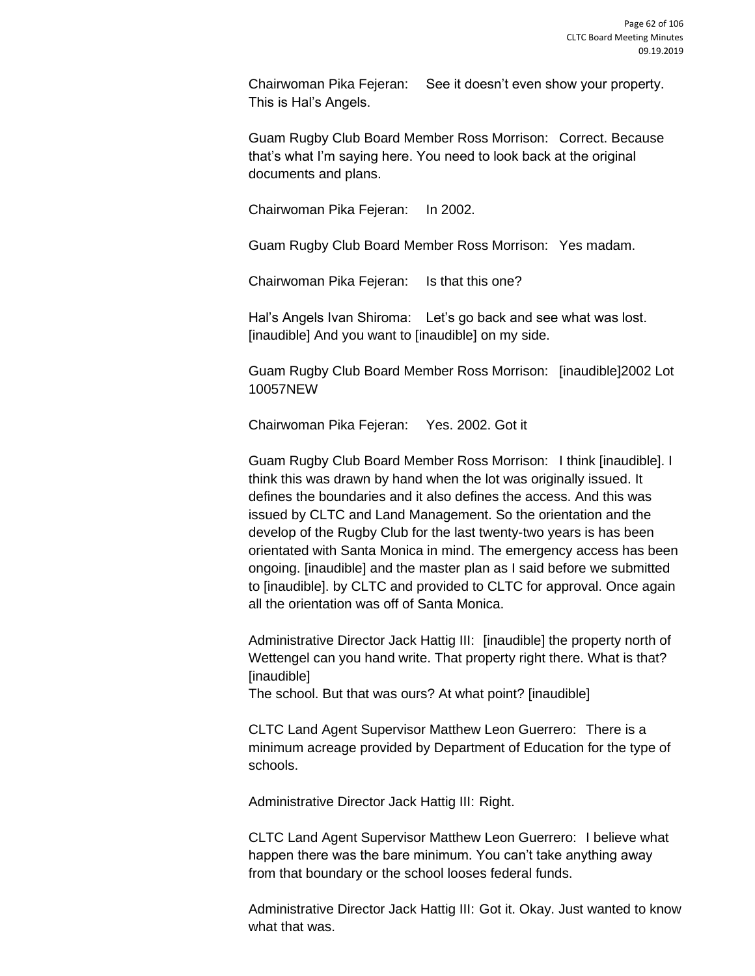Chairwoman Pika Fejeran: See it doesn't even show your property. This is Hal's Angels.

Guam Rugby Club Board Member Ross Morrison: Correct. Because that's what I'm saying here. You need to look back at the original documents and plans.

Chairwoman Pika Fejeran: In 2002.

Guam Rugby Club Board Member Ross Morrison: Yes madam.

Chairwoman Pika Fejeran: Is that this one?

Hal's Angels Ivan Shiroma: Let's go back and see what was lost. [inaudible] And you want to [inaudible] on my side.

Guam Rugby Club Board Member Ross Morrison: [inaudible]2002 Lot 10057NEW

Chairwoman Pika Fejeran: Yes. 2002. Got it

Guam Rugby Club Board Member Ross Morrison: I think [inaudible]. I think this was drawn by hand when the lot was originally issued. It defines the boundaries and it also defines the access. And this was issued by CLTC and Land Management. So the orientation and the develop of the Rugby Club for the last twenty-two years is has been orientated with Santa Monica in mind. The emergency access has been ongoing. [inaudible] and the master plan as I said before we submitted to [inaudible]. by CLTC and provided to CLTC for approval. Once again all the orientation was off of Santa Monica.

Administrative Director Jack Hattig III: [inaudible] the property north of Wettengel can you hand write. That property right there. What is that? [inaudible]

The school. But that was ours? At what point? [inaudible]

CLTC Land Agent Supervisor Matthew Leon Guerrero: There is a minimum acreage provided by Department of Education for the type of schools.

Administrative Director Jack Hattig III: Right.

CLTC Land Agent Supervisor Matthew Leon Guerrero: I believe what happen there was the bare minimum. You can't take anything away from that boundary or the school looses federal funds.

Administrative Director Jack Hattig III: Got it. Okay. Just wanted to know what that was.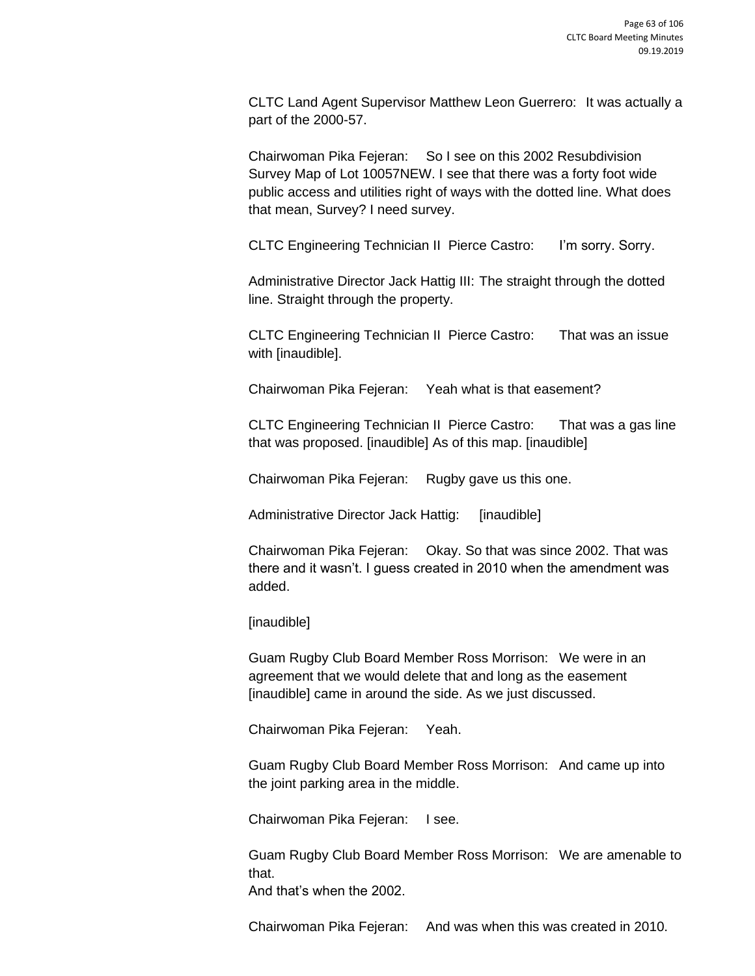CLTC Land Agent Supervisor Matthew Leon Guerrero: It was actually a part of the 2000-57.

Chairwoman Pika Fejeran: So I see on this 2002 Resubdivision Survey Map of Lot 10057NEW. I see that there was a forty foot wide public access and utilities right of ways with the dotted line. What does that mean, Survey? I need survey.

CLTC Engineering Technician II Pierce Castro: I'm sorry. Sorry.

Administrative Director Jack Hattig III: The straight through the dotted line. Straight through the property.

CLTC Engineering Technician II Pierce Castro: That was an issue with [inaudible].

Chairwoman Pika Fejeran: Yeah what is that easement?

CLTC Engineering Technician II Pierce Castro: That was a gas line that was proposed. [inaudible] As of this map. [inaudible]

Chairwoman Pika Fejeran: Rugby gave us this one.

Administrative Director Jack Hattig: [inaudible]

Chairwoman Pika Fejeran: Okay. So that was since 2002. That was there and it wasn't. I guess created in 2010 when the amendment was added.

[inaudible]

Guam Rugby Club Board Member Ross Morrison: We were in an agreement that we would delete that and long as the easement [inaudible] came in around the side. As we just discussed.

Chairwoman Pika Fejeran: Yeah.

Guam Rugby Club Board Member Ross Morrison: And came up into the joint parking area in the middle.

Chairwoman Pika Fejeran: I see.

Guam Rugby Club Board Member Ross Morrison: We are amenable to that.

And that's when the 2002.

Chairwoman Pika Fejeran: And was when this was created in 2010.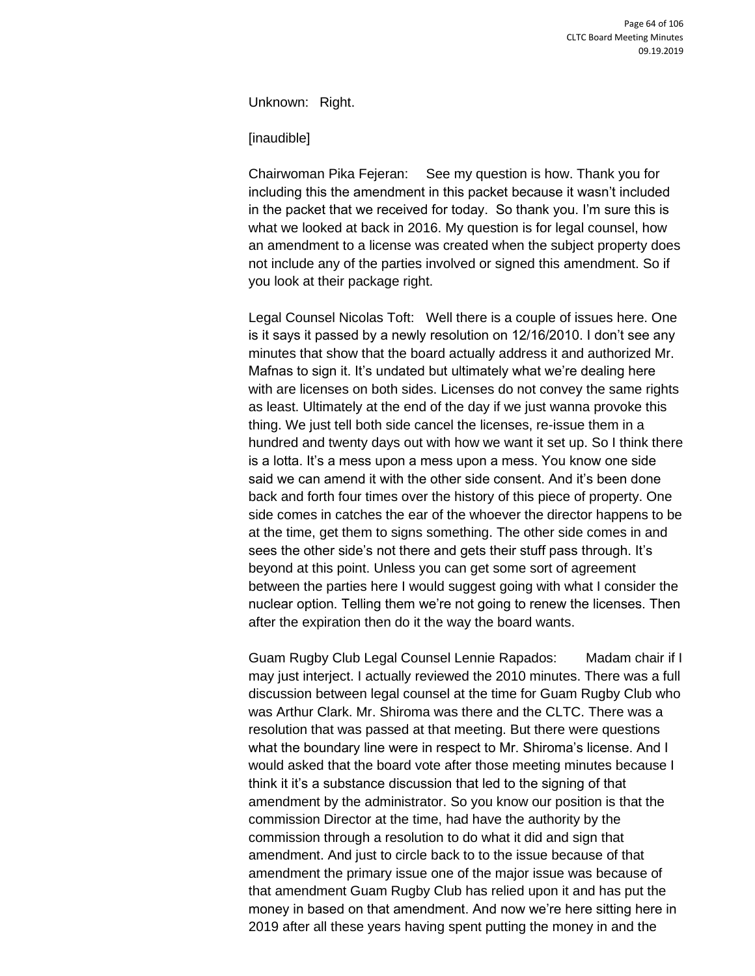Unknown: Right.

[inaudible]

Chairwoman Pika Fejeran: See my question is how. Thank you for including this the amendment in this packet because it wasn't included in the packet that we received for today. So thank you. I'm sure this is what we looked at back in 2016. My question is for legal counsel, how an amendment to a license was created when the subject property does not include any of the parties involved or signed this amendment. So if you look at their package right.

Legal Counsel Nicolas Toft: Well there is a couple of issues here. One is it says it passed by a newly resolution on 12/16/2010. I don't see any minutes that show that the board actually address it and authorized Mr. Mafnas to sign it. It's undated but ultimately what we're dealing here with are licenses on both sides. Licenses do not convey the same rights as least. Ultimately at the end of the day if we just wanna provoke this thing. We just tell both side cancel the licenses, re-issue them in a hundred and twenty days out with how we want it set up. So I think there is a lotta. It's a mess upon a mess upon a mess. You know one side said we can amend it with the other side consent. And it's been done back and forth four times over the history of this piece of property. One side comes in catches the ear of the whoever the director happens to be at the time, get them to signs something. The other side comes in and sees the other side's not there and gets their stuff pass through. It's beyond at this point. Unless you can get some sort of agreement between the parties here I would suggest going with what I consider the nuclear option. Telling them we're not going to renew the licenses. Then after the expiration then do it the way the board wants.

Guam Rugby Club Legal Counsel Lennie Rapados: Madam chair if I may just interject. I actually reviewed the 2010 minutes. There was a full discussion between legal counsel at the time for Guam Rugby Club who was Arthur Clark. Mr. Shiroma was there and the CLTC. There was a resolution that was passed at that meeting. But there were questions what the boundary line were in respect to Mr. Shiroma's license. And I would asked that the board vote after those meeting minutes because I think it it's a substance discussion that led to the signing of that amendment by the administrator. So you know our position is that the commission Director at the time, had have the authority by the commission through a resolution to do what it did and sign that amendment. And just to circle back to to the issue because of that amendment the primary issue one of the major issue was because of that amendment Guam Rugby Club has relied upon it and has put the money in based on that amendment. And now we're here sitting here in 2019 after all these years having spent putting the money in and the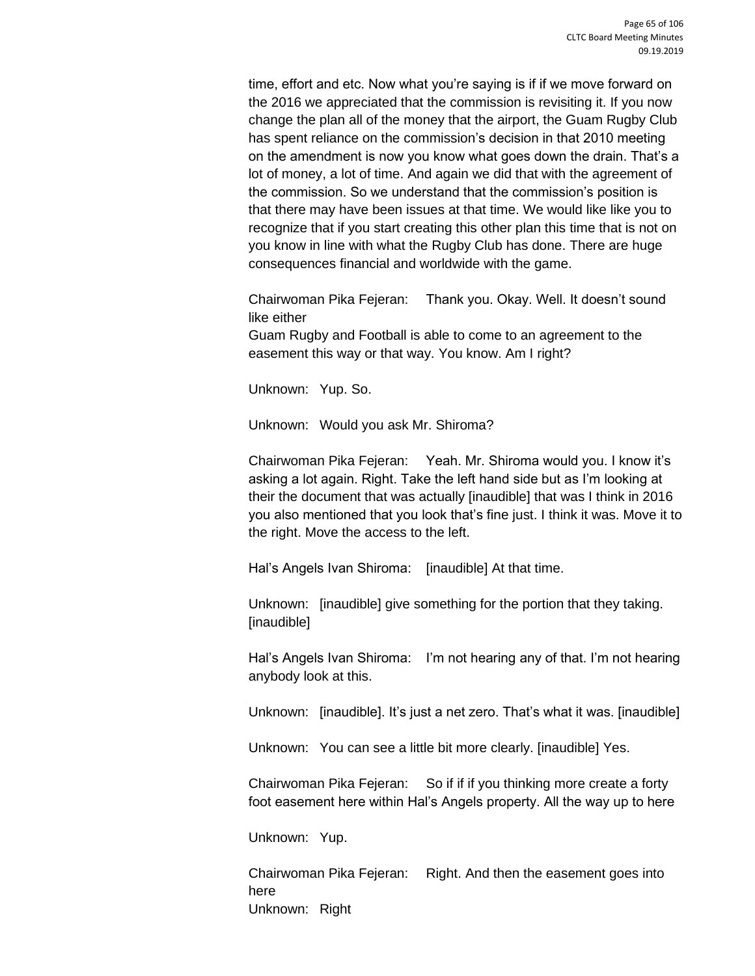time, effort and etc. Now what you're saying is if if we move forward on the 2016 we appreciated that the commission is revisiting it. If you now change the plan all of the money that the airport, the Guam Rugby Club has spent reliance on the commission's decision in that 2010 meeting on the amendment is now you know what goes down the drain. That's a lot of money, a lot of time. And again we did that with the agreement of the commission. So we understand that the commission's position is that there may have been issues at that time. We would like like you to recognize that if you start creating this other plan this time that is not on you know in line with what the Rugby Club has done. There are huge consequences financial and worldwide with the game.

Chairwoman Pika Fejeran: Thank you. Okay. Well. It doesn't sound like either

Guam Rugby and Football is able to come to an agreement to the easement this way or that way. You know. Am I right?

Unknown: Yup. So.

Unknown: Would you ask Mr. Shiroma?

Chairwoman Pika Fejeran: Yeah. Mr. Shiroma would you. I know it's asking a lot again. Right. Take the left hand side but as I'm looking at their the document that was actually [inaudible] that was I think in 2016 you also mentioned that you look that's fine just. I think it was. Move it to the right. Move the access to the left.

Hal's Angels Ivan Shiroma: [inaudible] At that time.

Unknown: [inaudible] give something for the portion that they taking. [inaudible]

Hal's Angels Ivan Shiroma: I'm not hearing any of that. I'm not hearing anybody look at this.

Unknown: [inaudible]. It's just a net zero. That's what it was. [inaudible]

Unknown: You can see a little bit more clearly. [inaudible] Yes.

Chairwoman Pika Fejeran: So if if if you thinking more create a forty foot easement here within Hal's Angels property. All the way up to here

Unknown: Yup.

Chairwoman Pika Fejeran: Right. And then the easement goes into here Unknown: Right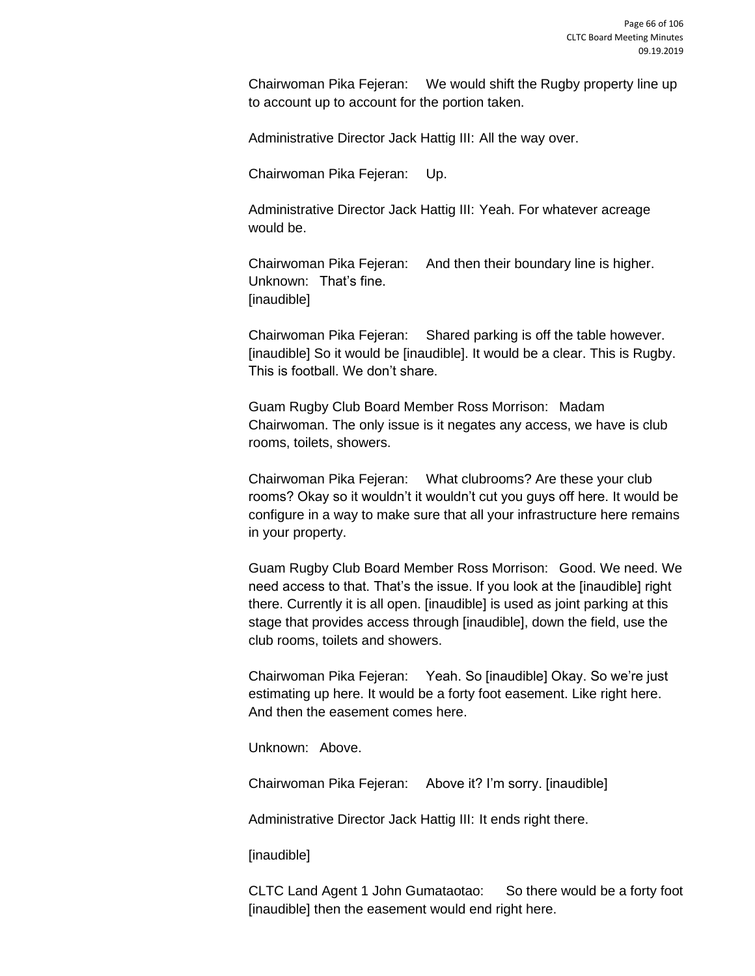Chairwoman Pika Fejeran: We would shift the Rugby property line up to account up to account for the portion taken.

Administrative Director Jack Hattig III: All the way over.

Chairwoman Pika Fejeran: Up.

Administrative Director Jack Hattig III: Yeah. For whatever acreage would be.

Chairwoman Pika Fejeran: And then their boundary line is higher. Unknown: That's fine. [inaudible]

Chairwoman Pika Fejeran: Shared parking is off the table however. [inaudible] So it would be [inaudible]. It would be a clear. This is Rugby. This is football. We don't share.

Guam Rugby Club Board Member Ross Morrison: Madam Chairwoman. The only issue is it negates any access, we have is club rooms, toilets, showers.

Chairwoman Pika Fejeran: What clubrooms? Are these your club rooms? Okay so it wouldn't it wouldn't cut you guys off here. It would be configure in a way to make sure that all your infrastructure here remains in your property.

Guam Rugby Club Board Member Ross Morrison: Good. We need. We need access to that. That's the issue. If you look at the [inaudible] right there. Currently it is all open. [inaudible] is used as joint parking at this stage that provides access through [inaudible], down the field, use the club rooms, toilets and showers.

Chairwoman Pika Fejeran: Yeah. So [inaudible] Okay. So we're just estimating up here. It would be a forty foot easement. Like right here. And then the easement comes here.

Unknown: Above.

Chairwoman Pika Fejeran: Above it? I'm sorry. [inaudible]

Administrative Director Jack Hattig III: It ends right there.

[inaudible]

CLTC Land Agent 1 John Gumataotao: So there would be a forty foot [inaudible] then the easement would end right here.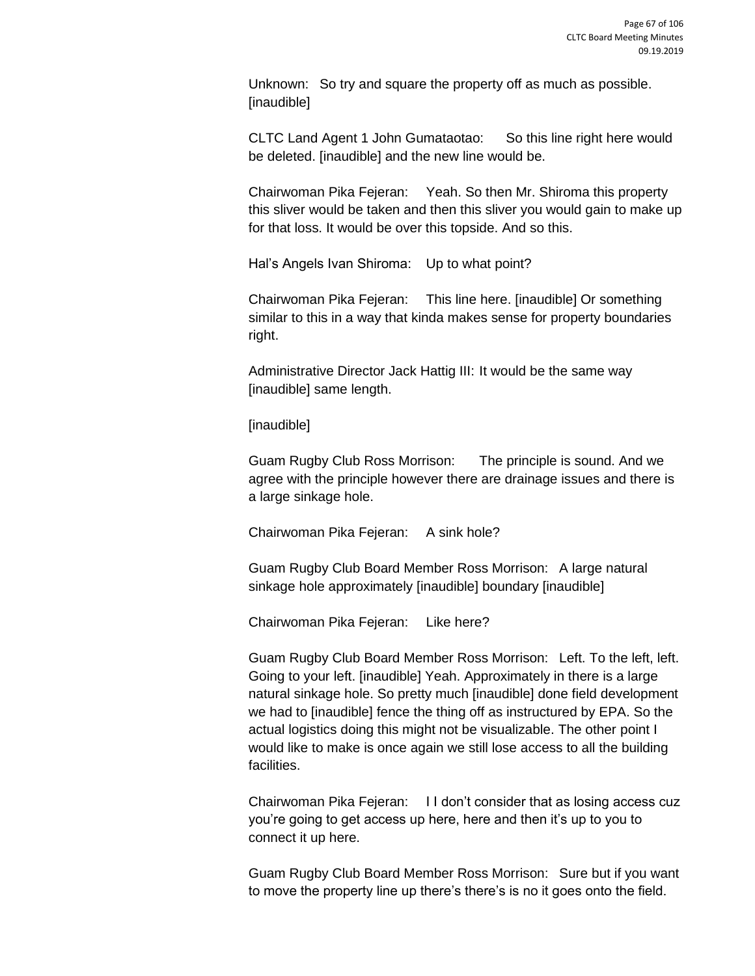Unknown: So try and square the property off as much as possible. [inaudible]

CLTC Land Agent 1 John Gumataotao: So this line right here would be deleted. [inaudible] and the new line would be.

Chairwoman Pika Fejeran: Yeah. So then Mr. Shiroma this property this sliver would be taken and then this sliver you would gain to make up for that loss. It would be over this topside. And so this.

Hal's Angels Ivan Shiroma: Up to what point?

Chairwoman Pika Fejeran: This line here. [inaudible] Or something similar to this in a way that kinda makes sense for property boundaries right.

Administrative Director Jack Hattig III: It would be the same way [inaudible] same length.

[inaudible]

Guam Rugby Club Ross Morrison: The principle is sound. And we agree with the principle however there are drainage issues and there is a large sinkage hole.

Chairwoman Pika Fejeran: A sink hole?

Guam Rugby Club Board Member Ross Morrison: A large natural sinkage hole approximately [inaudible] boundary [inaudible]

Chairwoman Pika Fejeran: Like here?

Guam Rugby Club Board Member Ross Morrison: Left. To the left, left. Going to your left. [inaudible] Yeah. Approximately in there is a large natural sinkage hole. So pretty much [inaudible] done field development we had to [inaudible] fence the thing off as instructured by EPA. So the actual logistics doing this might not be visualizable. The other point I would like to make is once again we still lose access to all the building facilities.

Chairwoman Pika Fejeran: I I don't consider that as losing access cuz you're going to get access up here, here and then it's up to you to connect it up here.

Guam Rugby Club Board Member Ross Morrison: Sure but if you want to move the property line up there's there's is no it goes onto the field.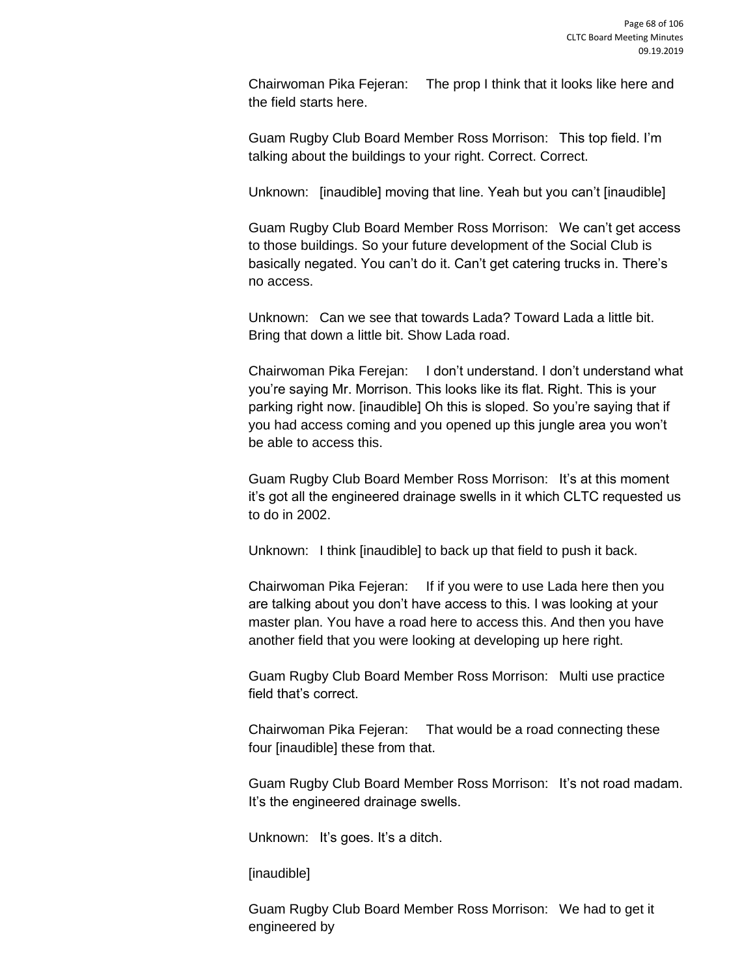Chairwoman Pika Fejeran: The prop I think that it looks like here and the field starts here.

Guam Rugby Club Board Member Ross Morrison: This top field. I'm talking about the buildings to your right. Correct. Correct.

Unknown: [inaudible] moving that line. Yeah but you can't [inaudible]

Guam Rugby Club Board Member Ross Morrison: We can't get access to those buildings. So your future development of the Social Club is basically negated. You can't do it. Can't get catering trucks in. There's no access.

Unknown: Can we see that towards Lada? Toward Lada a little bit. Bring that down a little bit. Show Lada road.

Chairwoman Pika Ferejan: I don't understand. I don't understand what you're saying Mr. Morrison. This looks like its flat. Right. This is your parking right now. [inaudible] Oh this is sloped. So you're saying that if you had access coming and you opened up this jungle area you won't be able to access this.

Guam Rugby Club Board Member Ross Morrison: It's at this moment it's got all the engineered drainage swells in it which CLTC requested us to do in 2002.

Unknown: I think [inaudible] to back up that field to push it back.

Chairwoman Pika Fejeran: If if you were to use Lada here then you are talking about you don't have access to this. I was looking at your master plan. You have a road here to access this. And then you have another field that you were looking at developing up here right.

Guam Rugby Club Board Member Ross Morrison: Multi use practice field that's correct.

Chairwoman Pika Fejeran: That would be a road connecting these four [inaudible] these from that.

Guam Rugby Club Board Member Ross Morrison: It's not road madam. It's the engineered drainage swells.

Unknown: It's goes. It's a ditch.

[inaudible]

Guam Rugby Club Board Member Ross Morrison: We had to get it engineered by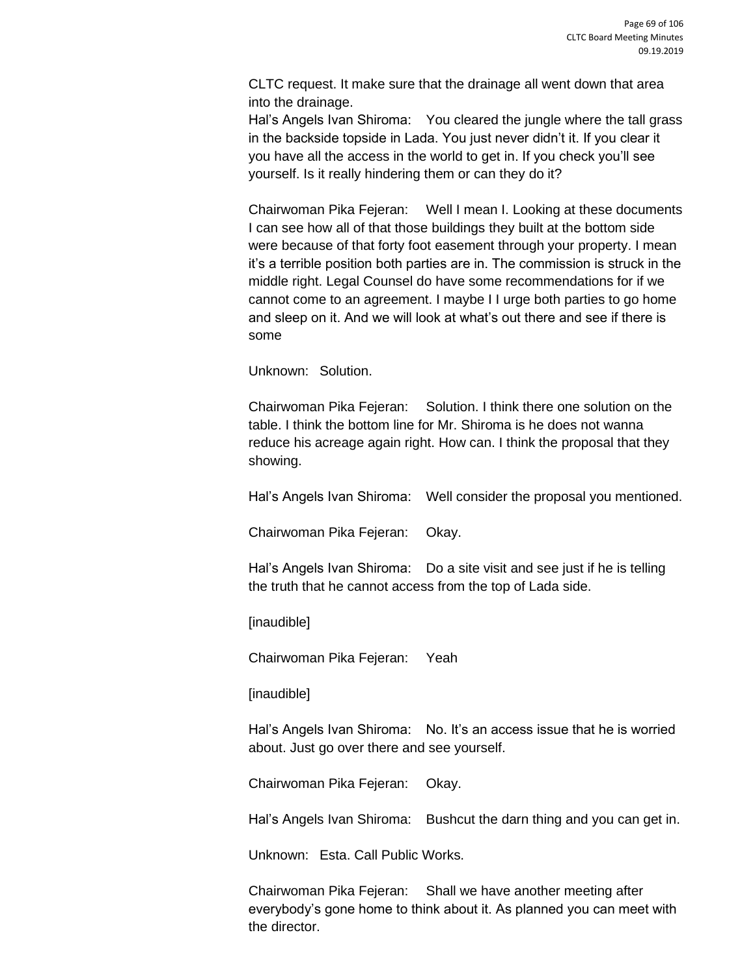CLTC request. It make sure that the drainage all went down that area into the drainage.

Hal's Angels Ivan Shiroma: You cleared the jungle where the tall grass in the backside topside in Lada. You just never didn't it. If you clear it you have all the access in the world to get in. If you check you'll see yourself. Is it really hindering them or can they do it?

Chairwoman Pika Fejeran: Well I mean I. Looking at these documents I can see how all of that those buildings they built at the bottom side were because of that forty foot easement through your property. I mean it's a terrible position both parties are in. The commission is struck in the middle right. Legal Counsel do have some recommendations for if we cannot come to an agreement. I maybe I I urge both parties to go home and sleep on it. And we will look at what's out there and see if there is some

Unknown: Solution.

Chairwoman Pika Fejeran: Solution. I think there one solution on the table. I think the bottom line for Mr. Shiroma is he does not wanna reduce his acreage again right. How can. I think the proposal that they showing.

Hal's Angels Ivan Shiroma: Well consider the proposal you mentioned.

Chairwoman Pika Fejeran: Okay.

Hal's Angels Ivan Shiroma: Do a site visit and see just if he is telling the truth that he cannot access from the top of Lada side.

[inaudible]

Chairwoman Pika Fejeran: Yeah

[inaudible]

Hal's Angels Ivan Shiroma: No. It's an access issue that he is worried about. Just go over there and see yourself.

Chairwoman Pika Fejeran: Okay.

Hal's Angels Ivan Shiroma: Bushcut the darn thing and you can get in.

Unknown: Esta. Call Public Works.

Chairwoman Pika Fejeran: Shall we have another meeting after everybody's gone home to think about it. As planned you can meet with the director.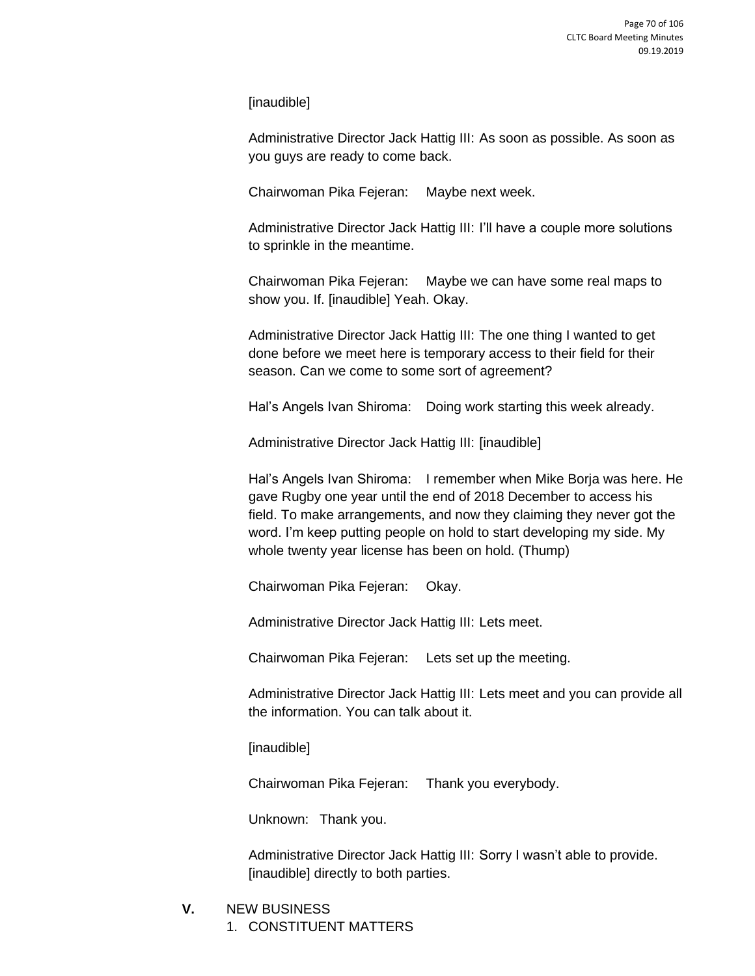[inaudible]

Administrative Director Jack Hattig III: As soon as possible. As soon as you guys are ready to come back.

Chairwoman Pika Fejeran: Maybe next week.

Administrative Director Jack Hattig III: I'll have a couple more solutions to sprinkle in the meantime.

Chairwoman Pika Fejeran: Maybe we can have some real maps to show you. If. [inaudible] Yeah. Okay.

Administrative Director Jack Hattig III: The one thing I wanted to get done before we meet here is temporary access to their field for their season. Can we come to some sort of agreement?

Hal's Angels Ivan Shiroma: Doing work starting this week already.

Administrative Director Jack Hattig III: [inaudible]

Hal's Angels Ivan Shiroma: I remember when Mike Borja was here. He gave Rugby one year until the end of 2018 December to access his field. To make arrangements, and now they claiming they never got the word. I'm keep putting people on hold to start developing my side. My whole twenty year license has been on hold. (Thump)

Chairwoman Pika Fejeran: Okay.

Administrative Director Jack Hattig III: Lets meet.

Chairwoman Pika Fejeran: Lets set up the meeting.

Administrative Director Jack Hattig III: Lets meet and you can provide all the information. You can talk about it.

[inaudible]

Chairwoman Pika Fejeran: Thank you everybody.

Unknown: Thank you.

Administrative Director Jack Hattig III: Sorry I wasn't able to provide. [inaudible] directly to both parties.

- **V.** NEW BUSINESS
	- 1. CONSTITUENT MATTERS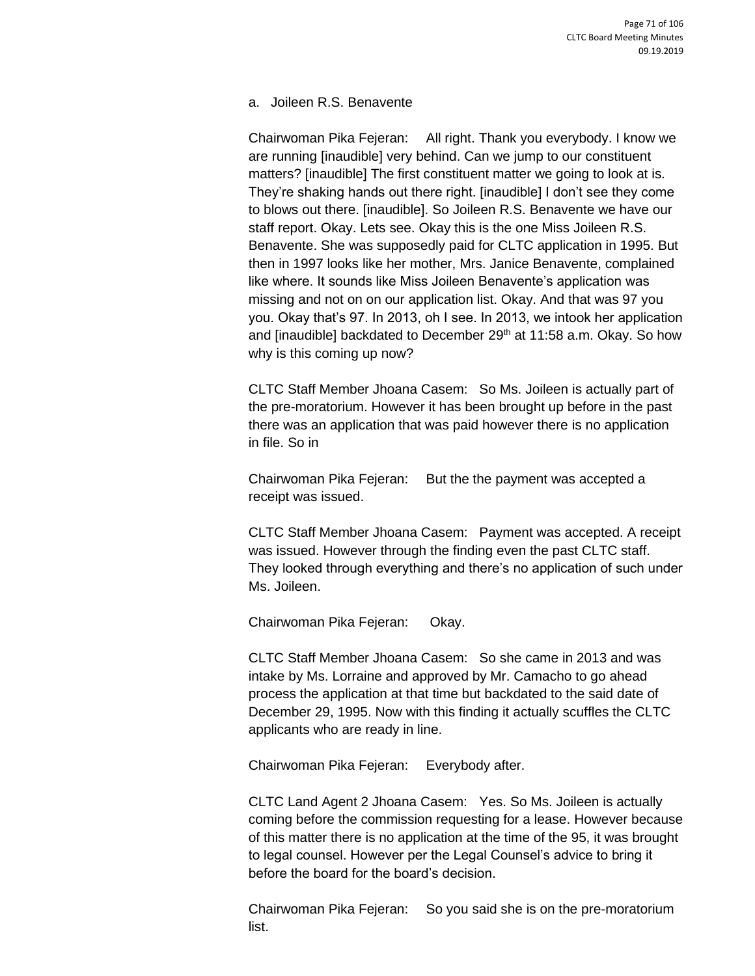a. Joileen R.S. Benavente

Chairwoman Pika Fejeran: All right. Thank you everybody. I know we are running [inaudible] very behind. Can we jump to our constituent matters? [inaudible] The first constituent matter we going to look at is. They're shaking hands out there right. [inaudible] I don't see they come to blows out there. [inaudible]. So Joileen R.S. Benavente we have our staff report. Okay. Lets see. Okay this is the one Miss Joileen R.S. Benavente. She was supposedly paid for CLTC application in 1995. But then in 1997 looks like her mother, Mrs. Janice Benavente, complained like where. It sounds like Miss Joileen Benavente's application was missing and not on on our application list. Okay. And that was 97 you you. Okay that's 97. In 2013, oh I see. In 2013, we intook her application and [inaudible] backdated to December  $29<sup>th</sup>$  at 11:58 a.m. Okay. So how why is this coming up now?

CLTC Staff Member Jhoana Casem: So Ms. Joileen is actually part of the pre-moratorium. However it has been brought up before in the past there was an application that was paid however there is no application in file. So in

Chairwoman Pika Fejeran: But the the payment was accepted a receipt was issued.

CLTC Staff Member Jhoana Casem: Payment was accepted. A receipt was issued. However through the finding even the past CLTC staff. They looked through everything and there's no application of such under Ms. Joileen.

Chairwoman Pika Fejeran: Okay.

CLTC Staff Member Jhoana Casem: So she came in 2013 and was intake by Ms. Lorraine and approved by Mr. Camacho to go ahead process the application at that time but backdated to the said date of December 29, 1995. Now with this finding it actually scuffles the CLTC applicants who are ready in line.

Chairwoman Pika Fejeran: Everybody after.

CLTC Land Agent 2 Jhoana Casem: Yes. So Ms. Joileen is actually coming before the commission requesting for a lease. However because of this matter there is no application at the time of the 95, it was brought to legal counsel. However per the Legal Counsel's advice to bring it before the board for the board's decision.

Chairwoman Pika Fejeran: So you said she is on the pre-moratorium list.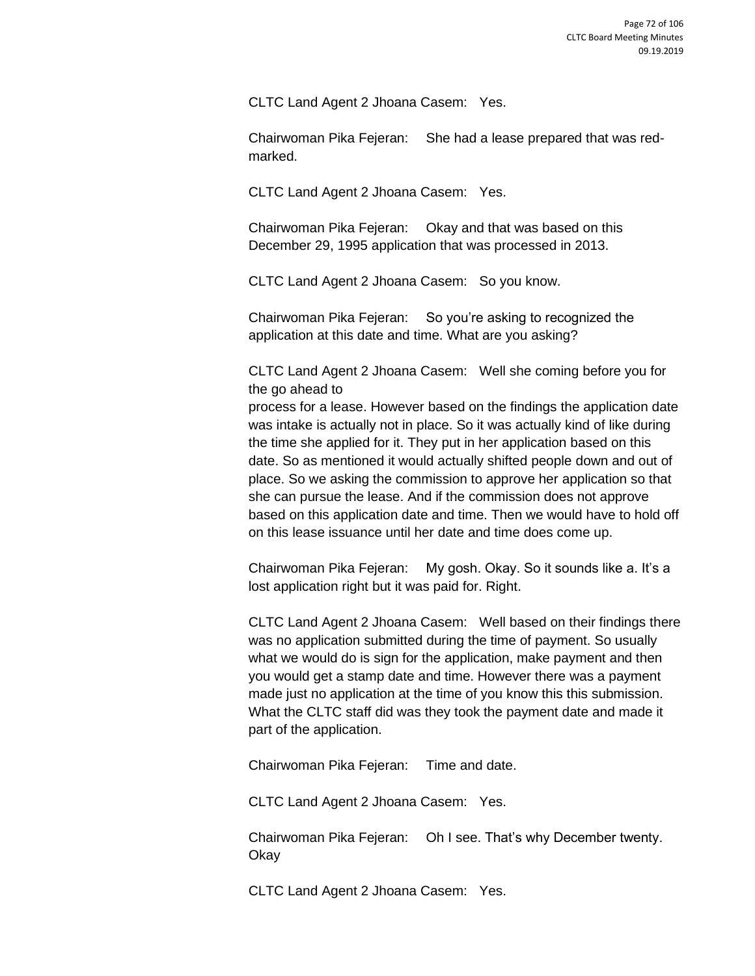CLTC Land Agent 2 Jhoana Casem: Yes.

Chairwoman Pika Fejeran: She had a lease prepared that was redmarked.

CLTC Land Agent 2 Jhoana Casem: Yes.

Chairwoman Pika Fejeran: Okay and that was based on this December 29, 1995 application that was processed in 2013.

CLTC Land Agent 2 Jhoana Casem: So you know.

Chairwoman Pika Fejeran: So you're asking to recognized the application at this date and time. What are you asking?

CLTC Land Agent 2 Jhoana Casem: Well she coming before you for the go ahead to

process for a lease. However based on the findings the application date was intake is actually not in place. So it was actually kind of like during the time she applied for it. They put in her application based on this date. So as mentioned it would actually shifted people down and out of place. So we asking the commission to approve her application so that she can pursue the lease. And if the commission does not approve based on this application date and time. Then we would have to hold off on this lease issuance until her date and time does come up.

Chairwoman Pika Fejeran: My gosh. Okay. So it sounds like a. It's a lost application right but it was paid for. Right.

CLTC Land Agent 2 Jhoana Casem: Well based on their findings there was no application submitted during the time of payment. So usually what we would do is sign for the application, make payment and then you would get a stamp date and time. However there was a payment made just no application at the time of you know this this submission. What the CLTC staff did was they took the payment date and made it part of the application.

Chairwoman Pika Fejeran: Time and date.

CLTC Land Agent 2 Jhoana Casem: Yes.

Chairwoman Pika Fejeran: Oh I see. That's why December twenty. **Okay** 

CLTC Land Agent 2 Jhoana Casem: Yes.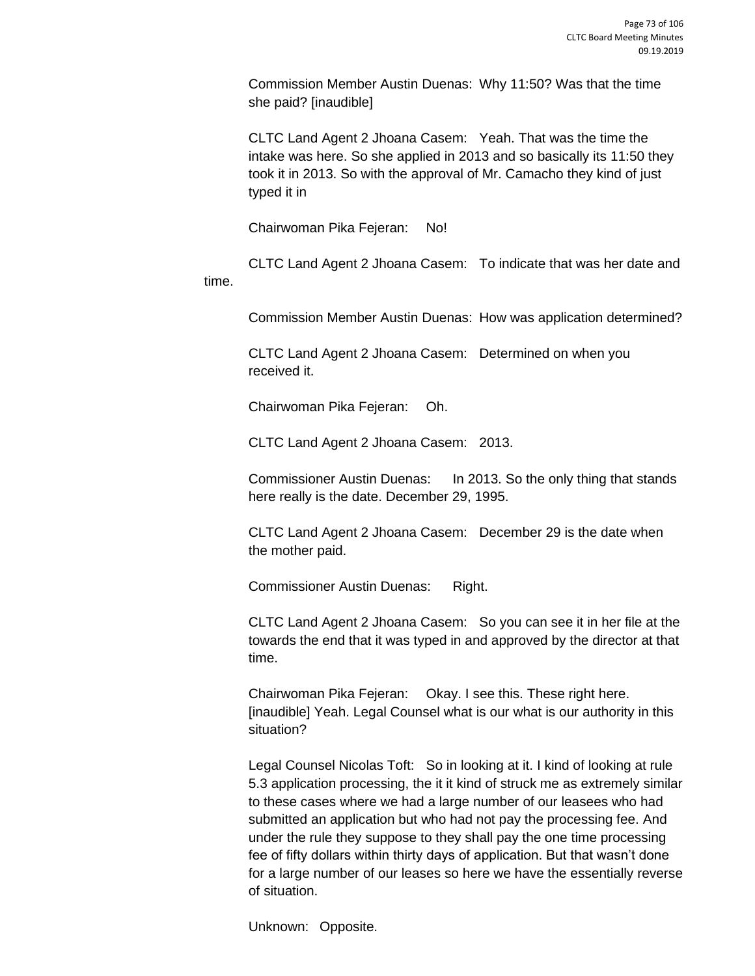Commission Member Austin Duenas: Why 11:50? Was that the time she paid? [inaudible]

CLTC Land Agent 2 Jhoana Casem: Yeah. That was the time the intake was here. So she applied in 2013 and so basically its 11:50 they took it in 2013. So with the approval of Mr. Camacho they kind of just typed it in

Chairwoman Pika Fejeran: No!

CLTC Land Agent 2 Jhoana Casem: To indicate that was her date and time.

Commission Member Austin Duenas: How was application determined?

CLTC Land Agent 2 Jhoana Casem: Determined on when you received it.

Chairwoman Pika Fejeran: Oh.

CLTC Land Agent 2 Jhoana Casem: 2013.

Commissioner Austin Duenas: In 2013. So the only thing that stands here really is the date. December 29, 1995.

CLTC Land Agent 2 Jhoana Casem: December 29 is the date when the mother paid.

Commissioner Austin Duenas: Right.

CLTC Land Agent 2 Jhoana Casem: So you can see it in her file at the towards the end that it was typed in and approved by the director at that time.

Chairwoman Pika Fejeran: Okay. I see this. These right here. [inaudible] Yeah. Legal Counsel what is our what is our authority in this situation?

Legal Counsel Nicolas Toft: So in looking at it. I kind of looking at rule 5.3 application processing, the it it kind of struck me as extremely similar to these cases where we had a large number of our leasees who had submitted an application but who had not pay the processing fee. And under the rule they suppose to they shall pay the one time processing fee of fifty dollars within thirty days of application. But that wasn't done for a large number of our leases so here we have the essentially reverse of situation.

Unknown: Opposite.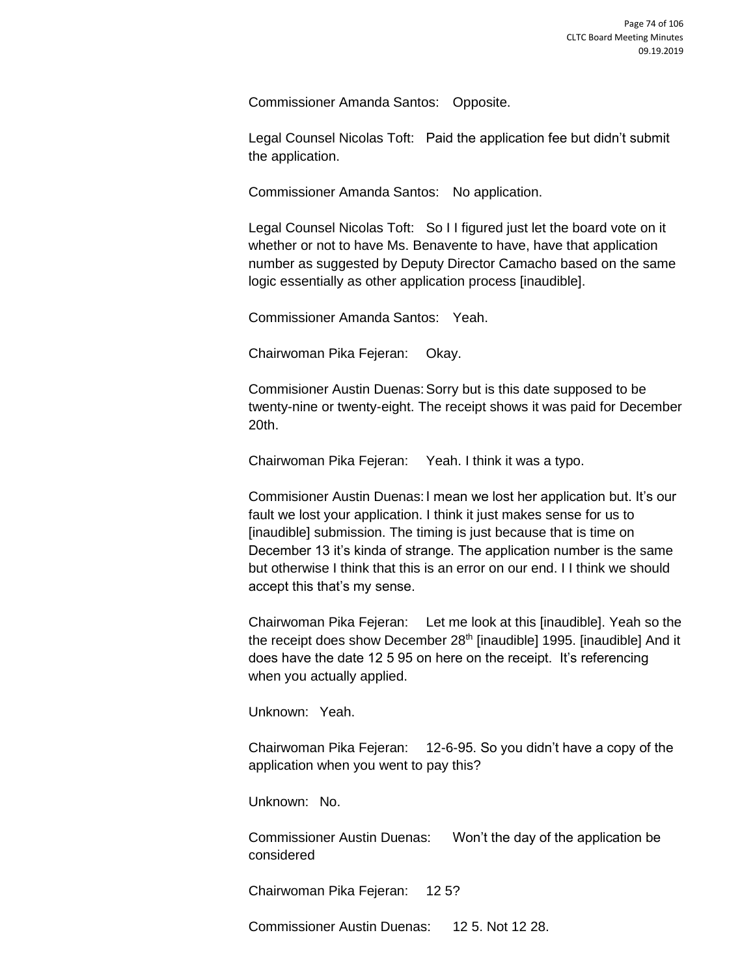Commissioner Amanda Santos: Opposite.

Legal Counsel Nicolas Toft: Paid the application fee but didn't submit the application.

Commissioner Amanda Santos: No application.

Legal Counsel Nicolas Toft: So I I figured just let the board vote on it whether or not to have Ms. Benavente to have, have that application number as suggested by Deputy Director Camacho based on the same logic essentially as other application process [inaudible].

Commissioner Amanda Santos: Yeah.

Chairwoman Pika Fejeran: Okay.

Commisioner Austin Duenas:Sorry but is this date supposed to be twenty-nine or twenty-eight. The receipt shows it was paid for December 20th.

Chairwoman Pika Fejeran: Yeah. I think it was a typo.

Commisioner Austin Duenas:I mean we lost her application but. It's our fault we lost your application. I think it just makes sense for us to [inaudible] submission. The timing is just because that is time on December 13 it's kinda of strange. The application number is the same but otherwise I think that this is an error on our end. I I think we should accept this that's my sense.

Chairwoman Pika Fejeran: Let me look at this [inaudible]. Yeah so the the receipt does show December 28<sup>th</sup> [inaudible] 1995. [inaudible] And it does have the date 12 5 95 on here on the receipt. It's referencing when you actually applied.

Unknown: Yeah.

Chairwoman Pika Fejeran: 12-6-95. So you didn't have a copy of the application when you went to pay this?

Unknown: No.

Commissioner Austin Duenas: Won't the day of the application be considered

Chairwoman Pika Fejeran: 12 5?

Commissioner Austin Duenas: 12 5. Not 12 28.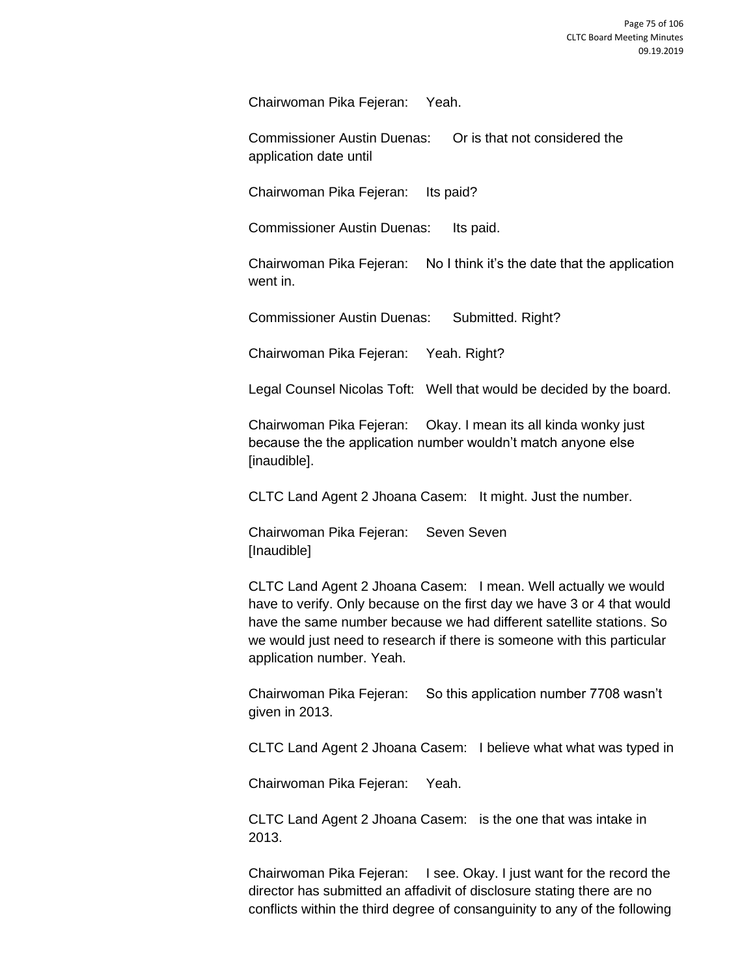Chairwoman Pika Fejeran: Yeah.

Commissioner Austin Duenas: Or is that not considered the application date until

Chairwoman Pika Fejeran: Its paid?

Commissioner Austin Duenas: Its paid.

Chairwoman Pika Fejeran: No I think it's the date that the application went in.

Commissioner Austin Duenas: Submitted. Right?

Chairwoman Pika Fejeran: Yeah. Right?

Legal Counsel Nicolas Toft: Well that would be decided by the board.

Chairwoman Pika Fejeran: Okay. I mean its all kinda wonky just because the the application number wouldn't match anyone else [inaudible].

CLTC Land Agent 2 Jhoana Casem: It might. Just the number.

Chairwoman Pika Fejeran: Seven Seven [Inaudible]

CLTC Land Agent 2 Jhoana Casem: I mean. Well actually we would have to verify. Only because on the first day we have 3 or 4 that would have the same number because we had different satellite stations. So we would just need to research if there is someone with this particular application number. Yeah.

Chairwoman Pika Fejeran: So this application number 7708 wasn't given in 2013.

CLTC Land Agent 2 Jhoana Casem: I believe what what was typed in

Chairwoman Pika Fejeran: Yeah.

CLTC Land Agent 2 Jhoana Casem: is the one that was intake in 2013.

Chairwoman Pika Fejeran: I see. Okay. I just want for the record the director has submitted an affadivit of disclosure stating there are no conflicts within the third degree of consanguinity to any of the following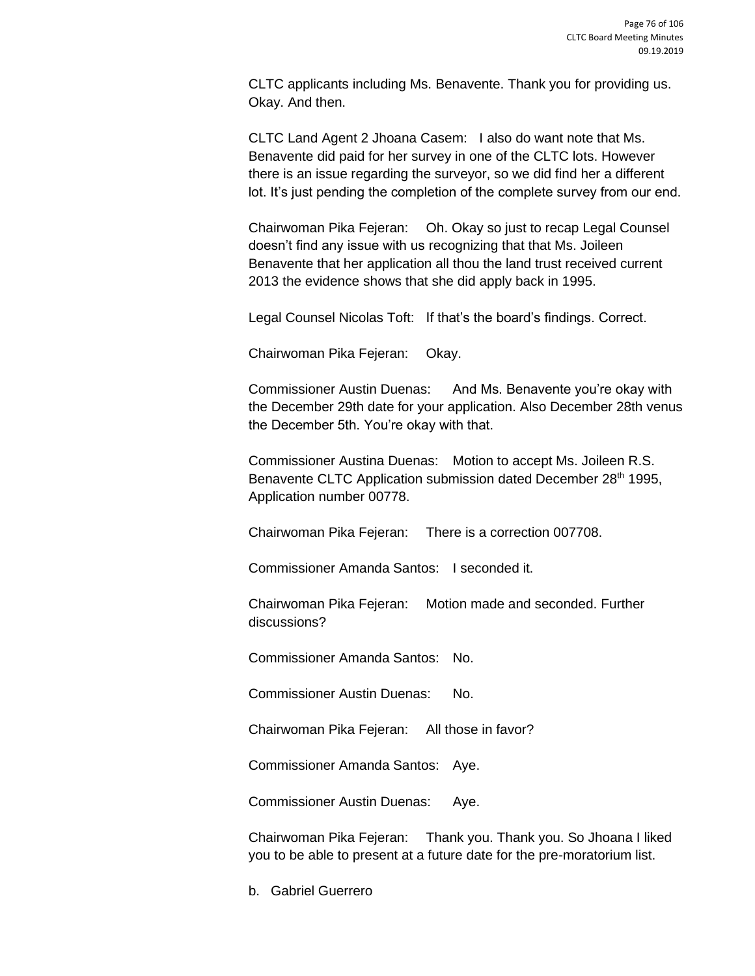CLTC applicants including Ms. Benavente. Thank you for providing us. Okay. And then.

CLTC Land Agent 2 Jhoana Casem: I also do want note that Ms. Benavente did paid for her survey in one of the CLTC lots. However there is an issue regarding the surveyor, so we did find her a different lot. It's just pending the completion of the complete survey from our end.

Chairwoman Pika Fejeran: Oh. Okay so just to recap Legal Counsel doesn't find any issue with us recognizing that that Ms. Joileen Benavente that her application all thou the land trust received current 2013 the evidence shows that she did apply back in 1995.

Legal Counsel Nicolas Toft: If that's the board's findings. Correct.

Chairwoman Pika Fejeran: Okay.

Commissioner Austin Duenas: And Ms. Benavente you're okay with the December 29th date for your application. Also December 28th venus the December 5th. You're okay with that.

Commissioner Austina Duenas: Motion to accept Ms. Joileen R.S. Benavente CLTC Application submission dated December 28<sup>th</sup> 1995, Application number 00778.

Chairwoman Pika Fejeran: There is a correction 007708.

Commissioner Amanda Santos: I seconded it.

Chairwoman Pika Fejeran: Motion made and seconded. Further discussions?

Commissioner Amanda Santos: No.

Commissioner Austin Duenas: No.

Chairwoman Pika Fejeran: All those in favor?

Commissioner Amanda Santos: Aye.

Commissioner Austin Duenas: Aye.

Chairwoman Pika Fejeran: Thank you. Thank you. So Jhoana I liked you to be able to present at a future date for the pre-moratorium list.

b. Gabriel Guerrero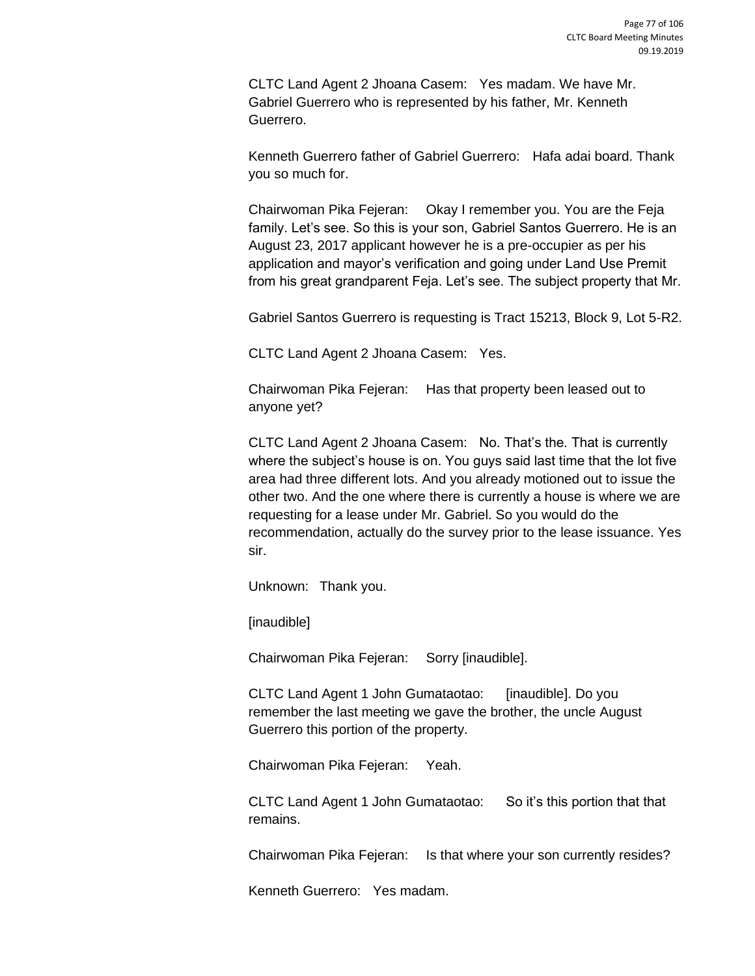CLTC Land Agent 2 Jhoana Casem: Yes madam. We have Mr. Gabriel Guerrero who is represented by his father, Mr. Kenneth Guerrero.

Kenneth Guerrero father of Gabriel Guerrero: Hafa adai board. Thank you so much for.

Chairwoman Pika Fejeran: Okay I remember you. You are the Feja family. Let's see. So this is your son, Gabriel Santos Guerrero. He is an August 23, 2017 applicant however he is a pre-occupier as per his application and mayor's verification and going under Land Use Premit from his great grandparent Feja. Let's see. The subject property that Mr.

Gabriel Santos Guerrero is requesting is Tract 15213, Block 9, Lot 5-R2.

CLTC Land Agent 2 Jhoana Casem: Yes.

Chairwoman Pika Fejeran: Has that property been leased out to anyone yet?

CLTC Land Agent 2 Jhoana Casem: No. That's the. That is currently where the subject's house is on. You guys said last time that the lot five area had three different lots. And you already motioned out to issue the other two. And the one where there is currently a house is where we are requesting for a lease under Mr. Gabriel. So you would do the recommendation, actually do the survey prior to the lease issuance. Yes sir.

Unknown: Thank you.

[inaudible]

Chairwoman Pika Fejeran: Sorry [inaudible].

CLTC Land Agent 1 John Gumataotao: [inaudible]. Do you remember the last meeting we gave the brother, the uncle August Guerrero this portion of the property.

Chairwoman Pika Fejeran: Yeah.

CLTC Land Agent 1 John Gumataotao: So it's this portion that that remains.

Chairwoman Pika Fejeran: Is that where your son currently resides?

Kenneth Guerrero: Yes madam.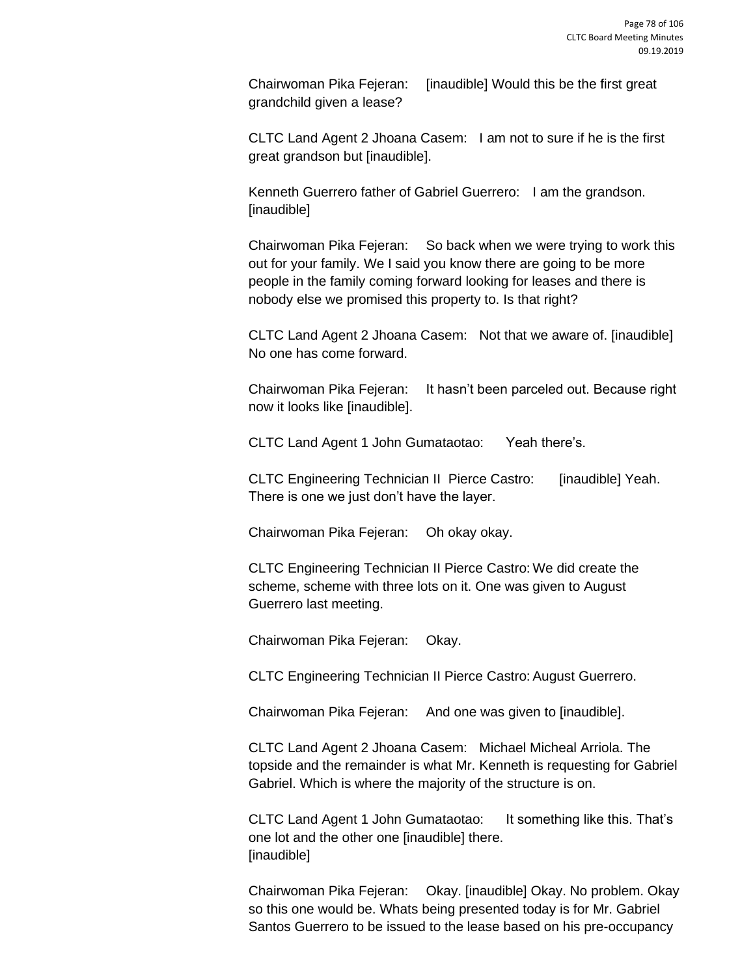Chairwoman Pika Fejeran: [inaudible] Would this be the first great grandchild given a lease?

CLTC Land Agent 2 Jhoana Casem: I am not to sure if he is the first great grandson but [inaudible].

Kenneth Guerrero father of Gabriel Guerrero: I am the grandson. [inaudible]

Chairwoman Pika Fejeran: So back when we were trying to work this out for your family. We I said you know there are going to be more people in the family coming forward looking for leases and there is nobody else we promised this property to. Is that right?

CLTC Land Agent 2 Jhoana Casem: Not that we aware of. [inaudible] No one has come forward.

Chairwoman Pika Fejeran: It hasn't been parceled out. Because right now it looks like [inaudible].

CLTC Land Agent 1 John Gumataotao: Yeah there's.

CLTC Engineering Technician II Pierce Castro: [inaudible] Yeah. There is one we just don't have the layer.

Chairwoman Pika Fejeran: Oh okay okay.

CLTC Engineering Technician II Pierce Castro: We did create the scheme, scheme with three lots on it. One was given to August Guerrero last meeting.

Chairwoman Pika Fejeran: Okay.

CLTC Engineering Technician II Pierce Castro: August Guerrero.

Chairwoman Pika Fejeran: And one was given to [inaudible].

CLTC Land Agent 2 Jhoana Casem: Michael Micheal Arriola. The topside and the remainder is what Mr. Kenneth is requesting for Gabriel Gabriel. Which is where the majority of the structure is on.

CLTC Land Agent 1 John Gumataotao: It something like this. That's one lot and the other one [inaudible] there. [inaudible]

Chairwoman Pika Fejeran: Okay. [inaudible] Okay. No problem. Okay so this one would be. Whats being presented today is for Mr. Gabriel Santos Guerrero to be issued to the lease based on his pre-occupancy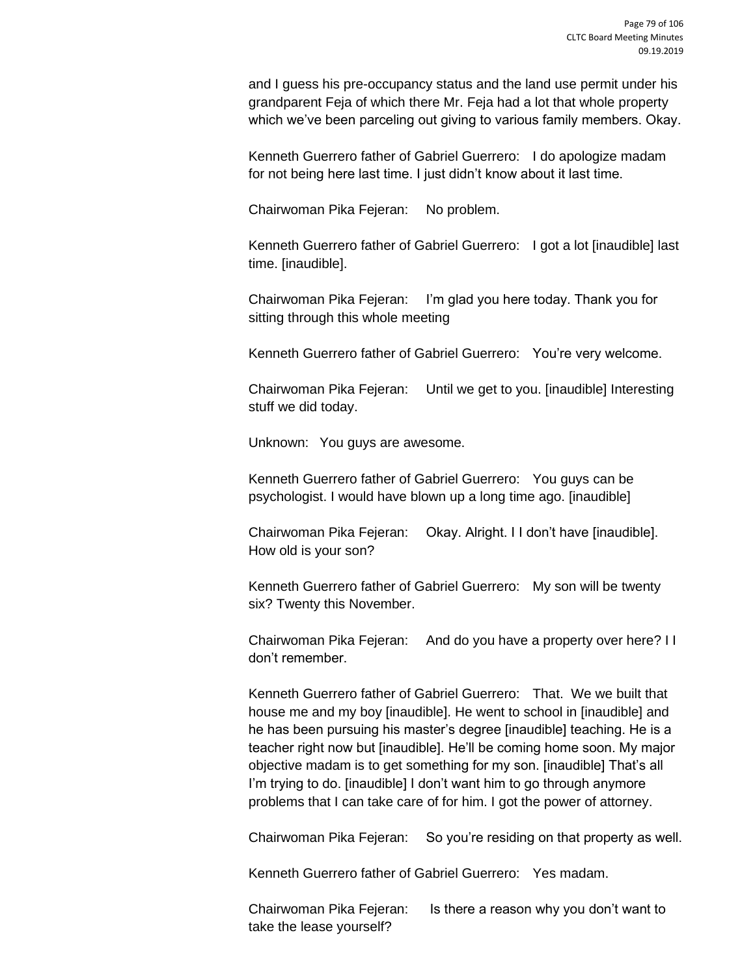and I guess his pre-occupancy status and the land use permit under his grandparent Feja of which there Mr. Feja had a lot that whole property which we've been parceling out giving to various family members. Okay.

Kenneth Guerrero father of Gabriel Guerrero: I do apologize madam for not being here last time. I just didn't know about it last time.

Chairwoman Pika Fejeran: No problem.

Kenneth Guerrero father of Gabriel Guerrero: I got a lot [inaudible] last time. [inaudible].

Chairwoman Pika Fejeran: I'm glad you here today. Thank you for sitting through this whole meeting

Kenneth Guerrero father of Gabriel Guerrero: You're very welcome.

Chairwoman Pika Fejeran: Until we get to you. [inaudible] Interesting stuff we did today.

Unknown: You guys are awesome.

Kenneth Guerrero father of Gabriel Guerrero: You guys can be psychologist. I would have blown up a long time ago. [inaudible]

Chairwoman Pika Fejeran: Okay. Alright. I I don't have [inaudible]. How old is your son?

Kenneth Guerrero father of Gabriel Guerrero: My son will be twenty six? Twenty this November.

Chairwoman Pika Fejeran: And do you have a property over here? I I don't remember.

Kenneth Guerrero father of Gabriel Guerrero: That. We we built that house me and my boy [inaudible]. He went to school in [inaudible] and he has been pursuing his master's degree [inaudible] teaching. He is a teacher right now but [inaudible]. He'll be coming home soon. My major objective madam is to get something for my son. [inaudible] That's all I'm trying to do. [inaudible] I don't want him to go through anymore problems that I can take care of for him. I got the power of attorney.

Chairwoman Pika Fejeran: So you're residing on that property as well.

Kenneth Guerrero father of Gabriel Guerrero: Yes madam.

Chairwoman Pika Fejeran: Is there a reason why you don't want to take the lease yourself?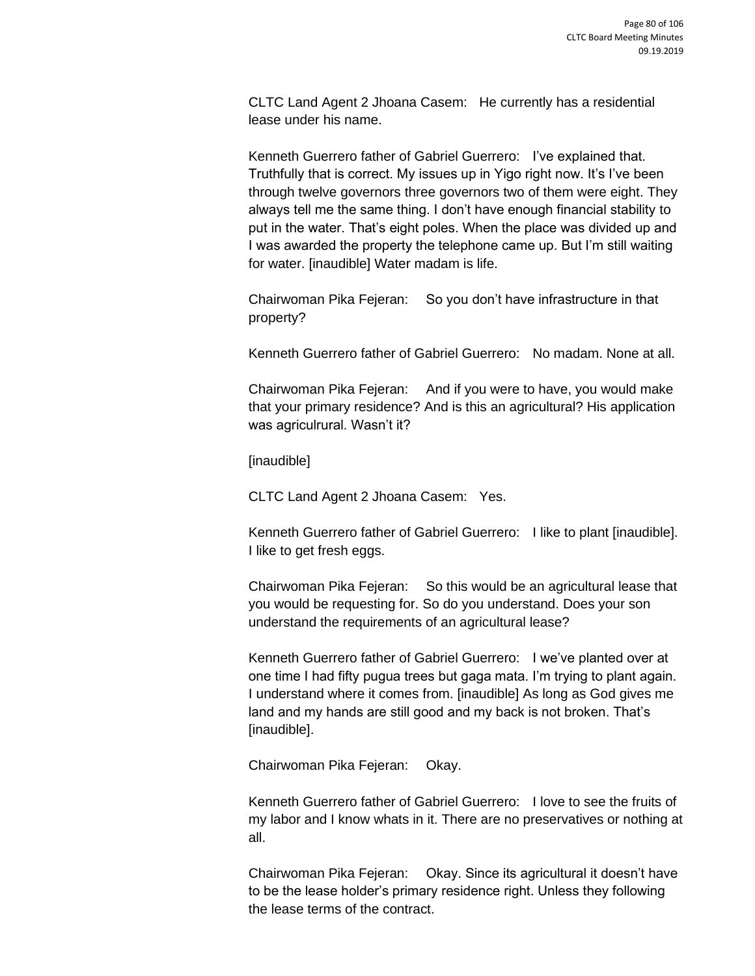CLTC Land Agent 2 Jhoana Casem: He currently has a residential lease under his name.

Kenneth Guerrero father of Gabriel Guerrero: I've explained that. Truthfully that is correct. My issues up in Yigo right now. It's I've been through twelve governors three governors two of them were eight. They always tell me the same thing. I don't have enough financial stability to put in the water. That's eight poles. When the place was divided up and I was awarded the property the telephone came up. But I'm still waiting for water. [inaudible] Water madam is life.

Chairwoman Pika Fejeran: So you don't have infrastructure in that property?

Kenneth Guerrero father of Gabriel Guerrero: No madam. None at all.

Chairwoman Pika Fejeran: And if you were to have, you would make that your primary residence? And is this an agricultural? His application was agriculrural. Wasn't it?

[inaudible]

CLTC Land Agent 2 Jhoana Casem: Yes.

Kenneth Guerrero father of Gabriel Guerrero: I like to plant [inaudible]. I like to get fresh eggs.

Chairwoman Pika Fejeran: So this would be an agricultural lease that you would be requesting for. So do you understand. Does your son understand the requirements of an agricultural lease?

Kenneth Guerrero father of Gabriel Guerrero: I we've planted over at one time I had fifty pugua trees but gaga mata. I'm trying to plant again. I understand where it comes from. [inaudible] As long as God gives me land and my hands are still good and my back is not broken. That's [inaudible].

Chairwoman Pika Fejeran: Okay.

Kenneth Guerrero father of Gabriel Guerrero: I love to see the fruits of my labor and I know whats in it. There are no preservatives or nothing at all.

Chairwoman Pika Fejeran: Okay. Since its agricultural it doesn't have to be the lease holder's primary residence right. Unless they following the lease terms of the contract.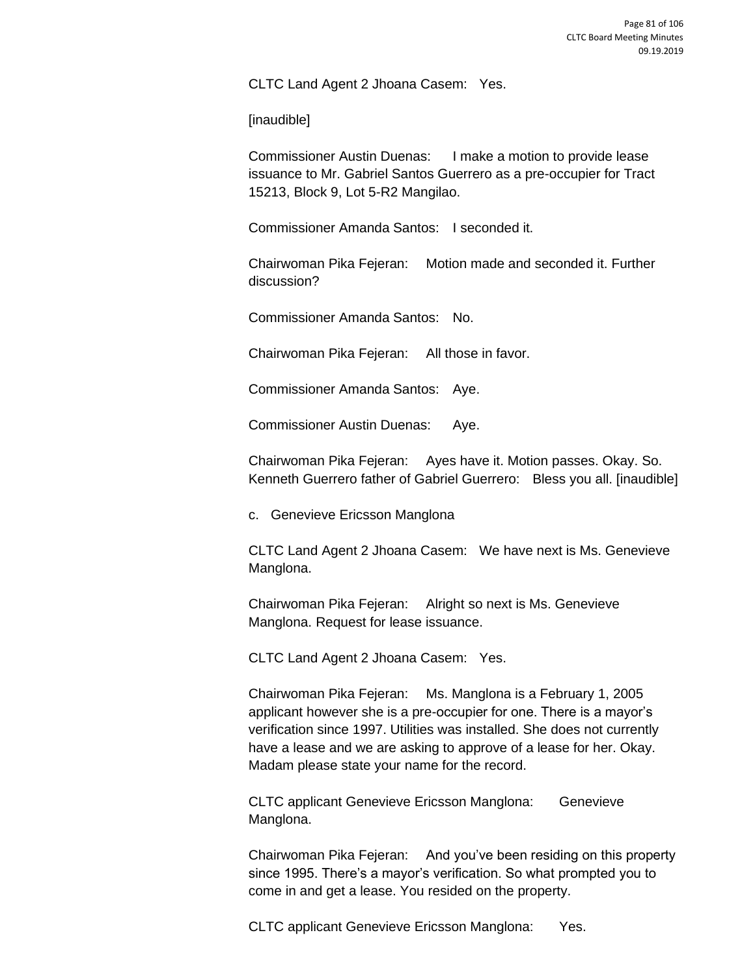CLTC Land Agent 2 Jhoana Casem: Yes.

[inaudible]

Commissioner Austin Duenas: I make a motion to provide lease issuance to Mr. Gabriel Santos Guerrero as a pre-occupier for Tract 15213, Block 9, Lot 5-R2 Mangilao.

Commissioner Amanda Santos: I seconded it.

Chairwoman Pika Fejeran: Motion made and seconded it. Further discussion?

Commissioner Amanda Santos: No.

Chairwoman Pika Fejeran: All those in favor.

Commissioner Amanda Santos: Aye.

Commissioner Austin Duenas: Aye.

Chairwoman Pika Fejeran: Ayes have it. Motion passes. Okay. So. Kenneth Guerrero father of Gabriel Guerrero: Bless you all. [inaudible]

c. Genevieve Ericsson Manglona

CLTC Land Agent 2 Jhoana Casem: We have next is Ms. Genevieve Manglona.

Chairwoman Pika Fejeran: Alright so next is Ms. Genevieve Manglona. Request for lease issuance.

CLTC Land Agent 2 Jhoana Casem: Yes.

Chairwoman Pika Fejeran: Ms. Manglona is a February 1, 2005 applicant however she is a pre-occupier for one. There is a mayor's verification since 1997. Utilities was installed. She does not currently have a lease and we are asking to approve of a lease for her. Okay. Madam please state your name for the record.

CLTC applicant Genevieve Ericsson Manglona: Genevieve Manglona.

Chairwoman Pika Fejeran: And you've been residing on this property since 1995. There's a mayor's verification. So what prompted you to come in and get a lease. You resided on the property.

CLTC applicant Genevieve Ericsson Manglona: Yes.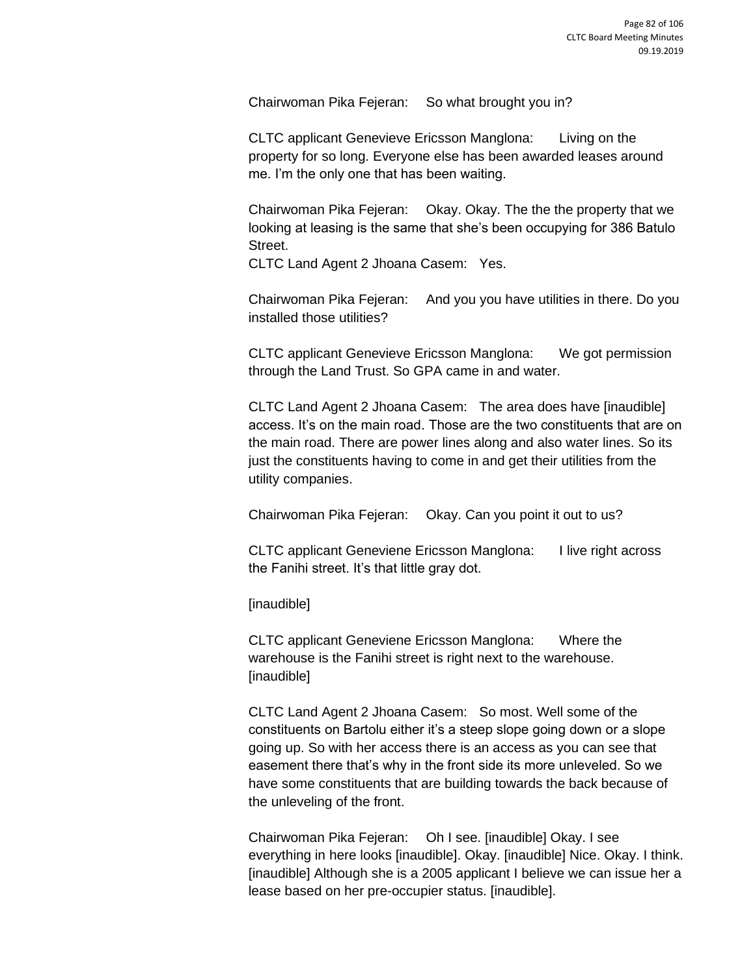Chairwoman Pika Fejeran: So what brought you in?

CLTC applicant Genevieve Ericsson Manglona: Living on the property for so long. Everyone else has been awarded leases around me. I'm the only one that has been waiting.

Chairwoman Pika Fejeran: Okay. Okay. The the the property that we looking at leasing is the same that she's been occupying for 386 Batulo Street.

CLTC Land Agent 2 Jhoana Casem: Yes.

Chairwoman Pika Fejeran: And you you have utilities in there. Do you installed those utilities?

CLTC applicant Genevieve Ericsson Manglona: We got permission through the Land Trust. So GPA came in and water.

CLTC Land Agent 2 Jhoana Casem: The area does have [inaudible] access. It's on the main road. Those are the two constituents that are on the main road. There are power lines along and also water lines. So its just the constituents having to come in and get their utilities from the utility companies.

Chairwoman Pika Fejeran: Okay. Can you point it out to us?

CLTC applicant Geneviene Ericsson Manglona: I live right across the Fanihi street. It's that little gray dot.

[inaudible]

CLTC applicant Geneviene Ericsson Manglona: Where the warehouse is the Fanihi street is right next to the warehouse. [inaudible]

CLTC Land Agent 2 Jhoana Casem: So most. Well some of the constituents on Bartolu either it's a steep slope going down or a slope going up. So with her access there is an access as you can see that easement there that's why in the front side its more unleveled. So we have some constituents that are building towards the back because of the unleveling of the front.

Chairwoman Pika Fejeran: Oh I see. [inaudible] Okay. I see everything in here looks [inaudible]. Okay. [inaudible] Nice. Okay. I think. [inaudible] Although she is a 2005 applicant I believe we can issue her a lease based on her pre-occupier status. [inaudible].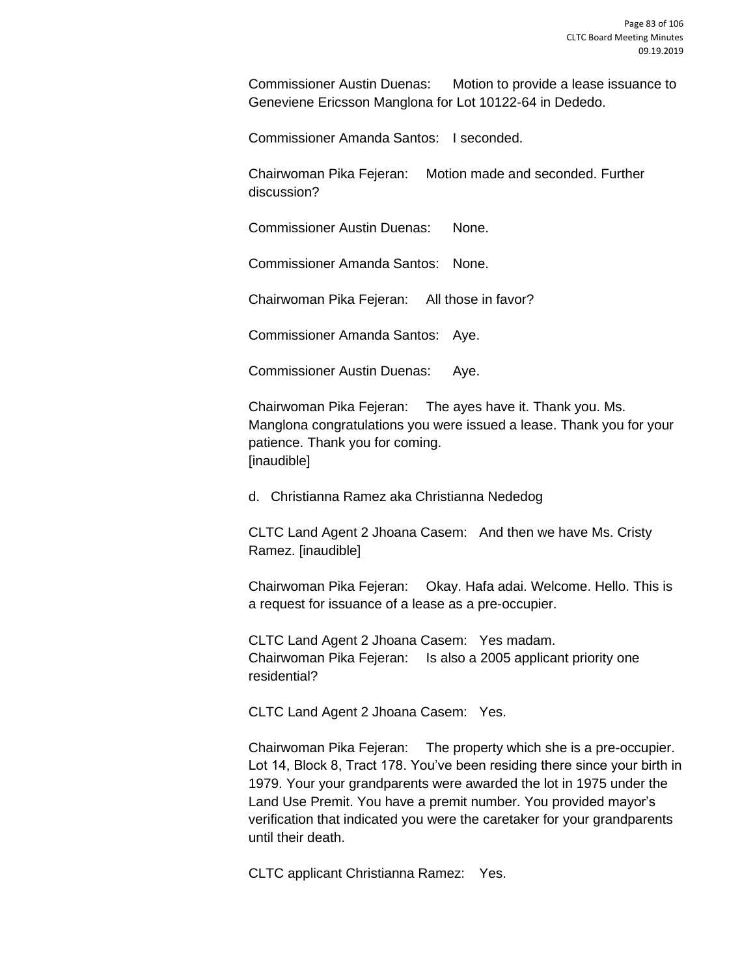Commissioner Austin Duenas: Motion to provide a lease issuance to Geneviene Ericsson Manglona for Lot 10122-64 in Dededo.

Commissioner Amanda Santos: I seconded.

Chairwoman Pika Fejeran: Motion made and seconded. Further discussion?

Commissioner Austin Duenas: None.

Commissioner Amanda Santos: None.

Chairwoman Pika Fejeran: All those in favor?

Commissioner Amanda Santos: Aye.

Commissioner Austin Duenas: Aye.

Chairwoman Pika Fejeran: The ayes have it. Thank you. Ms. Manglona congratulations you were issued a lease. Thank you for your patience. Thank you for coming. [inaudible]

d. Christianna Ramez aka Christianna Nededog

CLTC Land Agent 2 Jhoana Casem: And then we have Ms. Cristy Ramez. [inaudible]

Chairwoman Pika Fejeran: Okay. Hafa adai. Welcome. Hello. This is a request for issuance of a lease as a pre-occupier.

CLTC Land Agent 2 Jhoana Casem: Yes madam. Chairwoman Pika Fejeran: Is also a 2005 applicant priority one residential?

CLTC Land Agent 2 Jhoana Casem: Yes.

Chairwoman Pika Fejeran: The property which she is a pre-occupier. Lot 14, Block 8, Tract 178. You've been residing there since your birth in 1979. Your your grandparents were awarded the lot in 1975 under the Land Use Premit. You have a premit number. You provided mayor's verification that indicated you were the caretaker for your grandparents until their death.

CLTC applicant Christianna Ramez: Yes.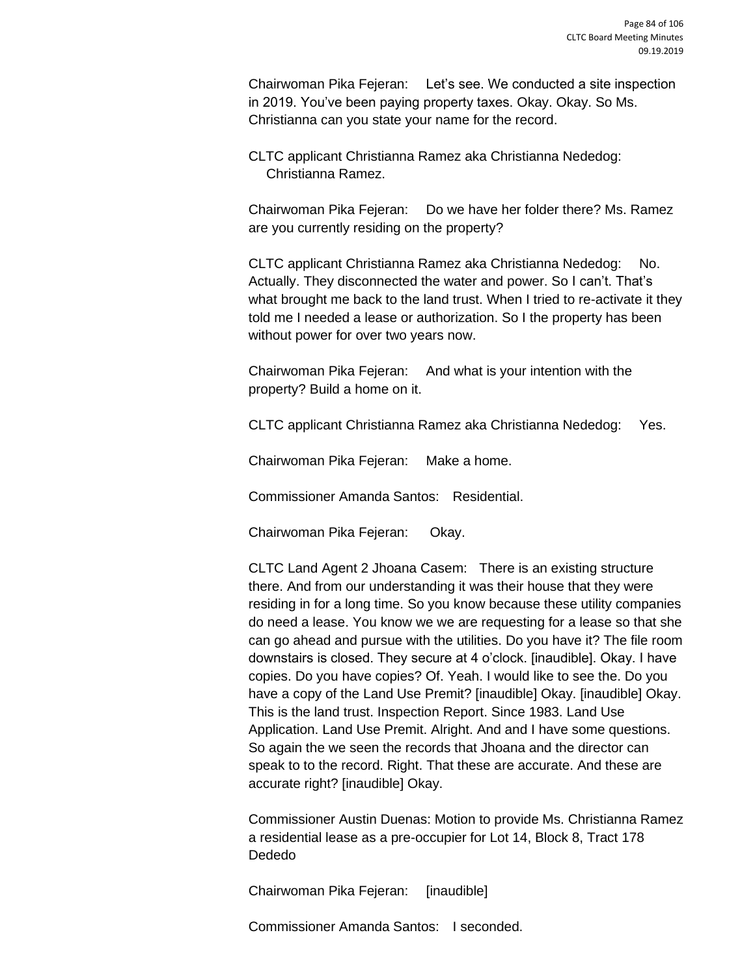Chairwoman Pika Fejeran: Let's see. We conducted a site inspection in 2019. You've been paying property taxes. Okay. Okay. So Ms. Christianna can you state your name for the record.

CLTC applicant Christianna Ramez aka Christianna Nededog: Christianna Ramez.

Chairwoman Pika Fejeran: Do we have her folder there? Ms. Ramez are you currently residing on the property?

CLTC applicant Christianna Ramez aka Christianna Nededog: No. Actually. They disconnected the water and power. So I can't. That's what brought me back to the land trust. When I tried to re-activate it they told me I needed a lease or authorization. So I the property has been without power for over two years now.

Chairwoman Pika Fejeran: And what is your intention with the property? Build a home on it.

CLTC applicant Christianna Ramez aka Christianna Nededog: Yes.

Chairwoman Pika Fejeran: Make a home.

Commissioner Amanda Santos: Residential.

Chairwoman Pika Fejeran: Okay.

CLTC Land Agent 2 Jhoana Casem: There is an existing structure there. And from our understanding it was their house that they were residing in for a long time. So you know because these utility companies do need a lease. You know we we are requesting for a lease so that she can go ahead and pursue with the utilities. Do you have it? The file room downstairs is closed. They secure at 4 o'clock. [inaudible]. Okay. I have copies. Do you have copies? Of. Yeah. I would like to see the. Do you have a copy of the Land Use Premit? [inaudible] Okay. [inaudible] Okay. This is the land trust. Inspection Report. Since 1983. Land Use Application. Land Use Premit. Alright. And and I have some questions. So again the we seen the records that Jhoana and the director can speak to to the record. Right. That these are accurate. And these are accurate right? [inaudible] Okay.

Commissioner Austin Duenas: Motion to provide Ms. Christianna Ramez a residential lease as a pre-occupier for Lot 14, Block 8, Tract 178 Dededo

Chairwoman Pika Fejeran: [inaudible]

Commissioner Amanda Santos: I seconded.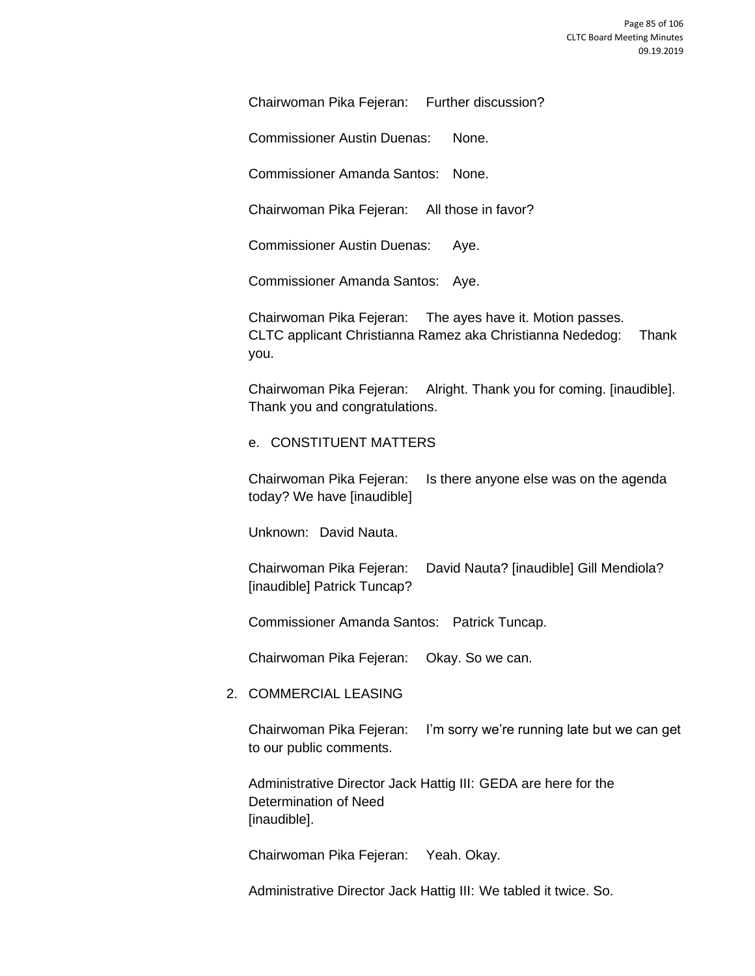Chairwoman Pika Fejeran: Further discussion?

Commissioner Austin Duenas: None.

Commissioner Amanda Santos: None.

Chairwoman Pika Fejeran: All those in favor?

Commissioner Austin Duenas: Aye.

Commissioner Amanda Santos: Aye.

Chairwoman Pika Fejeran: The ayes have it. Motion passes. CLTC applicant Christianna Ramez aka Christianna Nededog: Thank you.

Chairwoman Pika Fejeran: Alright. Thank you for coming. [inaudible]. Thank you and congratulations.

#### e. CONSTITUENT MATTERS

Chairwoman Pika Fejeran: Is there anyone else was on the agenda today? We have [inaudible]

Unknown: David Nauta.

Chairwoman Pika Fejeran: David Nauta? [inaudible] Gill Mendiola? [inaudible] Patrick Tuncap?

Commissioner Amanda Santos: Patrick Tuncap.

Chairwoman Pika Fejeran: Okay. So we can.

## 2. COMMERCIAL LEASING

Chairwoman Pika Fejeran: I'm sorry we're running late but we can get to our public comments.

Administrative Director Jack Hattig III: GEDA are here for the Determination of Need [inaudible].

Chairwoman Pika Fejeran: Yeah. Okay.

Administrative Director Jack Hattig III: We tabled it twice. So.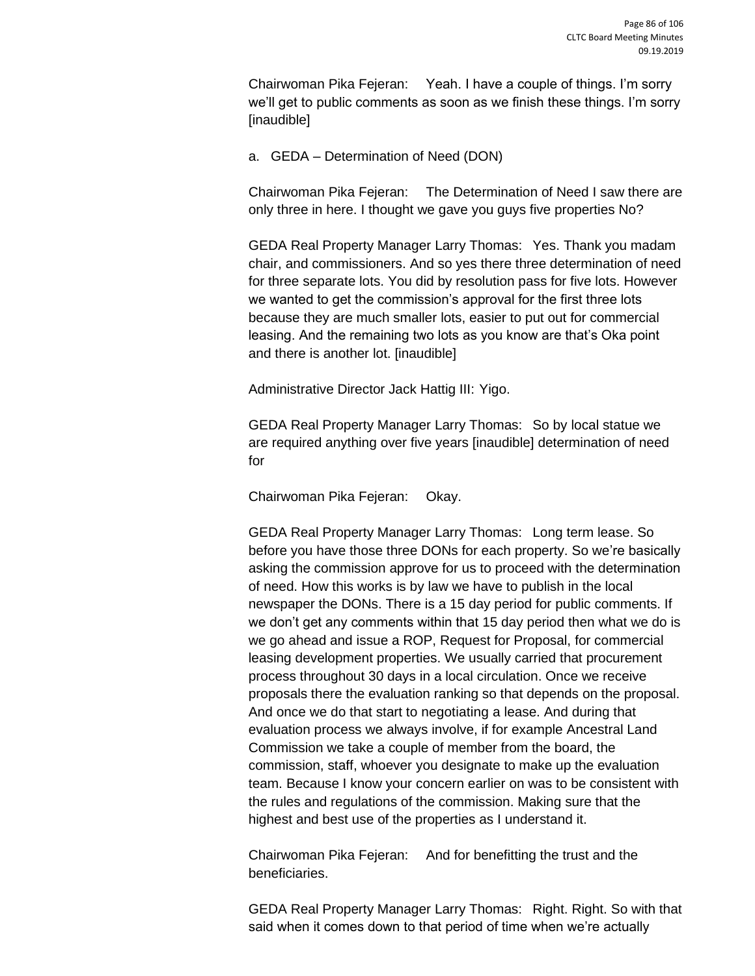Chairwoman Pika Fejeran: Yeah. I have a couple of things. I'm sorry we'll get to public comments as soon as we finish these things. I'm sorry [inaudible]

a. GEDA – Determination of Need (DON)

Chairwoman Pika Fejeran: The Determination of Need I saw there are only three in here. I thought we gave you guys five properties No?

GEDA Real Property Manager Larry Thomas: Yes. Thank you madam chair, and commissioners. And so yes there three determination of need for three separate lots. You did by resolution pass for five lots. However we wanted to get the commission's approval for the first three lots because they are much smaller lots, easier to put out for commercial leasing. And the remaining two lots as you know are that's Oka point and there is another lot. [inaudible]

Administrative Director Jack Hattig III: Yigo.

GEDA Real Property Manager Larry Thomas: So by local statue we are required anything over five years [inaudible] determination of need for

Chairwoman Pika Fejeran: Okay.

GEDA Real Property Manager Larry Thomas: Long term lease. So before you have those three DONs for each property. So we're basically asking the commission approve for us to proceed with the determination of need. How this works is by law we have to publish in the local newspaper the DONs. There is a 15 day period for public comments. If we don't get any comments within that 15 day period then what we do is we go ahead and issue a ROP, Request for Proposal, for commercial leasing development properties. We usually carried that procurement process throughout 30 days in a local circulation. Once we receive proposals there the evaluation ranking so that depends on the proposal. And once we do that start to negotiating a lease. And during that evaluation process we always involve, if for example Ancestral Land Commission we take a couple of member from the board, the commission, staff, whoever you designate to make up the evaluation team. Because I know your concern earlier on was to be consistent with the rules and regulations of the commission. Making sure that the highest and best use of the properties as I understand it.

Chairwoman Pika Fejeran: And for benefitting the trust and the beneficiaries.

GEDA Real Property Manager Larry Thomas: Right. Right. So with that said when it comes down to that period of time when we're actually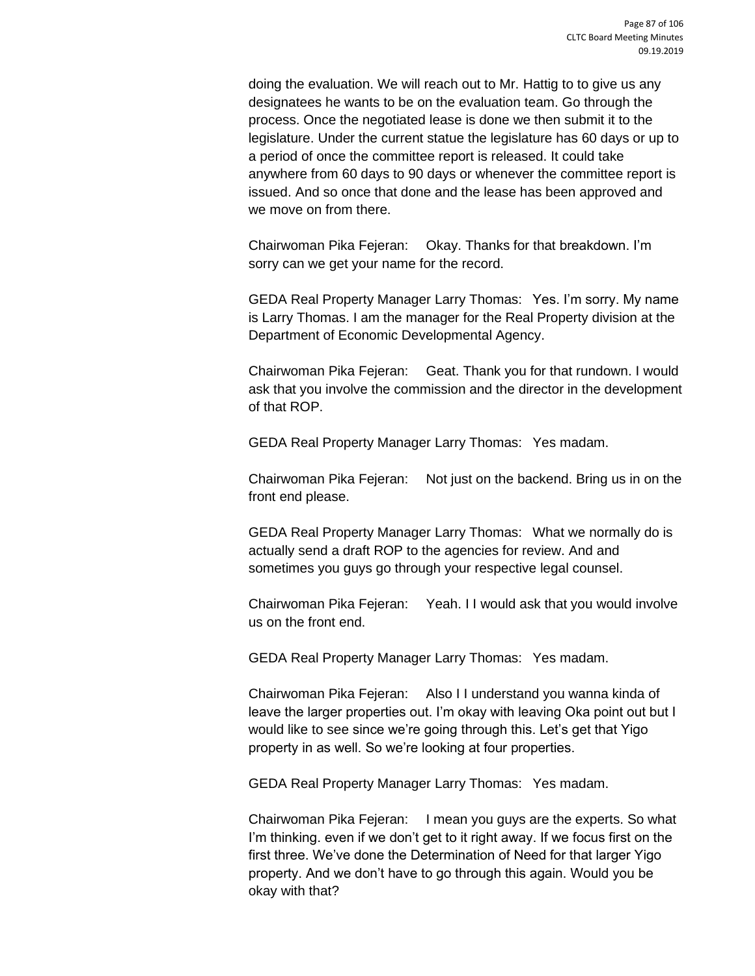doing the evaluation. We will reach out to Mr. Hattig to to give us any designatees he wants to be on the evaluation team. Go through the process. Once the negotiated lease is done we then submit it to the legislature. Under the current statue the legislature has 60 days or up to a period of once the committee report is released. It could take anywhere from 60 days to 90 days or whenever the committee report is issued. And so once that done and the lease has been approved and we move on from there.

Chairwoman Pika Fejeran: Okay. Thanks for that breakdown. I'm sorry can we get your name for the record.

GEDA Real Property Manager Larry Thomas: Yes. I'm sorry. My name is Larry Thomas. I am the manager for the Real Property division at the Department of Economic Developmental Agency.

Chairwoman Pika Fejeran: Geat. Thank you for that rundown. I would ask that you involve the commission and the director in the development of that ROP.

GEDA Real Property Manager Larry Thomas: Yes madam.

Chairwoman Pika Fejeran: Not just on the backend. Bring us in on the front end please.

GEDA Real Property Manager Larry Thomas: What we normally do is actually send a draft ROP to the agencies for review. And and sometimes you guys go through your respective legal counsel.

Chairwoman Pika Fejeran: Yeah. I I would ask that you would involve us on the front end.

GEDA Real Property Manager Larry Thomas: Yes madam.

Chairwoman Pika Fejeran: Also I I understand you wanna kinda of leave the larger properties out. I'm okay with leaving Oka point out but I would like to see since we're going through this. Let's get that Yigo property in as well. So we're looking at four properties.

GEDA Real Property Manager Larry Thomas: Yes madam.

Chairwoman Pika Fejeran: I mean you guys are the experts. So what I'm thinking. even if we don't get to it right away. If we focus first on the first three. We've done the Determination of Need for that larger Yigo property. And we don't have to go through this again. Would you be okay with that?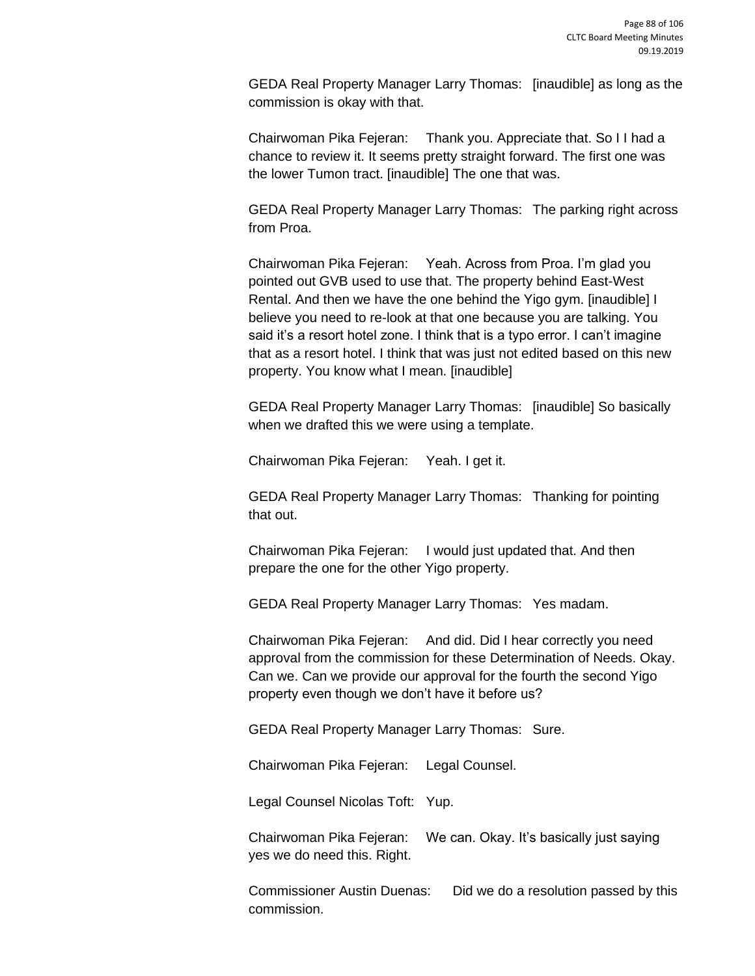GEDA Real Property Manager Larry Thomas: [inaudible] as long as the commission is okay with that.

Chairwoman Pika Fejeran: Thank you. Appreciate that. So I I had a chance to review it. It seems pretty straight forward. The first one was the lower Tumon tract. [inaudible] The one that was.

GEDA Real Property Manager Larry Thomas: The parking right across from Proa.

Chairwoman Pika Fejeran: Yeah. Across from Proa. I'm glad you pointed out GVB used to use that. The property behind East-West Rental. And then we have the one behind the Yigo gym. [inaudible] I believe you need to re-look at that one because you are talking. You said it's a resort hotel zone. I think that is a typo error. I can't imagine that as a resort hotel. I think that was just not edited based on this new property. You know what I mean. [inaudible]

GEDA Real Property Manager Larry Thomas: [inaudible] So basically when we drafted this we were using a template.

Chairwoman Pika Fejeran: Yeah. I get it.

GEDA Real Property Manager Larry Thomas: Thanking for pointing that out.

Chairwoman Pika Fejeran: I would just updated that. And then prepare the one for the other Yigo property.

GEDA Real Property Manager Larry Thomas: Yes madam.

Chairwoman Pika Fejeran: And did. Did I hear correctly you need approval from the commission for these Determination of Needs. Okay. Can we. Can we provide our approval for the fourth the second Yigo property even though we don't have it before us?

GEDA Real Property Manager Larry Thomas: Sure.

Chairwoman Pika Fejeran: Legal Counsel.

Legal Counsel Nicolas Toft: Yup.

Chairwoman Pika Fejeran: We can. Okay. It's basically just saying yes we do need this. Right.

Commissioner Austin Duenas: Did we do a resolution passed by this commission.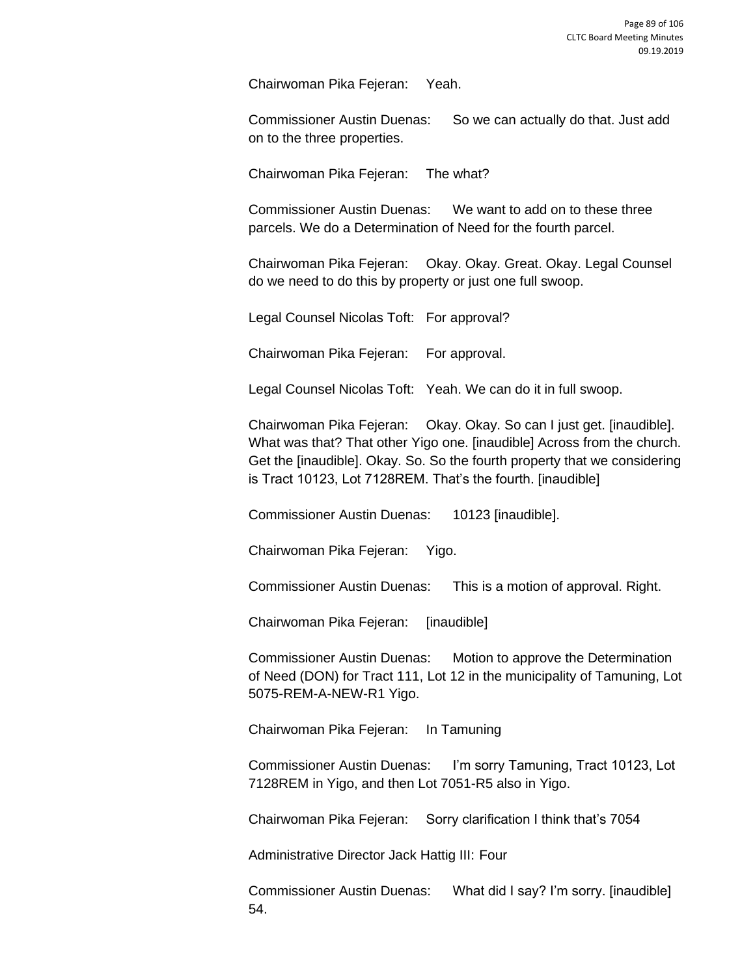Chairwoman Pika Fejeran: Yeah.

Commissioner Austin Duenas: So we can actually do that. Just add on to the three properties.

Chairwoman Pika Fejeran: The what?

Commissioner Austin Duenas: We want to add on to these three parcels. We do a Determination of Need for the fourth parcel.

Chairwoman Pika Fejeran: Okay. Okay. Great. Okay. Legal Counsel do we need to do this by property or just one full swoop.

Legal Counsel Nicolas Toft: For approval?

Chairwoman Pika Fejeran: For approval.

Legal Counsel Nicolas Toft: Yeah. We can do it in full swoop.

Chairwoman Pika Fejeran: Okay. Okay. So can I just get. [inaudible]. What was that? That other Yigo one. [inaudible] Across from the church. Get the [inaudible]. Okay. So. So the fourth property that we considering is Tract 10123, Lot 7128REM. That's the fourth. [inaudible]

Commissioner Austin Duenas: 10123 [inaudible].

Chairwoman Pika Fejeran: Yigo.

Commissioner Austin Duenas: This is a motion of approval. Right.

Chairwoman Pika Fejeran: [inaudible]

Commissioner Austin Duenas: Motion to approve the Determination of Need (DON) for Tract 111, Lot 12 in the municipality of Tamuning, Lot 5075-REM-A-NEW-R1 Yigo.

Chairwoman Pika Fejeran: In Tamuning

Commissioner Austin Duenas: I'm sorry Tamuning, Tract 10123, Lot 7128REM in Yigo, and then Lot 7051-R5 also in Yigo.

Chairwoman Pika Fejeran: Sorry clarification I think that's 7054

Administrative Director Jack Hattig III: Four

Commissioner Austin Duenas: What did I say? I'm sorry. [inaudible] 54.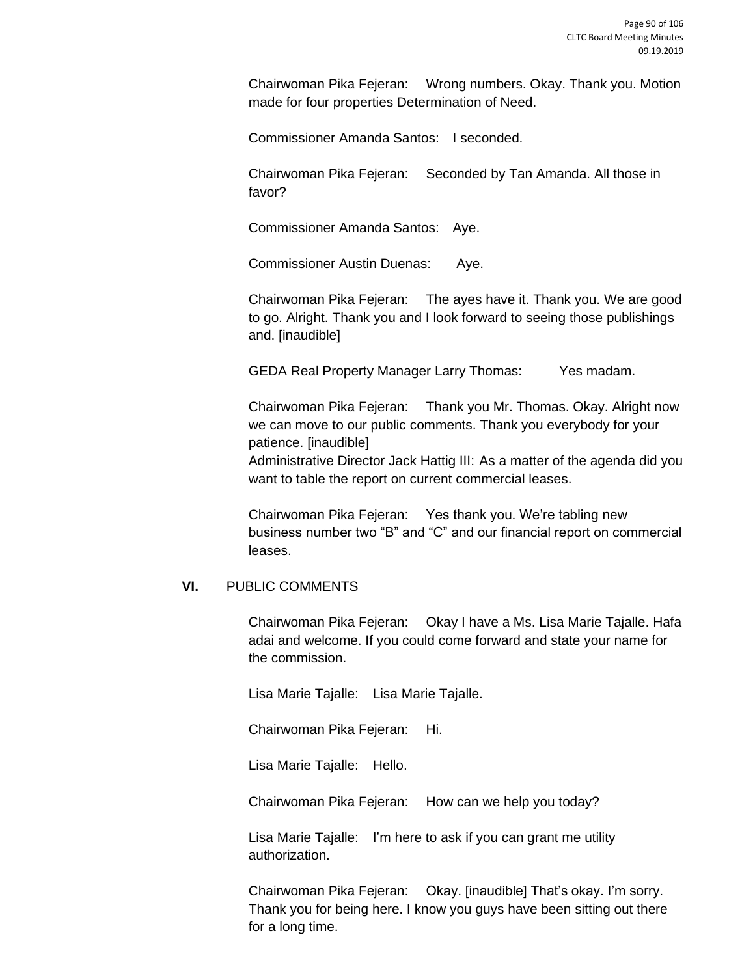Chairwoman Pika Fejeran: Wrong numbers. Okay. Thank you. Motion made for four properties Determination of Need.

Commissioner Amanda Santos: I seconded.

Chairwoman Pika Fejeran: Seconded by Tan Amanda. All those in favor?

Commissioner Amanda Santos: Aye.

Commissioner Austin Duenas: Aye.

Chairwoman Pika Fejeran: The ayes have it. Thank you. We are good to go. Alright. Thank you and I look forward to seeing those publishings and. [inaudible]

GEDA Real Property Manager Larry Thomas: Yes madam.

Chairwoman Pika Fejeran: Thank you Mr. Thomas. Okay. Alright now we can move to our public comments. Thank you everybody for your patience. [inaudible]

Administrative Director Jack Hattig III: As a matter of the agenda did you want to table the report on current commercial leases.

Chairwoman Pika Fejeran: Yes thank you. We're tabling new business number two "B" and "C" and our financial report on commercial leases.

## **VI.** PUBLIC COMMENTS

Chairwoman Pika Fejeran: Okay I have a Ms. Lisa Marie Tajalle. Hafa adai and welcome. If you could come forward and state your name for the commission.

Lisa Marie Tajalle: Lisa Marie Tajalle.

Chairwoman Pika Fejeran: Hi.

Lisa Marie Tajalle: Hello.

Chairwoman Pika Fejeran: How can we help you today?

Lisa Marie Tajalle: I'm here to ask if you can grant me utility authorization.

Chairwoman Pika Fejeran: Okay. [inaudible] That's okay. I'm sorry. Thank you for being here. I know you guys have been sitting out there for a long time.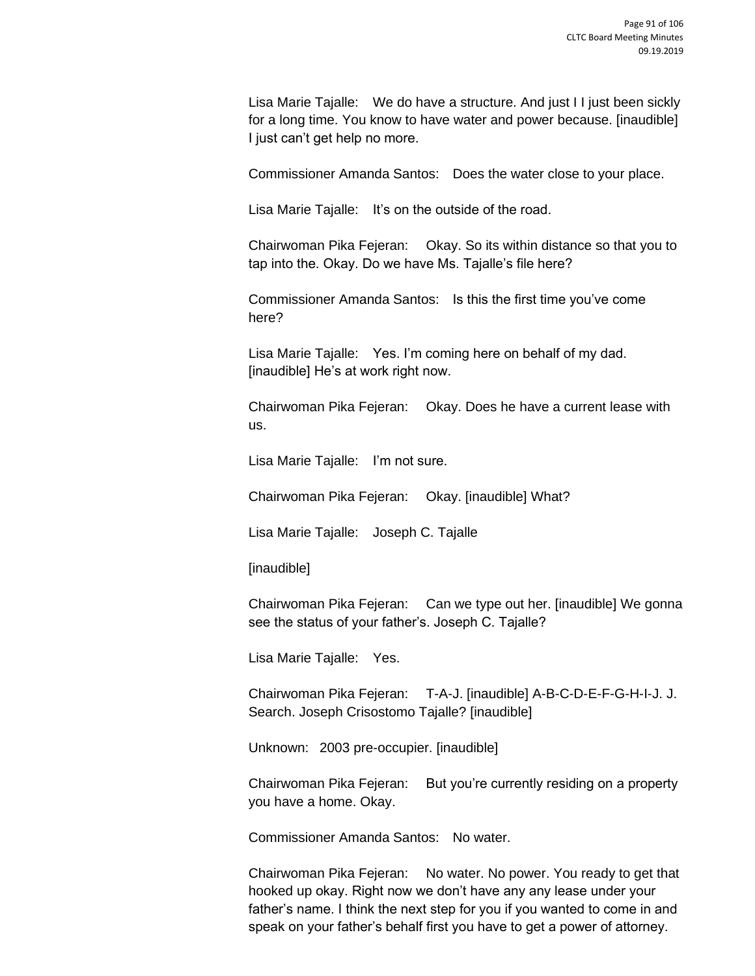Lisa Marie Tajalle: We do have a structure. And just I I just been sickly for a long time. You know to have water and power because. [inaudible] I just can't get help no more.

Commissioner Amanda Santos: Does the water close to your place.

Lisa Marie Tajalle: It's on the outside of the road.

Chairwoman Pika Fejeran: Okay. So its within distance so that you to tap into the. Okay. Do we have Ms. Tajalle's file here?

Commissioner Amanda Santos: Is this the first time you've come here?

Lisa Marie Tajalle: Yes. I'm coming here on behalf of my dad. [inaudible] He's at work right now.

Chairwoman Pika Fejeran: Okay. Does he have a current lease with us.

Lisa Marie Tajalle: I'm not sure.

Chairwoman Pika Fejeran: Okay. [inaudible] What?

Lisa Marie Tajalle: Joseph C. Tajalle

[inaudible]

Chairwoman Pika Fejeran: Can we type out her. [inaudible] We gonna see the status of your father's. Joseph C. Tajalle?

Lisa Marie Tajalle: Yes.

Chairwoman Pika Fejeran: T-A-J. [inaudible] A-B-C-D-E-F-G-H-I-J. J. Search. Joseph Crisostomo Tajalle? [inaudible]

Unknown: 2003 pre-occupier. [inaudible]

Chairwoman Pika Fejeran: But you're currently residing on a property you have a home. Okay.

Commissioner Amanda Santos: No water.

Chairwoman Pika Fejeran: No water. No power. You ready to get that hooked up okay. Right now we don't have any any lease under your father's name. I think the next step for you if you wanted to come in and speak on your father's behalf first you have to get a power of attorney.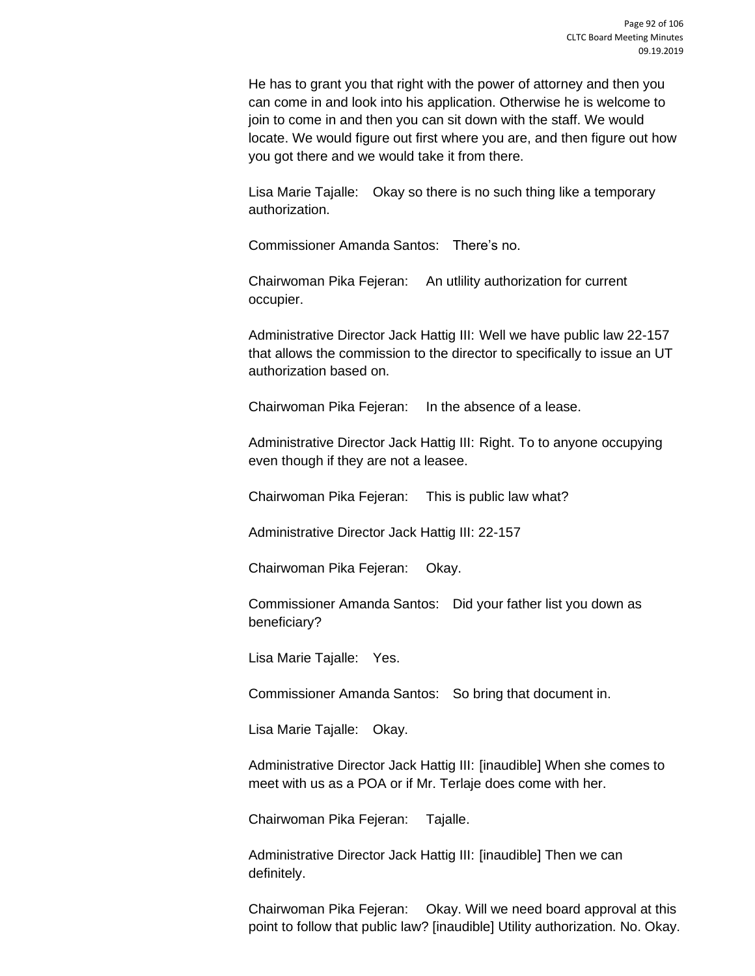He has to grant you that right with the power of attorney and then you can come in and look into his application. Otherwise he is welcome to join to come in and then you can sit down with the staff. We would locate. We would figure out first where you are, and then figure out how you got there and we would take it from there.

Lisa Marie Tajalle: Okay so there is no such thing like a temporary authorization.

Commissioner Amanda Santos: There's no.

Chairwoman Pika Fejeran: An utlility authorization for current occupier.

Administrative Director Jack Hattig III: Well we have public law 22-157 that allows the commission to the director to specifically to issue an UT authorization based on.

Chairwoman Pika Fejeran: In the absence of a lease.

Administrative Director Jack Hattig III: Right. To to anyone occupying even though if they are not a leasee.

Chairwoman Pika Fejeran: This is public law what?

Administrative Director Jack Hattig III: 22-157

Chairwoman Pika Fejeran: Okay.

Commissioner Amanda Santos: Did your father list you down as beneficiary?

Lisa Marie Tajalle: Yes.

Commissioner Amanda Santos: So bring that document in.

Lisa Marie Tajalle: Okay.

Administrative Director Jack Hattig III: [inaudible] When she comes to meet with us as a POA or if Mr. Terlaje does come with her.

Chairwoman Pika Fejeran: Tajalle.

Administrative Director Jack Hattig III: [inaudible] Then we can definitely.

Chairwoman Pika Fejeran: Okay. Will we need board approval at this point to follow that public law? [inaudible] Utility authorization. No. Okay.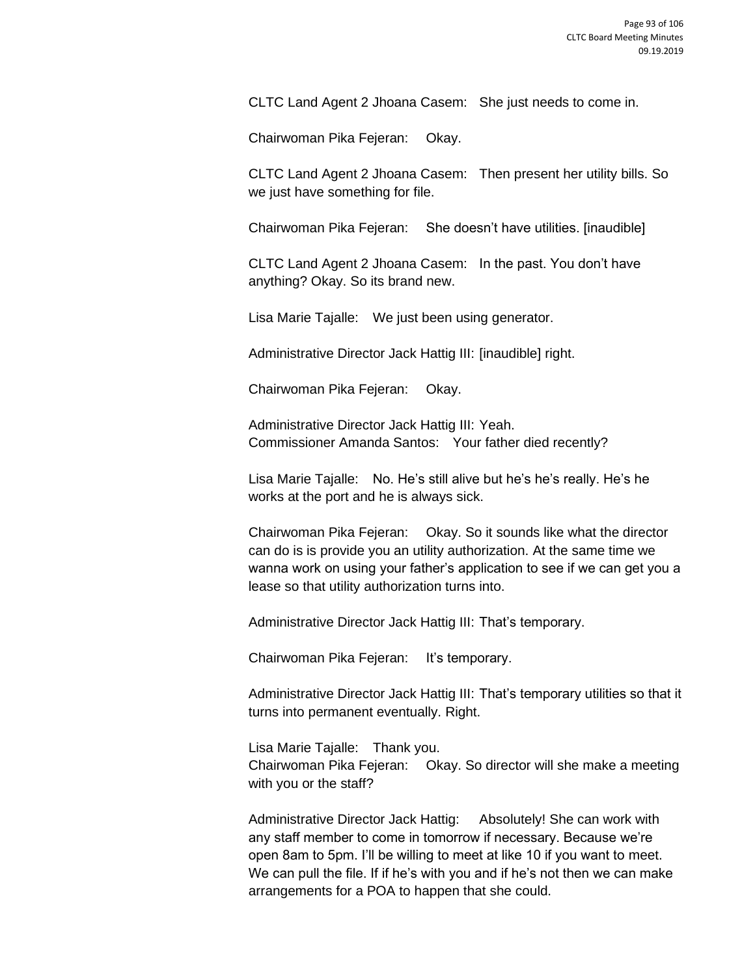CLTC Land Agent 2 Jhoana Casem: She just needs to come in.

Chairwoman Pika Fejeran: Okay.

CLTC Land Agent 2 Jhoana Casem: Then present her utility bills. So we just have something for file.

Chairwoman Pika Fejeran: She doesn't have utilities. [inaudible]

CLTC Land Agent 2 Jhoana Casem: In the past. You don't have anything? Okay. So its brand new.

Lisa Marie Tajalle: We just been using generator.

Administrative Director Jack Hattig III: [inaudible] right.

Chairwoman Pika Fejeran: Okay.

Administrative Director Jack Hattig III: Yeah. Commissioner Amanda Santos: Your father died recently?

Lisa Marie Tajalle: No. He's still alive but he's he's really. He's he works at the port and he is always sick.

Chairwoman Pika Fejeran: Okay. So it sounds like what the director can do is is provide you an utility authorization. At the same time we wanna work on using your father's application to see if we can get you a lease so that utility authorization turns into.

Administrative Director Jack Hattig III: That's temporary.

Chairwoman Pika Fejeran: It's temporary.

Administrative Director Jack Hattig III: That's temporary utilities so that it turns into permanent eventually. Right.

Lisa Marie Tajalle: Thank you. Chairwoman Pika Fejeran: Okay. So director will she make a meeting with you or the staff?

Administrative Director Jack Hattig: Absolutely! She can work with any staff member to come in tomorrow if necessary. Because we're open 8am to 5pm. I'll be willing to meet at like 10 if you want to meet. We can pull the file. If if he's with you and if he's not then we can make arrangements for a POA to happen that she could.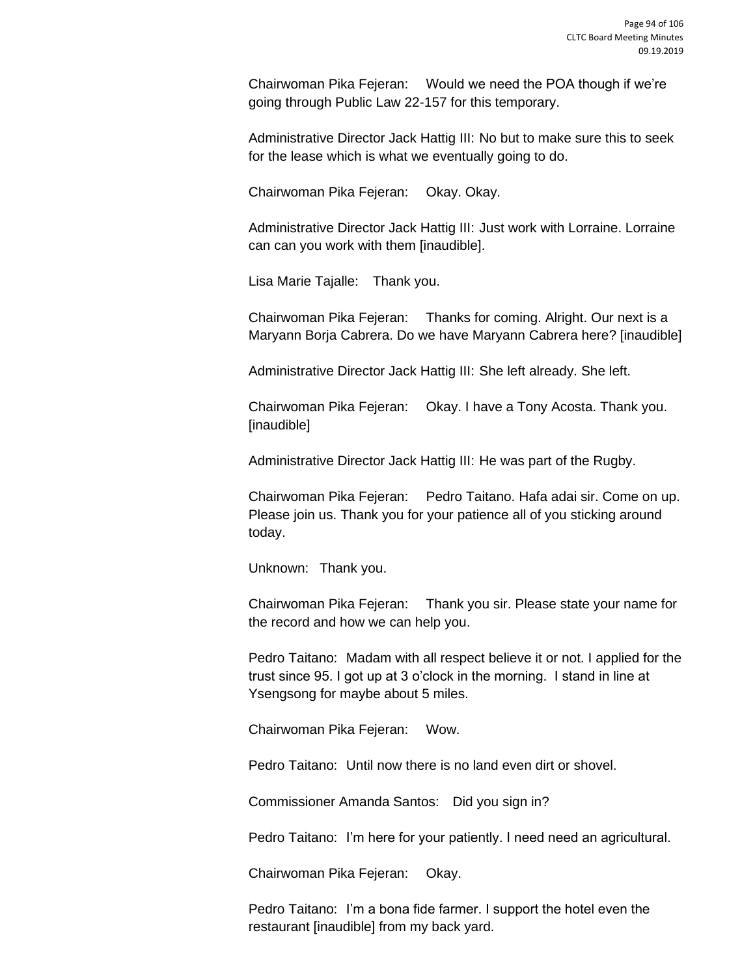Chairwoman Pika Fejeran: Would we need the POA though if we're going through Public Law 22-157 for this temporary.

Administrative Director Jack Hattig III: No but to make sure this to seek for the lease which is what we eventually going to do.

Chairwoman Pika Fejeran: Okay. Okay.

Administrative Director Jack Hattig III: Just work with Lorraine. Lorraine can can you work with them [inaudible].

Lisa Marie Tajalle: Thank you.

Chairwoman Pika Fejeran: Thanks for coming. Alright. Our next is a Maryann Borja Cabrera. Do we have Maryann Cabrera here? [inaudible]

Administrative Director Jack Hattig III: She left already. She left.

Chairwoman Pika Fejeran: Okay. I have a Tony Acosta. Thank you. [inaudible]

Administrative Director Jack Hattig III: He was part of the Rugby.

Chairwoman Pika Fejeran: Pedro Taitano. Hafa adai sir. Come on up. Please join us. Thank you for your patience all of you sticking around today.

Unknown: Thank you.

Chairwoman Pika Fejeran: Thank you sir. Please state your name for the record and how we can help you.

Pedro Taitano: Madam with all respect believe it or not. I applied for the trust since 95. I got up at 3 o'clock in the morning. I stand in line at Ysengsong for maybe about 5 miles.

Chairwoman Pika Fejeran: Wow.

Pedro Taitano: Until now there is no land even dirt or shovel.

Commissioner Amanda Santos: Did you sign in?

Pedro Taitano: I'm here for your patiently. I need need an agricultural.

Chairwoman Pika Fejeran: Okay.

Pedro Taitano: I'm a bona fide farmer. I support the hotel even the restaurant [inaudible] from my back yard.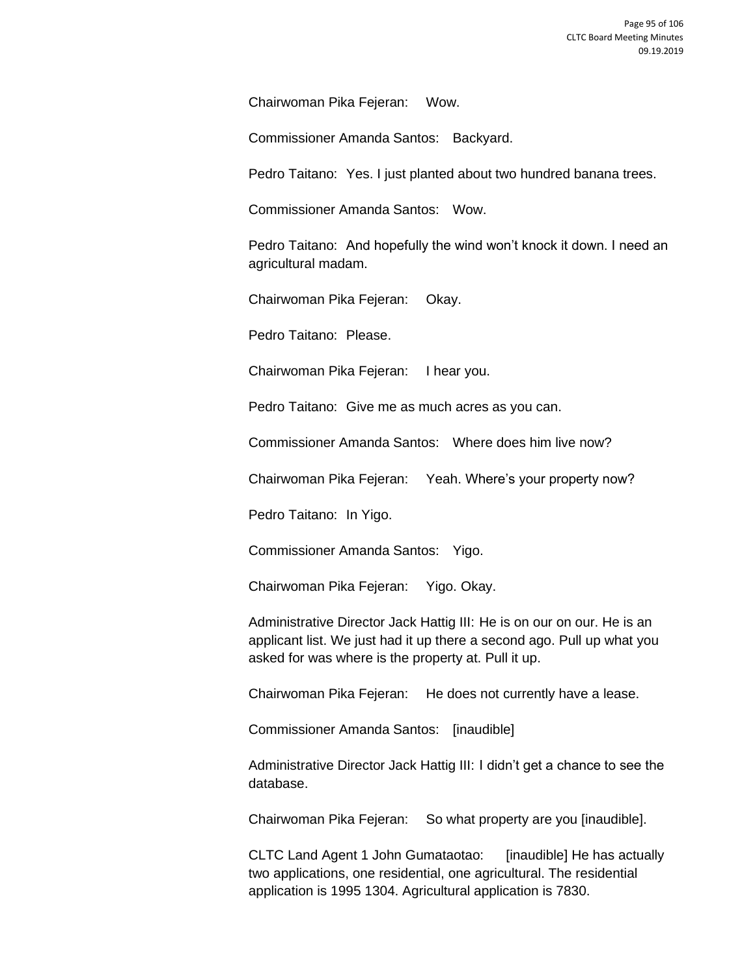Chairwoman Pika Fejeran: Wow.

Commissioner Amanda Santos: Backyard.

Pedro Taitano: Yes. I just planted about two hundred banana trees.

Commissioner Amanda Santos: Wow.

Pedro Taitano: And hopefully the wind won't knock it down. I need an agricultural madam.

Chairwoman Pika Fejeran: Okay.

Pedro Taitano: Please.

Chairwoman Pika Fejeran: I hear you.

Pedro Taitano: Give me as much acres as you can.

Commissioner Amanda Santos: Where does him live now?

Chairwoman Pika Fejeran: Yeah. Where's your property now?

Pedro Taitano: In Yigo.

Commissioner Amanda Santos: Yigo.

Chairwoman Pika Fejeran: Yigo. Okay.

Administrative Director Jack Hattig III: He is on our on our. He is an applicant list. We just had it up there a second ago. Pull up what you asked for was where is the property at. Pull it up.

Chairwoman Pika Fejeran: He does not currently have a lease.

Commissioner Amanda Santos: [inaudible]

Administrative Director Jack Hattig III: I didn't get a chance to see the database.

Chairwoman Pika Fejeran: So what property are you [inaudible].

CLTC Land Agent 1 John Gumataotao: [inaudible] He has actually two applications, one residential, one agricultural. The residential application is 1995 1304. Agricultural application is 7830.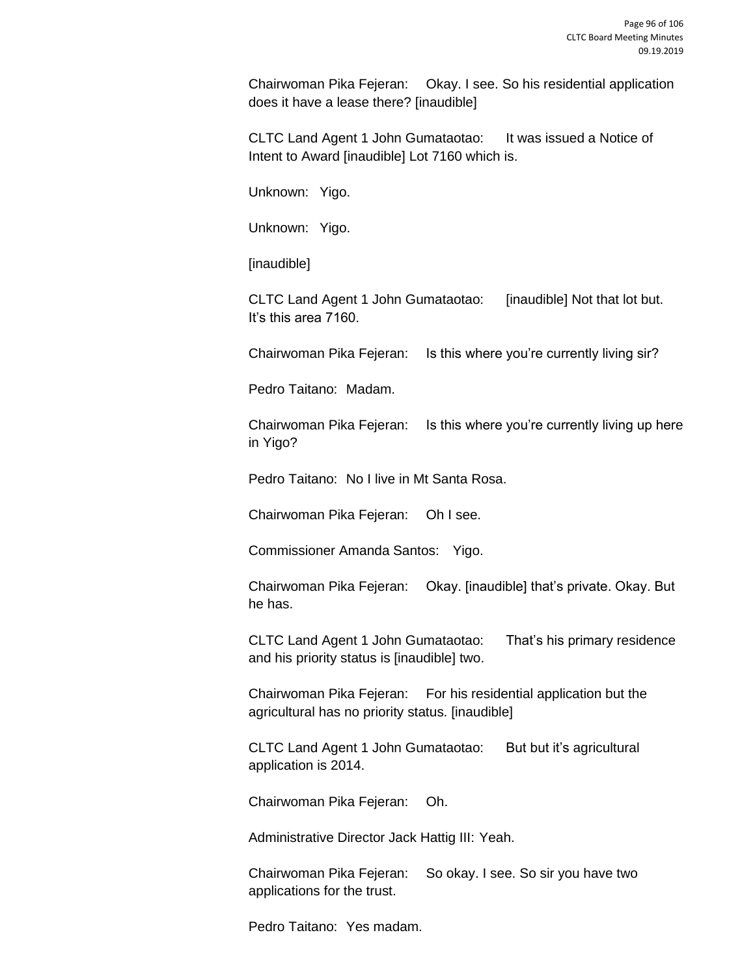Chairwoman Pika Fejeran: Okay. I see. So his residential application does it have a lease there? [inaudible]

CLTC Land Agent 1 John Gumataotao: It was issued a Notice of Intent to Award [inaudible] Lot 7160 which is.

Unknown: Yigo.

Unknown: Yigo.

[inaudible]

CLTC Land Agent 1 John Gumataotao: [inaudible] Not that lot but. It's this area 7160.

Chairwoman Pika Fejeran: Is this where you're currently living sir?

Pedro Taitano: Madam.

Chairwoman Pika Fejeran: Is this where you're currently living up here in Yigo?

Pedro Taitano: No I live in Mt Santa Rosa.

Chairwoman Pika Fejeran: Oh I see.

Commissioner Amanda Santos: Yigo.

Chairwoman Pika Fejeran: Okay. [inaudible] that's private. Okay. But he has.

CLTC Land Agent 1 John Gumataotao: That's his primary residence and his priority status is [inaudible] two.

Chairwoman Pika Fejeran: For his residential application but the agricultural has no priority status. [inaudible]

CLTC Land Agent 1 John Gumataotao: But but it's agricultural application is 2014.

Chairwoman Pika Fejeran: Oh.

Administrative Director Jack Hattig III: Yeah.

Chairwoman Pika Fejeran: So okay. I see. So sir you have two applications for the trust.

Pedro Taitano: Yes madam.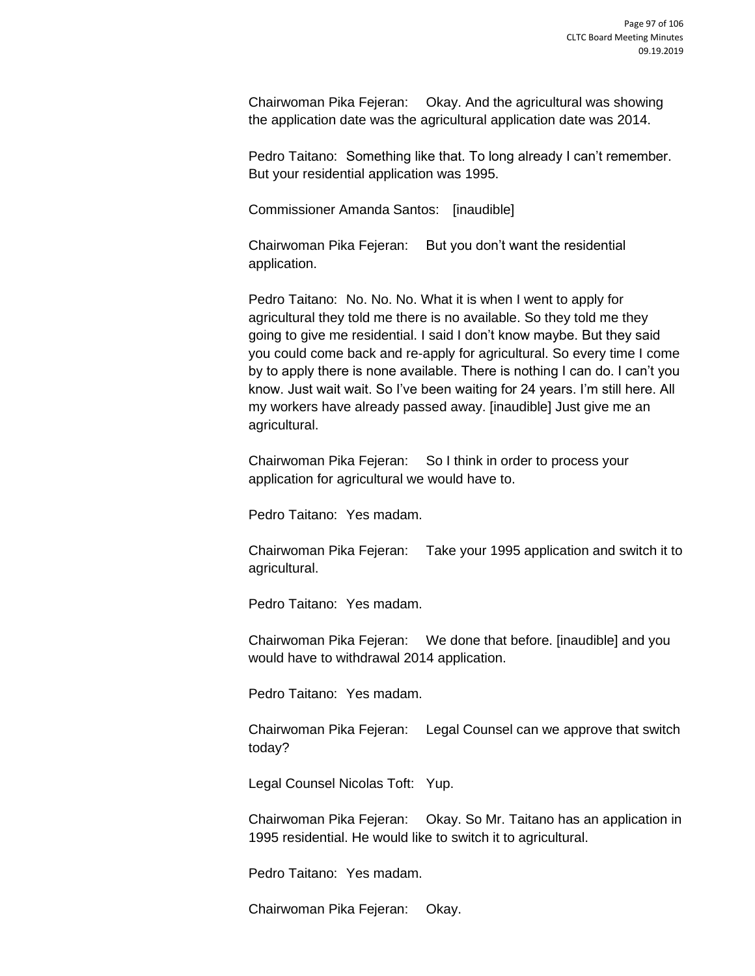Chairwoman Pika Fejeran: Okay. And the agricultural was showing the application date was the agricultural application date was 2014.

Pedro Taitano: Something like that. To long already I can't remember. But your residential application was 1995.

Commissioner Amanda Santos: [inaudible]

Chairwoman Pika Fejeran: But you don't want the residential application.

Pedro Taitano: No. No. No. What it is when I went to apply for agricultural they told me there is no available. So they told me they going to give me residential. I said I don't know maybe. But they said you could come back and re-apply for agricultural. So every time I come by to apply there is none available. There is nothing I can do. I can't you know. Just wait wait. So I've been waiting for 24 years. I'm still here. All my workers have already passed away. [inaudible] Just give me an agricultural.

Chairwoman Pika Fejeran: So I think in order to process your application for agricultural we would have to.

Pedro Taitano: Yes madam.

Chairwoman Pika Fejeran: Take your 1995 application and switch it to agricultural.

Pedro Taitano: Yes madam.

Chairwoman Pika Fejeran: We done that before. [inaudible] and you would have to withdrawal 2014 application.

Pedro Taitano: Yes madam.

Chairwoman Pika Fejeran: Legal Counsel can we approve that switch today?

Legal Counsel Nicolas Toft: Yup.

Chairwoman Pika Fejeran: Okay. So Mr. Taitano has an application in 1995 residential. He would like to switch it to agricultural.

Pedro Taitano: Yes madam.

Chairwoman Pika Fejeran: Okay.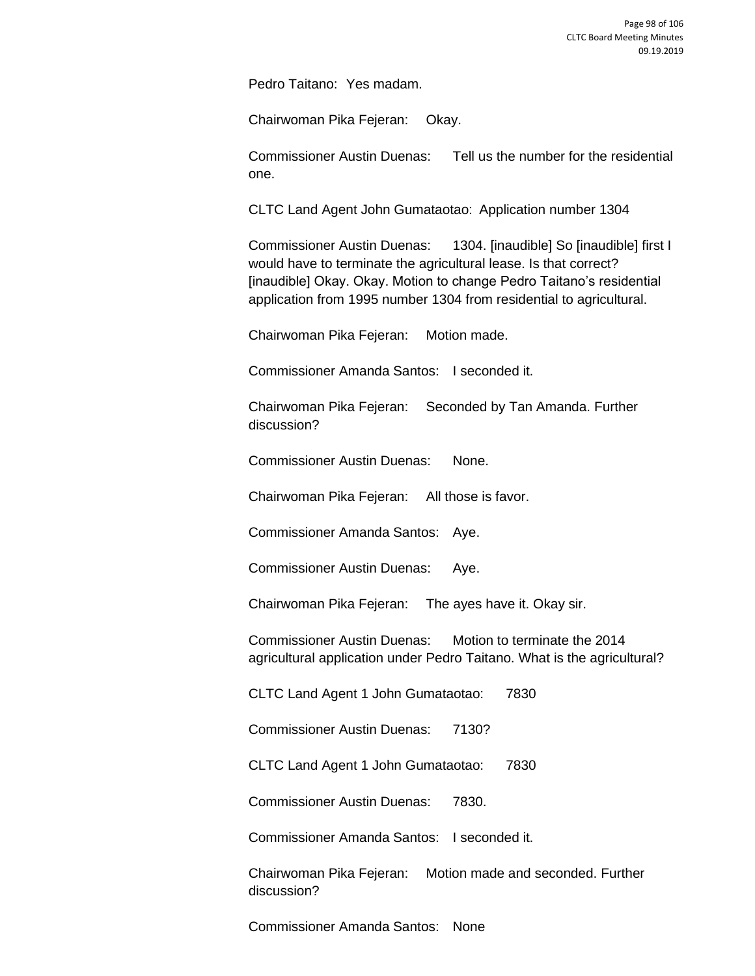Pedro Taitano: Yes madam.

Chairwoman Pika Fejeran: Okay.

Commissioner Austin Duenas: Tell us the number for the residential one.

CLTC Land Agent John Gumataotao: Application number 1304

Commissioner Austin Duenas: 1304. [inaudible] So [inaudible] first I would have to terminate the agricultural lease. Is that correct? [inaudible] Okay. Okay. Motion to change Pedro Taitano's residential application from 1995 number 1304 from residential to agricultural.

Chairwoman Pika Fejeran: Motion made.

Commissioner Amanda Santos: I seconded it.

Chairwoman Pika Fejeran: Seconded by Tan Amanda. Further discussion?

Commissioner Austin Duenas: None.

Chairwoman Pika Fejeran: All those is favor.

Commissioner Amanda Santos: Aye.

Commissioner Austin Duenas: Aye.

Chairwoman Pika Fejeran: The ayes have it. Okay sir.

Commissioner Austin Duenas: Motion to terminate the 2014 agricultural application under Pedro Taitano. What is the agricultural?

CLTC Land Agent 1 John Gumataotao: 7830

Commissioner Austin Duenas: 7130?

CLTC Land Agent 1 John Gumataotao: 7830

Commissioner Austin Duenas: 7830.

Commissioner Amanda Santos: I seconded it.

Chairwoman Pika Fejeran: Motion made and seconded. Further discussion?

Commissioner Amanda Santos: None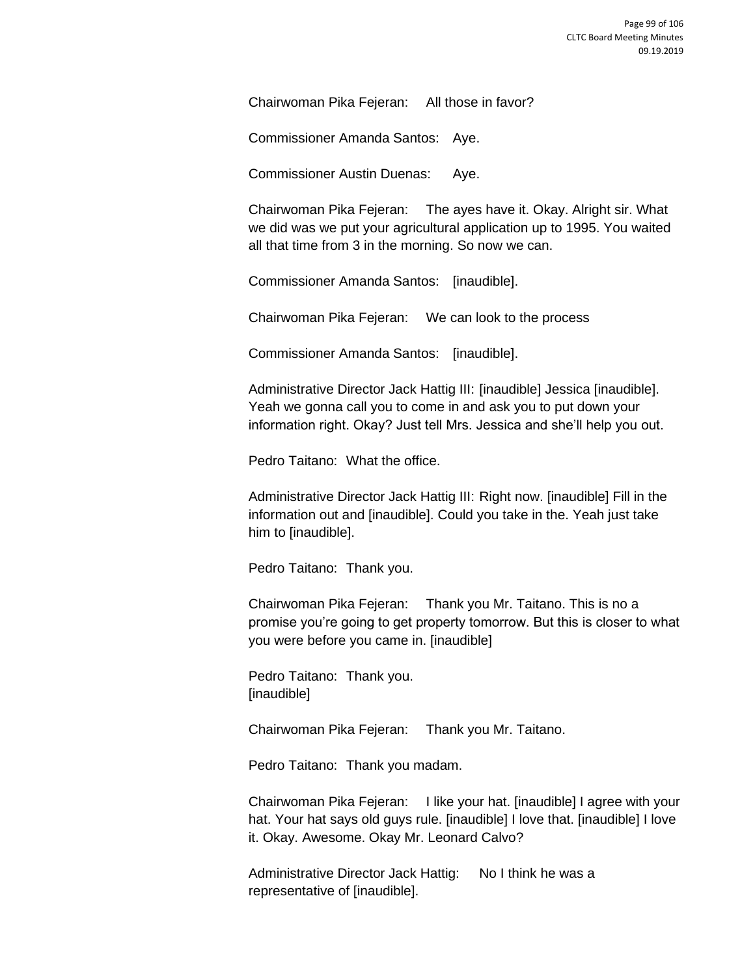Chairwoman Pika Fejeran: All those in favor?

Commissioner Amanda Santos: Aye.

Commissioner Austin Duenas: Aye.

Chairwoman Pika Fejeran: The ayes have it. Okay. Alright sir. What we did was we put your agricultural application up to 1995. You waited all that time from 3 in the morning. So now we can.

Commissioner Amanda Santos: [inaudible].

Chairwoman Pika Fejeran: We can look to the process

Commissioner Amanda Santos: [inaudible].

Administrative Director Jack Hattig III: [inaudible] Jessica [inaudible]. Yeah we gonna call you to come in and ask you to put down your information right. Okay? Just tell Mrs. Jessica and she'll help you out.

Pedro Taitano: What the office.

Administrative Director Jack Hattig III: Right now. [inaudible] Fill in the information out and [inaudible]. Could you take in the. Yeah just take him to [inaudible].

Pedro Taitano: Thank you.

Chairwoman Pika Fejeran: Thank you Mr. Taitano. This is no a promise you're going to get property tomorrow. But this is closer to what you were before you came in. [inaudible]

Pedro Taitano: Thank you. [inaudible]

Chairwoman Pika Fejeran: Thank you Mr. Taitano.

Pedro Taitano: Thank you madam.

Chairwoman Pika Fejeran: I like your hat. [inaudible] I agree with your hat. Your hat says old guys rule. [inaudible] I love that. [inaudible] I love it. Okay. Awesome. Okay Mr. Leonard Calvo?

Administrative Director Jack Hattig: No I think he was a representative of [inaudible].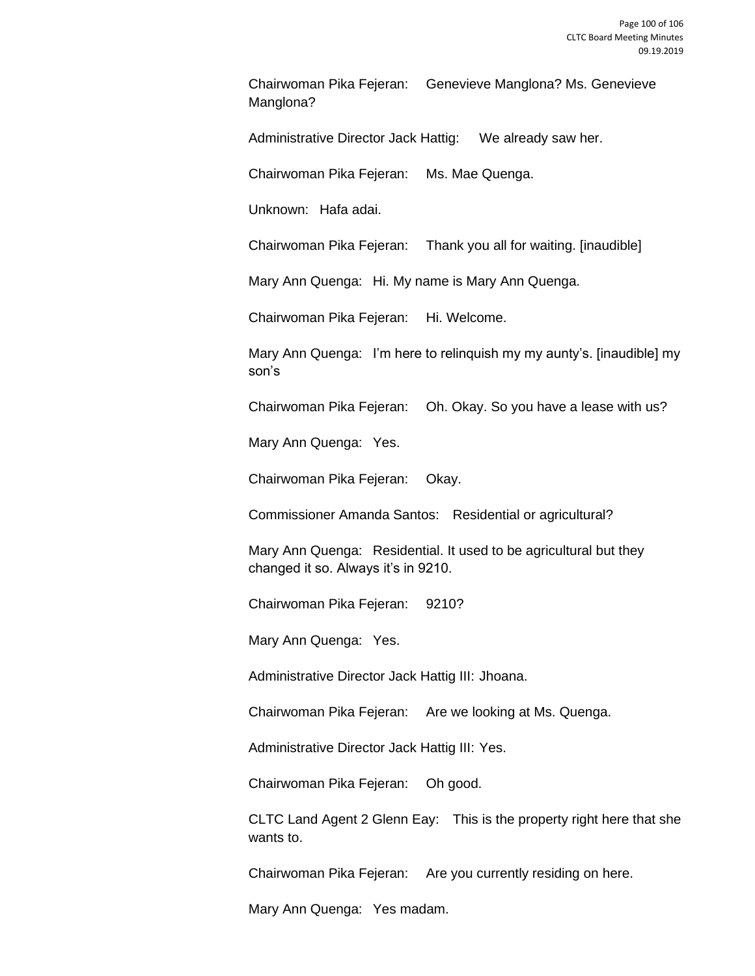Chairwoman Pika Fejeran: Genevieve Manglona? Ms. Genevieve Manglona?

Administrative Director Jack Hattig: We already saw her.

Chairwoman Pika Fejeran: Ms. Mae Quenga.

Unknown: Hafa adai.

Chairwoman Pika Fejeran: Thank you all for waiting. [inaudible]

Mary Ann Quenga: Hi. My name is Mary Ann Quenga.

Chairwoman Pika Fejeran: Hi. Welcome.

Mary Ann Quenga: I'm here to relinquish my my aunty's. [inaudible] my son's

Chairwoman Pika Fejeran: Oh. Okay. So you have a lease with us?

Mary Ann Quenga: Yes.

Chairwoman Pika Fejeran: Okay.

Commissioner Amanda Santos: Residential or agricultural?

Mary Ann Quenga: Residential. It used to be agricultural but they changed it so. Always it's in 9210.

Chairwoman Pika Fejeran: 9210?

Mary Ann Quenga: Yes.

Administrative Director Jack Hattig III: Jhoana.

Chairwoman Pika Fejeran: Are we looking at Ms. Quenga.

Administrative Director Jack Hattig III: Yes.

Chairwoman Pika Fejeran: Oh good.

CLTC Land Agent 2 Glenn Eay: This is the property right here that she wants to.

Chairwoman Pika Fejeran: Are you currently residing on here.

Mary Ann Quenga: Yes madam.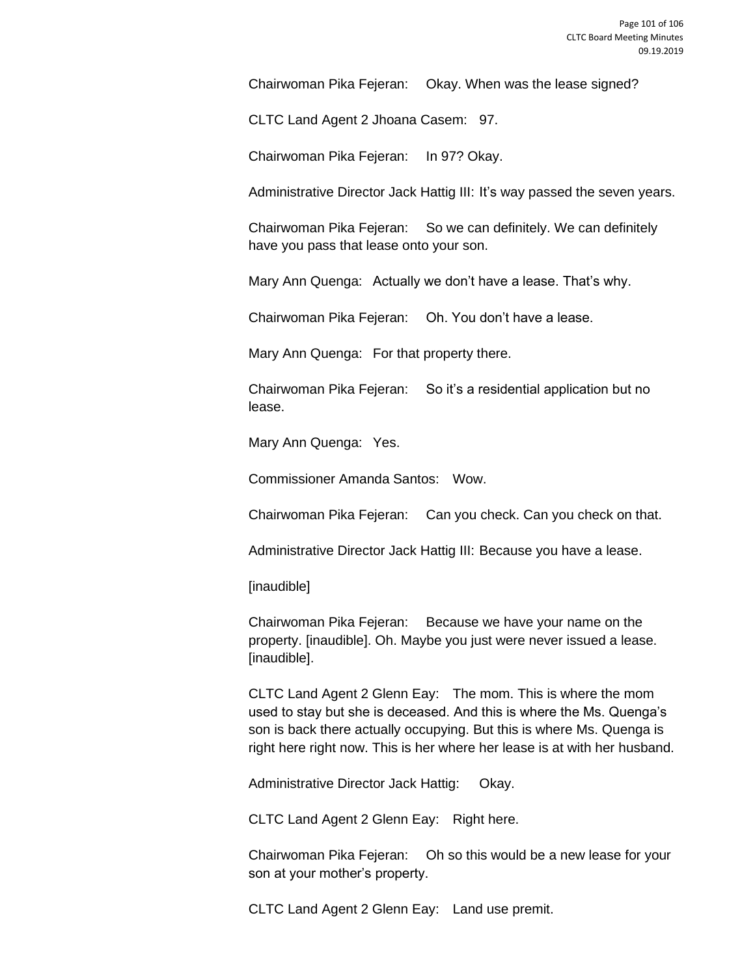Chairwoman Pika Fejeran: Okay. When was the lease signed?

CLTC Land Agent 2 Jhoana Casem: 97.

Chairwoman Pika Fejeran: In 97? Okay.

Administrative Director Jack Hattig III: It's way passed the seven years.

Chairwoman Pika Fejeran: So we can definitely. We can definitely have you pass that lease onto your son.

Mary Ann Quenga: Actually we don't have a lease. That's why.

Chairwoman Pika Fejeran: Oh. You don't have a lease.

Mary Ann Quenga: For that property there.

Chairwoman Pika Fejeran: So it's a residential application but no lease.

Mary Ann Quenga: Yes.

Commissioner Amanda Santos: Wow.

Chairwoman Pika Fejeran: Can you check. Can you check on that.

Administrative Director Jack Hattig III: Because you have a lease.

[inaudible]

Chairwoman Pika Fejeran: Because we have your name on the property. [inaudible]. Oh. Maybe you just were never issued a lease. [inaudible].

CLTC Land Agent 2 Glenn Eay: The mom. This is where the mom used to stay but she is deceased. And this is where the Ms. Quenga's son is back there actually occupying. But this is where Ms. Quenga is right here right now. This is her where her lease is at with her husband.

Administrative Director Jack Hattig: Okay.

CLTC Land Agent 2 Glenn Eay: Right here.

Chairwoman Pika Fejeran: Oh so this would be a new lease for your son at your mother's property.

CLTC Land Agent 2 Glenn Eay: Land use premit.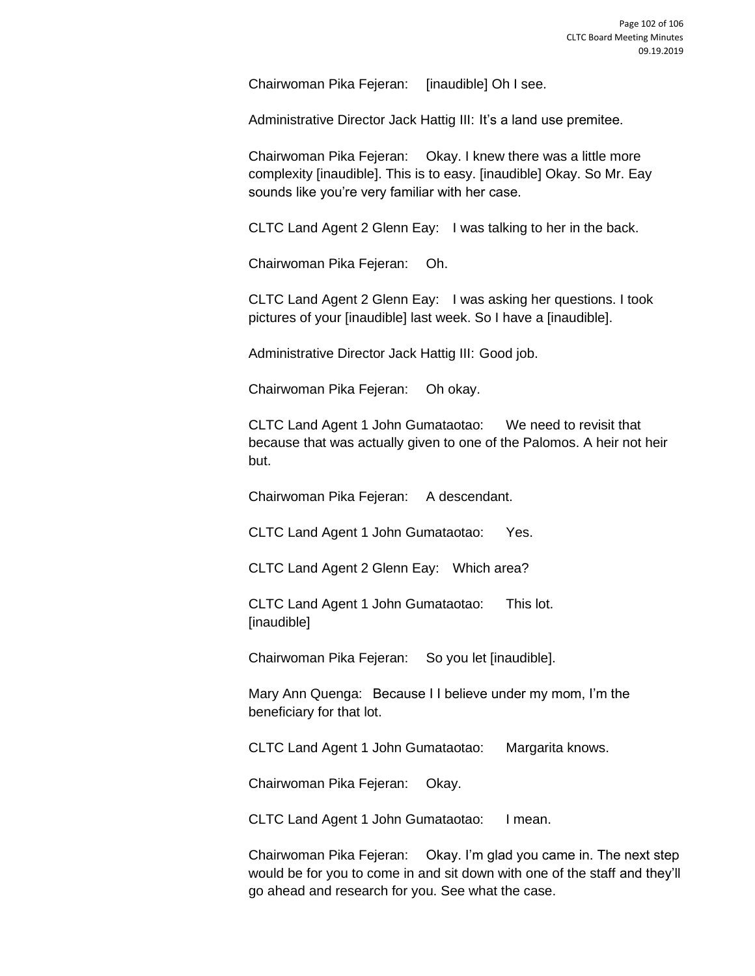Chairwoman Pika Fejeran: [inaudible] Oh I see.

Administrative Director Jack Hattig III: It's a land use premitee.

Chairwoman Pika Fejeran: Okay. I knew there was a little more complexity [inaudible]. This is to easy. [inaudible] Okay. So Mr. Eay sounds like you're very familiar with her case.

CLTC Land Agent 2 Glenn Eay: I was talking to her in the back.

Chairwoman Pika Fejeran: Oh.

CLTC Land Agent 2 Glenn Eay: I was asking her questions. I took pictures of your [inaudible] last week. So I have a [inaudible].

Administrative Director Jack Hattig III: Good job.

Chairwoman Pika Fejeran: Oh okay.

CLTC Land Agent 1 John Gumataotao: We need to revisit that because that was actually given to one of the Palomos. A heir not heir but.

Chairwoman Pika Fejeran: A descendant.

CLTC Land Agent 1 John Gumataotao: Yes.

CLTC Land Agent 2 Glenn Eay: Which area?

CLTC Land Agent 1 John Gumataotao: This lot. [inaudible]

Chairwoman Pika Fejeran: So you let [inaudible].

Mary Ann Quenga: Because I I believe under my mom, I'm the beneficiary for that lot.

CLTC Land Agent 1 John Gumataotao: Margarita knows.

Chairwoman Pika Fejeran: Okay.

CLTC Land Agent 1 John Gumataotao: I mean.

Chairwoman Pika Fejeran: Okay. I'm glad you came in. The next step would be for you to come in and sit down with one of the staff and they'll go ahead and research for you. See what the case.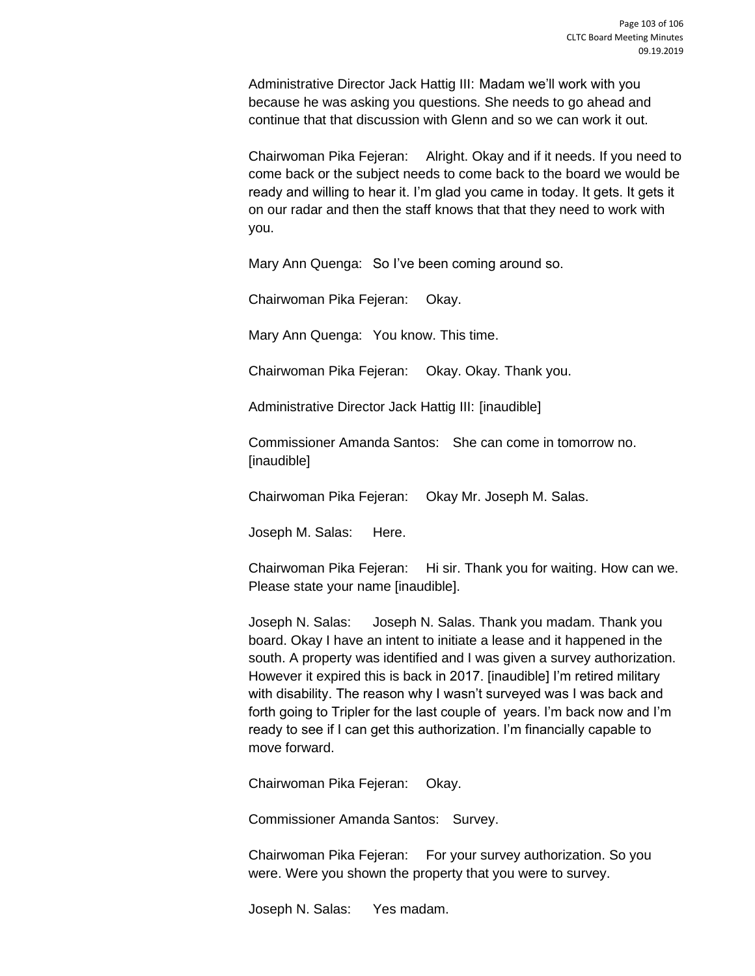Administrative Director Jack Hattig III: Madam we'll work with you because he was asking you questions. She needs to go ahead and continue that that discussion with Glenn and so we can work it out.

Chairwoman Pika Fejeran: Alright. Okay and if it needs. If you need to come back or the subject needs to come back to the board we would be ready and willing to hear it. I'm glad you came in today. It gets. It gets it on our radar and then the staff knows that that they need to work with you.

Mary Ann Quenga: So I've been coming around so.

Chairwoman Pika Fejeran: Okay.

Mary Ann Quenga: You know. This time.

Chairwoman Pika Fejeran: Okay. Okay. Thank you.

Administrative Director Jack Hattig III: [inaudible]

Commissioner Amanda Santos: She can come in tomorrow no. [inaudible]

Chairwoman Pika Fejeran: Okay Mr. Joseph M. Salas.

Joseph M. Salas: Here.

Chairwoman Pika Fejeran: Hi sir. Thank you for waiting. How can we. Please state your name [inaudible].

Joseph N. Salas: Joseph N. Salas. Thank you madam. Thank you board. Okay I have an intent to initiate a lease and it happened in the south. A property was identified and I was given a survey authorization. However it expired this is back in 2017. [inaudible] I'm retired military with disability. The reason why I wasn't surveyed was I was back and forth going to Tripler for the last couple of years. I'm back now and I'm ready to see if I can get this authorization. I'm financially capable to move forward.

Chairwoman Pika Fejeran: Okay.

Commissioner Amanda Santos: Survey.

Chairwoman Pika Fejeran: For your survey authorization. So you were. Were you shown the property that you were to survey.

Joseph N. Salas: Yes madam.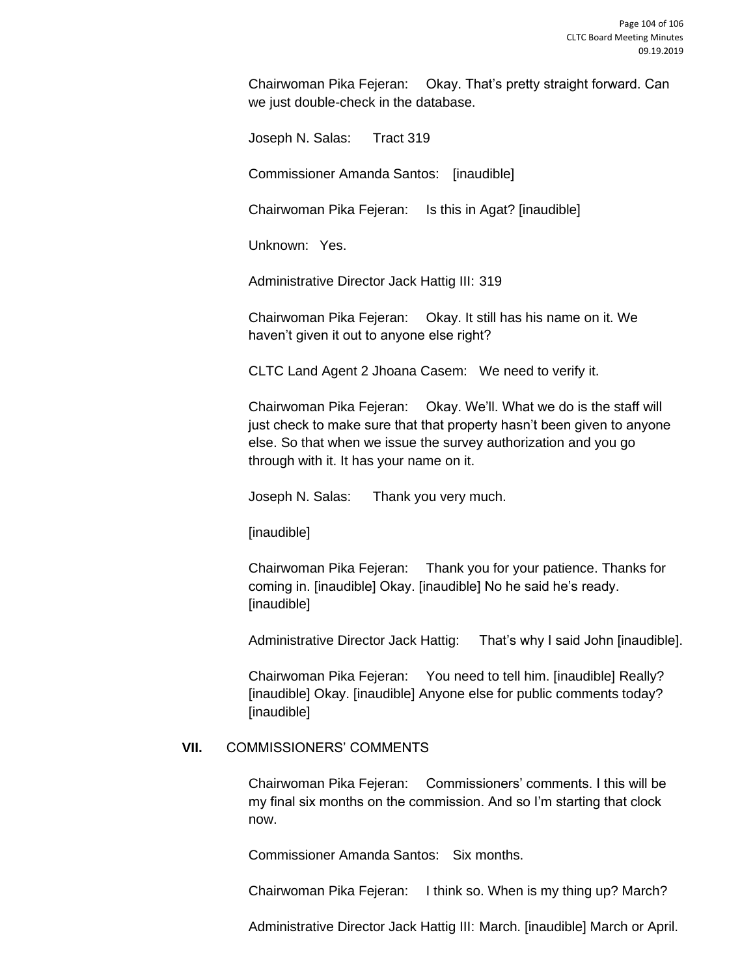Chairwoman Pika Fejeran: Okay. That's pretty straight forward. Can we just double-check in the database.

Joseph N. Salas: Tract 319

Commissioner Amanda Santos: [inaudible]

Chairwoman Pika Fejeran: Is this in Agat? [inaudible]

Unknown: Yes.

Administrative Director Jack Hattig III: 319

Chairwoman Pika Fejeran: Okay. It still has his name on it. We haven't given it out to anyone else right?

CLTC Land Agent 2 Jhoana Casem: We need to verify it.

Chairwoman Pika Fejeran: Okay. We'll. What we do is the staff will just check to make sure that that property hasn't been given to anyone else. So that when we issue the survey authorization and you go through with it. It has your name on it.

Joseph N. Salas: Thank you very much.

[inaudible]

Chairwoman Pika Fejeran: Thank you for your patience. Thanks for coming in. [inaudible] Okay. [inaudible] No he said he's ready. [inaudible]

Administrative Director Jack Hattig: That's why I said John [inaudible].

Chairwoman Pika Fejeran: You need to tell him. [inaudible] Really? [inaudible] Okay. [inaudible] Anyone else for public comments today? [inaudible]

# **VII.** COMMISSIONERS' COMMENTS

Chairwoman Pika Fejeran: Commissioners' comments. I this will be my final six months on the commission. And so I'm starting that clock now.

Commissioner Amanda Santos: Six months.

Chairwoman Pika Fejeran: I think so. When is my thing up? March?

Administrative Director Jack Hattig III: March. [inaudible] March or April.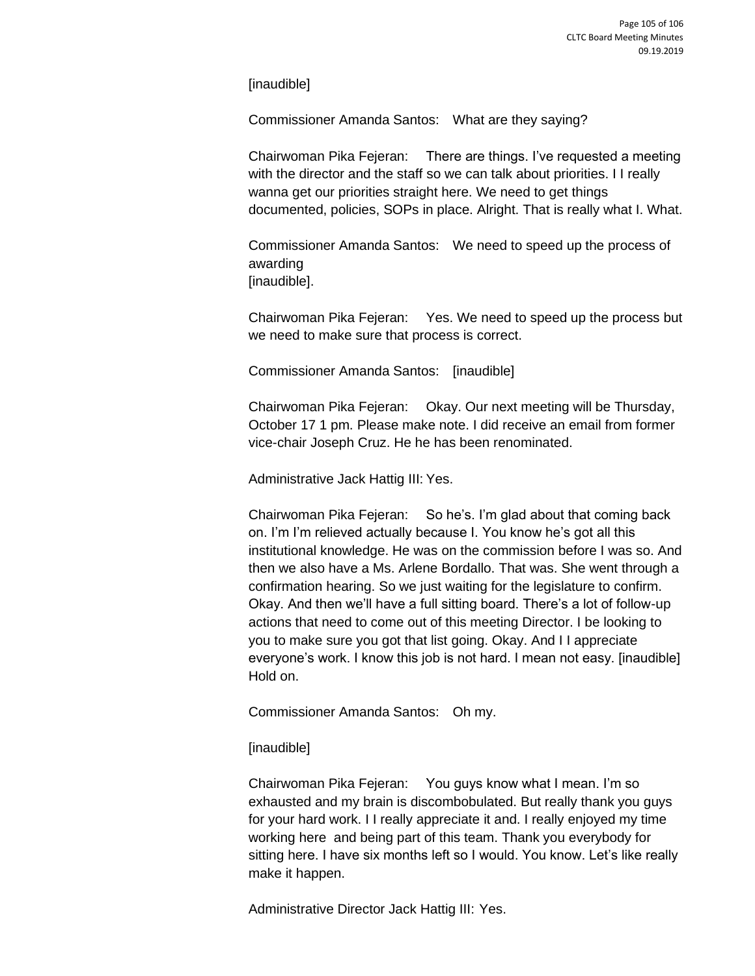[inaudible]

Commissioner Amanda Santos: What are they saying?

Chairwoman Pika Fejeran: There are things. I've requested a meeting with the director and the staff so we can talk about priorities. I I really wanna get our priorities straight here. We need to get things documented, policies, SOPs in place. Alright. That is really what I. What.

Commissioner Amanda Santos: We need to speed up the process of awarding [inaudible].

Chairwoman Pika Fejeran: Yes. We need to speed up the process but we need to make sure that process is correct.

Commissioner Amanda Santos: [inaudible]

Chairwoman Pika Fejeran: Okay. Our next meeting will be Thursday, October 17 1 pm. Please make note. I did receive an email from former vice-chair Joseph Cruz. He he has been renominated.

Administrative Jack Hattig III: Yes.

Chairwoman Pika Fejeran: So he's. I'm glad about that coming back on. I'm I'm relieved actually because I. You know he's got all this institutional knowledge. He was on the commission before I was so. And then we also have a Ms. Arlene Bordallo. That was. She went through a confirmation hearing. So we just waiting for the legislature to confirm. Okay. And then we'll have a full sitting board. There's a lot of follow-up actions that need to come out of this meeting Director. I be looking to you to make sure you got that list going. Okay. And I I appreciate everyone's work. I know this job is not hard. I mean not easy. [inaudible] Hold on.

Commissioner Amanda Santos: Oh my.

[inaudible]

Chairwoman Pika Fejeran: You guys know what I mean. I'm so exhausted and my brain is discombobulated. But really thank you guys for your hard work. I I really appreciate it and. I really enjoyed my time working here and being part of this team. Thank you everybody for sitting here. I have six months left so I would. You know. Let's like really make it happen.

Administrative Director Jack Hattig III: Yes.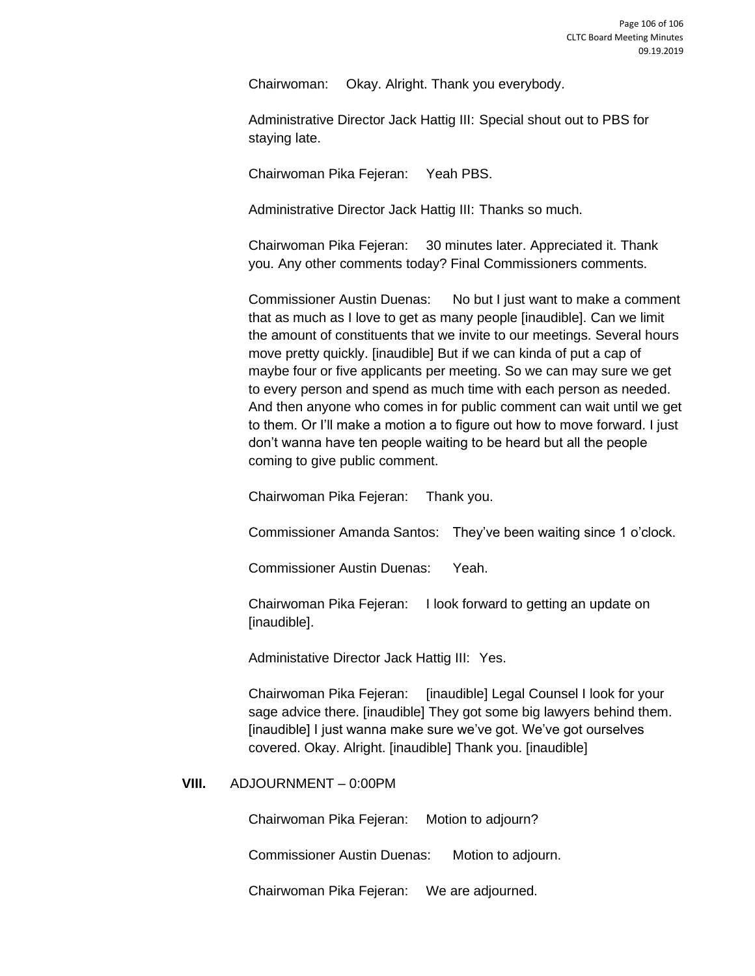Chairwoman: Okay. Alright. Thank you everybody.

Administrative Director Jack Hattig III: Special shout out to PBS for staying late.

Chairwoman Pika Fejeran: Yeah PBS.

Administrative Director Jack Hattig III: Thanks so much.

Chairwoman Pika Fejeran: 30 minutes later. Appreciated it. Thank you. Any other comments today? Final Commissioners comments.

Commissioner Austin Duenas: No but I just want to make a comment that as much as I love to get as many people [inaudible]. Can we limit the amount of constituents that we invite to our meetings. Several hours move pretty quickly. [inaudible] But if we can kinda of put a cap of maybe four or five applicants per meeting. So we can may sure we get to every person and spend as much time with each person as needed. And then anyone who comes in for public comment can wait until we get to them. Or I'll make a motion a to figure out how to move forward. I just don't wanna have ten people waiting to be heard but all the people coming to give public comment.

Chairwoman Pika Fejeran: Thank you.

Commissioner Amanda Santos: They've been waiting since 1 o'clock.

Commissioner Austin Duenas: Yeah.

Chairwoman Pika Fejeran: I look forward to getting an update on [inaudible].

Administative Director Jack Hattig III: Yes.

Chairwoman Pika Fejeran: [inaudible] Legal Counsel I look for your sage advice there. [inaudible] They got some big lawyers behind them. [inaudible] I just wanna make sure we've got. We've got ourselves covered. Okay. Alright. [inaudible] Thank you. [inaudible]

#### **VIII.** ADJOURNMENT – 0:00PM

Chairwoman Pika Fejeran: Motion to adjourn?

Commissioner Austin Duenas: Motion to adjourn.

Chairwoman Pika Fejeran: We are adjourned.